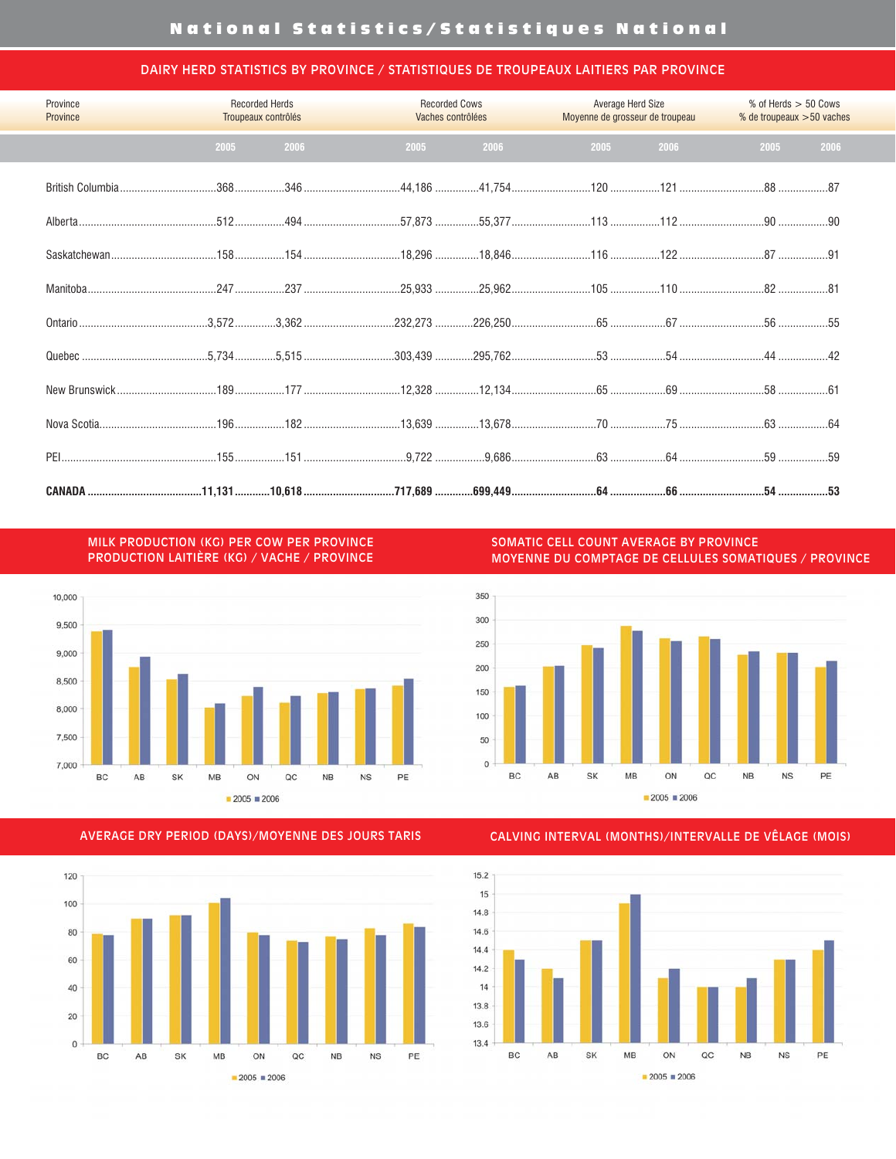#### DAIRY HERD STATISTICS BY PROVINCE / STATISTIQUES DE TROUPEAUX LAITIERS PAR PROVINCE

| Province<br>Province |      | <b>Recorded Herds</b><br>Troupeaux contrôlés |      | <b>Recorded Cows</b><br>Vaches contrôlées | <b>Average Herd Size</b><br>Moyenne de grosseur de troupeau |      | $%$ of Herds $>$ 50 Cows<br>% de troupeaux > 50 vaches |      |  |
|----------------------|------|----------------------------------------------|------|-------------------------------------------|-------------------------------------------------------------|------|--------------------------------------------------------|------|--|
|                      | 2005 | 2006                                         | 2005 | 2006                                      | 2005                                                        | 2006 | 2005                                                   | 2006 |  |
|                      |      |                                              |      |                                           |                                                             |      |                                                        |      |  |
|                      |      |                                              |      |                                           |                                                             |      |                                                        |      |  |
|                      |      |                                              |      |                                           |                                                             |      |                                                        |      |  |
|                      |      |                                              |      |                                           |                                                             |      |                                                        |      |  |
|                      |      |                                              |      |                                           |                                                             |      |                                                        |      |  |
|                      |      |                                              |      |                                           |                                                             |      |                                                        |      |  |
|                      |      |                                              |      |                                           |                                                             |      |                                                        |      |  |
|                      |      |                                              |      |                                           |                                                             |      |                                                        |      |  |
|                      |      |                                              |      |                                           |                                                             |      |                                                        |      |  |
|                      |      |                                              |      |                                           |                                                             |      |                                                        |      |  |

MILK PRODUCTION (KG) PER COW PER PROVINCE PRODUCTION LAITIÈRE (KG) / VACHE / PROVINCE



SOMATIC CELL COUNT AVERAGE BY PROVINCE MOYENNE DU COMPTAGE DE CELLULES SOMATIQUES / PROVINCE



#### AVERAGE DRY PERIOD (DAYS)/MOYENNE DES JOURS TARIS



CALVING INTERVAL (MONTHS)/INTERVALLE DE VÊLAGE (MOIS)

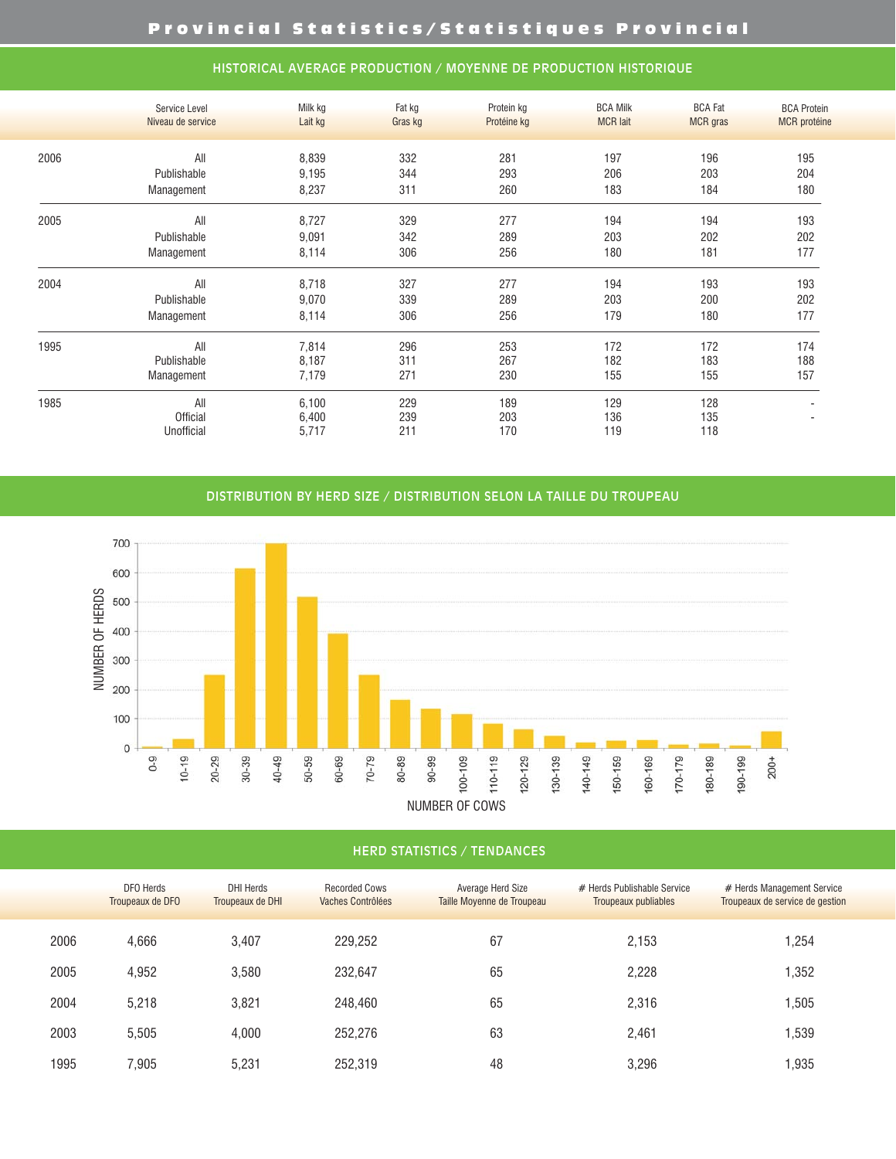|      | Service Level<br>Niveau de service | Milk kg<br>Lait kg | Fat kg<br>Gras kg | Protein kg<br>Protéine kg | <b>BCA Milk</b><br><b>MCR</b> lait | <b>BCA Fat</b><br><b>MCR</b> gras | <b>BCA Protein</b><br><b>MCR</b> protéine |
|------|------------------------------------|--------------------|-------------------|---------------------------|------------------------------------|-----------------------------------|-------------------------------------------|
| 2006 | All                                | 8,839              | 332               | 281                       | 197                                | 196                               | 195                                       |
|      | Publishable                        | 9,195              | 344               | 293                       | 206                                | 203                               | 204                                       |
|      | Management                         | 8,237              | 311               | 260                       | 183                                | 184                               | 180                                       |
| 2005 | All                                | 8,727              | 329               | 277                       | 194                                | 194                               | 193                                       |
|      | Publishable                        | 9,091              | 342               | 289                       | 203                                | 202                               | 202                                       |
|      | Management                         | 8,114              | 306               | 256                       | 180                                | 181                               | 177                                       |
| 2004 | All                                | 8,718              | 327               | 277                       | 194                                | 193                               | 193                                       |
|      | Publishable                        | 9,070              | 339               | 289                       | 203                                | 200                               | 202                                       |
|      | Management                         | 8,114              | 306               | 256                       | 179                                | 180                               | 177                                       |
| 1995 | All                                | 7,814              | 296               | 253                       | 172                                | 172                               | 174                                       |
|      | Publishable                        | 8,187              | 311               | 267                       | 182                                | 183                               | 188                                       |
|      | Management                         | 7,179              | 271               | 230                       | 155                                | 155                               | 157                                       |
| 1985 | All                                | 6,100              | 229               | 189                       | 129                                | 128                               |                                           |
|      | <b>Official</b>                    | 6,400              | 239               | 203                       | 136                                | 135                               |                                           |
|      | Unofficial                         | 5,717              | 211               | 170                       | 119                                | 118                               |                                           |

## HISTORICAL AVERAGE PRODUCTION / MOYENNE DE PRODUCTION HISTORIQUE

#### DISTRIBUTION BY HERD SIZE / DISTRIBUTION SELON LA TAILLE DU TROUPEAU



## HERD STATISTICS / TENDANCES

|      | <b>DFO</b> Herds<br>Troupeaux de DFO | <b>DHI Herds</b><br>Troupeaux de DHI | <b>Recorded Cows</b><br>Vaches Contrôlées | <b>Average Herd Size</b><br>Taille Moyenne de Troupeau | # Herds Publishable Service<br>Troupeaux publiables | # Herds Management Service<br>Troupeaux de service de gestion |
|------|--------------------------------------|--------------------------------------|-------------------------------------------|--------------------------------------------------------|-----------------------------------------------------|---------------------------------------------------------------|
| 2006 | 4,666                                | 3,407                                | 229,252                                   | 67                                                     | 2,153                                               | ,254                                                          |
| 2005 | 4,952                                | 3,580                                | 232,647                                   | 65                                                     | 2,228                                               | ,352                                                          |
| 2004 | 5,218                                | 3,821                                | 248,460                                   | 65                                                     | 2,316                                               | ,505                                                          |
| 2003 | 5.505                                | 4,000                                | 252,276                                   | 63                                                     | 2,461                                               | ,539                                                          |
| 1995 | 7.905                                | 5.231                                | 252,319                                   | 48                                                     | 3.296                                               | ,935                                                          |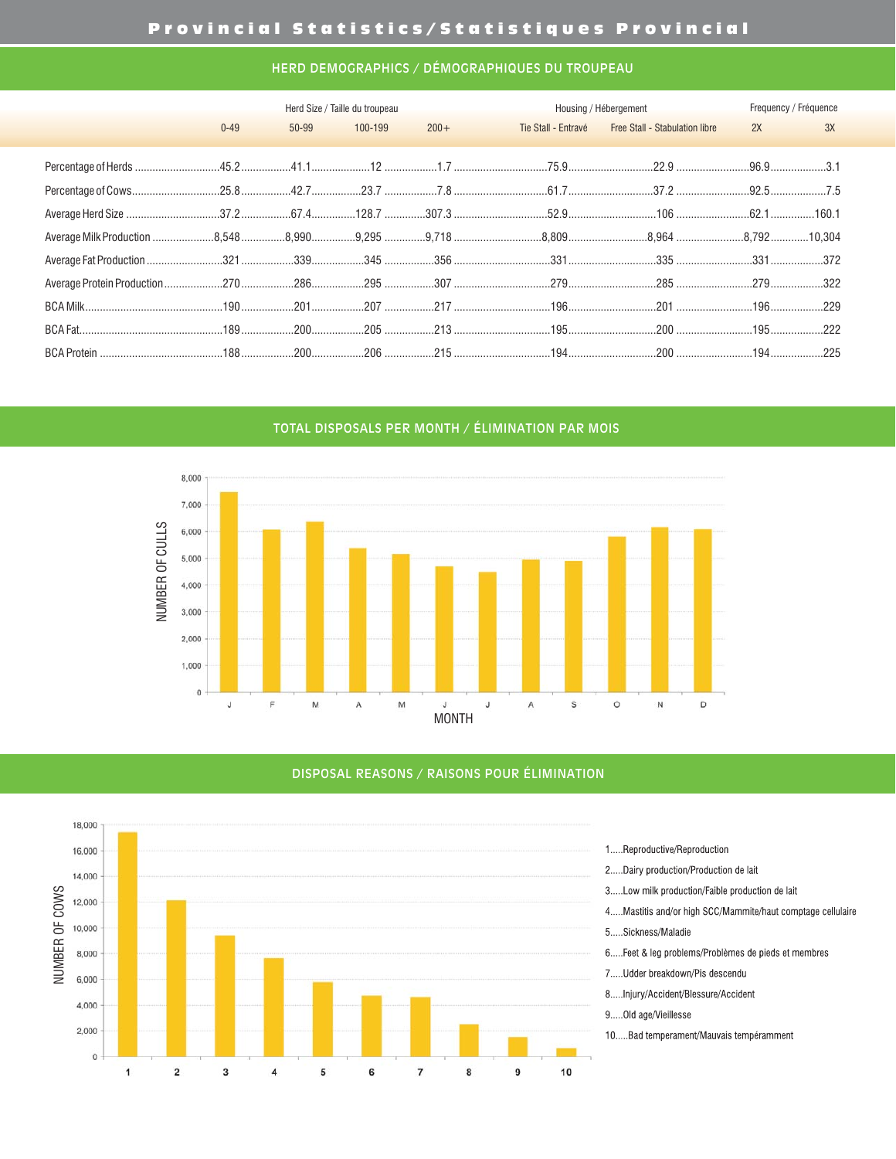# Provincial Statistics/Statistiques Provincial

#### HERD DEMOGRAPHICS / DÉMOGRAPHIQUES DU TROUPEAU

|          |       | Herd Size / Taille du troupeau |         |                     | Housing / Hébergement                 |    | Frequency / Fréquence |
|----------|-------|--------------------------------|---------|---------------------|---------------------------------------|----|-----------------------|
| $0 - 49$ | 50-99 | 100-199                        | $200 +$ | Tie Stall - Entravé | <b>Free Stall - Stabulation libre</b> | 2X | 3X                    |
|          |       |                                |         |                     |                                       |    |                       |
|          |       |                                |         |                     |                                       |    |                       |
|          |       |                                |         |                     |                                       |    |                       |
|          |       |                                |         |                     |                                       |    |                       |
|          |       |                                |         |                     |                                       |    |                       |
|          |       |                                |         |                     |                                       |    |                       |
|          |       |                                |         |                     |                                       |    |                       |
|          |       |                                |         |                     |                                       |    |                       |
|          |       |                                |         |                     |                                       |    |                       |
|          |       |                                |         |                     |                                       |    |                       |

TOTAL DISPOSALS PER MONTH / ÉLIMINATION PAR MOIS



#### DISPOSAL REASONS / RAISONS POUR ÉLIMINATION

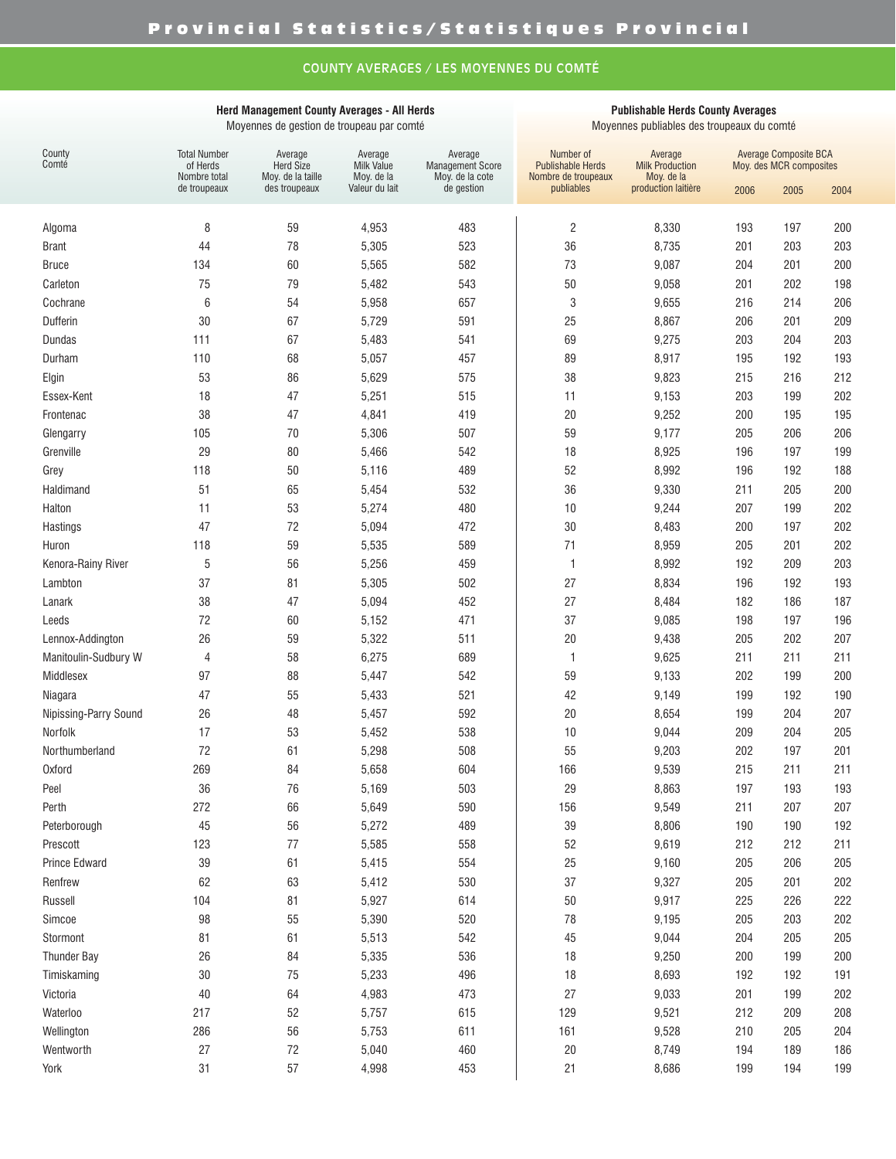# COUNTY AVERAGES / LES MOYENNES DU COMTÉ

#### **Herd Management County Averages - All Herds** Moyennes de gestion de troupeau par comté

#### **Publishable Herds County Averages**

Moyennes publiables des troupeaux du comté

| County<br>Comté       | <b>Total Number</b><br>of Herds<br>Nombre total | Average<br><b>Herd Size</b><br>Moy. de la taille | Average<br><b>Milk Value</b><br>Moy. de la | Average<br><b>Management Score</b><br>Moy. de la cote | Number of<br><b>Publishable Herds</b><br>Nombre de troupeaux | Average<br><b>Milk Production</b><br>Moy. de la |      | <b>Average Composite BCA</b><br>Moy. des MCR composites |      |
|-----------------------|-------------------------------------------------|--------------------------------------------------|--------------------------------------------|-------------------------------------------------------|--------------------------------------------------------------|-------------------------------------------------|------|---------------------------------------------------------|------|
|                       | de troupeaux                                    | des troupeaux                                    | Valeur du lait                             | de gestion                                            | publiables                                                   | production laitière                             | 2006 | 2005                                                    | 2004 |
| Algoma                | 8                                               | 59                                               | 4,953                                      | 483                                                   | $\overline{c}$                                               | 8,330                                           | 193  | 197                                                     | 200  |
| <b>Brant</b>          | 44                                              | 78                                               | 5,305                                      | 523                                                   | 36                                                           | 8,735                                           | 201  | 203                                                     | 203  |
| <b>Bruce</b>          | 134                                             | 60                                               | 5,565                                      | 582                                                   | 73                                                           | 9,087                                           | 204  | 201                                                     | 200  |
| Carleton              | 75                                              | 79                                               | 5,482                                      | 543                                                   | 50                                                           | 9,058                                           | 201  | 202                                                     | 198  |
| Cochrane              | 6                                               | 54                                               | 5,958                                      | 657                                                   | 3                                                            | 9,655                                           | 216  | 214                                                     | 206  |
| Dufferin              | 30                                              | 67                                               | 5,729                                      | 591                                                   | 25                                                           | 8,867                                           | 206  | 201                                                     | 209  |
| Dundas                | 111                                             | 67                                               | 5,483                                      | 541                                                   | 69                                                           | 9,275                                           | 203  | 204                                                     | 203  |
| Durham                | 110                                             | 68                                               | 5,057                                      | 457                                                   | 89                                                           | 8,917                                           | 195  | 192                                                     | 193  |
| Elgin                 | 53                                              | 86                                               | 5,629                                      | 575                                                   | 38                                                           | 9,823                                           | 215  | 216                                                     | 212  |
| Essex-Kent            | 18                                              | 47                                               | 5,251                                      | 515                                                   | 11                                                           | 9,153                                           | 203  | 199                                                     | 202  |
| Frontenac             | 38                                              | 47                                               | 4,841                                      | 419                                                   | 20                                                           | 9,252                                           | 200  | 195                                                     | 195  |
| Glengarry             | 105                                             | 70                                               | 5,306                                      | 507                                                   | 59                                                           | 9,177                                           | 205  | 206                                                     | 206  |
| Grenville             | 29                                              | 80                                               | 5,466                                      | 542                                                   | 18                                                           | 8,925                                           | 196  | 197                                                     | 199  |
| Grey                  | 118                                             | 50                                               | 5,116                                      | 489                                                   | 52                                                           | 8,992                                           | 196  | 192                                                     | 188  |
| Haldimand             | 51                                              | 65                                               | 5,454                                      | 532                                                   | 36                                                           | 9,330                                           | 211  | 205                                                     | 200  |
| Halton                | 11                                              | 53                                               | 5,274                                      | 480                                                   | 10                                                           | 9,244                                           | 207  | 199                                                     | 202  |
| Hastings              | 47                                              | 72                                               | 5,094                                      | 472                                                   | 30                                                           | 8,483                                           | 200  | 197                                                     | 202  |
| Huron                 | 118                                             | 59                                               | 5,535                                      | 589                                                   | 71                                                           | 8,959                                           | 205  | 201                                                     | 202  |
| Kenora-Rainy River    | 5                                               | 56                                               | 5,256                                      | 459                                                   | $\mathbf{1}$                                                 | 8,992                                           | 192  | 209                                                     | 203  |
| Lambton               | 37                                              | 81                                               | 5,305                                      | 502                                                   | 27                                                           | 8,834                                           | 196  | 192                                                     | 193  |
| Lanark                | 38                                              | 47                                               | 5,094                                      | 452                                                   | 27                                                           | 8,484                                           | 182  | 186                                                     | 187  |
| Leeds                 | 72                                              | 60                                               | 5,152                                      | 471                                                   | 37                                                           | 9,085                                           | 198  | 197                                                     | 196  |
| Lennox-Addington      | 26                                              | 59                                               | 5,322                                      | 511                                                   | 20                                                           | 9,438                                           | 205  | 202                                                     | 207  |
| Manitoulin-Sudbury W  | 4                                               | 58                                               | 6,275                                      | 689                                                   | $\mathbf{1}$                                                 | 9,625                                           | 211  | 211                                                     | 211  |
| Middlesex             | 97                                              | 88                                               | 5,447                                      | 542                                                   | 59                                                           | 9,133                                           | 202  | 199                                                     | 200  |
| Niagara               | 47                                              | 55                                               | 5,433                                      | 521                                                   | 42                                                           | 9,149                                           | 199  | 192                                                     | 190  |
| Nipissing-Parry Sound | 26                                              | 48                                               | 5,457                                      | 592                                                   | 20                                                           | 8,654                                           | 199  | 204                                                     | 207  |
| Norfolk               | 17                                              | 53                                               | 5,452                                      | 538                                                   | 10                                                           | 9,044                                           | 209  | 204                                                     | 205  |
| Northumberland        | 72                                              | 61                                               | 5,298                                      | 508                                                   | 55                                                           | 9,203                                           | 202  | 197                                                     | 201  |
| <b>Oxford</b>         | 269                                             | 84                                               | 5,658                                      | 604                                                   | 166                                                          | 9,539                                           | 215  | 211                                                     | 211  |
| Peel                  | 36                                              | 76                                               | 5,169                                      | 503                                                   | 29                                                           | 8,863                                           | 197  | 193                                                     | 193  |
| Perth                 | 272                                             | 66                                               | 5,649                                      | 590                                                   | 156                                                          | 9,549                                           | 211  | 207                                                     | 207  |
| Peterborough          | 45                                              | 56                                               | 5,272                                      | 489                                                   | 39                                                           | 8,806                                           | 190  | 190                                                     | 192  |
| Prescott              | 123                                             | 77                                               | 5,585                                      | 558                                                   | 52                                                           | 9,619                                           | 212  | 212                                                     | 211  |
| Prince Edward         | 39                                              | 61                                               | 5,415                                      | 554                                                   | 25                                                           | 9,160                                           | 205  | 206                                                     | 205  |
| Renfrew               | 62                                              | 63                                               | 5,412                                      | 530                                                   | 37                                                           | 9,327                                           | 205  | 201                                                     | 202  |
| Russell               | 104                                             | 81                                               | 5,927                                      | 614                                                   | 50                                                           | 9,917                                           | 225  | 226                                                     | 222  |
| Simcoe                | 98                                              | 55                                               | 5,390                                      | 520                                                   | 78                                                           | 9,195                                           | 205  | 203                                                     | 202  |
| Stormont              | 81                                              | 61                                               | 5,513                                      | 542                                                   | 45                                                           | 9,044                                           | 204  | 205                                                     | 205  |
| <b>Thunder Bay</b>    | 26                                              | 84                                               | 5,335                                      | 536                                                   | 18                                                           | 9,250                                           | 200  | 199                                                     | 200  |
| Timiskaming           | 30                                              | 75                                               | 5,233                                      | 496                                                   | 18                                                           | 8,693                                           | 192  | 192                                                     | 191  |
| Victoria              | 40                                              | 64                                               | 4,983                                      | 473                                                   | 27                                                           | 9,033                                           | 201  | 199                                                     | 202  |
| Waterloo              | 217                                             | 52                                               | 5,757                                      | 615                                                   | 129                                                          | 9,521                                           | 212  | 209                                                     | 208  |
| Wellington            | 286                                             | 56                                               | 5,753                                      | 611                                                   | 161                                                          | 9,528                                           | 210  | 205                                                     | 204  |
| Wentworth             | 27                                              | $72\,$                                           | 5,040                                      | 460                                                   | 20                                                           | 8,749                                           | 194  | 189                                                     | 186  |
| York                  | 31                                              | 57                                               | 4,998                                      | 453                                                   | 21                                                           | 8,686                                           | 199  | 194                                                     | 199  |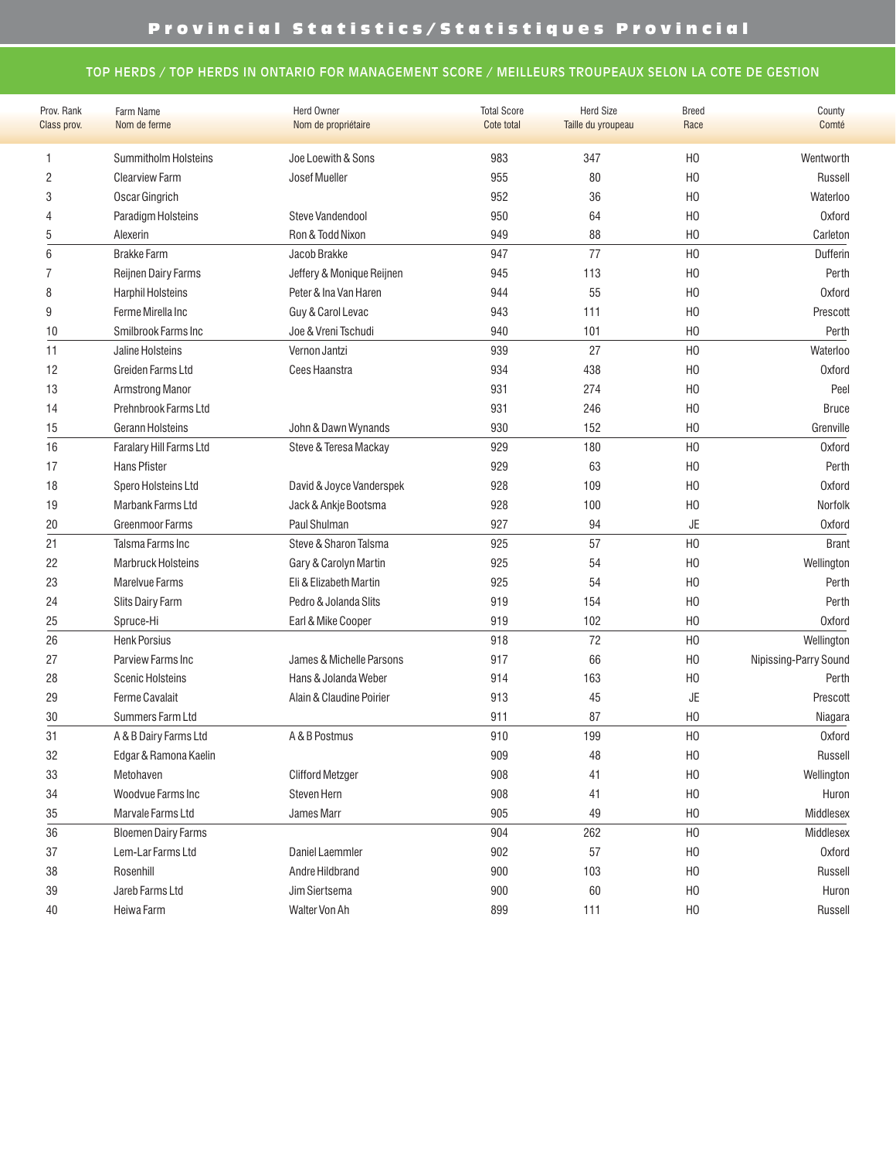## TOP HERDS / TOP HERDS IN ONTARIO FOR MANAGEMENT SCORE / MEILLEURS TROUPEAUX SELON LA COTE DE GESTION

| Prov. Rank   | Farm Name                  | <b>Herd Owner</b>         | <b>Total Score</b> | <b>Herd Size</b>   | <b>Breed</b>   | County                |
|--------------|----------------------------|---------------------------|--------------------|--------------------|----------------|-----------------------|
| Class prov.  | Nom de ferme               | Nom de propriétaire       | Cote total         | Taille du yroupeau | Race           | Comté                 |
| 1            | Summitholm Holsteins       | Joe Loewith & Sons        | 983                | 347                | H <sub>0</sub> | Wentworth             |
| $\mathbf{2}$ | <b>Clearview Farm</b>      | Josef Mueller             | 955                | 80                 | H <sub>0</sub> | Russell               |
| 3            | Oscar Gingrich             |                           | 952                | 36                 | H <sub>0</sub> | Waterloo              |
| 4            | Paradigm Holsteins         | Steve Vandendool          | 950                | 64                 | H <sub>0</sub> | <b>Oxford</b>         |
| 5            | Alexerin                   | Ron & Todd Nixon          | 949                | 88                 | H <sub>0</sub> | Carleton              |
| 6            | <b>Brakke Farm</b>         | Jacob Brakke              | 947                | 77                 | H <sub>0</sub> | Dufferin              |
| 7            | Reijnen Dairy Farms        | Jeffery & Monique Reijnen | 945                | 113                | H <sub>0</sub> | Perth                 |
| 8            | Harphil Holsteins          | Peter & Ina Van Haren     | 944                | 55                 | H <sub>0</sub> | Oxford                |
| 9            | Ferme Mirella Inc          | Guy & Carol Levac         | 943                | 111                | H <sub>0</sub> | Prescott              |
| 10           | Smilbrook Farms Inc        | Joe & Vreni Tschudi       | 940                | 101                | H <sub>0</sub> | Perth                 |
| 11           | Jaline Holsteins           | Vernon Jantzi             | 939                | 27                 | H <sub>0</sub> | Waterloo              |
| 12           | Greiden Farms Ltd          | Cees Haanstra             | 934                | 438                | H <sub>0</sub> | <b>Oxford</b>         |
| 13           | Armstrong Manor            |                           | 931                | 274                | H <sub>0</sub> | Peel                  |
| 14           | Prehnbrook Farms Ltd       |                           | 931                | 246                | H <sub>0</sub> | <b>Bruce</b>          |
| 15           | Gerann Holsteins           | John & Dawn Wynands       | 930                | 152                | H <sub>0</sub> | Grenville             |
| 16           | Faralary Hill Farms Ltd    | Steve & Teresa Mackay     | 929                | 180                | H <sub>0</sub> | <b>Oxford</b>         |
| 17           | Hans Pfister               |                           | 929                | 63                 | H <sub>0</sub> | Perth                 |
| 18           | Spero Holsteins Ltd        | David & Joyce Vanderspek  | 928                | 109                | H <sub>0</sub> | <b>Oxford</b>         |
| 19           | Marbank Farms Ltd          | Jack & Ankje Bootsma      | 928                | 100                | H <sub>0</sub> | Norfolk               |
| 20           | Greenmoor Farms            | Paul Shulman              | 927                | 94                 | JE             | <b>Oxford</b>         |
| 21           | Talsma Farms Inc           | Steve & Sharon Talsma     | 925                | 57                 | H <sub>0</sub> | <b>Brant</b>          |
| 22           | Marbruck Holsteins         | Gary & Carolyn Martin     | 925                | 54                 | H <sub>0</sub> | Wellington            |
| 23           | Marelvue Farms             | Eli & Elizabeth Martin    | 925                | 54                 | H <sub>0</sub> | Perth                 |
| 24           | Slits Dairy Farm           | Pedro & Jolanda Slits     | 919                | 154                | H <sub>0</sub> | Perth                 |
| 25           | Spruce-Hi                  | Earl & Mike Cooper        | 919                | 102                | H <sub>0</sub> | <b>Oxford</b>         |
| 26           | <b>Henk Porsius</b>        |                           | 918                | 72                 | H <sub>0</sub> | Wellington            |
| 27           | Parview Farms Inc          | James & Michelle Parsons  | 917                | 66                 | H <sub>0</sub> | Nipissing-Parry Sound |
| 28           | <b>Scenic Holsteins</b>    | Hans & Jolanda Weber      | 914                | 163                | H <sub>0</sub> | Perth                 |
| 29           | <b>Ferme Cavalait</b>      | Alain & Claudine Poirier  | 913                | 45                 | JE             | Prescott              |
| 30           | Summers Farm Ltd           |                           | 911                | 87                 | H <sub>0</sub> | Niagara               |
| 31           | A & B Dairy Farms Ltd      | A & B Postmus             | 910                | 199                | H <sub>0</sub> | <b>Oxford</b>         |
| 32           | Edgar & Ramona Kaelin      |                           | 909                | 48                 | H <sub>0</sub> | Russell               |
| 33           | Metohaven                  | <b>Clifford Metzger</b>   | 908                | 41                 | H <sub>0</sub> | Wellington            |
| 34           | Woodvue Farms Inc          | Steven Hern               | 908                | 41                 | H <sub>0</sub> | Huron                 |
| 35           | Marvale Farms Ltd          | James Marr                | 905                | 49                 | H <sub>0</sub> | Middlesex             |
| 36           | <b>Bloemen Dairy Farms</b> |                           | 904                | 262                | H <sub>0</sub> | Middlesex             |
| 37           | Lem-Lar Farms Ltd          | Daniel Laemmler           | 902                | 57                 | H <sub>0</sub> | <b>Oxford</b>         |
| 38           | Rosenhill                  | Andre Hildbrand           | 900                | 103                | H <sub>0</sub> | Russell               |
| 39           | Jareb Farms Ltd            | Jim Siertsema             | 900                | 60                 | H <sub>0</sub> | Huron                 |
| $40\,$       | Heiwa Farm                 | Walter Von Ah             | 899                | 111                | H <sub>0</sub> | Russell               |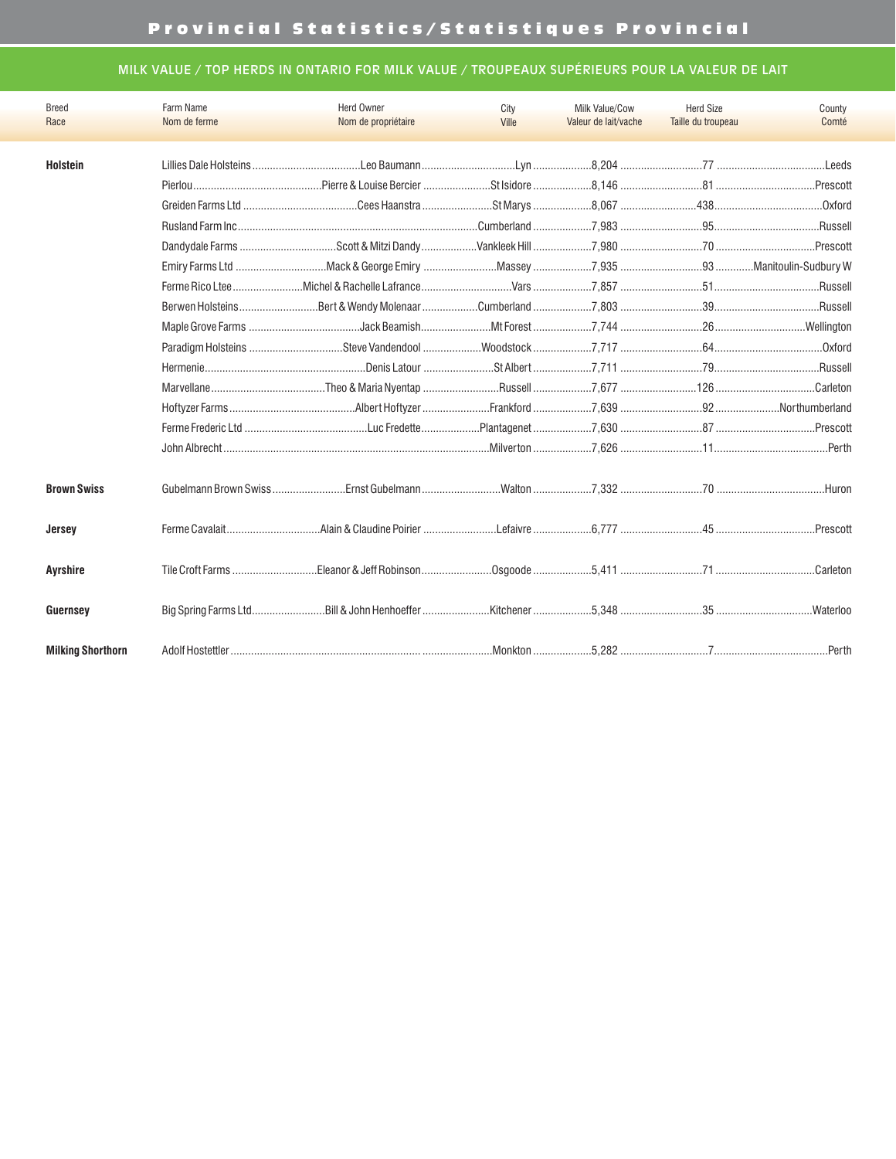# Provincial Statistics/Statistiques Provincial

# MILK VALUE / TOP HERDS IN ONTARIO FOR MILK VALUE / TROUPEAUX SUPÉRIEURS POUR LA VALEUR DE LAIT

| <b>Breed</b>             | Farm Name    | <b>Herd Owner</b>   | City  | Milk Value/Cow       | <b>Herd Size</b>   | County    |
|--------------------------|--------------|---------------------|-------|----------------------|--------------------|-----------|
| Race                     | Nom de ferme | Nom de propriétaire | Ville | Valeur de lait/vache | Taille du troupeau | Comté     |
|                          |              |                     |       |                      |                    |           |
| <b>Holstein</b>          |              |                     |       |                      |                    |           |
|                          |              |                     |       |                      |                    |           |
|                          |              |                     |       |                      |                    |           |
|                          |              |                     |       |                      |                    |           |
|                          |              |                     |       |                      |                    | Prescott  |
|                          |              |                     |       |                      |                    |           |
|                          |              |                     |       |                      |                    |           |
|                          |              |                     |       |                      |                    |           |
|                          |              |                     |       |                      |                    |           |
|                          |              |                     |       |                      |                    |           |
|                          |              |                     |       |                      |                    |           |
|                          |              |                     |       |                      |                    | .Carleton |
|                          |              |                     |       |                      |                    |           |
|                          |              |                     |       |                      |                    |           |
|                          |              |                     |       |                      |                    |           |
| <b>Brown Swiss</b>       |              |                     |       |                      |                    | Huron     |
| Jersey                   |              |                     |       |                      |                    | .Prescott |
| <b>Ayrshire</b>          |              |                     |       |                      |                    | Carleton  |
| Guernsey                 |              |                     |       |                      |                    |           |
| <b>Milking Shorthorn</b> |              |                     |       |                      |                    |           |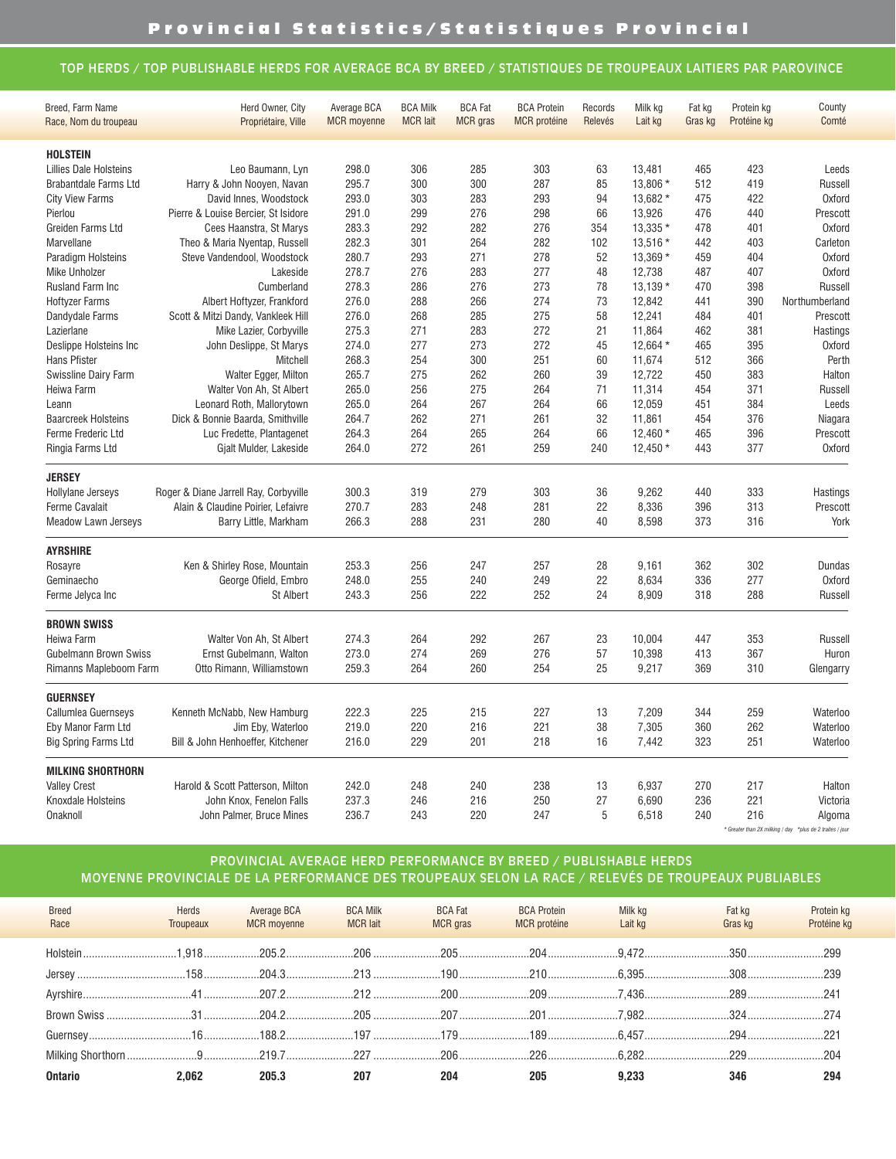#### TOP HERDS / TOP PUBLISHABLE HERDS FOR AVERAGE BCA BY BREED / STATISTIQUES DE TROUPEAUX LAITIERS PAR PAROVINCE

| Comté<br>Race, Nom du troupeau<br>Propriétaire, Ville<br><b>MCR</b> moyenne<br><b>MCR</b> lait<br><b>MCR</b> gras<br><b>MCR</b> protéine<br>Lait kg<br>Protéine kg<br>Relevés<br>Gras kg<br><b>HOLSTEIN</b><br>Leo Baumann, Lyn<br>Lillies Dale Holsteins<br>298.0<br>306<br>285<br>303<br>63<br>13,481<br>465<br>423<br>Leeds<br>Harry & John Nooyen, Navan<br>295.7<br>300<br>300<br>287<br>85<br>13,806 *<br>512<br>419<br><b>Brabantdale Farms Ltd</b><br><b>Russell</b><br>293.0<br>303<br>283<br>293<br>94<br>13,682 *<br>475<br>422<br><b>Oxford</b><br><b>City View Farms</b><br>David Innes, Woodstock<br>291.0<br>299<br>276<br>298<br>66<br>13,926<br>476<br>440<br>Pierlou<br>Pierre & Louise Bercier, St Isidore<br>Prescott<br>283.3<br>292<br>282<br>276<br>354<br>13,335 *<br>478<br>401<br><b>Oxford</b><br>Greiden Farms Ltd<br>Cees Haanstra, St Marys<br>282<br>282.3<br>301<br>264<br>102<br>13,516 *<br>442<br>403<br>Marvellane<br>Theo & Maria Nyentap, Russell<br>Carleton<br>280.7<br>293<br>271<br>278<br>52<br>13,369 *<br>459<br>404<br><b>Oxford</b><br>Steve Vandendool, Woodstock<br>Paradigm Holsteins<br>278.7<br>276<br>283<br>277<br>48<br>12,738<br>487<br>407<br><b>Oxford</b><br><b>Mike Unholzer</b><br>Lakeside<br>278.3<br>286<br>276<br>273<br>78<br>$13,139*$<br>470<br>398<br>Rusland Farm Inc<br>Cumberland<br><b>Russell</b><br>Albert Hoftyzer, Frankford<br>276.0<br>288<br>266<br>274<br>73<br>12,842<br>441<br>390<br>Northumberland<br><b>Hoftyzer Farms</b><br>276.0<br>268<br>275<br>58<br>12,241<br>484<br>401<br>Dandydale Farms<br>Scott & Mitzi Dandy, Vankleek Hill<br>285<br>Prescott<br>275.3<br>283<br>272<br>462<br>381<br>Lazierlane<br>Mike Lazier, Corbyville<br>271<br>21<br>11,864<br>Hastings<br>274.0<br>277<br>273<br>272<br>45<br>12,664 *<br>465<br>395<br><b>Oxford</b><br>Deslippe Holsteins Inc<br>John Deslippe, St Marys<br>268.3<br>254<br>300<br>251<br>512<br>366<br>Perth<br>Hans Pfister<br>Mitchell<br>60<br>11,674<br>383<br>Swissline Dairy Farm<br>Walter Egger, Milton<br>265.7<br>275<br>262<br>260<br>39<br>12,722<br>450<br>Halton<br>Walter Von Ah, St Albert<br>265.0<br>264<br>Heiwa Farm<br>256<br>275<br>71<br>11,314<br>454<br>371<br><b>Russell</b><br>Leonard Roth, Mallorytown<br>265.0<br>264<br>267<br>264<br>66<br>12,059<br>451<br>384<br>Leeds<br>Leann<br>Dick & Bonnie Baarda, Smithville<br><b>Baarcreek Holsteins</b><br>264.7<br>262<br>271<br>261<br>32<br>11,861<br>454<br>376<br>Niagara<br>Ferme Frederic Ltd<br>Luc Fredette, Plantagenet<br>264.3<br>264<br>265<br>264<br>66<br>$12,460*$<br>465<br>396<br>Prescott<br>272<br>261<br>259<br>377<br>Gjalt Mulder, Lakeside<br>264.0<br>240<br>$12,450*$<br>443<br><b>Oxford</b><br>Ringia Farms Ltd<br><b>JERSEY</b><br>Hollylane Jerseys<br>Roger & Diane Jarrell Ray, Corbyville<br>300.3<br>319<br>279<br>303<br>36<br>9,262<br>440<br>333<br>Hastings<br>270.7<br>283<br>22<br>Ferme Cavalait<br>Alain & Claudine Poirier, Lefaivre<br>248<br>281<br>8,336<br>396<br>313<br>Prescott<br>Barry Little, Markham<br>266.3<br>288<br>231<br>280<br>40<br>8,598<br>373<br>316<br>York<br><b>Meadow Lawn Jerseys</b><br><b>AYRSHIRE</b><br>Ken & Shirley Rose, Mountain<br>253.3<br>256<br>247<br>257<br>28<br>9,161<br>362<br>302<br>Rosayre<br>Dundas<br>22<br>277<br>Geminaecho<br>George Ofield, Embro<br>248.0<br>255<br>240<br>249<br>8,634<br>336<br><b>Oxford</b><br><b>St Albert</b><br>243.3<br>256<br>222<br>252<br>24<br>8,909<br>318<br>288<br>Ferme Jelyca Inc<br><b>Russell</b><br><b>BROWN SWISS</b><br>264<br>292<br>267<br>23<br>447<br>353<br>Heiwa Farm<br>Walter Von Ah, St Albert<br>274.3<br>10,004<br><b>Russell</b><br>Gubelmann Brown Swiss<br>Ernst Gubelmann, Walton<br>273.0<br>274<br>269<br>276<br>57<br>10,398<br>413<br>367<br>Huron<br>259.3<br>264<br>260<br>254<br>25<br>9,217<br>369<br>310<br>Rimanns Mapleboom Farm<br>Otto Rimann, Williamstown<br>Glengarry<br><b>GUERNSEY</b><br>Kenneth McNabb, New Hamburg<br>222.3<br>227<br>13<br>7,209<br>259<br>Callumlea Guernseys<br>225<br>215<br>344<br>Waterloo<br>220<br>221<br>38<br>262<br>Eby Manor Farm Ltd<br>Jim Eby, Waterloo<br>219.0<br>216<br>7,305<br>360<br>Waterloo<br>229<br>16<br>251<br><b>Big Spring Farms Ltd</b><br>Bill & John Henhoeffer, Kitchener<br>216.0<br>201<br>218<br>7,442<br>323<br>Waterloo<br><b>MILKING SHORTHORN</b><br>242.0<br>248<br>238<br>13<br>270<br>217<br><b>Valley Crest</b><br>Harold & Scott Patterson, Milton<br>240<br>6,937<br>Halton<br>27<br>221<br>237.3<br>246<br>216<br>250<br>6,690<br>236<br>Knoxdale Holsteins<br>John Knox, Fenelon Falls<br>Victoria<br>236.7<br>220<br>247<br>5<br>6,518<br>240<br>216<br>Onaknoll<br>243<br>John Palmer, Bruce Mines<br>Algoma<br>* Greater than 2X milking / day *plus de 2 traites / jour | Breed, Farm Name | Herd Owner, City | Average BCA | <b>BCA Milk</b> | <b>BCA Fat</b> | <b>BCA Protein</b> | Records | Milk kg | Fat kg | Protein kg | County |
|--------------------------------------------------------------------------------------------------------------------------------------------------------------------------------------------------------------------------------------------------------------------------------------------------------------------------------------------------------------------------------------------------------------------------------------------------------------------------------------------------------------------------------------------------------------------------------------------------------------------------------------------------------------------------------------------------------------------------------------------------------------------------------------------------------------------------------------------------------------------------------------------------------------------------------------------------------------------------------------------------------------------------------------------------------------------------------------------------------------------------------------------------------------------------------------------------------------------------------------------------------------------------------------------------------------------------------------------------------------------------------------------------------------------------------------------------------------------------------------------------------------------------------------------------------------------------------------------------------------------------------------------------------------------------------------------------------------------------------------------------------------------------------------------------------------------------------------------------------------------------------------------------------------------------------------------------------------------------------------------------------------------------------------------------------------------------------------------------------------------------------------------------------------------------------------------------------------------------------------------------------------------------------------------------------------------------------------------------------------------------------------------------------------------------------------------------------------------------------------------------------------------------------------------------------------------------------------------------------------------------------------------------------------------------------------------------------------------------------------------------------------------------------------------------------------------------------------------------------------------------------------------------------------------------------------------------------------------------------------------------------------------------------------------------------------------------------------------------------------------------------------------------------------------------------------------------------------------------------------------------------------------------------------------------------------------------------------------------------------------------------------------------------------------------------------------------------------------------------------------------------------------------------------------------------------------------------------------------------------------------------------------------------------------------------------------------------------------------------------------------------------------------------------------------------------------------------------------------------------------------------------------------------------------------------------------------------------------------------------------------------------------------------------------------------------------------------------------------------------------------------------------------------------------------------------------------------------------------------------------------------------------------------------------------------------------------------------------------------------------------------------------------------------------------------------------------------------------------------------------------------------------------------------------------------------------------------------------------------------------------------------------------------------------------------------------------------------------------------------------------------------------------------------------------------------------------------------------------|------------------|------------------|-------------|-----------------|----------------|--------------------|---------|---------|--------|------------|--------|
|                                                                                                                                                                                                                                                                                                                                                                                                                                                                                                                                                                                                                                                                                                                                                                                                                                                                                                                                                                                                                                                                                                                                                                                                                                                                                                                                                                                                                                                                                                                                                                                                                                                                                                                                                                                                                                                                                                                                                                                                                                                                                                                                                                                                                                                                                                                                                                                                                                                                                                                                                                                                                                                                                                                                                                                                                                                                                                                                                                                                                                                                                                                                                                                                                                                                                                                                                                                                                                                                                                                                                                                                                                                                                                                                                                                                                                                                                                                                                                                                                                                                                                                                                                                                                                                                                                                                                                                                                                                                                                                                                                                                                                                                                                                                                                                                                                                  |                  |                  |             |                 |                |                    |         |         |        |            |        |
|                                                                                                                                                                                                                                                                                                                                                                                                                                                                                                                                                                                                                                                                                                                                                                                                                                                                                                                                                                                                                                                                                                                                                                                                                                                                                                                                                                                                                                                                                                                                                                                                                                                                                                                                                                                                                                                                                                                                                                                                                                                                                                                                                                                                                                                                                                                                                                                                                                                                                                                                                                                                                                                                                                                                                                                                                                                                                                                                                                                                                                                                                                                                                                                                                                                                                                                                                                                                                                                                                                                                                                                                                                                                                                                                                                                                                                                                                                                                                                                                                                                                                                                                                                                                                                                                                                                                                                                                                                                                                                                                                                                                                                                                                                                                                                                                                                                  |                  |                  |             |                 |                |                    |         |         |        |            |        |
|                                                                                                                                                                                                                                                                                                                                                                                                                                                                                                                                                                                                                                                                                                                                                                                                                                                                                                                                                                                                                                                                                                                                                                                                                                                                                                                                                                                                                                                                                                                                                                                                                                                                                                                                                                                                                                                                                                                                                                                                                                                                                                                                                                                                                                                                                                                                                                                                                                                                                                                                                                                                                                                                                                                                                                                                                                                                                                                                                                                                                                                                                                                                                                                                                                                                                                                                                                                                                                                                                                                                                                                                                                                                                                                                                                                                                                                                                                                                                                                                                                                                                                                                                                                                                                                                                                                                                                                                                                                                                                                                                                                                                                                                                                                                                                                                                                                  |                  |                  |             |                 |                |                    |         |         |        |            |        |
|                                                                                                                                                                                                                                                                                                                                                                                                                                                                                                                                                                                                                                                                                                                                                                                                                                                                                                                                                                                                                                                                                                                                                                                                                                                                                                                                                                                                                                                                                                                                                                                                                                                                                                                                                                                                                                                                                                                                                                                                                                                                                                                                                                                                                                                                                                                                                                                                                                                                                                                                                                                                                                                                                                                                                                                                                                                                                                                                                                                                                                                                                                                                                                                                                                                                                                                                                                                                                                                                                                                                                                                                                                                                                                                                                                                                                                                                                                                                                                                                                                                                                                                                                                                                                                                                                                                                                                                                                                                                                                                                                                                                                                                                                                                                                                                                                                                  |                  |                  |             |                 |                |                    |         |         |        |            |        |
|                                                                                                                                                                                                                                                                                                                                                                                                                                                                                                                                                                                                                                                                                                                                                                                                                                                                                                                                                                                                                                                                                                                                                                                                                                                                                                                                                                                                                                                                                                                                                                                                                                                                                                                                                                                                                                                                                                                                                                                                                                                                                                                                                                                                                                                                                                                                                                                                                                                                                                                                                                                                                                                                                                                                                                                                                                                                                                                                                                                                                                                                                                                                                                                                                                                                                                                                                                                                                                                                                                                                                                                                                                                                                                                                                                                                                                                                                                                                                                                                                                                                                                                                                                                                                                                                                                                                                                                                                                                                                                                                                                                                                                                                                                                                                                                                                                                  |                  |                  |             |                 |                |                    |         |         |        |            |        |
|                                                                                                                                                                                                                                                                                                                                                                                                                                                                                                                                                                                                                                                                                                                                                                                                                                                                                                                                                                                                                                                                                                                                                                                                                                                                                                                                                                                                                                                                                                                                                                                                                                                                                                                                                                                                                                                                                                                                                                                                                                                                                                                                                                                                                                                                                                                                                                                                                                                                                                                                                                                                                                                                                                                                                                                                                                                                                                                                                                                                                                                                                                                                                                                                                                                                                                                                                                                                                                                                                                                                                                                                                                                                                                                                                                                                                                                                                                                                                                                                                                                                                                                                                                                                                                                                                                                                                                                                                                                                                                                                                                                                                                                                                                                                                                                                                                                  |                  |                  |             |                 |                |                    |         |         |        |            |        |
|                                                                                                                                                                                                                                                                                                                                                                                                                                                                                                                                                                                                                                                                                                                                                                                                                                                                                                                                                                                                                                                                                                                                                                                                                                                                                                                                                                                                                                                                                                                                                                                                                                                                                                                                                                                                                                                                                                                                                                                                                                                                                                                                                                                                                                                                                                                                                                                                                                                                                                                                                                                                                                                                                                                                                                                                                                                                                                                                                                                                                                                                                                                                                                                                                                                                                                                                                                                                                                                                                                                                                                                                                                                                                                                                                                                                                                                                                                                                                                                                                                                                                                                                                                                                                                                                                                                                                                                                                                                                                                                                                                                                                                                                                                                                                                                                                                                  |                  |                  |             |                 |                |                    |         |         |        |            |        |
|                                                                                                                                                                                                                                                                                                                                                                                                                                                                                                                                                                                                                                                                                                                                                                                                                                                                                                                                                                                                                                                                                                                                                                                                                                                                                                                                                                                                                                                                                                                                                                                                                                                                                                                                                                                                                                                                                                                                                                                                                                                                                                                                                                                                                                                                                                                                                                                                                                                                                                                                                                                                                                                                                                                                                                                                                                                                                                                                                                                                                                                                                                                                                                                                                                                                                                                                                                                                                                                                                                                                                                                                                                                                                                                                                                                                                                                                                                                                                                                                                                                                                                                                                                                                                                                                                                                                                                                                                                                                                                                                                                                                                                                                                                                                                                                                                                                  |                  |                  |             |                 |                |                    |         |         |        |            |        |
|                                                                                                                                                                                                                                                                                                                                                                                                                                                                                                                                                                                                                                                                                                                                                                                                                                                                                                                                                                                                                                                                                                                                                                                                                                                                                                                                                                                                                                                                                                                                                                                                                                                                                                                                                                                                                                                                                                                                                                                                                                                                                                                                                                                                                                                                                                                                                                                                                                                                                                                                                                                                                                                                                                                                                                                                                                                                                                                                                                                                                                                                                                                                                                                                                                                                                                                                                                                                                                                                                                                                                                                                                                                                                                                                                                                                                                                                                                                                                                                                                                                                                                                                                                                                                                                                                                                                                                                                                                                                                                                                                                                                                                                                                                                                                                                                                                                  |                  |                  |             |                 |                |                    |         |         |        |            |        |
|                                                                                                                                                                                                                                                                                                                                                                                                                                                                                                                                                                                                                                                                                                                                                                                                                                                                                                                                                                                                                                                                                                                                                                                                                                                                                                                                                                                                                                                                                                                                                                                                                                                                                                                                                                                                                                                                                                                                                                                                                                                                                                                                                                                                                                                                                                                                                                                                                                                                                                                                                                                                                                                                                                                                                                                                                                                                                                                                                                                                                                                                                                                                                                                                                                                                                                                                                                                                                                                                                                                                                                                                                                                                                                                                                                                                                                                                                                                                                                                                                                                                                                                                                                                                                                                                                                                                                                                                                                                                                                                                                                                                                                                                                                                                                                                                                                                  |                  |                  |             |                 |                |                    |         |         |        |            |        |
|                                                                                                                                                                                                                                                                                                                                                                                                                                                                                                                                                                                                                                                                                                                                                                                                                                                                                                                                                                                                                                                                                                                                                                                                                                                                                                                                                                                                                                                                                                                                                                                                                                                                                                                                                                                                                                                                                                                                                                                                                                                                                                                                                                                                                                                                                                                                                                                                                                                                                                                                                                                                                                                                                                                                                                                                                                                                                                                                                                                                                                                                                                                                                                                                                                                                                                                                                                                                                                                                                                                                                                                                                                                                                                                                                                                                                                                                                                                                                                                                                                                                                                                                                                                                                                                                                                                                                                                                                                                                                                                                                                                                                                                                                                                                                                                                                                                  |                  |                  |             |                 |                |                    |         |         |        |            |        |
|                                                                                                                                                                                                                                                                                                                                                                                                                                                                                                                                                                                                                                                                                                                                                                                                                                                                                                                                                                                                                                                                                                                                                                                                                                                                                                                                                                                                                                                                                                                                                                                                                                                                                                                                                                                                                                                                                                                                                                                                                                                                                                                                                                                                                                                                                                                                                                                                                                                                                                                                                                                                                                                                                                                                                                                                                                                                                                                                                                                                                                                                                                                                                                                                                                                                                                                                                                                                                                                                                                                                                                                                                                                                                                                                                                                                                                                                                                                                                                                                                                                                                                                                                                                                                                                                                                                                                                                                                                                                                                                                                                                                                                                                                                                                                                                                                                                  |                  |                  |             |                 |                |                    |         |         |        |            |        |
|                                                                                                                                                                                                                                                                                                                                                                                                                                                                                                                                                                                                                                                                                                                                                                                                                                                                                                                                                                                                                                                                                                                                                                                                                                                                                                                                                                                                                                                                                                                                                                                                                                                                                                                                                                                                                                                                                                                                                                                                                                                                                                                                                                                                                                                                                                                                                                                                                                                                                                                                                                                                                                                                                                                                                                                                                                                                                                                                                                                                                                                                                                                                                                                                                                                                                                                                                                                                                                                                                                                                                                                                                                                                                                                                                                                                                                                                                                                                                                                                                                                                                                                                                                                                                                                                                                                                                                                                                                                                                                                                                                                                                                                                                                                                                                                                                                                  |                  |                  |             |                 |                |                    |         |         |        |            |        |
|                                                                                                                                                                                                                                                                                                                                                                                                                                                                                                                                                                                                                                                                                                                                                                                                                                                                                                                                                                                                                                                                                                                                                                                                                                                                                                                                                                                                                                                                                                                                                                                                                                                                                                                                                                                                                                                                                                                                                                                                                                                                                                                                                                                                                                                                                                                                                                                                                                                                                                                                                                                                                                                                                                                                                                                                                                                                                                                                                                                                                                                                                                                                                                                                                                                                                                                                                                                                                                                                                                                                                                                                                                                                                                                                                                                                                                                                                                                                                                                                                                                                                                                                                                                                                                                                                                                                                                                                                                                                                                                                                                                                                                                                                                                                                                                                                                                  |                  |                  |             |                 |                |                    |         |         |        |            |        |
|                                                                                                                                                                                                                                                                                                                                                                                                                                                                                                                                                                                                                                                                                                                                                                                                                                                                                                                                                                                                                                                                                                                                                                                                                                                                                                                                                                                                                                                                                                                                                                                                                                                                                                                                                                                                                                                                                                                                                                                                                                                                                                                                                                                                                                                                                                                                                                                                                                                                                                                                                                                                                                                                                                                                                                                                                                                                                                                                                                                                                                                                                                                                                                                                                                                                                                                                                                                                                                                                                                                                                                                                                                                                                                                                                                                                                                                                                                                                                                                                                                                                                                                                                                                                                                                                                                                                                                                                                                                                                                                                                                                                                                                                                                                                                                                                                                                  |                  |                  |             |                 |                |                    |         |         |        |            |        |
|                                                                                                                                                                                                                                                                                                                                                                                                                                                                                                                                                                                                                                                                                                                                                                                                                                                                                                                                                                                                                                                                                                                                                                                                                                                                                                                                                                                                                                                                                                                                                                                                                                                                                                                                                                                                                                                                                                                                                                                                                                                                                                                                                                                                                                                                                                                                                                                                                                                                                                                                                                                                                                                                                                                                                                                                                                                                                                                                                                                                                                                                                                                                                                                                                                                                                                                                                                                                                                                                                                                                                                                                                                                                                                                                                                                                                                                                                                                                                                                                                                                                                                                                                                                                                                                                                                                                                                                                                                                                                                                                                                                                                                                                                                                                                                                                                                                  |                  |                  |             |                 |                |                    |         |         |        |            |        |
|                                                                                                                                                                                                                                                                                                                                                                                                                                                                                                                                                                                                                                                                                                                                                                                                                                                                                                                                                                                                                                                                                                                                                                                                                                                                                                                                                                                                                                                                                                                                                                                                                                                                                                                                                                                                                                                                                                                                                                                                                                                                                                                                                                                                                                                                                                                                                                                                                                                                                                                                                                                                                                                                                                                                                                                                                                                                                                                                                                                                                                                                                                                                                                                                                                                                                                                                                                                                                                                                                                                                                                                                                                                                                                                                                                                                                                                                                                                                                                                                                                                                                                                                                                                                                                                                                                                                                                                                                                                                                                                                                                                                                                                                                                                                                                                                                                                  |                  |                  |             |                 |                |                    |         |         |        |            |        |
|                                                                                                                                                                                                                                                                                                                                                                                                                                                                                                                                                                                                                                                                                                                                                                                                                                                                                                                                                                                                                                                                                                                                                                                                                                                                                                                                                                                                                                                                                                                                                                                                                                                                                                                                                                                                                                                                                                                                                                                                                                                                                                                                                                                                                                                                                                                                                                                                                                                                                                                                                                                                                                                                                                                                                                                                                                                                                                                                                                                                                                                                                                                                                                                                                                                                                                                                                                                                                                                                                                                                                                                                                                                                                                                                                                                                                                                                                                                                                                                                                                                                                                                                                                                                                                                                                                                                                                                                                                                                                                                                                                                                                                                                                                                                                                                                                                                  |                  |                  |             |                 |                |                    |         |         |        |            |        |
|                                                                                                                                                                                                                                                                                                                                                                                                                                                                                                                                                                                                                                                                                                                                                                                                                                                                                                                                                                                                                                                                                                                                                                                                                                                                                                                                                                                                                                                                                                                                                                                                                                                                                                                                                                                                                                                                                                                                                                                                                                                                                                                                                                                                                                                                                                                                                                                                                                                                                                                                                                                                                                                                                                                                                                                                                                                                                                                                                                                                                                                                                                                                                                                                                                                                                                                                                                                                                                                                                                                                                                                                                                                                                                                                                                                                                                                                                                                                                                                                                                                                                                                                                                                                                                                                                                                                                                                                                                                                                                                                                                                                                                                                                                                                                                                                                                                  |                  |                  |             |                 |                |                    |         |         |        |            |        |
|                                                                                                                                                                                                                                                                                                                                                                                                                                                                                                                                                                                                                                                                                                                                                                                                                                                                                                                                                                                                                                                                                                                                                                                                                                                                                                                                                                                                                                                                                                                                                                                                                                                                                                                                                                                                                                                                                                                                                                                                                                                                                                                                                                                                                                                                                                                                                                                                                                                                                                                                                                                                                                                                                                                                                                                                                                                                                                                                                                                                                                                                                                                                                                                                                                                                                                                                                                                                                                                                                                                                                                                                                                                                                                                                                                                                                                                                                                                                                                                                                                                                                                                                                                                                                                                                                                                                                                                                                                                                                                                                                                                                                                                                                                                                                                                                                                                  |                  |                  |             |                 |                |                    |         |         |        |            |        |
|                                                                                                                                                                                                                                                                                                                                                                                                                                                                                                                                                                                                                                                                                                                                                                                                                                                                                                                                                                                                                                                                                                                                                                                                                                                                                                                                                                                                                                                                                                                                                                                                                                                                                                                                                                                                                                                                                                                                                                                                                                                                                                                                                                                                                                                                                                                                                                                                                                                                                                                                                                                                                                                                                                                                                                                                                                                                                                                                                                                                                                                                                                                                                                                                                                                                                                                                                                                                                                                                                                                                                                                                                                                                                                                                                                                                                                                                                                                                                                                                                                                                                                                                                                                                                                                                                                                                                                                                                                                                                                                                                                                                                                                                                                                                                                                                                                                  |                  |                  |             |                 |                |                    |         |         |        |            |        |
|                                                                                                                                                                                                                                                                                                                                                                                                                                                                                                                                                                                                                                                                                                                                                                                                                                                                                                                                                                                                                                                                                                                                                                                                                                                                                                                                                                                                                                                                                                                                                                                                                                                                                                                                                                                                                                                                                                                                                                                                                                                                                                                                                                                                                                                                                                                                                                                                                                                                                                                                                                                                                                                                                                                                                                                                                                                                                                                                                                                                                                                                                                                                                                                                                                                                                                                                                                                                                                                                                                                                                                                                                                                                                                                                                                                                                                                                                                                                                                                                                                                                                                                                                                                                                                                                                                                                                                                                                                                                                                                                                                                                                                                                                                                                                                                                                                                  |                  |                  |             |                 |                |                    |         |         |        |            |        |
|                                                                                                                                                                                                                                                                                                                                                                                                                                                                                                                                                                                                                                                                                                                                                                                                                                                                                                                                                                                                                                                                                                                                                                                                                                                                                                                                                                                                                                                                                                                                                                                                                                                                                                                                                                                                                                                                                                                                                                                                                                                                                                                                                                                                                                                                                                                                                                                                                                                                                                                                                                                                                                                                                                                                                                                                                                                                                                                                                                                                                                                                                                                                                                                                                                                                                                                                                                                                                                                                                                                                                                                                                                                                                                                                                                                                                                                                                                                                                                                                                                                                                                                                                                                                                                                                                                                                                                                                                                                                                                                                                                                                                                                                                                                                                                                                                                                  |                  |                  |             |                 |                |                    |         |         |        |            |        |
|                                                                                                                                                                                                                                                                                                                                                                                                                                                                                                                                                                                                                                                                                                                                                                                                                                                                                                                                                                                                                                                                                                                                                                                                                                                                                                                                                                                                                                                                                                                                                                                                                                                                                                                                                                                                                                                                                                                                                                                                                                                                                                                                                                                                                                                                                                                                                                                                                                                                                                                                                                                                                                                                                                                                                                                                                                                                                                                                                                                                                                                                                                                                                                                                                                                                                                                                                                                                                                                                                                                                                                                                                                                                                                                                                                                                                                                                                                                                                                                                                                                                                                                                                                                                                                                                                                                                                                                                                                                                                                                                                                                                                                                                                                                                                                                                                                                  |                  |                  |             |                 |                |                    |         |         |        |            |        |
|                                                                                                                                                                                                                                                                                                                                                                                                                                                                                                                                                                                                                                                                                                                                                                                                                                                                                                                                                                                                                                                                                                                                                                                                                                                                                                                                                                                                                                                                                                                                                                                                                                                                                                                                                                                                                                                                                                                                                                                                                                                                                                                                                                                                                                                                                                                                                                                                                                                                                                                                                                                                                                                                                                                                                                                                                                                                                                                                                                                                                                                                                                                                                                                                                                                                                                                                                                                                                                                                                                                                                                                                                                                                                                                                                                                                                                                                                                                                                                                                                                                                                                                                                                                                                                                                                                                                                                                                                                                                                                                                                                                                                                                                                                                                                                                                                                                  |                  |                  |             |                 |                |                    |         |         |        |            |        |
|                                                                                                                                                                                                                                                                                                                                                                                                                                                                                                                                                                                                                                                                                                                                                                                                                                                                                                                                                                                                                                                                                                                                                                                                                                                                                                                                                                                                                                                                                                                                                                                                                                                                                                                                                                                                                                                                                                                                                                                                                                                                                                                                                                                                                                                                                                                                                                                                                                                                                                                                                                                                                                                                                                                                                                                                                                                                                                                                                                                                                                                                                                                                                                                                                                                                                                                                                                                                                                                                                                                                                                                                                                                                                                                                                                                                                                                                                                                                                                                                                                                                                                                                                                                                                                                                                                                                                                                                                                                                                                                                                                                                                                                                                                                                                                                                                                                  |                  |                  |             |                 |                |                    |         |         |        |            |        |
|                                                                                                                                                                                                                                                                                                                                                                                                                                                                                                                                                                                                                                                                                                                                                                                                                                                                                                                                                                                                                                                                                                                                                                                                                                                                                                                                                                                                                                                                                                                                                                                                                                                                                                                                                                                                                                                                                                                                                                                                                                                                                                                                                                                                                                                                                                                                                                                                                                                                                                                                                                                                                                                                                                                                                                                                                                                                                                                                                                                                                                                                                                                                                                                                                                                                                                                                                                                                                                                                                                                                                                                                                                                                                                                                                                                                                                                                                                                                                                                                                                                                                                                                                                                                                                                                                                                                                                                                                                                                                                                                                                                                                                                                                                                                                                                                                                                  |                  |                  |             |                 |                |                    |         |         |        |            |        |
|                                                                                                                                                                                                                                                                                                                                                                                                                                                                                                                                                                                                                                                                                                                                                                                                                                                                                                                                                                                                                                                                                                                                                                                                                                                                                                                                                                                                                                                                                                                                                                                                                                                                                                                                                                                                                                                                                                                                                                                                                                                                                                                                                                                                                                                                                                                                                                                                                                                                                                                                                                                                                                                                                                                                                                                                                                                                                                                                                                                                                                                                                                                                                                                                                                                                                                                                                                                                                                                                                                                                                                                                                                                                                                                                                                                                                                                                                                                                                                                                                                                                                                                                                                                                                                                                                                                                                                                                                                                                                                                                                                                                                                                                                                                                                                                                                                                  |                  |                  |             |                 |                |                    |         |         |        |            |        |
|                                                                                                                                                                                                                                                                                                                                                                                                                                                                                                                                                                                                                                                                                                                                                                                                                                                                                                                                                                                                                                                                                                                                                                                                                                                                                                                                                                                                                                                                                                                                                                                                                                                                                                                                                                                                                                                                                                                                                                                                                                                                                                                                                                                                                                                                                                                                                                                                                                                                                                                                                                                                                                                                                                                                                                                                                                                                                                                                                                                                                                                                                                                                                                                                                                                                                                                                                                                                                                                                                                                                                                                                                                                                                                                                                                                                                                                                                                                                                                                                                                                                                                                                                                                                                                                                                                                                                                                                                                                                                                                                                                                                                                                                                                                                                                                                                                                  |                  |                  |             |                 |                |                    |         |         |        |            |        |
|                                                                                                                                                                                                                                                                                                                                                                                                                                                                                                                                                                                                                                                                                                                                                                                                                                                                                                                                                                                                                                                                                                                                                                                                                                                                                                                                                                                                                                                                                                                                                                                                                                                                                                                                                                                                                                                                                                                                                                                                                                                                                                                                                                                                                                                                                                                                                                                                                                                                                                                                                                                                                                                                                                                                                                                                                                                                                                                                                                                                                                                                                                                                                                                                                                                                                                                                                                                                                                                                                                                                                                                                                                                                                                                                                                                                                                                                                                                                                                                                                                                                                                                                                                                                                                                                                                                                                                                                                                                                                                                                                                                                                                                                                                                                                                                                                                                  |                  |                  |             |                 |                |                    |         |         |        |            |        |
|                                                                                                                                                                                                                                                                                                                                                                                                                                                                                                                                                                                                                                                                                                                                                                                                                                                                                                                                                                                                                                                                                                                                                                                                                                                                                                                                                                                                                                                                                                                                                                                                                                                                                                                                                                                                                                                                                                                                                                                                                                                                                                                                                                                                                                                                                                                                                                                                                                                                                                                                                                                                                                                                                                                                                                                                                                                                                                                                                                                                                                                                                                                                                                                                                                                                                                                                                                                                                                                                                                                                                                                                                                                                                                                                                                                                                                                                                                                                                                                                                                                                                                                                                                                                                                                                                                                                                                                                                                                                                                                                                                                                                                                                                                                                                                                                                                                  |                  |                  |             |                 |                |                    |         |         |        |            |        |
|                                                                                                                                                                                                                                                                                                                                                                                                                                                                                                                                                                                                                                                                                                                                                                                                                                                                                                                                                                                                                                                                                                                                                                                                                                                                                                                                                                                                                                                                                                                                                                                                                                                                                                                                                                                                                                                                                                                                                                                                                                                                                                                                                                                                                                                                                                                                                                                                                                                                                                                                                                                                                                                                                                                                                                                                                                                                                                                                                                                                                                                                                                                                                                                                                                                                                                                                                                                                                                                                                                                                                                                                                                                                                                                                                                                                                                                                                                                                                                                                                                                                                                                                                                                                                                                                                                                                                                                                                                                                                                                                                                                                                                                                                                                                                                                                                                                  |                  |                  |             |                 |                |                    |         |         |        |            |        |
|                                                                                                                                                                                                                                                                                                                                                                                                                                                                                                                                                                                                                                                                                                                                                                                                                                                                                                                                                                                                                                                                                                                                                                                                                                                                                                                                                                                                                                                                                                                                                                                                                                                                                                                                                                                                                                                                                                                                                                                                                                                                                                                                                                                                                                                                                                                                                                                                                                                                                                                                                                                                                                                                                                                                                                                                                                                                                                                                                                                                                                                                                                                                                                                                                                                                                                                                                                                                                                                                                                                                                                                                                                                                                                                                                                                                                                                                                                                                                                                                                                                                                                                                                                                                                                                                                                                                                                                                                                                                                                                                                                                                                                                                                                                                                                                                                                                  |                  |                  |             |                 |                |                    |         |         |        |            |        |
|                                                                                                                                                                                                                                                                                                                                                                                                                                                                                                                                                                                                                                                                                                                                                                                                                                                                                                                                                                                                                                                                                                                                                                                                                                                                                                                                                                                                                                                                                                                                                                                                                                                                                                                                                                                                                                                                                                                                                                                                                                                                                                                                                                                                                                                                                                                                                                                                                                                                                                                                                                                                                                                                                                                                                                                                                                                                                                                                                                                                                                                                                                                                                                                                                                                                                                                                                                                                                                                                                                                                                                                                                                                                                                                                                                                                                                                                                                                                                                                                                                                                                                                                                                                                                                                                                                                                                                                                                                                                                                                                                                                                                                                                                                                                                                                                                                                  |                  |                  |             |                 |                |                    |         |         |        |            |        |
|                                                                                                                                                                                                                                                                                                                                                                                                                                                                                                                                                                                                                                                                                                                                                                                                                                                                                                                                                                                                                                                                                                                                                                                                                                                                                                                                                                                                                                                                                                                                                                                                                                                                                                                                                                                                                                                                                                                                                                                                                                                                                                                                                                                                                                                                                                                                                                                                                                                                                                                                                                                                                                                                                                                                                                                                                                                                                                                                                                                                                                                                                                                                                                                                                                                                                                                                                                                                                                                                                                                                                                                                                                                                                                                                                                                                                                                                                                                                                                                                                                                                                                                                                                                                                                                                                                                                                                                                                                                                                                                                                                                                                                                                                                                                                                                                                                                  |                  |                  |             |                 |                |                    |         |         |        |            |        |
|                                                                                                                                                                                                                                                                                                                                                                                                                                                                                                                                                                                                                                                                                                                                                                                                                                                                                                                                                                                                                                                                                                                                                                                                                                                                                                                                                                                                                                                                                                                                                                                                                                                                                                                                                                                                                                                                                                                                                                                                                                                                                                                                                                                                                                                                                                                                                                                                                                                                                                                                                                                                                                                                                                                                                                                                                                                                                                                                                                                                                                                                                                                                                                                                                                                                                                                                                                                                                                                                                                                                                                                                                                                                                                                                                                                                                                                                                                                                                                                                                                                                                                                                                                                                                                                                                                                                                                                                                                                                                                                                                                                                                                                                                                                                                                                                                                                  |                  |                  |             |                 |                |                    |         |         |        |            |        |
|                                                                                                                                                                                                                                                                                                                                                                                                                                                                                                                                                                                                                                                                                                                                                                                                                                                                                                                                                                                                                                                                                                                                                                                                                                                                                                                                                                                                                                                                                                                                                                                                                                                                                                                                                                                                                                                                                                                                                                                                                                                                                                                                                                                                                                                                                                                                                                                                                                                                                                                                                                                                                                                                                                                                                                                                                                                                                                                                                                                                                                                                                                                                                                                                                                                                                                                                                                                                                                                                                                                                                                                                                                                                                                                                                                                                                                                                                                                                                                                                                                                                                                                                                                                                                                                                                                                                                                                                                                                                                                                                                                                                                                                                                                                                                                                                                                                  |                  |                  |             |                 |                |                    |         |         |        |            |        |
|                                                                                                                                                                                                                                                                                                                                                                                                                                                                                                                                                                                                                                                                                                                                                                                                                                                                                                                                                                                                                                                                                                                                                                                                                                                                                                                                                                                                                                                                                                                                                                                                                                                                                                                                                                                                                                                                                                                                                                                                                                                                                                                                                                                                                                                                                                                                                                                                                                                                                                                                                                                                                                                                                                                                                                                                                                                                                                                                                                                                                                                                                                                                                                                                                                                                                                                                                                                                                                                                                                                                                                                                                                                                                                                                                                                                                                                                                                                                                                                                                                                                                                                                                                                                                                                                                                                                                                                                                                                                                                                                                                                                                                                                                                                                                                                                                                                  |                  |                  |             |                 |                |                    |         |         |        |            |        |
|                                                                                                                                                                                                                                                                                                                                                                                                                                                                                                                                                                                                                                                                                                                                                                                                                                                                                                                                                                                                                                                                                                                                                                                                                                                                                                                                                                                                                                                                                                                                                                                                                                                                                                                                                                                                                                                                                                                                                                                                                                                                                                                                                                                                                                                                                                                                                                                                                                                                                                                                                                                                                                                                                                                                                                                                                                                                                                                                                                                                                                                                                                                                                                                                                                                                                                                                                                                                                                                                                                                                                                                                                                                                                                                                                                                                                                                                                                                                                                                                                                                                                                                                                                                                                                                                                                                                                                                                                                                                                                                                                                                                                                                                                                                                                                                                                                                  |                  |                  |             |                 |                |                    |         |         |        |            |        |
|                                                                                                                                                                                                                                                                                                                                                                                                                                                                                                                                                                                                                                                                                                                                                                                                                                                                                                                                                                                                                                                                                                                                                                                                                                                                                                                                                                                                                                                                                                                                                                                                                                                                                                                                                                                                                                                                                                                                                                                                                                                                                                                                                                                                                                                                                                                                                                                                                                                                                                                                                                                                                                                                                                                                                                                                                                                                                                                                                                                                                                                                                                                                                                                                                                                                                                                                                                                                                                                                                                                                                                                                                                                                                                                                                                                                                                                                                                                                                                                                                                                                                                                                                                                                                                                                                                                                                                                                                                                                                                                                                                                                                                                                                                                                                                                                                                                  |                  |                  |             |                 |                |                    |         |         |        |            |        |
|                                                                                                                                                                                                                                                                                                                                                                                                                                                                                                                                                                                                                                                                                                                                                                                                                                                                                                                                                                                                                                                                                                                                                                                                                                                                                                                                                                                                                                                                                                                                                                                                                                                                                                                                                                                                                                                                                                                                                                                                                                                                                                                                                                                                                                                                                                                                                                                                                                                                                                                                                                                                                                                                                                                                                                                                                                                                                                                                                                                                                                                                                                                                                                                                                                                                                                                                                                                                                                                                                                                                                                                                                                                                                                                                                                                                                                                                                                                                                                                                                                                                                                                                                                                                                                                                                                                                                                                                                                                                                                                                                                                                                                                                                                                                                                                                                                                  |                  |                  |             |                 |                |                    |         |         |        |            |        |
|                                                                                                                                                                                                                                                                                                                                                                                                                                                                                                                                                                                                                                                                                                                                                                                                                                                                                                                                                                                                                                                                                                                                                                                                                                                                                                                                                                                                                                                                                                                                                                                                                                                                                                                                                                                                                                                                                                                                                                                                                                                                                                                                                                                                                                                                                                                                                                                                                                                                                                                                                                                                                                                                                                                                                                                                                                                                                                                                                                                                                                                                                                                                                                                                                                                                                                                                                                                                                                                                                                                                                                                                                                                                                                                                                                                                                                                                                                                                                                                                                                                                                                                                                                                                                                                                                                                                                                                                                                                                                                                                                                                                                                                                                                                                                                                                                                                  |                  |                  |             |                 |                |                    |         |         |        |            |        |
|                                                                                                                                                                                                                                                                                                                                                                                                                                                                                                                                                                                                                                                                                                                                                                                                                                                                                                                                                                                                                                                                                                                                                                                                                                                                                                                                                                                                                                                                                                                                                                                                                                                                                                                                                                                                                                                                                                                                                                                                                                                                                                                                                                                                                                                                                                                                                                                                                                                                                                                                                                                                                                                                                                                                                                                                                                                                                                                                                                                                                                                                                                                                                                                                                                                                                                                                                                                                                                                                                                                                                                                                                                                                                                                                                                                                                                                                                                                                                                                                                                                                                                                                                                                                                                                                                                                                                                                                                                                                                                                                                                                                                                                                                                                                                                                                                                                  |                  |                  |             |                 |                |                    |         |         |        |            |        |
|                                                                                                                                                                                                                                                                                                                                                                                                                                                                                                                                                                                                                                                                                                                                                                                                                                                                                                                                                                                                                                                                                                                                                                                                                                                                                                                                                                                                                                                                                                                                                                                                                                                                                                                                                                                                                                                                                                                                                                                                                                                                                                                                                                                                                                                                                                                                                                                                                                                                                                                                                                                                                                                                                                                                                                                                                                                                                                                                                                                                                                                                                                                                                                                                                                                                                                                                                                                                                                                                                                                                                                                                                                                                                                                                                                                                                                                                                                                                                                                                                                                                                                                                                                                                                                                                                                                                                                                                                                                                                                                                                                                                                                                                                                                                                                                                                                                  |                  |                  |             |                 |                |                    |         |         |        |            |        |
|                                                                                                                                                                                                                                                                                                                                                                                                                                                                                                                                                                                                                                                                                                                                                                                                                                                                                                                                                                                                                                                                                                                                                                                                                                                                                                                                                                                                                                                                                                                                                                                                                                                                                                                                                                                                                                                                                                                                                                                                                                                                                                                                                                                                                                                                                                                                                                                                                                                                                                                                                                                                                                                                                                                                                                                                                                                                                                                                                                                                                                                                                                                                                                                                                                                                                                                                                                                                                                                                                                                                                                                                                                                                                                                                                                                                                                                                                                                                                                                                                                                                                                                                                                                                                                                                                                                                                                                                                                                                                                                                                                                                                                                                                                                                                                                                                                                  |                  |                  |             |                 |                |                    |         |         |        |            |        |
|                                                                                                                                                                                                                                                                                                                                                                                                                                                                                                                                                                                                                                                                                                                                                                                                                                                                                                                                                                                                                                                                                                                                                                                                                                                                                                                                                                                                                                                                                                                                                                                                                                                                                                                                                                                                                                                                                                                                                                                                                                                                                                                                                                                                                                                                                                                                                                                                                                                                                                                                                                                                                                                                                                                                                                                                                                                                                                                                                                                                                                                                                                                                                                                                                                                                                                                                                                                                                                                                                                                                                                                                                                                                                                                                                                                                                                                                                                                                                                                                                                                                                                                                                                                                                                                                                                                                                                                                                                                                                                                                                                                                                                                                                                                                                                                                                                                  |                  |                  |             |                 |                |                    |         |         |        |            |        |
|                                                                                                                                                                                                                                                                                                                                                                                                                                                                                                                                                                                                                                                                                                                                                                                                                                                                                                                                                                                                                                                                                                                                                                                                                                                                                                                                                                                                                                                                                                                                                                                                                                                                                                                                                                                                                                                                                                                                                                                                                                                                                                                                                                                                                                                                                                                                                                                                                                                                                                                                                                                                                                                                                                                                                                                                                                                                                                                                                                                                                                                                                                                                                                                                                                                                                                                                                                                                                                                                                                                                                                                                                                                                                                                                                                                                                                                                                                                                                                                                                                                                                                                                                                                                                                                                                                                                                                                                                                                                                                                                                                                                                                                                                                                                                                                                                                                  |                  |                  |             |                 |                |                    |         |         |        |            |        |
|                                                                                                                                                                                                                                                                                                                                                                                                                                                                                                                                                                                                                                                                                                                                                                                                                                                                                                                                                                                                                                                                                                                                                                                                                                                                                                                                                                                                                                                                                                                                                                                                                                                                                                                                                                                                                                                                                                                                                                                                                                                                                                                                                                                                                                                                                                                                                                                                                                                                                                                                                                                                                                                                                                                                                                                                                                                                                                                                                                                                                                                                                                                                                                                                                                                                                                                                                                                                                                                                                                                                                                                                                                                                                                                                                                                                                                                                                                                                                                                                                                                                                                                                                                                                                                                                                                                                                                                                                                                                                                                                                                                                                                                                                                                                                                                                                                                  |                  |                  |             |                 |                |                    |         |         |        |            |        |

## PROVINCIAL AVERAGE HERD PERFORMANCE BY BREED / PUBLISHABLE HERDS MOYENNE PROVINCIALE DE LA PERFORMANCE DES TROUPEAUX SELON LA RACE / RELEVÉS DE TROUPEAUX PUBLIABLES

| <b>Breed</b><br>Race | Herds<br>Troupeaux | Average BCA<br><b>MCR</b> movenne | <b>BCA Milk</b><br><b>MCR</b> lait | <b>BCA Fat</b><br><b>MCR</b> gras | <b>BCA Protein</b><br><b>MCR</b> protéine | Milk ka<br>Lait kg | Fat kg<br>Gras kg                                                                                     | Protein kg<br>Protéine kg |
|----------------------|--------------------|-----------------------------------|------------------------------------|-----------------------------------|-------------------------------------------|--------------------|-------------------------------------------------------------------------------------------------------|---------------------------|
|                      |                    |                                   |                                    |                                   |                                           |                    |                                                                                                       |                           |
|                      |                    |                                   |                                    |                                   |                                           |                    | Jersey …………………………………158………………204.3…………………213 …………………190…………………210……………………6.395………………………308……………………239 |                           |
|                      |                    |                                   |                                    |                                   |                                           |                    |                                                                                                       |                           |
|                      |                    |                                   |                                    |                                   |                                           |                    |                                                                                                       |                           |
|                      |                    |                                   |                                    |                                   |                                           |                    |                                                                                                       |                           |
|                      |                    |                                   |                                    |                                   |                                           |                    |                                                                                                       |                           |
| Ontario              | 2.062              | 205.3                             | 207                                | 204                               | 205                                       | 9.233              | 346                                                                                                   | 294                       |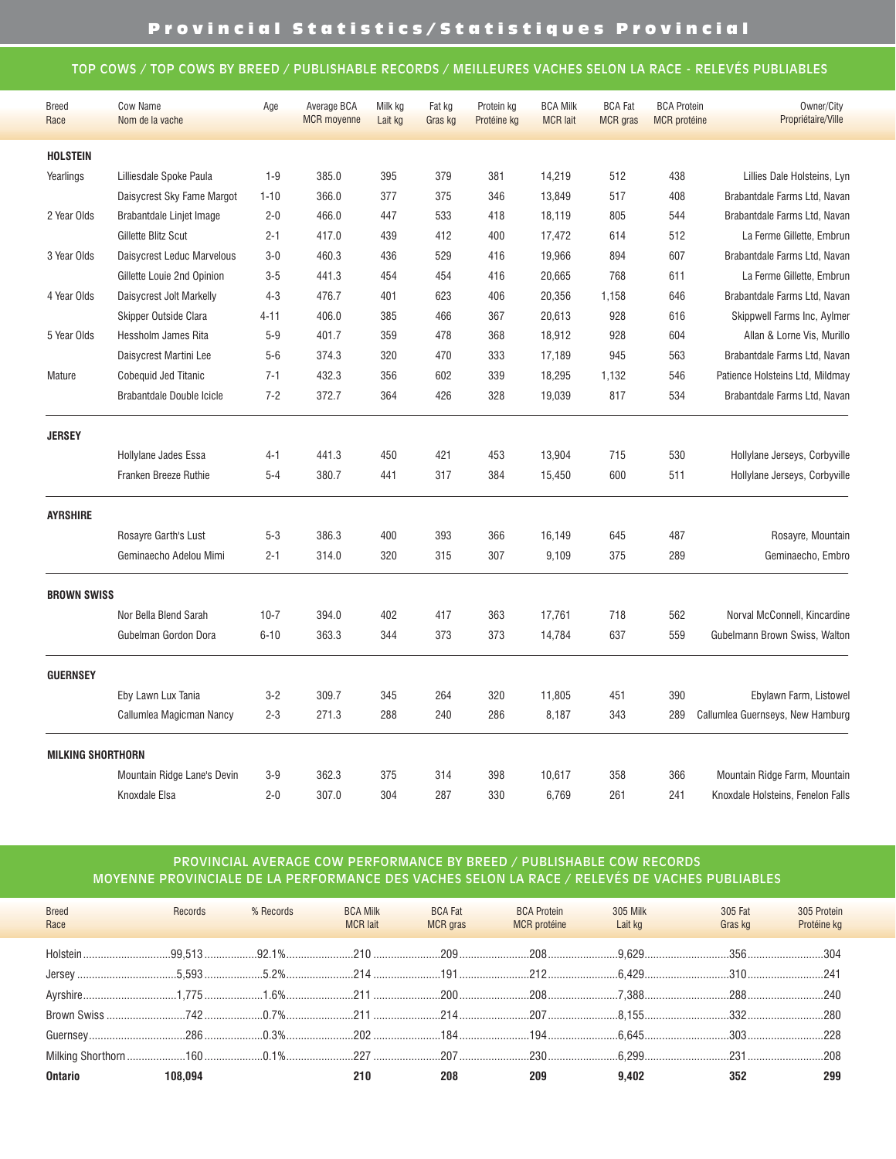## TOP COWS / TOP COWS BY BREED / PUBLISHABLE RECORDS / MEILLEURES VACHES SELON LA RACE - RELEVÉS PUBLIABLES

| <b>Breed</b>             | <b>Cow Name</b>             | Age      | Average BCA        | Milk kg | Fat kg  | Protein kg  | <b>BCA Milk</b> | <b>BCA Fat</b>  | <b>BCA Protein</b>  | Owner/City                        |
|--------------------------|-----------------------------|----------|--------------------|---------|---------|-------------|-----------------|-----------------|---------------------|-----------------------------------|
| Race                     | Nom de la vache             |          | <b>MCR</b> moyenne | Lait kg | Gras kg | Protéine kg | <b>MCR</b> lait | <b>MCR</b> gras | <b>MCR</b> protéine | Propriétaire/Ville                |
| <b>HOLSTEIN</b>          |                             |          |                    |         |         |             |                 |                 |                     |                                   |
| Yearlings                | Lilliesdale Spoke Paula     | $1 - 9$  | 385.0              | 395     | 379     | 381         | 14,219          | 512             | 438                 | Lillies Dale Holsteins, Lyn       |
|                          | Daisycrest Sky Fame Margot  | $1 - 10$ | 366.0              | 377     | 375     | 346         | 13,849          | 517             | 408                 | Brabantdale Farms Ltd, Navan      |
| 2 Year Olds              | Brabantdale Linjet Image    | $2 - 0$  | 466.0              | 447     | 533     | 418         | 18,119          | 805             | 544                 | Brabantdale Farms Ltd, Navan      |
|                          | Gillette Blitz Scut         | $2 - 1$  | 417.0              | 439     | 412     | 400         | 17,472          | 614             | 512                 | La Ferme Gillette, Embrun         |
| 3 Year Olds              | Daisycrest Leduc Marvelous  | $3-0$    | 460.3              | 436     | 529     | 416         | 19,966          | 894             | 607                 | Brabantdale Farms Ltd, Navan      |
|                          | Gillette Louie 2nd Opinion  | $3 - 5$  | 441.3              | 454     | 454     | 416         | 20,665          | 768             | 611                 | La Ferme Gillette, Embrun         |
| 4 Year Olds              | Daisycrest Jolt Markelly    | $4 - 3$  | 476.7              | 401     | 623     | 406         | 20,356          | 1,158           | 646                 | Brabantdale Farms Ltd, Navan      |
|                          | Skipper Outside Clara       | 4-11     | 406.0              | 385     | 466     | 367         | 20,613          | 928             | 616                 | Skippwell Farms Inc, Aylmer       |
| 5 Year Olds              | Hessholm James Rita         | $5-9$    | 401.7              | 359     | 478     | 368         | 18,912          | 928             | 604                 | Allan & Lorne Vis, Murillo        |
|                          | Daisycrest Martini Lee      | $5-6$    | 374.3              | 320     | 470     | 333         | 17,189          | 945             | 563                 | Brabantdale Farms Ltd, Navan      |
| Mature                   | <b>Cobequid Jed Titanic</b> | $7 - 1$  | 432.3              | 356     | 602     | 339         | 18,295          | 1,132           | 546                 | Patience Holsteins Ltd, Mildmay   |
|                          | Brabantdale Double Icicle   | $7 - 2$  | 372.7              | 364     | 426     | 328         | 19,039          | 817             | 534                 | Brabantdale Farms Ltd, Navan      |
| <b>JERSEY</b>            |                             |          |                    |         |         |             |                 |                 |                     |                                   |
|                          | Hollylane Jades Essa        | 4-1      | 441.3              | 450     | 421     | 453         | 13,904          | 715             | 530                 | Hollylane Jerseys, Corbyville     |
|                          | Franken Breeze Ruthie       | $5 - 4$  | 380.7              | 441     | 317     | 384         | 15,450          | 600             | 511                 | Hollylane Jerseys, Corbyville     |
| <b>AYRSHIRE</b>          |                             |          |                    |         |         |             |                 |                 |                     |                                   |
|                          | Rosayre Garth's Lust        | $5 - 3$  | 386.3              | 400     | 393     | 366         | 16,149          | 645             | 487                 | Rosayre, Mountain                 |
|                          | Geminaecho Adelou Mimi      | $2 - 1$  | 314.0              | 320     | 315     | 307         | 9,109           | 375             | 289                 | Geminaecho, Embro                 |
| <b>BROWN SWISS</b>       |                             |          |                    |         |         |             |                 |                 |                     |                                   |
|                          | Nor Bella Blend Sarah       | $10 - 7$ | 394.0              | 402     | 417     | 363         | 17,761          | 718             | 562                 | Norval McConnell, Kincardine      |
|                          | Gubelman Gordon Dora        | $6 - 10$ | 363.3              | 344     | 373     | 373         | 14,784          | 637             | 559                 | Gubelmann Brown Swiss, Walton     |
| <b>GUERNSEY</b>          |                             |          |                    |         |         |             |                 |                 |                     |                                   |
|                          | Eby Lawn Lux Tania          | $3 - 2$  | 309.7              | 345     | 264     | 320         | 11,805          | 451             | 390                 | Ebylawn Farm, Listowel            |
|                          | Callumlea Magicman Nancy    | $2 - 3$  | 271.3              | 288     | 240     | 286         | 8,187           | 343             | 289                 | Callumlea Guernseys, New Hamburg  |
| <b>MILKING SHORTHORN</b> |                             |          |                    |         |         |             |                 |                 |                     |                                   |
|                          | Mountain Ridge Lane's Devin | $3-9$    | 362.3              | 375     | 314     | 398         | 10,617          | 358             | 366                 | Mountain Ridge Farm, Mountain     |
|                          | Knoxdale Elsa               | $2 - 0$  | 307.0              | 304     | 287     | 330         | 6,769           | 261             | 241                 | Knoxdale Holsteins, Fenelon Falls |

## PROVINCIAL AVERAGE COW PERFORMANCE BY BREED / PUBLISHABLE COW RECORDS MOYENNE PROVINCIALE DE LA PERFORMANCE DES VACHES SELON LA RACE / RELEVÉS DE VACHES PUBLIABLES

| <b>Breed</b><br>Race                                                                                           | Records | % Records | <b>BCA Milk</b><br><b>MCR</b> lait | <b>BCA Fat</b><br><b>MCR</b> gras | <b>BCA Protein</b><br><b>MCR</b> protéine | 305 Milk<br>Lait kg | 305 Fat<br>Gras kg | 305 Protein<br>Protéine kg |
|----------------------------------------------------------------------------------------------------------------|---------|-----------|------------------------------------|-----------------------------------|-------------------------------------------|---------------------|--------------------|----------------------------|
|                                                                                                                |         |           |                                    |                                   |                                           |                     |                    |                            |
|                                                                                                                |         |           |                                    |                                   |                                           |                     |                    |                            |
|                                                                                                                |         |           |                                    |                                   |                                           |                     |                    |                            |
|                                                                                                                |         |           |                                    |                                   |                                           |                     |                    |                            |
| Guernsey……………………………286………………0.3%…………………202…………………184……………………194……………………6.645………………………303………………………228           |         |           |                                    |                                   |                                           |                     |                    |                            |
| Milking Shorthorn ………………160 ………………0.1%…………………227 …………………207 ……………………230 ……………………6.299………………………231 ………………………208 |         |           |                                    |                                   |                                           |                     |                    |                            |
| <b>Ontario</b>                                                                                                 | 108.094 |           | 210                                | 208                               | 209                                       | 9.402               | 352                | 299                        |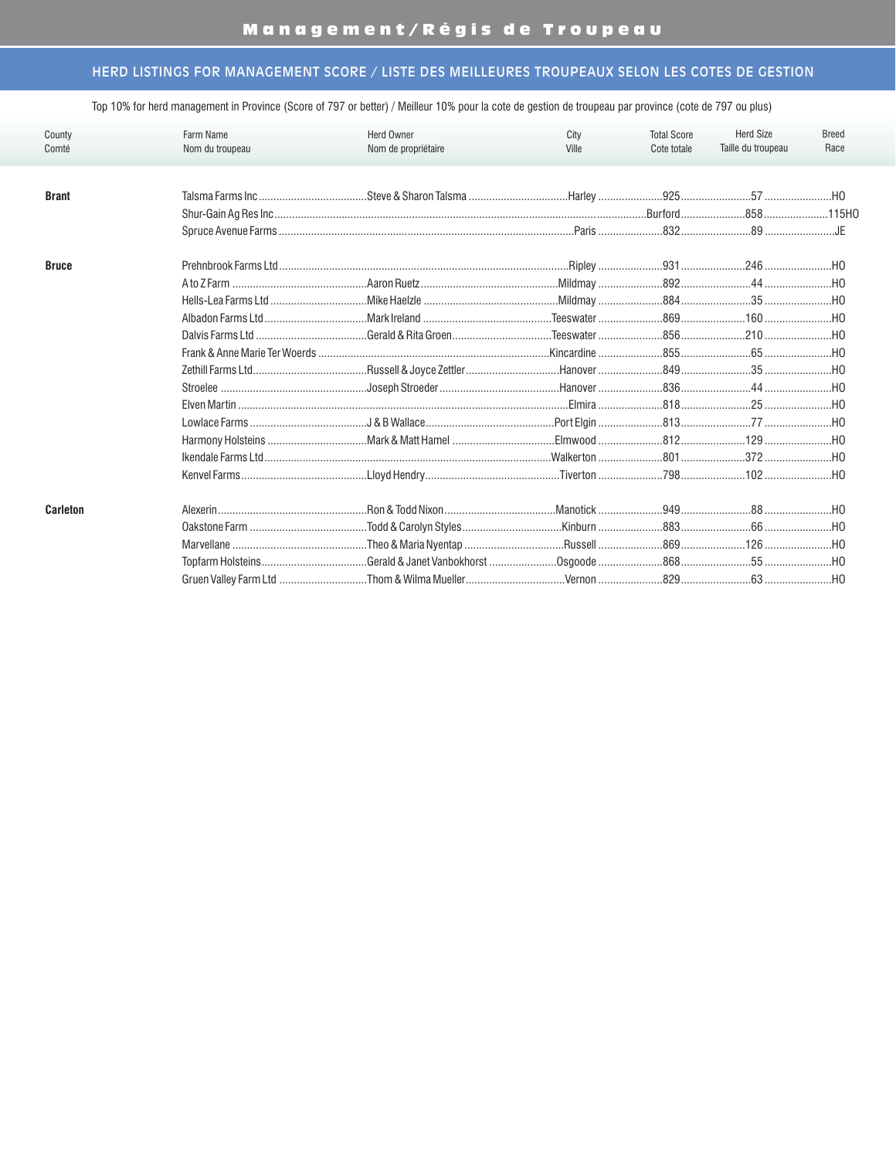| County<br>Comté | Farm Name<br>Nom du troupeau | Herd Owner<br>Nom de propriétaire                                                                    | City<br>Ville | <b>Total Score</b><br>Cote totale | <b>Herd Size</b><br>Taille du troupeau | <b>Breed</b><br>Race |
|-----------------|------------------------------|------------------------------------------------------------------------------------------------------|---------------|-----------------------------------|----------------------------------------|----------------------|
| <b>Brant</b>    |                              |                                                                                                      |               |                                   |                                        |                      |
| <b>Bruce</b>    |                              |                                                                                                      |               |                                   |                                        |                      |
|                 |                              |                                                                                                      |               |                                   |                                        |                      |
| <b>Carleton</b> |                              | Alexerin ………………………………………………………Ron & Todd Nixon …………………………………Manotick ……………………949……………………88 …………………HO |               |                                   |                                        |                      |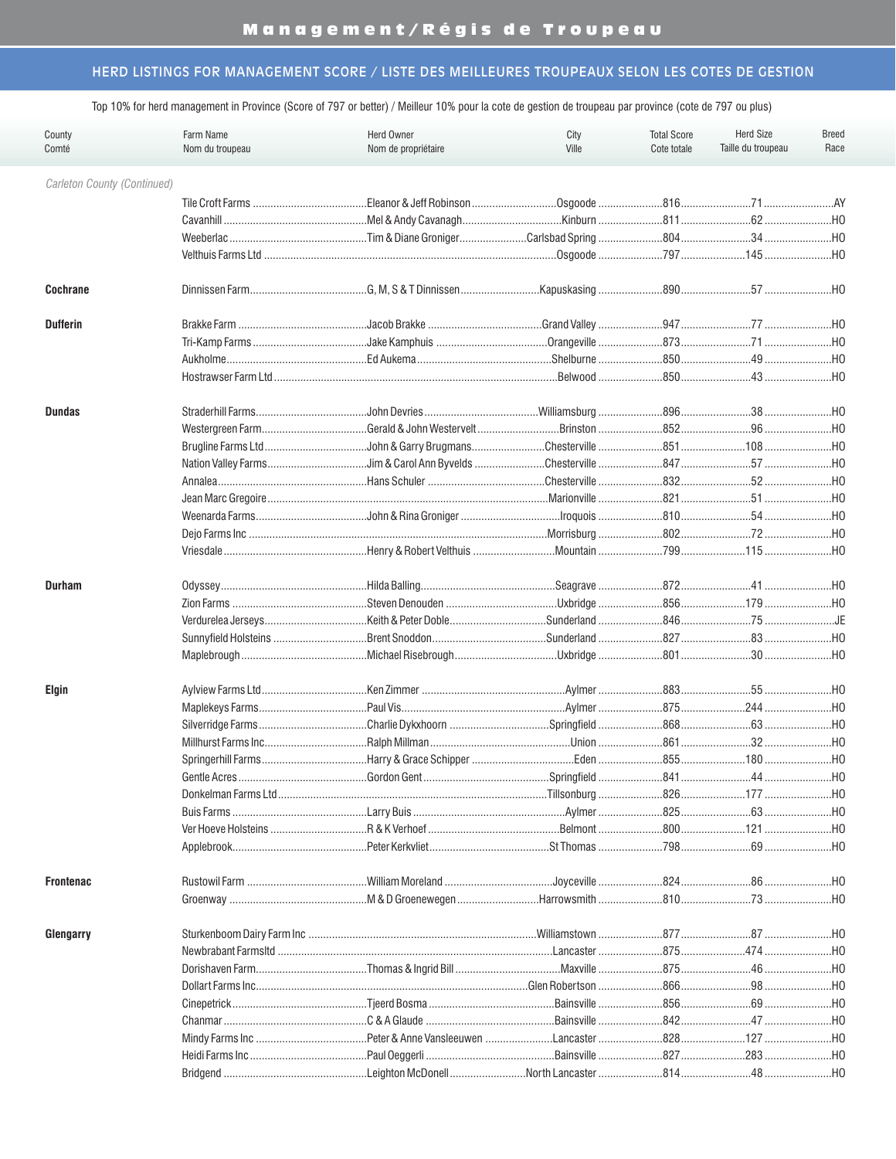| County<br>Comté             | Farm Name<br>Nom du troupeau | City<br>Ville | <b>Total Score</b><br>Cote totale | <b>Herd Size</b><br>Taille du troupeau | <b>Breed</b><br>Race |     |
|-----------------------------|------------------------------|---------------|-----------------------------------|----------------------------------------|----------------------|-----|
| Carleton County (Continued) |                              |               |                                   |                                        |                      |     |
|                             |                              |               |                                   |                                        |                      |     |
|                             |                              |               |                                   |                                        |                      |     |
|                             |                              |               |                                   |                                        |                      |     |
|                             |                              |               |                                   |                                        |                      |     |
| <b>Cochrane</b>             |                              |               |                                   |                                        |                      |     |
| <b>Dufferin</b>             |                              |               |                                   |                                        |                      |     |
|                             |                              |               |                                   |                                        |                      |     |
|                             |                              |               |                                   |                                        |                      |     |
|                             |                              |               |                                   |                                        |                      |     |
| <b>Dundas</b>               |                              |               |                                   |                                        |                      |     |
|                             |                              |               |                                   |                                        |                      |     |
|                             |                              |               |                                   |                                        |                      |     |
|                             |                              |               |                                   |                                        |                      |     |
|                             |                              |               |                                   |                                        |                      |     |
|                             |                              |               |                                   |                                        |                      |     |
|                             |                              |               |                                   |                                        |                      |     |
|                             |                              |               |                                   |                                        |                      |     |
|                             |                              |               |                                   |                                        |                      |     |
| <b>Durham</b>               |                              |               |                                   |                                        |                      |     |
|                             |                              |               |                                   |                                        |                      |     |
|                             |                              |               |                                   |                                        |                      |     |
|                             |                              |               |                                   |                                        |                      |     |
|                             |                              |               |                                   |                                        |                      |     |
| <b>Elgin</b>                |                              |               |                                   |                                        |                      |     |
|                             |                              |               |                                   |                                        |                      |     |
|                             |                              |               |                                   |                                        |                      |     |
|                             |                              |               |                                   |                                        |                      |     |
|                             |                              |               |                                   |                                        |                      |     |
|                             | Gentle Acres                 |               |                                   |                                        |                      |     |
|                             |                              |               |                                   |                                        |                      |     |
|                             | Buis Farms                   |               |                                   |                                        |                      |     |
|                             |                              |               |                                   |                                        |                      |     |
|                             |                              |               |                                   |                                        |                      |     |
| <b>Frontenac</b>            |                              |               |                                   |                                        |                      | НО  |
|                             |                              |               |                                   |                                        |                      | НО  |
| Glengarry                   |                              |               |                                   |                                        |                      | …но |
|                             |                              |               | Lancaster                         |                                        |                      | .H0 |
|                             |                              |               | Maxville                          |                                        |                      | HO  |
|                             |                              |               |                                   |                                        |                      | HO  |
|                             |                              |               |                                   |                                        |                      | …но |
|                             |                              |               |                                   |                                        |                      | …но |
|                             |                              |               |                                   |                                        |                      | H0  |
|                             |                              |               |                                   |                                        |                      | HO  |
|                             |                              |               |                                   |                                        |                      |     |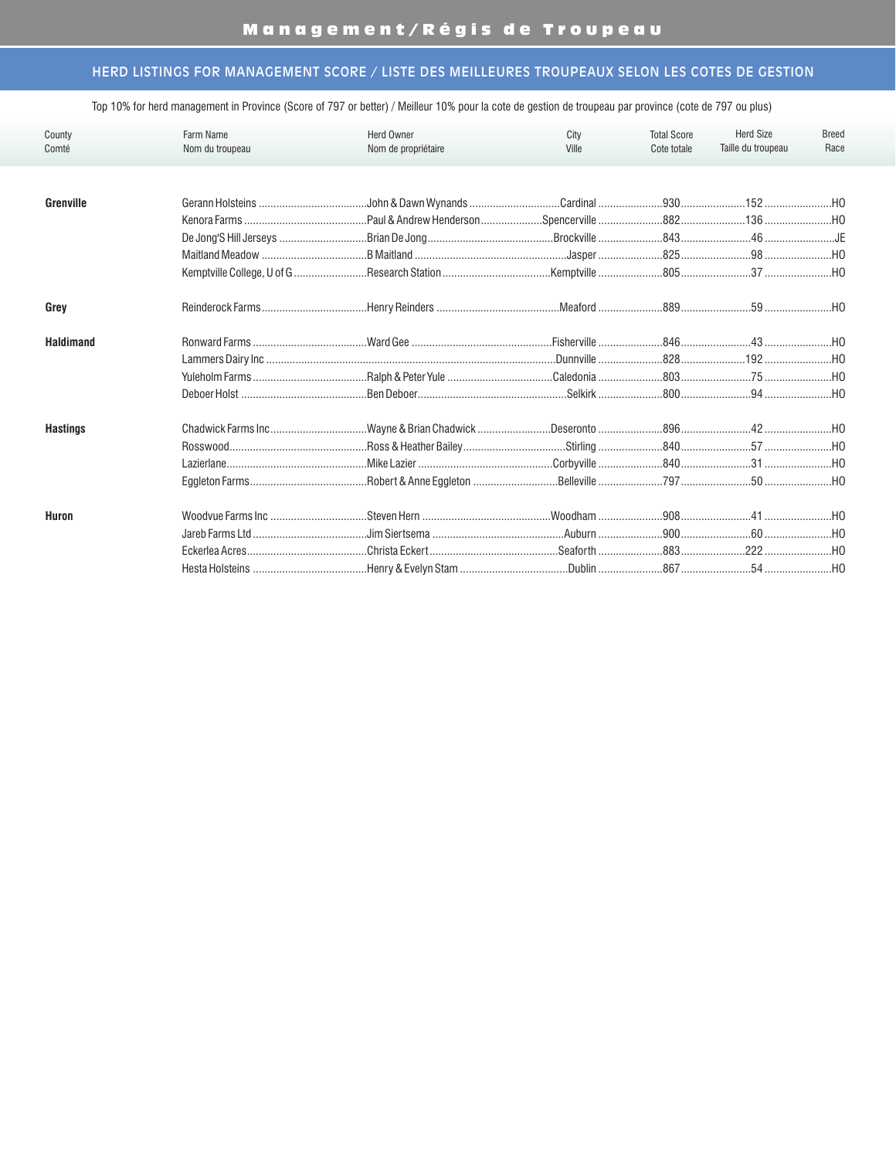| County           | Farm Name         | <b>Herd Owner</b>   | City      | <b>Total Score</b> | <b>Herd Size</b>                                                                                                                                                                                                                | <b>Breed</b>   |
|------------------|-------------------|---------------------|-----------|--------------------|---------------------------------------------------------------------------------------------------------------------------------------------------------------------------------------------------------------------------------|----------------|
| Comté            | Nom du troupeau   | Nom de propriétaire | Ville     | Cote totale        | Taille du troupeau                                                                                                                                                                                                              | Race           |
|                  |                   |                     |           |                    |                                                                                                                                                                                                                                 |                |
| Grenville        |                   |                     |           |                    |                                                                                                                                                                                                                                 |                |
|                  |                   |                     |           |                    |                                                                                                                                                                                                                                 |                |
|                  |                   |                     |           |                    |                                                                                                                                                                                                                                 |                |
|                  |                   |                     |           |                    |                                                                                                                                                                                                                                 |                |
|                  |                   |                     |           |                    |                                                                                                                                                                                                                                 |                |
| Grey             |                   |                     |           |                    |                                                                                                                                                                                                                                 |                |
| <b>Haldimand</b> |                   |                     |           |                    |                                                                                                                                                                                                                                 |                |
|                  |                   |                     |           |                    |                                                                                                                                                                                                                                 |                |
|                  |                   |                     |           |                    |                                                                                                                                                                                                                                 |                |
|                  |                   |                     |           |                    |                                                                                                                                                                                                                                 |                |
| <b>Hastings</b>  |                   |                     |           |                    |                                                                                                                                                                                                                                 |                |
|                  |                   |                     |           |                    |                                                                                                                                                                                                                                 |                |
|                  |                   |                     |           |                    |                                                                                                                                                                                                                                 |                |
|                  |                   |                     |           |                    |                                                                                                                                                                                                                                 |                |
| Huron            | Woodvue Farms Inc |                     |           |                    |                                                                                                                                                                                                                                 |                |
|                  |                   |                     |           |                    |                                                                                                                                                                                                                                 |                |
|                  |                   |                     |           |                    |                                                                                                                                                                                                                                 | $$ HO          |
|                  | Hesta Holsteins   | Henry & Evelyn Stam | $D$ ublin | 867 — 187          | 54 — 154 — 154 — 154 — 155 — 155 — 155 — 155 — 155 — 155 — 155 — 155 — 155 — 155 — 155 — 155 — 155 — 155 — 155 — 155 — 155 — 155 — 155 — 155 — 155 — 155 — 155 — 155 — 155 — 155 — 155 — 155 — 155 — 155 — 155 — 155 — 155 — 15 | H <sub>0</sub> |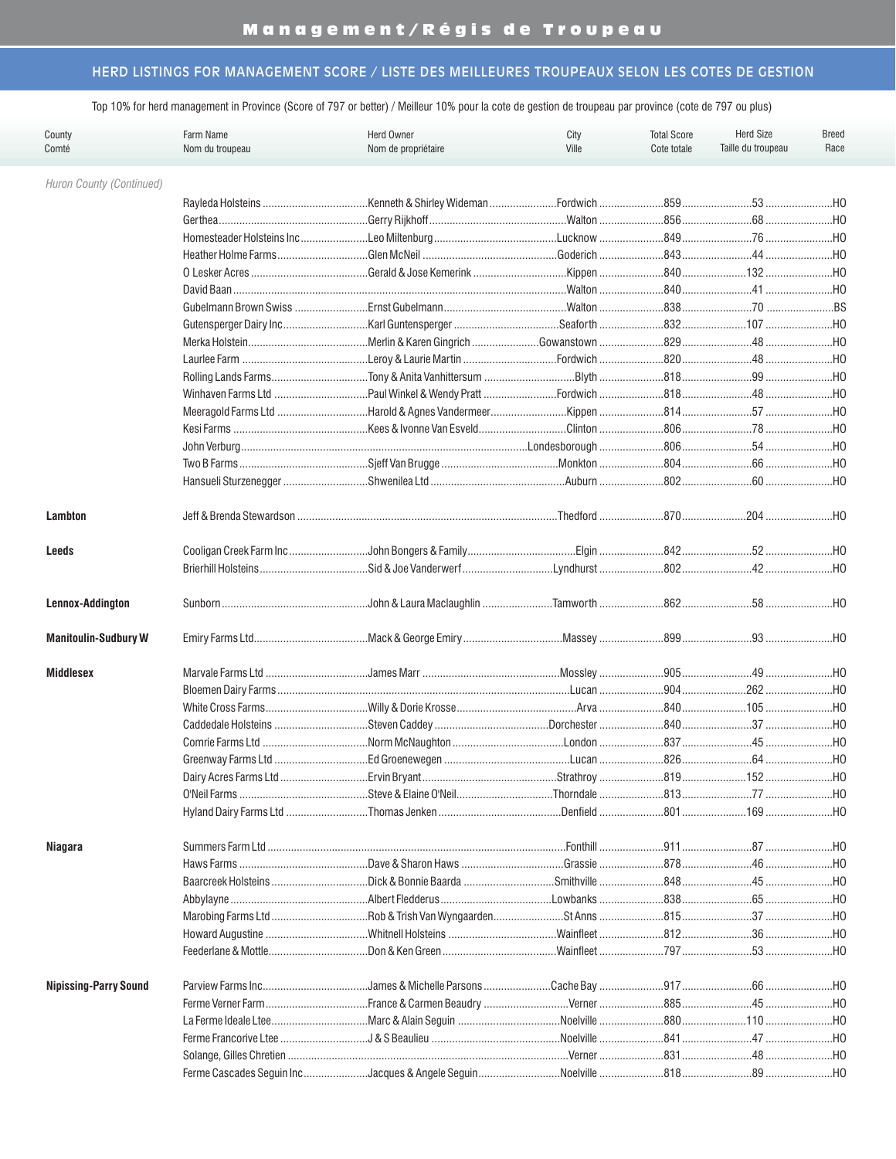| Farm Name<br>Herd Owner<br>County<br>Nom du troupeau<br>Nom de propriétaire<br>Comté |                     |                                                                                                     | City<br>Ville | <b>Total Score</b><br>Cote totale | <b>Herd Size</b><br>Taille du troupeau | <b>Breed</b><br>Race |  |
|--------------------------------------------------------------------------------------|---------------------|-----------------------------------------------------------------------------------------------------|---------------|-----------------------------------|----------------------------------------|----------------------|--|
| Huron County (Continued)                                                             |                     |                                                                                                     |               |                                   |                                        |                      |  |
|                                                                                      |                     |                                                                                                     |               |                                   |                                        |                      |  |
|                                                                                      |                     |                                                                                                     |               |                                   |                                        | $$ HO                |  |
|                                                                                      |                     |                                                                                                     |               |                                   |                                        |                      |  |
|                                                                                      |                     |                                                                                                     |               |                                   |                                        |                      |  |
|                                                                                      |                     |                                                                                                     |               |                                   |                                        |                      |  |
|                                                                                      |                     |                                                                                                     |               |                                   |                                        |                      |  |
|                                                                                      |                     |                                                                                                     |               |                                   |                                        |                      |  |
|                                                                                      |                     |                                                                                                     |               |                                   |                                        |                      |  |
|                                                                                      |                     |                                                                                                     |               |                                   |                                        |                      |  |
|                                                                                      |                     |                                                                                                     |               |                                   |                                        |                      |  |
|                                                                                      |                     |                                                                                                     |               |                                   |                                        |                      |  |
|                                                                                      |                     |                                                                                                     |               |                                   |                                        |                      |  |
|                                                                                      |                     |                                                                                                     |               |                                   |                                        |                      |  |
|                                                                                      |                     |                                                                                                     |               |                                   |                                        |                      |  |
|                                                                                      |                     |                                                                                                     |               |                                   |                                        |                      |  |
|                                                                                      |                     |                                                                                                     |               |                                   |                                        |                      |  |
|                                                                                      |                     |                                                                                                     |               |                                   |                                        |                      |  |
| Lambton                                                                              |                     |                                                                                                     |               |                                   |                                        |                      |  |
| Leeds                                                                                |                     |                                                                                                     |               |                                   |                                        |                      |  |
|                                                                                      |                     |                                                                                                     |               |                                   |                                        |                      |  |
|                                                                                      |                     |                                                                                                     |               |                                   |                                        |                      |  |
| Lennox-Addington                                                                     |                     |                                                                                                     |               |                                   |                                        |                      |  |
| <b>Manitoulin-Sudbury W</b>                                                          |                     |                                                                                                     |               |                                   |                                        |                      |  |
| <b>Middlesex</b>                                                                     |                     |                                                                                                     |               |                                   |                                        |                      |  |
|                                                                                      |                     |                                                                                                     |               |                                   |                                        |                      |  |
|                                                                                      |                     |                                                                                                     |               |                                   |                                        |                      |  |
|                                                                                      |                     |                                                                                                     |               |                                   |                                        |                      |  |
|                                                                                      |                     |                                                                                                     |               |                                   |                                        |                      |  |
|                                                                                      |                     |                                                                                                     |               |                                   |                                        |                      |  |
|                                                                                      |                     | Dairy Acres Farms Ltd …………………………Ervin Brvant………………………………………Strathrov ……………………………………………………………………………… |               |                                   |                                        | …но                  |  |
|                                                                                      |                     |                                                                                                     |               |                                   |                                        |                      |  |
|                                                                                      |                     |                                                                                                     |               |                                   |                                        | …но                  |  |
|                                                                                      |                     |                                                                                                     |               |                                   |                                        |                      |  |
| <b>Niagara</b>                                                                       |                     | Dave & Sharon Haws                                                                                  |               |                                   |                                        | …но                  |  |
|                                                                                      | Baarcreek Holsteins |                                                                                                     |               |                                   |                                        | $$ HO<br>…но         |  |
|                                                                                      |                     |                                                                                                     |               |                                   |                                        | …но                  |  |
|                                                                                      |                     |                                                                                                     |               |                                   |                                        |                      |  |
|                                                                                      |                     |                                                                                                     |               |                                   |                                        | …но                  |  |
|                                                                                      | Feederlane & Mottle |                                                                                                     |               |                                   |                                        | …но                  |  |
|                                                                                      |                     |                                                                                                     |               |                                   |                                        |                      |  |
| <b>Nipissing-Parry Sound</b>                                                         |                     |                                                                                                     |               |                                   |                                        |                      |  |
|                                                                                      |                     |                                                                                                     |               |                                   |                                        | .HO                  |  |
|                                                                                      |                     |                                                                                                     |               |                                   |                                        | .H0                  |  |
|                                                                                      |                     |                                                                                                     |               |                                   |                                        | HO                   |  |
|                                                                                      |                     |                                                                                                     |               |                                   |                                        | HO                   |  |
|                                                                                      |                     |                                                                                                     |               |                                   |                                        | .HO                  |  |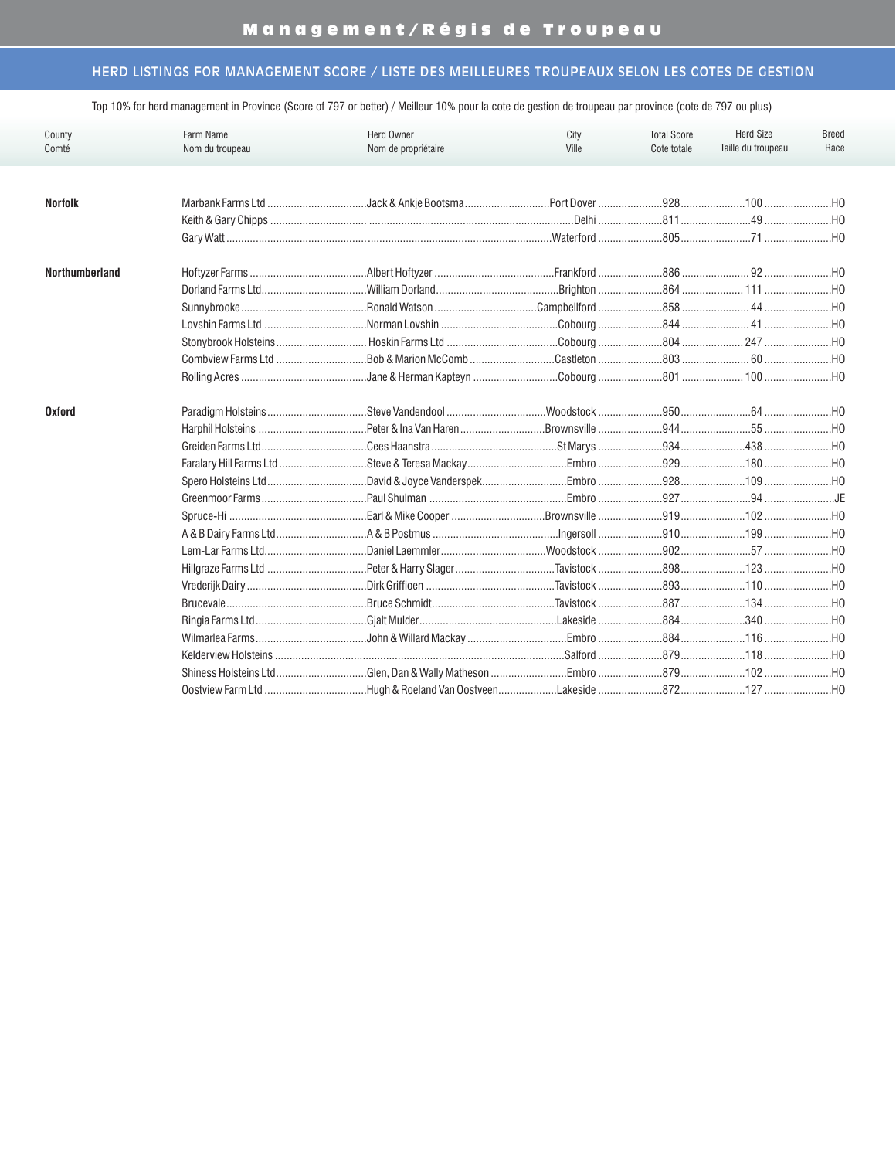# Management/Régis de Troupeau

## HERD LISTINGS FOR MANAGEMENT SCORE / LISTE DES MEILLEURES TROUPEAUX SELON LES COTES DE GESTION

| County                | Farm Name         | Herd Owner          | City  | <b>Total Score</b> | <b>Herd Size</b>   | <b>Breed</b> |
|-----------------------|-------------------|---------------------|-------|--------------------|--------------------|--------------|
| Comté                 | Nom du troupeau   | Nom de propriétaire | Ville | Cote totale        | Taille du troupeau | Race         |
|                       |                   |                     |       |                    |                    |              |
|                       |                   |                     |       |                    |                    |              |
| <b>Norfolk</b>        |                   |                     |       |                    |                    |              |
|                       |                   |                     |       |                    |                    |              |
|                       |                   |                     |       |                    |                    |              |
| <b>Northumberland</b> |                   |                     |       |                    |                    |              |
|                       | Dorland Farms Ltd |                     |       |                    |                    |              |
|                       |                   |                     |       |                    |                    |              |
|                       |                   |                     |       |                    |                    |              |
|                       |                   |                     |       |                    |                    |              |
|                       |                   |                     |       |                    |                    |              |
|                       |                   |                     |       |                    |                    |              |
| <b>Oxford</b>         |                   |                     |       |                    |                    |              |
|                       |                   |                     |       |                    |                    |              |
|                       |                   |                     |       |                    |                    |              |
|                       |                   |                     |       |                    |                    |              |
|                       |                   |                     |       |                    |                    |              |
|                       |                   |                     |       |                    |                    |              |
|                       |                   |                     |       |                    |                    |              |
|                       |                   |                     |       |                    |                    |              |
|                       |                   |                     |       |                    |                    |              |
|                       |                   |                     |       |                    |                    |              |
|                       |                   |                     |       |                    |                    |              |
|                       |                   |                     |       |                    |                    |              |
|                       |                   |                     |       |                    |                    |              |
|                       |                   |                     |       |                    |                    |              |
|                       |                   |                     |       |                    |                    |              |
|                       |                   |                     |       |                    |                    |              |
|                       |                   |                     |       |                    |                    |              |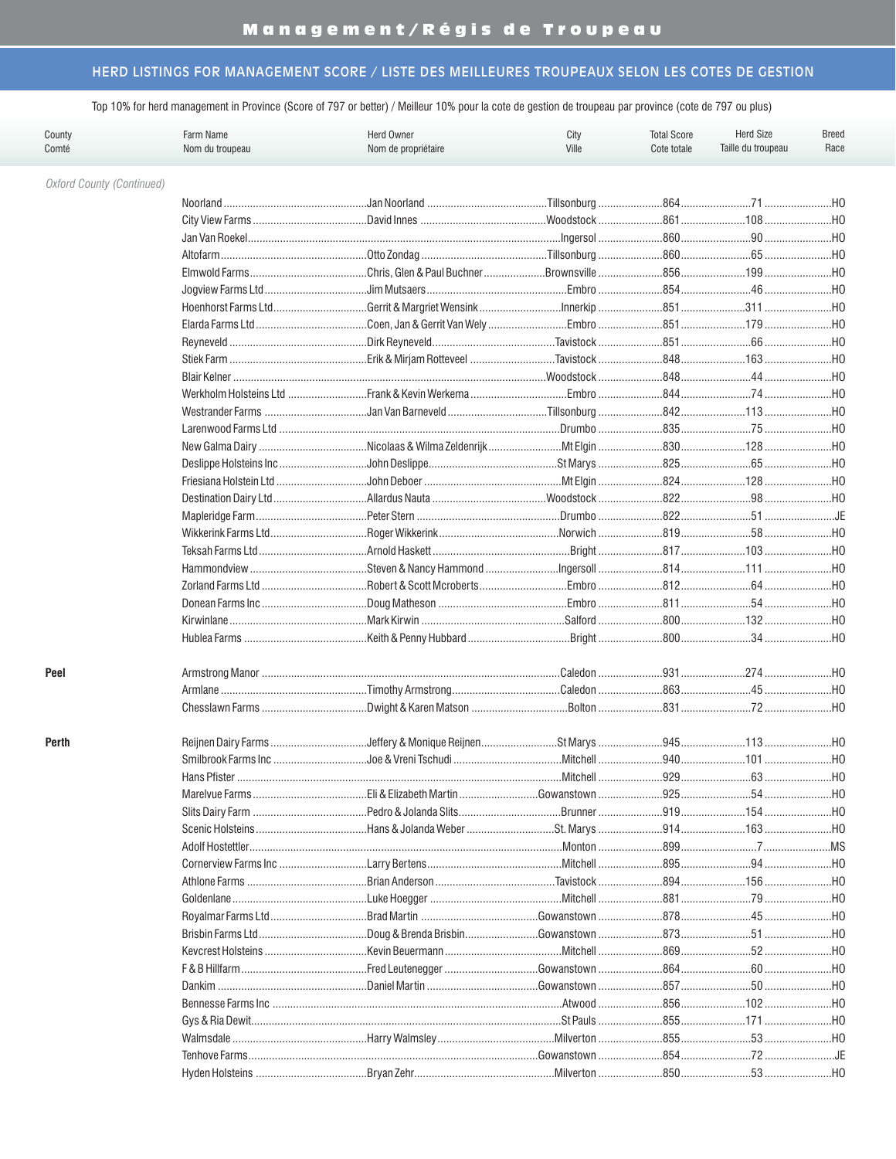| County<br>Comté                  | Farm Name<br>Nom du troupeau | <b>Herd Owner</b><br>Nom de propriétaire | City<br>Ville | <b>Total Score</b><br>Cote totale | <b>Herd Size</b><br>Taille du troupeau | <b>Breed</b><br>Race |
|----------------------------------|------------------------------|------------------------------------------|---------------|-----------------------------------|----------------------------------------|----------------------|
| <b>Oxford County (Continued)</b> |                              |                                          |               |                                   |                                        |                      |
|                                  |                              |                                          |               |                                   |                                        |                      |
|                                  |                              |                                          |               |                                   |                                        |                      |
|                                  |                              |                                          |               |                                   |                                        |                      |
|                                  |                              |                                          |               |                                   |                                        |                      |
|                                  |                              |                                          |               |                                   |                                        |                      |
|                                  |                              |                                          |               |                                   |                                        |                      |
|                                  |                              |                                          |               |                                   |                                        |                      |
|                                  |                              |                                          |               |                                   |                                        |                      |
|                                  |                              |                                          |               |                                   |                                        |                      |
|                                  |                              |                                          |               |                                   |                                        | H <sub>0</sub>       |
|                                  |                              |                                          |               |                                   |                                        | $$ HO                |
|                                  |                              |                                          |               |                                   |                                        | $$ HO                |
|                                  |                              |                                          |               |                                   |                                        | HO                   |
|                                  |                              |                                          |               |                                   |                                        | HO                   |
|                                  |                              |                                          |               |                                   |                                        |                      |
|                                  |                              |                                          |               |                                   |                                        |                      |
|                                  |                              |                                          |               |                                   |                                        |                      |
|                                  |                              |                                          |               |                                   |                                        |                      |
|                                  |                              |                                          |               |                                   |                                        |                      |
|                                  |                              |                                          |               |                                   |                                        |                      |
|                                  |                              |                                          |               |                                   |                                        | HO                   |
|                                  |                              |                                          |               |                                   |                                        |                      |
|                                  |                              |                                          |               |                                   |                                        |                      |
|                                  |                              |                                          |               |                                   |                                        |                      |
|                                  |                              |                                          |               |                                   |                                        |                      |
|                                  |                              |                                          |               |                                   |                                        |                      |
|                                  |                              |                                          |               |                                   |                                        |                      |
| Peel                             |                              |                                          |               |                                   |                                        |                      |
|                                  |                              |                                          |               |                                   |                                        |                      |
|                                  |                              |                                          |               |                                   |                                        |                      |
| Perth                            |                              |                                          |               |                                   |                                        |                      |
|                                  |                              |                                          |               |                                   |                                        |                      |
|                                  | Hans Pfister                 |                                          | .Mitchell     | $.929$                            | $.63$                                  | .HO                  |
|                                  |                              |                                          |               |                                   |                                        |                      |
|                                  |                              |                                          |               |                                   |                                        |                      |
|                                  |                              |                                          |               |                                   |                                        |                      |
|                                  |                              |                                          |               |                                   |                                        |                      |
|                                  |                              |                                          |               |                                   |                                        |                      |
|                                  |                              |                                          |               |                                   |                                        |                      |
|                                  |                              |                                          |               |                                   |                                        | НО                   |
|                                  |                              |                                          |               |                                   |                                        |                      |
|                                  |                              |                                          |               |                                   |                                        |                      |
|                                  |                              |                                          |               |                                   |                                        |                      |
|                                  |                              |                                          |               |                                   |                                        |                      |
|                                  |                              |                                          |               |                                   |                                        |                      |
|                                  |                              |                                          |               |                                   |                                        | HO                   |
|                                  |                              |                                          |               |                                   |                                        | $$ HO                |
|                                  |                              |                                          |               |                                   |                                        |                      |
|                                  |                              |                                          |               |                                   | 72 JE                                  |                      |
|                                  |                              |                                          | Milverton     |                                   | .53.                                   | .HO                  |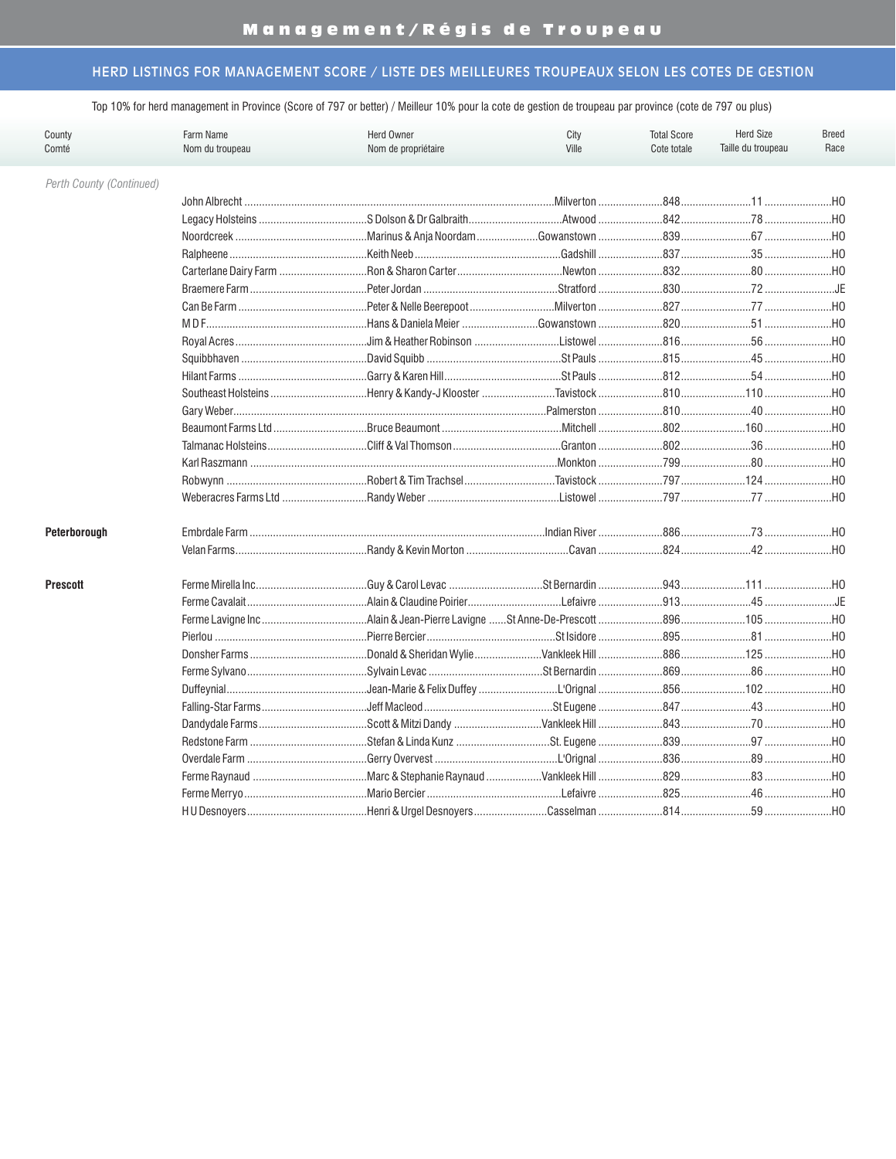| County<br>Comté          | Farm Name<br>Herd Owner<br>Nom du troupeau<br>Nom de propriétaire |  | City<br>Ville | <b>Total Score</b><br>Cote totale | <b>Herd Size</b><br>Taille du troupeau | <b>Breed</b><br>Race |
|--------------------------|-------------------------------------------------------------------|--|---------------|-----------------------------------|----------------------------------------|----------------------|
| Perth County (Continued) |                                                                   |  |               |                                   |                                        |                      |
|                          |                                                                   |  |               |                                   |                                        | $$ HO                |
|                          |                                                                   |  |               |                                   |                                        | .HO                  |
|                          |                                                                   |  |               |                                   |                                        | .H0                  |
|                          |                                                                   |  |               |                                   |                                        | .H0                  |
|                          |                                                                   |  |               |                                   |                                        | $$ HO                |
|                          |                                                                   |  |               |                                   |                                        | …JE                  |
|                          |                                                                   |  |               |                                   |                                        | .H0                  |
|                          |                                                                   |  |               |                                   |                                        | H0                   |
|                          |                                                                   |  |               |                                   |                                        | HO                   |
|                          |                                                                   |  |               |                                   |                                        | . H <sub>0</sub>     |
|                          |                                                                   |  |               |                                   |                                        | .H <sub>0</sub>      |
|                          |                                                                   |  |               |                                   |                                        | $$ HO                |
|                          |                                                                   |  |               |                                   |                                        | HO                   |
|                          |                                                                   |  |               |                                   |                                        | .H0                  |
|                          |                                                                   |  |               |                                   |                                        | .H0                  |
|                          |                                                                   |  |               |                                   |                                        | …но                  |
|                          |                                                                   |  |               |                                   |                                        | …но                  |
|                          | Weberacres Farms Ltd                                              |  |               |                                   |                                        | .H0                  |
| Peterborough             |                                                                   |  |               |                                   |                                        |                      |
|                          |                                                                   |  |               |                                   |                                        | .H0                  |
| <b>Prescott</b>          |                                                                   |  |               |                                   |                                        |                      |
|                          |                                                                   |  |               |                                   |                                        |                      |
|                          |                                                                   |  |               |                                   |                                        |                      |
|                          |                                                                   |  |               |                                   |                                        | HO                   |
|                          |                                                                   |  |               |                                   |                                        | HO                   |
|                          |                                                                   |  |               |                                   |                                        |                      |
|                          |                                                                   |  |               |                                   |                                        |                      |
|                          |                                                                   |  |               |                                   |                                        | $$ HO                |
|                          |                                                                   |  |               |                                   |                                        | HO                   |
|                          |                                                                   |  |               |                                   |                                        |                      |
|                          |                                                                   |  |               |                                   |                                        | $$ HO                |
|                          |                                                                   |  |               |                                   |                                        | .HO                  |
|                          |                                                                   |  |               |                                   |                                        | $$ HO                |
|                          |                                                                   |  |               |                                   |                                        |                      |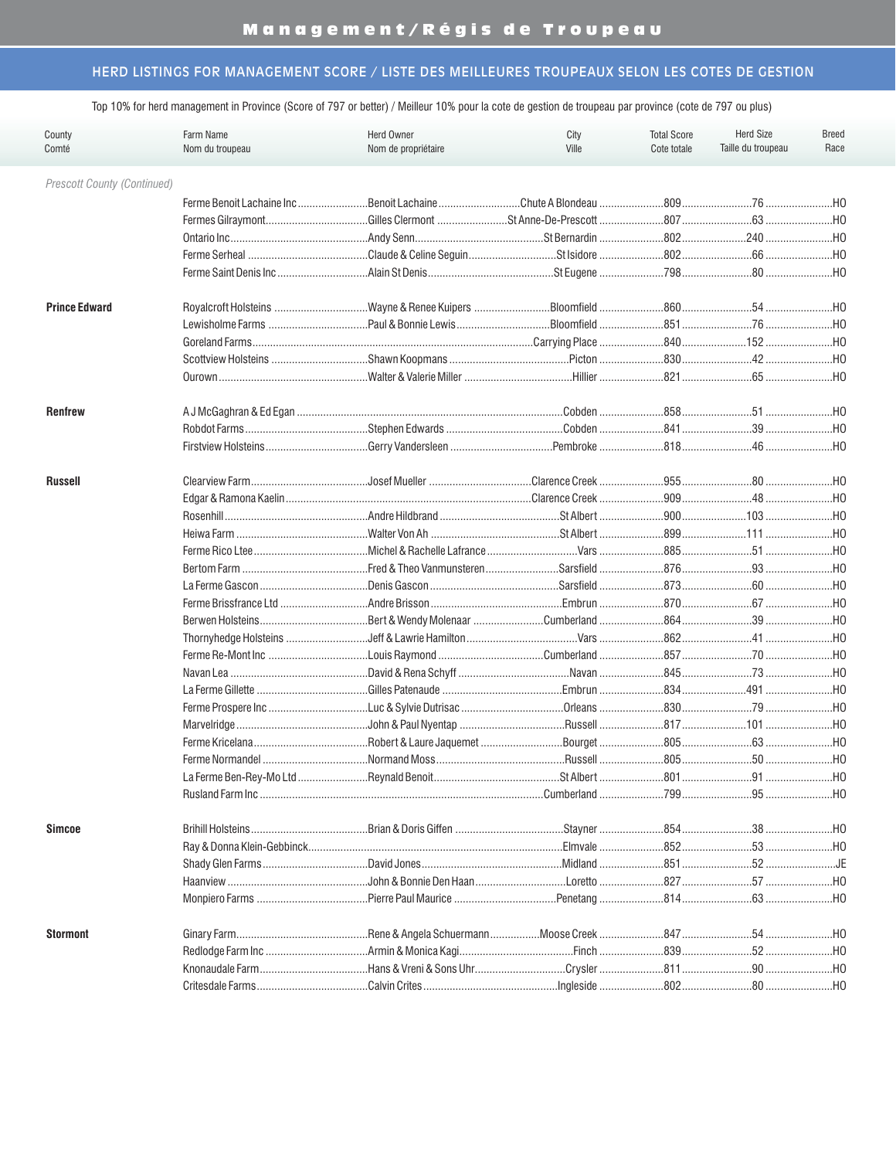| County<br>Comté             | Farm Name<br>Nom du troupeau | City<br>Ville    | <b>Total Score</b><br>Cote totale | <b>Herd Size</b><br>Taille du troupeau | <b>Breed</b><br>Race |                 |
|-----------------------------|------------------------------|------------------|-----------------------------------|----------------------------------------|----------------------|-----------------|
| Prescott County (Continued) |                              |                  |                                   |                                        |                      |                 |
|                             |                              |                  |                                   |                                        |                      |                 |
|                             |                              |                  |                                   |                                        |                      |                 |
|                             |                              |                  |                                   |                                        |                      |                 |
|                             |                              |                  |                                   |                                        |                      |                 |
|                             |                              |                  |                                   |                                        |                      |                 |
| <b>Prince Edward</b>        |                              |                  |                                   |                                        |                      |                 |
|                             |                              |                  |                                   |                                        |                      |                 |
|                             |                              |                  |                                   |                                        |                      |                 |
|                             |                              |                  |                                   |                                        |                      |                 |
|                             |                              |                  |                                   |                                        |                      |                 |
| <b>Renfrew</b>              |                              |                  |                                   |                                        |                      |                 |
|                             |                              |                  |                                   |                                        | 39                   | .HO             |
|                             |                              |                  |                                   |                                        |                      |                 |
| <b>Russell</b>              |                              |                  |                                   |                                        |                      |                 |
|                             |                              |                  |                                   |                                        |                      | .HO             |
|                             |                              |                  |                                   |                                        |                      | HO              |
|                             |                              |                  |                                   |                                        |                      | HO              |
|                             |                              |                  |                                   |                                        |                      | HO              |
|                             |                              |                  |                                   |                                        |                      | HO              |
|                             |                              |                  |                                   |                                        |                      | HO              |
|                             | Ferme Brissfrance Ltd        |                  |                                   |                                        |                      | .H <sub>0</sub> |
|                             | Berwen Holsteins             |                  |                                   |                                        |                      | HO              |
|                             | Thornyhedge Holsteins        |                  |                                   |                                        |                      | $$ HO           |
|                             |                              |                  |                                   |                                        |                      | $$ HO           |
|                             |                              |                  |                                   |                                        |                      | $$ HO           |
|                             |                              |                  |                                   |                                        |                      |                 |
|                             |                              |                  |                                   |                                        |                      |                 |
|                             |                              |                  |                                   |                                        |                      |                 |
|                             |                              |                  |                                   |                                        |                      |                 |
|                             |                              |                  |                                   |                                        |                      |                 |
|                             | La Ferme Ben-Rev-Mo Ltd      | .Revnald Benoit. | .St Albert                        | .801                                   | .91                  | .HO             |
|                             |                              |                  |                                   |                                        |                      |                 |
| <b>Simcoe</b>               |                              |                  |                                   |                                        |                      |                 |
|                             |                              |                  |                                   |                                        |                      |                 |
|                             |                              |                  |                                   |                                        |                      | JE              |
|                             |                              |                  |                                   |                                        |                      | …но             |
|                             |                              |                  |                                   |                                        |                      | …но             |
| <b>Stormont</b>             |                              |                  |                                   |                                        |                      | …но             |
|                             |                              |                  |                                   |                                        | $.52$                | HO              |
|                             |                              |                  |                                   |                                        |                      |                 |
|                             |                              |                  |                                   |                                        |                      |                 |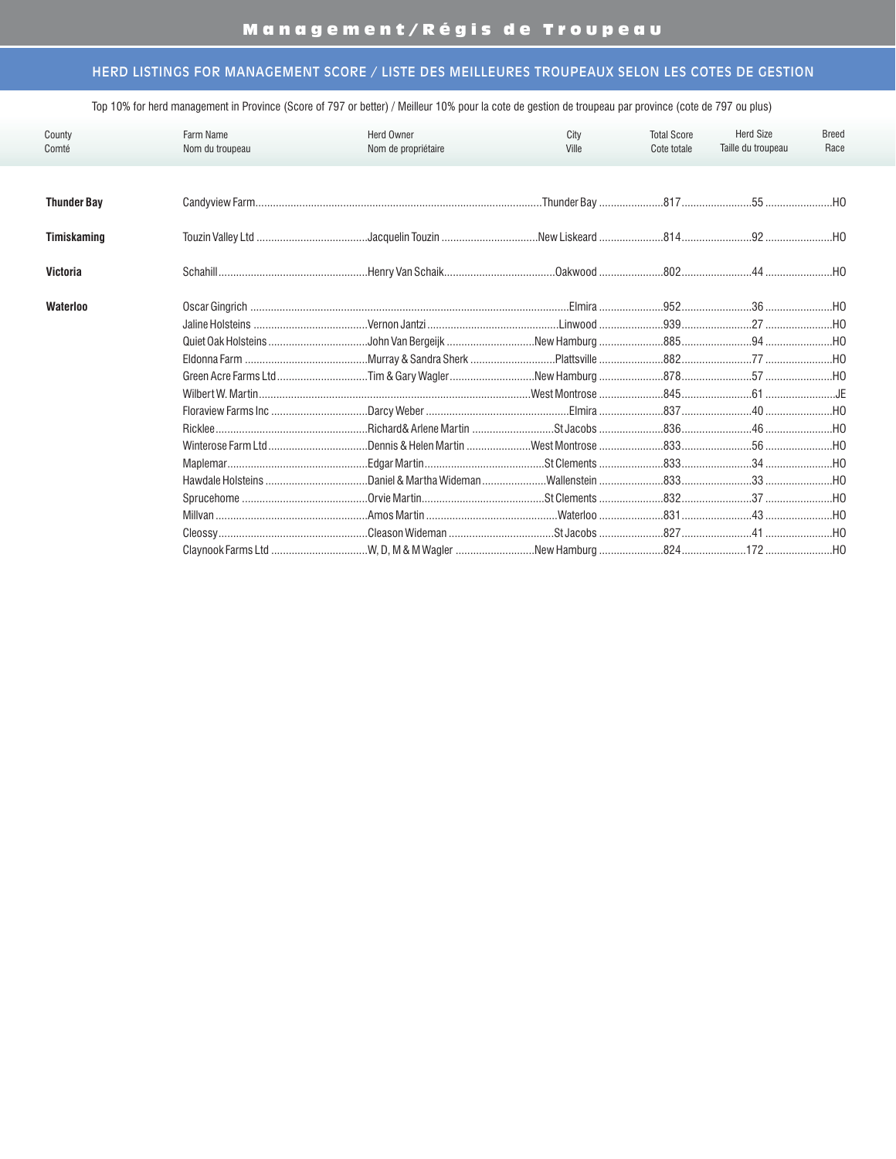| County             | Farm Name       | <b>Herd Owner</b>   | City  | <b>Total Score</b> | <b>Herd Size</b>   | Breed |
|--------------------|-----------------|---------------------|-------|--------------------|--------------------|-------|
| Comté              | Nom du troupeau | Nom de propriétaire | Ville | Cote totale        | Taille du troupeau | Race  |
|                    |                 |                     |       |                    |                    |       |
| <b>Thunder Bay</b> |                 |                     |       |                    |                    |       |
| Timiskaming        |                 |                     |       |                    |                    |       |
| Victoria           |                 |                     |       |                    |                    |       |
| Waterloo           |                 |                     |       |                    |                    |       |
|                    |                 |                     |       |                    |                    |       |
|                    |                 |                     |       |                    |                    |       |
|                    |                 |                     |       |                    |                    |       |
|                    |                 |                     |       |                    |                    |       |
|                    |                 |                     |       |                    |                    |       |
|                    |                 |                     |       |                    |                    |       |
|                    |                 |                     |       |                    |                    |       |
|                    |                 |                     |       |                    |                    |       |
|                    |                 |                     |       |                    |                    |       |
|                    |                 |                     |       |                    |                    |       |
|                    |                 |                     |       |                    |                    |       |
|                    |                 |                     |       |                    |                    |       |
|                    |                 |                     |       |                    |                    |       |
|                    |                 |                     |       |                    |                    |       |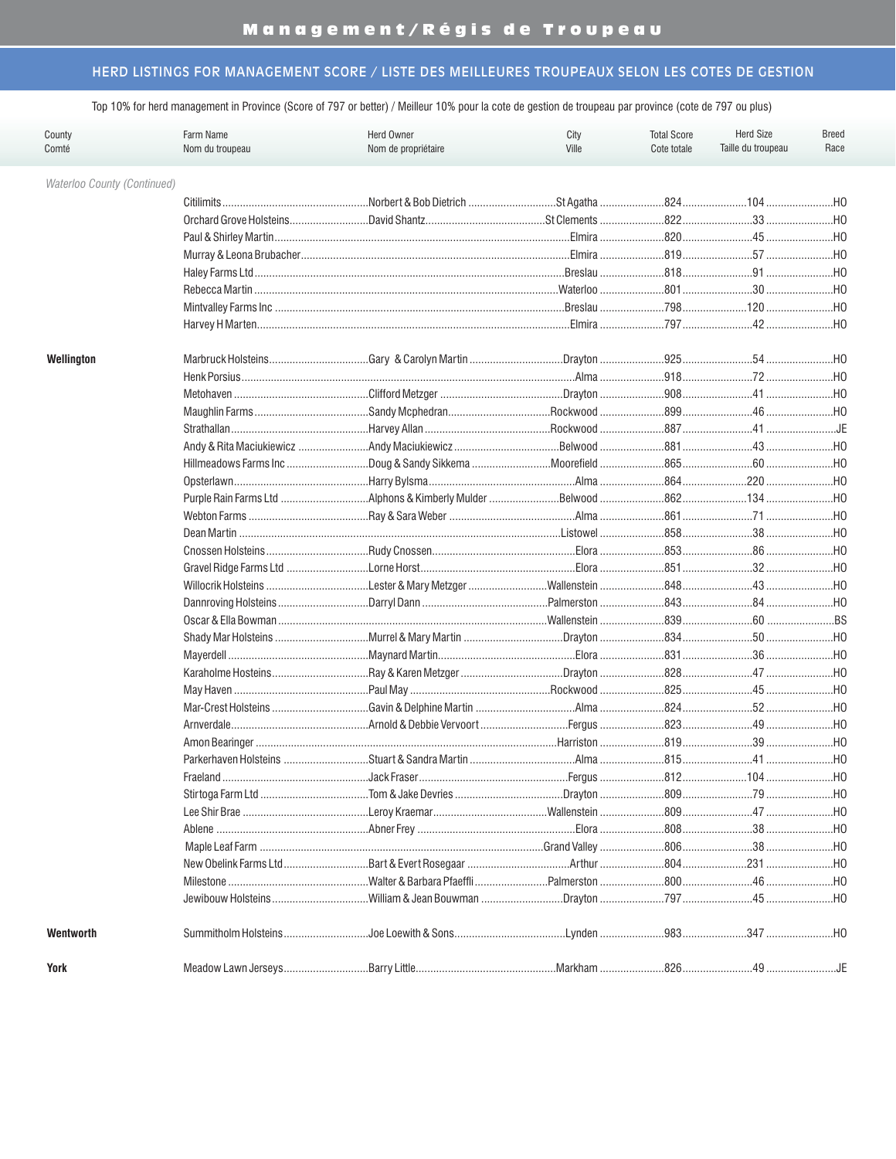Top 10% for herd management in Province (Score of 797 or better) / Meilleur 10% pour la cote de gestion de troupeau par province (cote de 797 ou plus)

| County<br>Comté             | Farm Name<br>Nom du troupeau | City<br>Ville | <b>Total Score</b><br>Cote totale | <b>Herd Size</b><br>Taille du troupeau | <b>Breed</b><br>Race |                |
|-----------------------------|------------------------------|---------------|-----------------------------------|----------------------------------------|----------------------|----------------|
| Waterloo County (Continued) |                              |               |                                   |                                        |                      |                |
|                             |                              |               |                                   |                                        |                      |                |
|                             |                              |               |                                   |                                        |                      | H <sub>O</sub> |
|                             |                              |               |                                   |                                        |                      | $$ HO          |
|                             |                              |               |                                   |                                        |                      |                |
|                             |                              |               |                                   |                                        |                      |                |
|                             |                              |               |                                   |                                        |                      |                |
|                             |                              |               |                                   |                                        |                      |                |
|                             |                              |               |                                   |                                        |                      |                |
| Wellington                  |                              |               |                                   |                                        |                      |                |
|                             |                              |               |                                   |                                        |                      | HO             |
|                             |                              |               |                                   |                                        |                      | H <sub>0</sub> |
|                             |                              |               |                                   |                                        |                      |                |
|                             |                              |               |                                   |                                        |                      | JE             |
|                             |                              |               |                                   |                                        |                      | HO             |
|                             |                              |               |                                   |                                        |                      | HO             |
|                             |                              |               |                                   |                                        |                      | HO             |
|                             |                              |               |                                   |                                        |                      | $$ HO          |
|                             |                              |               |                                   |                                        |                      | HO             |
|                             |                              |               |                                   |                                        |                      | HO             |
|                             |                              |               |                                   |                                        |                      | HO             |
|                             |                              |               |                                   |                                        |                      | HO             |
|                             |                              |               |                                   |                                        |                      | HO             |
|                             |                              |               |                                   |                                        |                      | HO             |
|                             |                              |               |                                   |                                        |                      | $$ BS          |
|                             |                              |               |                                   |                                        |                      |                |
|                             |                              |               |                                   |                                        |                      | HO             |
|                             |                              |               |                                   |                                        |                      | HO             |
|                             |                              |               |                                   |                                        |                      | HO             |
|                             |                              |               |                                   |                                        |                      |                |
|                             |                              |               |                                   |                                        |                      |                |
|                             |                              |               |                                   |                                        |                      |                |
|                             |                              |               |                                   |                                        |                      |                |
|                             | Fraeland                     | Jack Fraser.  |                                   | .812                                   | 104                  | HO             |
|                             |                              |               |                                   |                                        |                      |                |
|                             |                              |               |                                   |                                        |                      |                |
|                             |                              |               |                                   |                                        |                      |                |
|                             |                              |               |                                   |                                        |                      |                |
|                             |                              |               |                                   |                                        |                      |                |
|                             |                              |               |                                   |                                        |                      |                |
|                             |                              |               |                                   |                                        |                      |                |
| Wentworth                   |                              |               |                                   |                                        |                      |                |
| <b>York</b>                 |                              |               |                                   |                                        |                      |                |

YOrk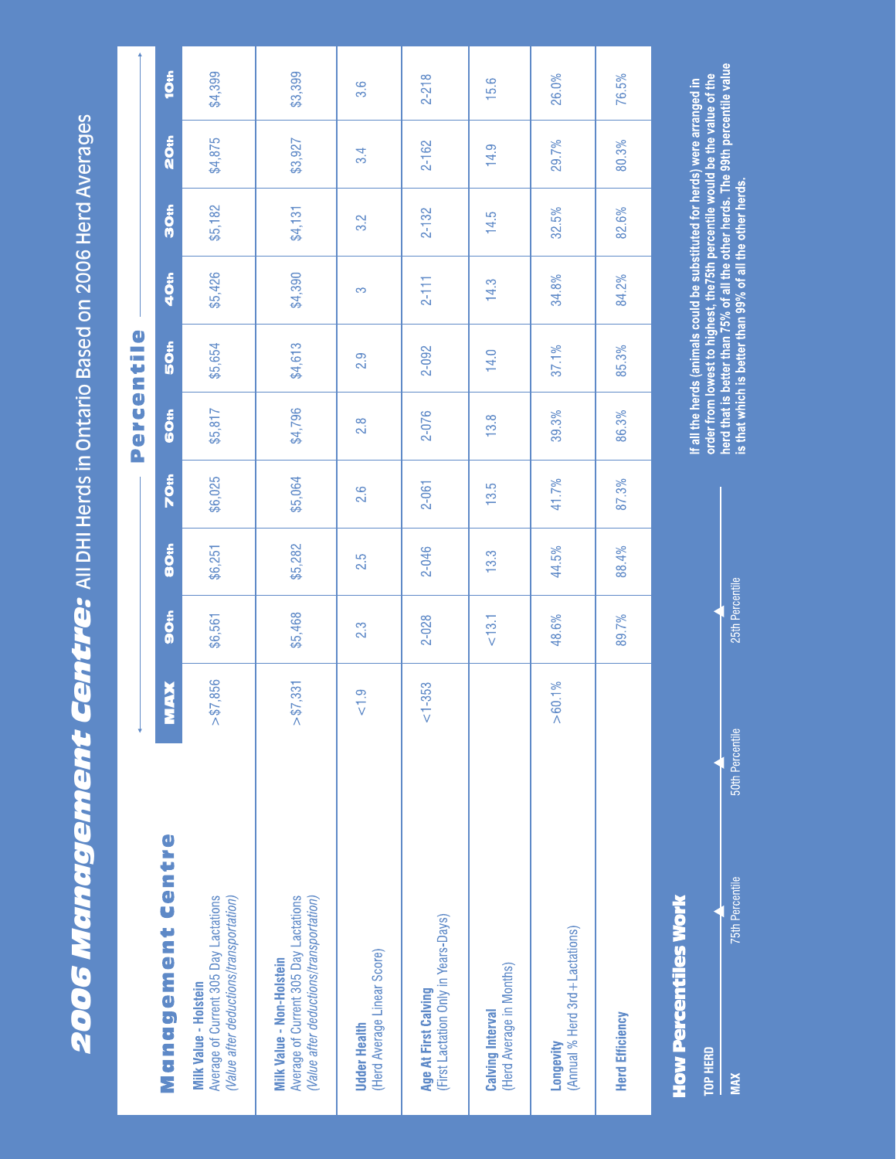2006 Mandgement Centre: All DHI Herds in Ontario Based on 2006 Herd Averages *2006 Management Centre:* All DHI Herds in Ontario Based on 2006 Herd Averages

|                                                                                                                      |                        |                  |             |         | Percentil        | $\mathbf 0$ |           |            |         |                  |
|----------------------------------------------------------------------------------------------------------------------|------------------------|------------------|-------------|---------|------------------|-------------|-----------|------------|---------|------------------|
| Management Centre                                                                                                    | <b>MAX</b>             | Son              | <b>SOth</b> | 70th    | GOth             | 50th        | 40th      | <b>Son</b> | 20th    | 10th             |
| Average of Current 305 Day Lactations<br>(Value after deductions/transportation)<br>Milk Value - Holstein            | 7,856<br>$\frac{1}{9}$ | \$6,561          | \$6,251     | \$6,025 | \$5,817          | \$5,654     | \$5,426   | \$5,182    | \$4,875 | \$4,399          |
| Average of Current 305 Day Lactations<br>(Value after deductions/transportation)<br><b>Milk Value - Non-Holstein</b> | ,331<br>$\frac{1}{9}$  | \$5,468          | \$5,282     | \$5,064 | \$4,796          | \$4,613     | \$4,390   | \$4,131    | \$3,927 | \$3,399          |
| (Herd Average Linear Score)<br><b>Udder Health</b>                                                                   | $rac{1}{\sqrt{2}}$     | $2.\overline{3}$ | 2.5         | 2.6     | $2.\overline{8}$ | 2.9         | က         | 3.2        | 3.4     | $3.\overline{6}$ |
| (First Lactation Only in Years-Days)<br>Age At First Calving                                                         | $1 - 353$              | 2-028            | 2-046       | 2-061   | 2-076            | 2-092       | $2 - 111$ | $2 - 132$  | 2-162   | $2 - 218$        |
| (Herd Average in Months)<br><b>Calving Interval</b>                                                                  |                        | $< 13.1$         | 13.3        | 13.5    | 13.8             | 14.0        | 14.3      | 14.5       | 14.9    | 15.6             |
| (Annual % Herd 3rd + Lactations)<br>Longevity                                                                        | $> 60.1\%$             | 48.6%            | 44.5%       | 41.7%   | 39.3%            | 37.1%       | 34.8%     | 32.5%      | 29.7%   | 26.0%            |
| <b>Herd Efficiency</b>                                                                                               |                        | 89.7%            | 88.4%       | 87.3%   | 86.3%            | 85.3%       | 84.2%     | 82.6%      | 80.3%   | 76.5%            |

# **How Percentiles Work**

| <b>Sth Percentily</b>  |
|------------------------|
| <b>Oth Percentil</b>   |
| <b>Sth Percentilis</b> |
|                        |

If all the herds (animals could be substituted for herds) were arranged in<br>order from lowest to highest, the75th percentile would be the value of the<br>herd that is better than 75% of all the other herds. The 99th percentile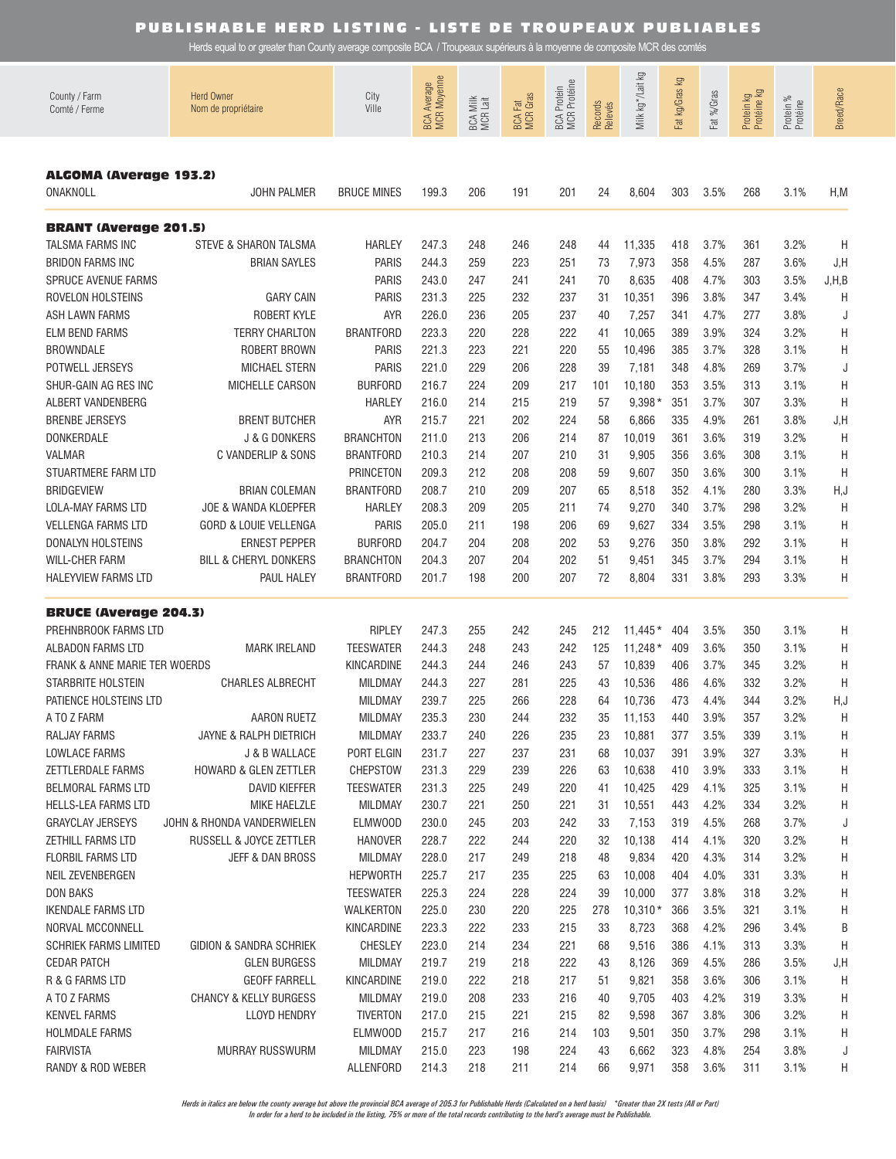Herds equal to or greater than County average composite BCA / Troupeaux supérieurs à la moyenne de composite MCR des comtés

| County / Farm<br>Comté / Ferme                       | <b>Herd Owner</b><br>Nom de propriétaire     | City<br>Ville                | BCA Average<br>MCR Moyenne | BCA Milk<br>MCR Lait | <b>BCA Fat</b><br>MCR Gras | BCA Protein<br>MCR Protéine | Records<br>Relevés | Σò<br>Milk kg*/Lait | Fat kg/Gras kg | Fat %/Gras   | Protein kg<br>Protéine kg | Protein %<br>Protéine | <b>Breed/Race</b> |
|------------------------------------------------------|----------------------------------------------|------------------------------|----------------------------|----------------------|----------------------------|-----------------------------|--------------------|---------------------|----------------|--------------|---------------------------|-----------------------|-------------------|
| <b>ALGOMA (Average 193.2)</b><br>ONAKNOLL            | <b>JOHN PALMER</b>                           | <b>BRUCE MINES</b>           | 199.3                      | 206                  | 191                        | 201                         | 24                 | 8,604               | 303            | 3.5%         | 268                       | 3.1%                  | H, M              |
| <b>BRANT (Average 201.5)</b>                         |                                              |                              |                            |                      |                            |                             |                    |                     |                |              |                           |                       |                   |
| TALSMA FARMS INC                                     | STEVE & SHARON TALSMA                        | <b>HARLEY</b>                | 247.3                      | 248                  | 246                        | 248                         | 44                 | 11,335              | 418            | 3.7%         | 361                       | 3.2%                  | H                 |
| <b>BRIDON FARMS INC</b>                              | <b>BRIAN SAYLES</b>                          | <b>PARIS</b>                 | 244.3                      | 259                  | 223                        | 251                         | 73                 | 7,973               | 358            | 4.5%         | 287                       | 3.6%                  | J, H              |
| <b>SPRUCE AVENUE FARMS</b>                           |                                              | <b>PARIS</b>                 | 243.0                      | 247                  | 241                        | 241                         | 70                 | 8,635               | 408            | 4.7%         | 303                       | 3.5%                  | J, H, B           |
| ROVELON HOLSTEINS                                    | <b>GARY CAIN</b>                             | <b>PARIS</b>                 | 231.3                      | 225                  | 232                        | 237                         | 31                 | 10,351              | 396            | 3.8%         | 347                       | 3.4%                  | H                 |
| ASH LAWN FARMS                                       | ROBERT KYLE                                  | <b>AYR</b>                   | 226.0                      | 236                  | 205                        | 237                         | 40                 | 7,257               | 341            | 4.7%         | 277                       | 3.8%                  | J                 |
| <b>ELM BEND FARMS</b>                                | <b>TERRY CHARLTON</b><br><b>ROBERT BROWN</b> | <b>BRANTFORD</b>             | 223.3                      | 220                  | 228                        | 222                         | 41                 | 10,065              | 389            | 3.9%         | 324                       | 3.2%                  | Η                 |
| <b>BROWNDALE</b><br>POTWELL JERSEYS                  | <b>MICHAEL STERN</b>                         | <b>PARIS</b><br><b>PARIS</b> | 221.3<br>221.0             | 223<br>229           | 221<br>206                 | 220<br>228                  | 55<br>39           | 10,496<br>7,181     | 385<br>348     | 3.7%<br>4.8% | 328<br>269                | 3.1%<br>3.7%          | Η                 |
| SHUR-GAIN AG RES INC                                 | MICHELLE CARSON                              | <b>BURFORD</b>               | 216.7                      | 224                  | 209                        | 217                         | 101                | 10,180              | 353            | 3.5%         | 313                       | 3.1%                  | J<br>Η            |
| ALBERT VANDENBERG                                    |                                              | <b>HARLEY</b>                | 216.0                      | 214                  | 215                        | 219                         | 57                 | $9,398*$            | 351            | 3.7%         | 307                       | 3.3%                  | H                 |
| <b>BRENBE JERSEYS</b>                                | <b>BRENT BUTCHER</b>                         | <b>AYR</b>                   | 215.7                      | 221                  | 202                        | 224                         | 58                 | 6,866               | 335            | 4.9%         | 261                       | 3.8%                  | J,H               |
| DONKERDALE                                           | J & G DONKERS                                | <b>BRANCHTON</b>             | 211.0                      | 213                  | 206                        | 214                         | 87                 | 10,019              | 361            | 3.6%         | 319                       | 3.2%                  | H                 |
| <b>VALMAR</b>                                        | C VANDERLIP & SONS                           | <b>BRANTFORD</b>             | 210.3                      | 214                  | 207                        | 210                         | 31                 | 9,905               | 356            | 3.6%         | 308                       | 3.1%                  | H                 |
| STUARTMERE FARM LTD                                  |                                              | <b>PRINCETON</b>             | 209.3                      | 212                  | 208                        | 208                         | 59                 | 9,607               | 350            | 3.6%         | 300                       | 3.1%                  | H                 |
| <b>BRIDGEVIEW</b>                                    | <b>BRIAN COLEMAN</b>                         | <b>BRANTFORD</b>             | 208.7                      | 210                  | 209                        | 207                         | 65                 | 8,518               | 352            | 4.1%         | 280                       | 3.3%                  | H, J              |
| LOLA-MAY FARMS LTD                                   | JOE & WANDA KLOEPFER                         | <b>HARLEY</b>                | 208.3                      | 209                  | 205                        | 211                         | 74                 | 9,270               | 340            | 3.7%         | 298                       | 3.2%                  | H                 |
| <b>VELLENGA FARMS LTD</b>                            | GORD & LOUIE VELLENGA                        | <b>PARIS</b>                 | 205.0                      | 211                  | 198                        | 206                         | 69                 | 9,627               | 334            | 3.5%         | 298                       | 3.1%                  | H                 |
| DONALYN HOLSTEINS                                    | <b>ERNEST PEPPER</b>                         | <b>BURFORD</b>               | 204.7                      | 204                  | 208                        | 202                         | 53                 | 9,276               | 350            | 3.8%         | 292                       | 3.1%                  | Η                 |
| <b>WILL-CHER FARM</b>                                | <b>BILL &amp; CHERYL DONKERS</b>             | <b>BRANCHTON</b>             | 204.3                      | 207                  | 204                        | 202                         | 51                 | 9,451               | 345            | 3.7%         | 294                       | 3.1%                  | Η                 |
| HALEYVIEW FARMS LTD                                  | PAUL HALEY                                   | <b>BRANTFORD</b>             | 201.7                      | 198                  | 200                        | 207                         | 72                 | 8,804               | 331            | 3.8%         | 293                       | 3.3%                  | Η                 |
|                                                      |                                              |                              |                            |                      |                            |                             |                    |                     |                |              |                           |                       |                   |
| <b>BRUCE (Average 204.3)</b><br>PREHNBROOK FARMS LTD |                                              | <b>RIPLEY</b>                | 247.3                      | 255                  | 242                        | 245                         | 212                | $11.445*$           | 404            | 3.5%         | 350                       | 3.1%                  | H                 |
| ALBADON FARMS LTD                                    | <b>MARK IRELAND</b>                          | <b>TEESWATER</b>             | 244.3                      | 248                  | 243                        | 242                         | 125                | $11,248*$           | 409            | 3.6%         | 350                       | 3.1%                  | H                 |
| FRANK & ANNE MARIE TER WOERDS                        |                                              | KINCARDINE                   | 244.3                      | 244                  | 246                        | 243                         | 57                 | 10,839              | 406            | 3.7%         | 345                       | 3.2%                  | H                 |
| STARBRITE HOLSTEIN                                   | <b>CHARLES ALBRECHT</b>                      | <b>MILDMAY</b>               | 244.3                      | 227                  | 281                        | 225                         | 43                 | 10,536              | 486            | 4.6%         | 332                       | 3.2%                  | H                 |
| PATIENCE HOLSTEINS LTD                               |                                              | <b>MILDMAY</b>               | 239.7                      | 225                  | 266                        | 228                         | 64                 | 10,736              | 473            | 4.4%         | 344                       | 3.2%                  | H, J              |
| A TO Z FARM                                          | <b>AARON RUETZ</b>                           | <b>MILDMAY</b>               | 235.3                      | 230                  | 244                        | 232                         | 35                 | 11,153              | 440            | 3.9%         | 357                       | 3.2%                  | H                 |
| RALJAY FARMS                                         | JAYNE & RALPH DIETRICH                       | <b>MILDMAY</b>               | 233.7                      | 240                  | 226                        | 235                         | 23                 | 10,881              | 377            | 3.5%         | 339                       | 3.1%                  | H                 |
| LOWLACE FARMS                                        | J & B WALLACE                                | PORT ELGIN                   | 231.7                      | 227                  | 237                        | 231                         | 68                 | 10,037              | 391            | 3.9%         | 327                       | 3.3%                  | H                 |
| ZETTLERDALE FARMS                                    | <b>HOWARD &amp; GLEN ZETTLER</b>             | <b>CHEPSTOW</b>              | 231.3                      | 229                  | 239                        | 226                         | 63                 | 10,638              | 410            | 3.9%         | 333                       | 3.1%                  | H                 |
| <b>BELMORAL FARMS LTD</b>                            | <b>DAVID KIEFFER</b>                         | <b>TEESWATER</b>             | 231.3                      | 225                  | 249                        | 220                         | 41                 | 10,425              | 429            | 4.1%         | 325                       | 3.1%                  | H                 |
| HELLS-LEA FARMS LTD                                  | MIKE HAELZLE                                 | <b>MILDMAY</b>               | 230.7                      | 221                  | 250                        | 221                         | 31                 | 10,551              | 443            | 4.2%         | 334                       | 3.2%                  | H                 |
| <b>GRAYCLAY JERSEYS</b>                              | JOHN & RHONDA VANDERWIELEN                   | <b>ELMWOOD</b>               | 230.0                      | 245                  | 203                        | 242                         | 33                 | 7,153               | 319            | 4.5%         | 268                       | 3.7%                  | J                 |
| ZETHILL FARMS LTD                                    | RUSSELL & JOYCE ZETTLER                      | <b>HANOVER</b>               | 228.7                      | 222                  | 244                        | 220                         | 32                 | 10,138              | 414            | 4.1%         | 320                       | 3.2%                  | H                 |
| <b>FLORBIL FARMS LTD</b>                             | JEFF & DAN BROSS                             | MILDMAY                      | 228.0                      | 217                  | 249                        | 218                         | 48                 | 9,834               | 420            | 4.3%         | 314                       | 3.2%                  | H                 |
| NEIL ZEVENBERGEN                                     |                                              | <b>HEPWORTH</b>              | 225.7                      | 217                  | 235                        | 225                         | 63                 | 10,008              | 404            | 4.0%         | 331                       | 3.3%                  | H                 |
| <b>DON BAKS</b>                                      |                                              | <b>TEESWATER</b>             | 225.3                      | 224                  | 228                        | 224                         | 39                 | 10,000              | 377            | 3.8%         | 318                       | 3.2%                  | H                 |
| <b>IKENDALE FARMS LTD</b><br>NORVAL MCCONNELL        |                                              | WALKERTON<br>KINCARDINE      | 225.0<br>223.3             | 230<br>222           | 220<br>233                 | 225<br>215                  | 278<br>33          | $10,310*$           | 366<br>368     | 3.5%<br>4.2% | 321<br>296                | 3.1%<br>3.4%          | H<br>B            |
| <b>SCHRIEK FARMS LIMITED</b>                         | GIDION & SANDRA SCHRIEK                      | <b>CHESLEY</b>               | 223.0                      | 214                  | 234                        | 221                         | 68                 | 8,723<br>9,516      | 386            | 4.1%         | 313                       | 3.3%                  | H                 |
| <b>CEDAR PATCH</b>                                   | <b>GLEN BURGESS</b>                          | MILDMAY                      | 219.7                      | 219                  | 218                        | 222                         | 43                 | 8,126               | 369            | 4.5%         | 286                       | 3.5%                  | J, H              |
| R & G FARMS LTD                                      | <b>GEOFF FARRELL</b>                         | KINCARDINE                   | 219.0                      | 222                  | 218                        | 217                         | 51                 | 9,821               | 358            | 3.6%         | 306                       | 3.1%                  | H                 |
| A TO Z FARMS                                         | <b>CHANCY &amp; KELLY BURGESS</b>            | MILDMAY                      | 219.0                      | 208                  | 233                        | 216                         | 40                 | 9,705               | 403            | 4.2%         | 319                       | 3.3%                  | H                 |
| <b>KENVEL FARMS</b>                                  | <b>LLOYD HENDRY</b>                          | <b>TIVERTON</b>              | 217.0                      | 215                  | 221                        | 215                         | 82                 | 9,598               | 367            | 3.8%         | 306                       | 3.2%                  | H                 |
| <b>HOLMDALE FARMS</b>                                |                                              | <b>ELMWOOD</b>               | 215.7                      | 217                  | 216                        | 214                         | 103                | 9,501               | 350            | 3.7%         | 298                       | 3.1%                  | Η                 |
| <b>FAIRVISTA</b>                                     | MURRAY RUSSWURM                              | MILDMAY                      | 215.0                      | 223                  | 198                        | 224                         | 43                 | 6,662               | 323            | 4.8%         | 254                       | 3.8%                  | J                 |
| RANDY & ROD WEBER                                    |                                              | ALLENFORD                    | 214.3                      | 218                  | 211                        | 214                         | 66                 | 9,971               | 358            | 3.6%         | 311                       | 3.1%                  | Η                 |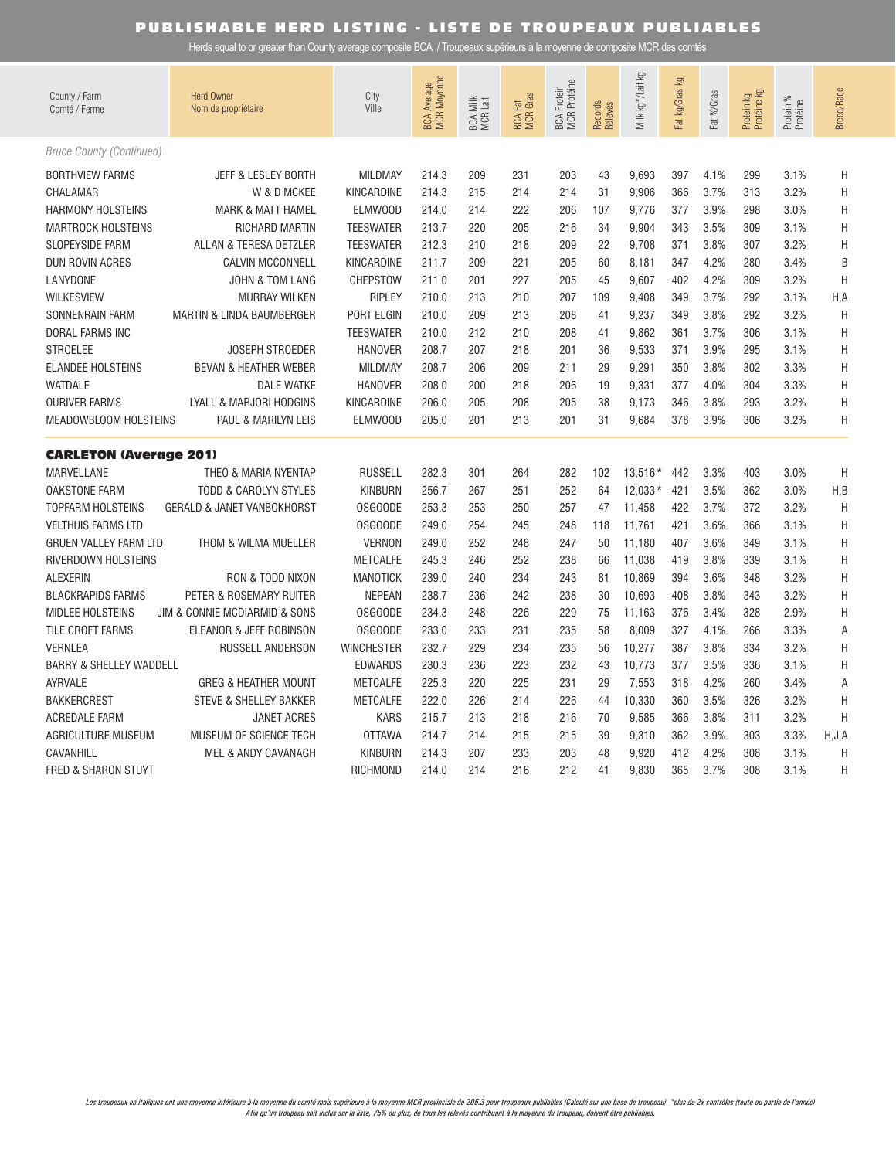| County / Farm<br>Comté / Ferme     | <b>Herd Owner</b><br>Nom de propriétaire | City<br>Ville     | BCA Average<br>MCR Moyenne | BCA Milk<br>MCR Lait | <b>MCR</b> Gras<br><b>BCA Fat</b> | BCA Protein<br>MCR Protéine | Records<br>Relevés | Σ<br>Milk kg*/Lait | Fat kg/Gras kg | Fat %/Gras | Protein kg<br>Protéine kg | Protein %<br>Protéine | <b>Breed/Race</b> |
|------------------------------------|------------------------------------------|-------------------|----------------------------|----------------------|-----------------------------------|-----------------------------|--------------------|--------------------|----------------|------------|---------------------------|-----------------------|-------------------|
| <b>Bruce County (Continued)</b>    |                                          |                   |                            |                      |                                   |                             |                    |                    |                |            |                           |                       |                   |
| <b>BORTHVIEW FARMS</b>             | <b>JEFF &amp; LESLEY BORTH</b>           | <b>MILDMAY</b>    | 214.3                      | 209                  | 231                               | 203                         | 43                 | 9.693              | 397            | 4.1%       | 299                       | 3.1%                  | H                 |
| CHALAMAR                           | W & D MCKEE                              | <b>KINCARDINE</b> | 214.3                      | 215                  | 214                               | 214                         | 31                 | 9,906              | 366            | 3.7%       | 313                       | 3.2%                  | Η                 |
| <b>HARMONY HOLSTEINS</b>           | <b>MARK &amp; MATT HAMEL</b>             | <b>ELMWOOD</b>    | 214.0                      | 214                  | 222                               | 206                         | 107                | 9,776              | 377            | 3.9%       | 298                       | 3.0%                  | Η                 |
| <b>MARTROCK HOLSTEINS</b>          | <b>RICHARD MARTIN</b>                    | <b>TEESWATER</b>  | 213.7                      | 220                  | 205                               | 216                         | 34                 | 9,904              | 343            | 3.5%       | 309                       | 3.1%                  | Η                 |
| <b>SLOPEYSIDE FARM</b>             | ALLAN & TERESA DETZLER                   | <b>TEESWATER</b>  | 212.3                      | 210                  | 218                               | 209                         | 22                 | 9,708              | 371            | 3.8%       | 307                       | 3.2%                  | H                 |
| <b>DUN ROVIN ACRES</b>             | <b>CALVIN MCCONNELL</b>                  | KINCARDINE        | 211.7                      | 209                  | 221                               | 205                         | 60                 | 8,181              | 347            | 4.2%       | 280                       | 3.4%                  | B                 |
| LANYDONE                           | JOHN & TOM LANG                          | CHEPSTOW          | 211.0                      | 201                  | 227                               | 205                         | 45                 | 9,607              | 402            | 4.2%       | 309                       | 3.2%                  | H                 |
| <b>WILKESVIEW</b>                  | <b>MURRAY WILKEN</b>                     | <b>RIPLEY</b>     | 210.0                      | 213                  | 210                               | 207                         | 109                | 9,408              | 349            | 3.7%       | 292                       | 3.1%                  | H,A               |
| SONNENRAIN FARM                    | <b>MARTIN &amp; LINDA BAUMBERGER</b>     | PORT ELGIN        | 210.0                      | 209                  | 213                               | 208                         | 41                 | 9,237              | 349            | 3.8%       | 292                       | 3.2%                  | H                 |
| <b>DORAL FARMS INC</b>             |                                          | <b>TEESWATER</b>  | 210.0                      | 212                  | 210                               | 208                         | 41                 | 9,862              | 361            | 3.7%       | 306                       | 3.1%                  | H                 |
| <b>STROELEE</b>                    | <b>JOSEPH STROEDER</b>                   | <b>HANOVER</b>    | 208.7                      | 207                  | 218                               | 201                         | 36                 | 9,533              | 371            | 3.9%       | 295                       | 3.1%                  | $\sf H$           |
| <b>ELANDEE HOLSTEINS</b>           | <b>BEVAN &amp; HEATHER WEBER</b>         | <b>MILDMAY</b>    | 208.7                      | 206                  | 209                               | 211                         | 29                 | 9,291              | 350            | 3.8%       | 302                       | 3.3%                  | Η                 |
| <b>WATDALE</b>                     | <b>DALE WATKE</b>                        | <b>HANOVER</b>    | 208.0                      | 200                  | 218                               | 206                         | 19                 | 9,331              | 377            | 4.0%       | 304                       | 3.3%                  | Η                 |
| <b>OURIVER FARMS</b>               | LYALL & MARJORI HODGINS                  | KINCARDINE        | 206.0                      | 205                  | 208                               | 205                         | 38                 | 9,173              | 346            | 3.8%       | 293                       | 3.2%                  | Η                 |
| MEADOWBLOOM HOLSTEINS              | PAUL & MARILYN LEIS                      | <b>ELMWOOD</b>    | 205.0                      | 201                  | 213                               | 201                         | 31                 | 9,684              | 378            | 3.9%       | 306                       | 3.2%                  | Н                 |
| <b>CARLETON (Average 201)</b>      |                                          |                   |                            |                      |                                   |                             |                    |                    |                |            |                           |                       |                   |
| <b>MARVELLANE</b>                  | THEO & MARIA NYENTAP                     | <b>RUSSELL</b>    | 282.3                      | 301                  | 264                               | 282                         | 102                | 13,516 *           | 442            | 3.3%       | 403                       | 3.0%                  | H                 |
| <b>OAKSTONE FARM</b>               | <b>TODD &amp; CAROLYN STYLES</b>         | <b>KINBURN</b>    | 256.7                      | 267                  | 251                               | 252                         | 64                 | 12.033 *           | 421            | 3.5%       | 362                       | 3.0%                  | H, B              |
| <b>TOPFARM HOLSTEINS</b>           | <b>GERALD &amp; JANET VANBOKHORST</b>    | OSGOODE           | 253.3                      | 253                  | 250                               | 257                         | 47                 | 11,458             | 422            | 3.7%       | 372                       | 3.2%                  | $\mathsf{H}$      |
| <b>VELTHUIS FARMS LTD</b>          |                                          | OSGOODE           | 249.0                      | 254                  | 245                               | 248                         | 118                | 11.761             | 421            | 3.6%       | 366                       | 3.1%                  | Н                 |
| <b>GRUEN VALLEY FARM LTD</b>       | THOM & WILMA MUELLER                     | <b>VERNON</b>     | 249.0                      | 252                  | 248                               | 247                         | 50                 | 11,180             | 407            | 3.6%       | 349                       | 3.1%                  | $\sf H$           |
| RIVERDOWN HOLSTEINS                |                                          | <b>METCALFE</b>   | 245.3                      | 246                  | 252                               | 238                         | 66                 | 11,038             | 419            | 3.8%       | 339                       | 3.1%                  | H                 |
| <b>ALEXERIN</b>                    | RON & TODD NIXON                         | <b>MANOTICK</b>   | 239.0                      | 240                  | 234                               | 243                         | 81                 | 10,869             | 394            | 3.6%       | 348                       | 3.2%                  | Η                 |
| <b>BLACKRAPIDS FARMS</b>           | PETER & ROSEMARY RUITER                  | <b>NEPEAN</b>     | 238.7                      | 236                  | 242                               | 238                         | 30                 | 10,693             | 408            | 3.8%       | 343                       | 3.2%                  | H                 |
| <b>MIDLEE HOLSTEINS</b>            | JIM & CONNIE MCDIARMID & SONS            | OSGOODE           | 234.3                      | 248                  | 226                               | 229                         | 75                 | 11,163             | 376            | 3.4%       | 328                       | 2.9%                  | Η                 |
| TILE CROFT FARMS                   | ELEANOR & JEFF ROBINSON                  | OSGOODE           | 233.0                      | 233                  | 231                               | 235                         | 58                 | 8,009              | 327            | 4.1%       | 266                       | 3.3%                  | Α                 |
| <b>VERNLEA</b>                     | RUSSELL ANDERSON                         | <b>WINCHESTER</b> | 232.7                      | 229                  | 234                               | 235                         | 56                 | 10,277             | 387            | 3.8%       | 334                       | 3.2%                  | H                 |
| <b>BARRY &amp; SHELLEY WADDELL</b> |                                          | <b>EDWARDS</b>    | 230.3                      | 236                  | 223                               | 232                         | 43                 | 10,773             | 377            | 3.5%       | 336                       | 3.1%                  | $\sf H$           |
| <b>AYRVALE</b>                     | <b>GREG &amp; HEATHER MOUNT</b>          | <b>METCALFE</b>   | 225.3                      | 220                  | 225                               | 231                         | 29                 | 7,553              | 318            | 4.2%       | 260                       | 3.4%                  | A                 |
| <b>BAKKERCREST</b>                 | STEVE & SHELLEY BAKKER                   | <b>METCALFE</b>   | 222.0                      | 226                  | 214                               | 226                         | 44                 | 10,330             | 360            | 3.5%       | 326                       | 3.2%                  | H                 |
| <b>ACREDALE FARM</b>               | <b>JANET ACRES</b>                       | <b>KARS</b>       | 215.7                      | 213                  | 218                               | 216                         | 70                 | 9.585              | 366            | 3.8%       | 311                       | 3.2%                  | H                 |
| <b>AGRICULTURE MUSEUM</b>          | MUSEUM OF SCIENCE TECH                   | <b>OTTAWA</b>     | 214.7                      | 214                  | 215                               | 215                         | 39                 | 9,310              | 362            | 3.9%       | 303                       | 3.3%                  | H, J, A           |
| CAVANHILL                          | MEL & ANDY CAVANAGH                      | <b>KINBURN</b>    | 214.3                      | 207                  | 233                               | 203                         | 48                 | 9,920              | 412            | 4.2%       | 308                       | 3.1%                  | H                 |
| <b>FRED &amp; SHARON STUYT</b>     |                                          | <b>RICHMOND</b>   | 214.0                      | 214                  | 216                               | 212                         | 41                 | 9.830              | 365            | 3.7%       | 308                       | 3.1%                  | Н                 |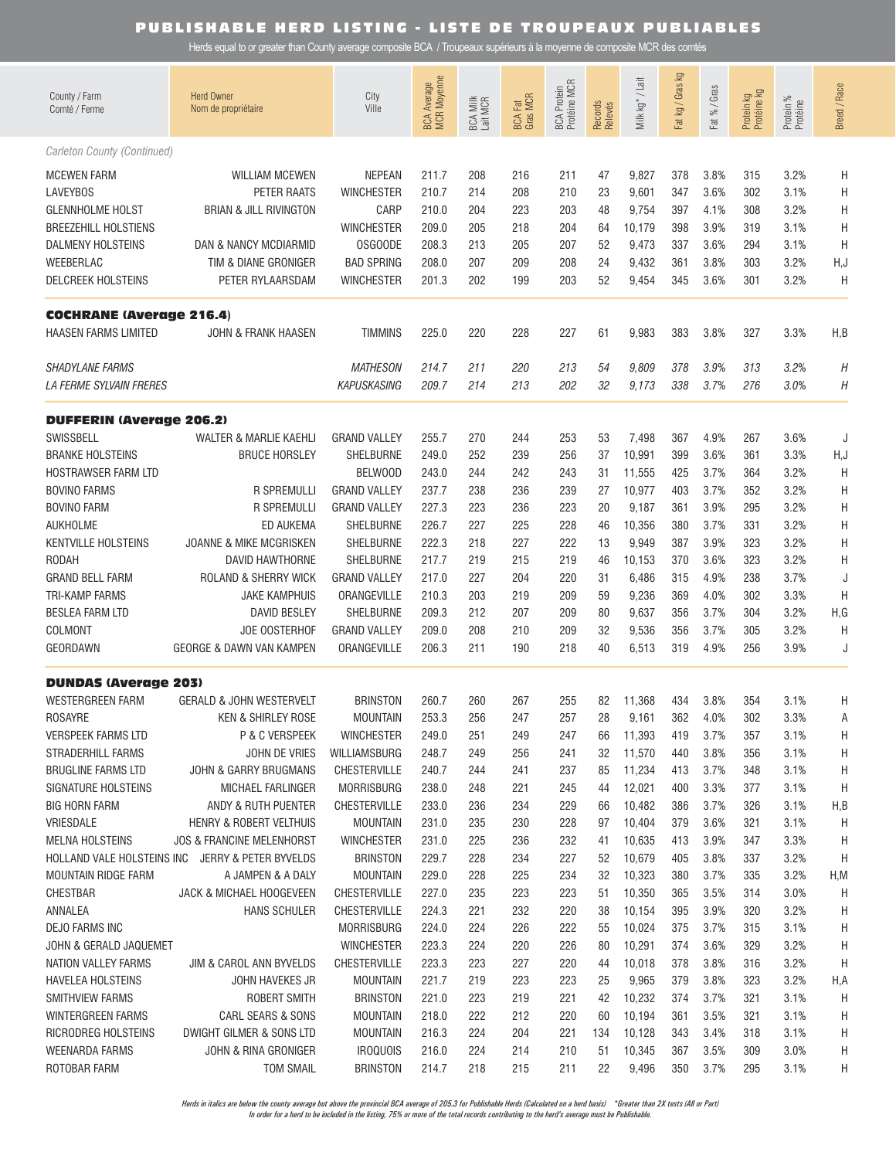Herds equal to or greater than County average composite BCA / Troupeaux supérieurs à la moyenne de composite MCR des comtés

| County / Farm<br>Comté / Ferme                                                                  | <b>Herd Owner</b><br>Nom de propriétaire                                  | City<br>Ville                                                   | <b>BCA Average</b><br>MCR Moyenne | BCA Milk<br>Lait MCR     | <b>BCA Fat</b><br>Gras MCR | BCA Protein<br>Protéine MCR | Records<br>Relevés   | Milk kg <sup>*</sup> /Lait        | Fat kg / Gras kg         | Fat % / Gras                 | Protein kg<br>Protéine kg | Protein %<br>Protéine        | Breed / Race     |
|-------------------------------------------------------------------------------------------------|---------------------------------------------------------------------------|-----------------------------------------------------------------|-----------------------------------|--------------------------|----------------------------|-----------------------------|----------------------|-----------------------------------|--------------------------|------------------------------|---------------------------|------------------------------|------------------|
| Carleton County (Continued)                                                                     |                                                                           |                                                                 |                                   |                          |                            |                             |                      |                                   |                          |                              |                           |                              |                  |
| <b>MCEWEN FARM</b><br><b>LAVEYBOS</b><br><b>GLENNHOLME HOLST</b><br><b>BREEZEHILL HOLSTIENS</b> | <b>WILLIAM MCEWEN</b><br>PETER RAATS<br><b>BRIAN &amp; JILL RIVINGTON</b> | <b>NEPEAN</b><br><b>WINCHESTER</b><br>CARP<br><b>WINCHESTER</b> | 211.7<br>210.7<br>210.0<br>209.0  | 208<br>214<br>204<br>205 | 216<br>208<br>223<br>218   | 211<br>210<br>203<br>204    | 47<br>23<br>48<br>64 | 9,827<br>9,601<br>9,754<br>10,179 | 378<br>347<br>397<br>398 | 3.8%<br>3.6%<br>4.1%<br>3.9% | 315<br>302<br>308<br>319  | 3.2%<br>3.1%<br>3.2%<br>3.1% | Η<br>H<br>H<br>H |
| DALMENY HOLSTEINS                                                                               | <b>DAN &amp; NANCY MCDIARMID</b>                                          | <b>OSGOODE</b>                                                  | 208.3                             | 213                      | 205                        | 207                         | 52                   | 9,473                             | 337                      | 3.6%                         | 294                       | 3.1%                         | H                |
| WEEBERLAC                                                                                       | TIM & DIANE GRONIGER                                                      | <b>BAD SPRING</b>                                               | 208.0                             | 207                      | 209                        | 208                         | 24                   | 9,432                             | 361                      | 3.8%                         | 303                       | 3.2%                         | H,J              |
| <b>DELCREEK HOLSTEINS</b>                                                                       | PETER RYLAARSDAM                                                          | <b>WINCHESTER</b>                                               | 201.3                             | 202                      | 199                        | 203                         | 52                   | 9,454                             | 345                      | 3.6%                         | 301                       | 3.2%                         | Η                |
| <b>COCHRANE (Average 216.4)</b>                                                                 |                                                                           |                                                                 |                                   |                          |                            |                             |                      |                                   |                          |                              |                           |                              |                  |
| HAASEN FARMS LIMITED                                                                            | JOHN & FRANK HAASEN                                                       | <b>TIMMINS</b>                                                  | 225.0                             | 220                      | 228                        | 227                         | 61                   | 9,983                             | 383                      | 3.8%                         | 327                       | 3.3%                         | H,B              |
| <b>SHADYLANE FARMS</b>                                                                          |                                                                           | <b>MATHESON</b>                                                 | 214.7                             | 211                      | 220                        | 213                         | 54                   | 9,809                             | 378                      | 3.9%                         | 313                       | 3.2%                         | Η                |
| <b>LA FERME SYLVAIN FRERES</b>                                                                  |                                                                           | KAPUSKASING                                                     | 209.7                             | 214                      | 213                        | 202                         | 32                   | 9,173                             | 338                      | 3.7%                         | 276                       | 3.0%                         | Η                |
| <b>DUFFERIN (Average 206.2)</b>                                                                 |                                                                           |                                                                 |                                   |                          |                            |                             |                      |                                   |                          |                              |                           |                              |                  |
| SWISSBELL<br><b>BRANKE HOLSTEINS</b><br>HOSTRAWSER FARM LTD                                     | WALTER & MARLIE KAEHLI<br><b>BRUCE HORSLEY</b>                            | <b>GRAND VALLEY</b><br>SHELBURNE<br>BELWOOD                     | 255.7<br>249.0<br>243.0           | 270<br>252<br>244        | 244<br>239<br>242          | 253<br>256<br>243           | 53<br>37<br>31       | 7,498<br>10,991<br>11,555         | 367<br>399<br>425        | 4.9%<br>3.6%<br>3.7%         | 267<br>361<br>364         | 3.6%<br>3.3%<br>3.2%         | J<br>H, J<br>Η   |
| <b>BOVINO FARMS</b>                                                                             | <b>R SPREMULLI</b>                                                        | <b>GRAND VALLEY</b>                                             | 237.7                             | 238                      | 236                        | 239                         | 27                   | 10,977                            | 403                      | 3.7%                         | 352                       | 3.2%                         | Η                |
| <b>BOVINO FARM</b>                                                                              | <b>R SPREMULLI</b>                                                        | <b>GRAND VALLEY</b>                                             | 227.3                             | 223                      | 236                        | 223                         | 20                   | 9,187                             | 361                      | 3.9%                         | 295                       | 3.2%                         | Η                |
| <b>AUKHOLME</b>                                                                                 | ED AUKEMA                                                                 | SHELBURNE                                                       | 226.7                             | 227                      | 225                        | 228                         | 46                   | 10,356                            | 380                      | 3.7%                         | 331                       | 3.2%                         | Η                |
| <b>KENTVILLE HOLSTEINS</b>                                                                      | JOANNE & MIKE MCGRISKEN                                                   | SHELBURNE                                                       | 222.3                             | 218                      | 227                        | 222                         | 13                   | 9,949                             | 387                      | 3.9%                         | 323                       | 3.2%                         | Η                |
| <b>RODAH</b>                                                                                    | DAVID HAWTHORNE                                                           | SHELBURNE                                                       | 217.7                             | 219                      | 215                        | 219                         | 46                   | 10,153                            | 370                      | 3.6%                         | 323                       | 3.2%                         | Η                |
| <b>GRAND BELL FARM</b>                                                                          | ROLAND & SHERRY WICK                                                      | <b>GRAND VALLEY</b>                                             | 217.0                             | 227                      | 204                        | 220                         | 31                   | 6,486                             | 315                      | 4.9%                         | 238                       | 3.7%                         | J                |
| <b>TRI-KAMP FARMS</b>                                                                           | <b>JAKE KAMPHUIS</b>                                                      | ORANGEVILLE                                                     | 210.3                             | 203                      | 219                        | 209                         | 59                   | 9,236                             | 369                      | 4.0%                         | 302                       | 3.3%                         | H                |
| <b>BESLEA FARM LTD</b>                                                                          | <b>DAVID BESLEY</b>                                                       | SHELBURNE                                                       | 209.3                             | 212                      | 207                        | 209                         | 80                   | 9,637                             | 356                      | 3.7%                         | 304                       | 3.2%                         | H,G              |
| COLMONT                                                                                         | JOE OOSTERHOF                                                             | <b>GRAND VALLEY</b>                                             | 209.0                             | 208                      | 210                        | 209                         | 32                   | 9,536                             | 356                      | 3.7%                         | 305                       | 3.2%                         | Η                |
| GEORDAWN                                                                                        | GEORGE & DAWN VAN KAMPEN                                                  | ORANGEVILLE                                                     | 206.3                             | 211                      | 190                        | 218                         | 40                   | 6,513                             | 319                      | 4.9%                         | 256                       | 3.9%                         | J                |
| <b>DUNDAS (Average 203)</b>                                                                     |                                                                           |                                                                 |                                   |                          |                            |                             |                      |                                   |                          |                              |                           |                              |                  |
| <b>WESTERGREEN FARM</b>                                                                         | <b>GERALD &amp; JOHN WESTERVELT</b>                                       | <b>BRINSTON</b>                                                 | 260.7                             | 260                      | 267                        | 255                         | 82                   | 11,368                            | 434                      | 3.8%                         | 354                       | 3.1%                         | Η                |
| <b>ROSAYRE</b>                                                                                  | <b>KEN &amp; SHIRLEY ROSE</b>                                             | <b>MOUNTAIN</b>                                                 | 253.3                             | 256                      | 247                        | 257                         | 28                   | 9,161                             | 362                      | 4.0%                         | 302                       | 3.3%                         | Α                |
| <b>VERSPEEK FARMS LTD</b>                                                                       | P & C VERSPEEK                                                            | <b>WINCHESTER</b>                                               | 249.0                             | 251                      | 249                        | 247                         | 66                   | 11,393                            | 419                      | 3.7%                         | 357                       | 3.1%                         | Н                |
| <b>STRADERHILL FARMS</b>                                                                        | JOHN DE VRIES                                                             | WILLIAMSBURG                                                    | 248.7                             | 249                      | 256                        | 241                         | 32                   | 11,570                            | 440                      | 3.8%                         | 356                       | 3.1%                         | Н                |
| <b>BRUGLINE FARMS LTD</b>                                                                       | JOHN & GARRY BRUGMANS                                                     | <b>CHESTERVILLE</b>                                             | 240.7                             | 244                      | 241                        | 237                         | 85                   | 11,234                            | 413                      | 3.7%                         | 348                       | 3.1%                         | Н                |
| SIGNATURE HOLSTEINS                                                                             | MICHAEL FARLINGER                                                         | <b>MORRISBURG</b>                                               | 238.0                             | 248                      | 221                        | 245                         | 44                   | 12,021                            | 400                      | 3.3%                         | 377                       | 3.1%                         | Н                |
| <b>BIG HORN FARM</b>                                                                            | ANDY & RUTH PUENTER                                                       | <b>CHESTERVILLE</b>                                             | 233.0                             | 236                      | 234                        | 229                         | 66                   | 10,482                            | 386                      | 3.7%                         | 326                       | 3.1%                         | H,B              |
| VRIESDALE                                                                                       | HENRY & ROBERT VELTHUIS                                                   | <b>MOUNTAIN</b>                                                 | 231.0                             | 235                      | 230                        | 228                         | 97                   | 10,404                            | 379                      | 3.6%                         | 321                       | 3.1%                         | Η                |
| <b>MELNA HOLSTEINS</b>                                                                          | <b>JOS &amp; FRANCINE MELENHORST</b>                                      | <b>WINCHESTER</b>                                               | 231.0                             | 225                      | 236                        | 232                         | 41                   | 10,635                            | 413                      | 3.9%                         | 347                       | 3.3%                         | Н                |
| HOLLAND VALE HOLSTEINS INC                                                                      | JERRY & PETER BYVELDS                                                     | <b>BRINSTON</b>                                                 | 229.7                             | 228                      | 234                        | 227                         | 52                   | 10,679                            | 405                      | 3.8%                         | 337                       | 3.2%                         | Н                |
| MOUNTAIN RIDGE FARM                                                                             | A JAMPEN & A DALY                                                         | <b>MOUNTAIN</b>                                                 | 229.0                             | 228                      | 225                        | 234                         | 32                   | 10,323                            | 380                      | 3.7%                         | 335                       | 3.2%                         | H,M              |
| <b>CHESTBAR</b>                                                                                 | JACK & MICHAEL HOOGEVEEN                                                  | CHESTERVILLE                                                    | 227.0                             | 235                      | 223                        | 223                         | 51                   | 10,350                            | 365                      | 3.5%                         | 314                       | 3.0%                         | Н                |
| ANNALEA                                                                                         | <b>HANS SCHULER</b>                                                       | CHESTERVILLE                                                    | 224.3                             | 221                      | 232                        | 220                         | 38                   | 10,154                            | 395                      | 3.9%                         | 320                       | 3.2%                         | Н                |
| DEJO FARMS INC                                                                                  | JIM & CAROL ANN BYVELDS                                                   | <b>MORRISBURG</b>                                               | 224.0                             | 224                      | 226                        | 222                         | 55                   | 10,024                            | 375                      | 3.7%                         | 315                       | 3.1%                         | H                |
| JOHN & GERALD JAQUEMET                                                                          |                                                                           | <b>WINCHESTER</b>                                               | 223.3                             | 224                      | 220                        | 226                         | 80                   | 10,291                            | 374                      | 3.6%                         | 329                       | 3.2%                         | Н                |
| NATION VALLEY FARMS                                                                             |                                                                           | <b>CHESTERVILLE</b>                                             | 223.3                             | 223                      | 227                        | 220                         | 44                   | 10,018                            | 378                      | 3.8%                         | 316                       | 3.2%                         | Η                |
| <b>HAVELEA HOLSTEINS</b>                                                                        | JOHN HAVEKES JR                                                           | <b>MOUNTAIN</b>                                                 | 221.7                             | 219                      | 223                        | 223                         | 25                   | 9,965                             | 379                      | 3.8%                         | 323                       | 3.2%                         | H,A              |
| SMITHVIEW FARMS                                                                                 | ROBERT SMITH                                                              | <b>BRINSTON</b>                                                 | 221.0                             | 223                      | 219                        | 221                         | 42                   | 10,232                            | 374                      | 3.7%                         | 321                       | 3.1%                         | Η                |
| WINTERGREEN FARMS                                                                               | CARL SEARS & SONS                                                         | <b>MOUNTAIN</b>                                                 | 218.0                             | 222                      | 212                        | 220                         | 60                   | 10,194                            | 361                      | 3.5%                         | 321                       | 3.1%                         | H                |
| RICRODREG HOLSTEINS                                                                             | DWIGHT GILMER & SONS LTD                                                  | <b>MOUNTAIN</b>                                                 | 216.3                             | 224                      | 204                        | 221                         | 134                  | 10,128                            | 343                      | 3.4%                         | 318                       | 3.1%                         | H                |
| WEENARDA FARMS                                                                                  | JOHN & RINA GRONIGER                                                      | <b>IROQUOIS</b>                                                 | 216.0                             | 224                      | 214                        | 210                         | 51                   | 10,345                            | 367                      | 3.5%                         | 309                       | 3.0%                         | H                |
| ROTOBAR FARM                                                                                    | <b>TOM SMAIL</b>                                                          | <b>BRINSTON</b>                                                 | 214.7                             | 218                      | 215                        | 211                         | 22                   | 9,496                             | 350                      | 3.7%                         | 295                       | 3.1%                         | H                |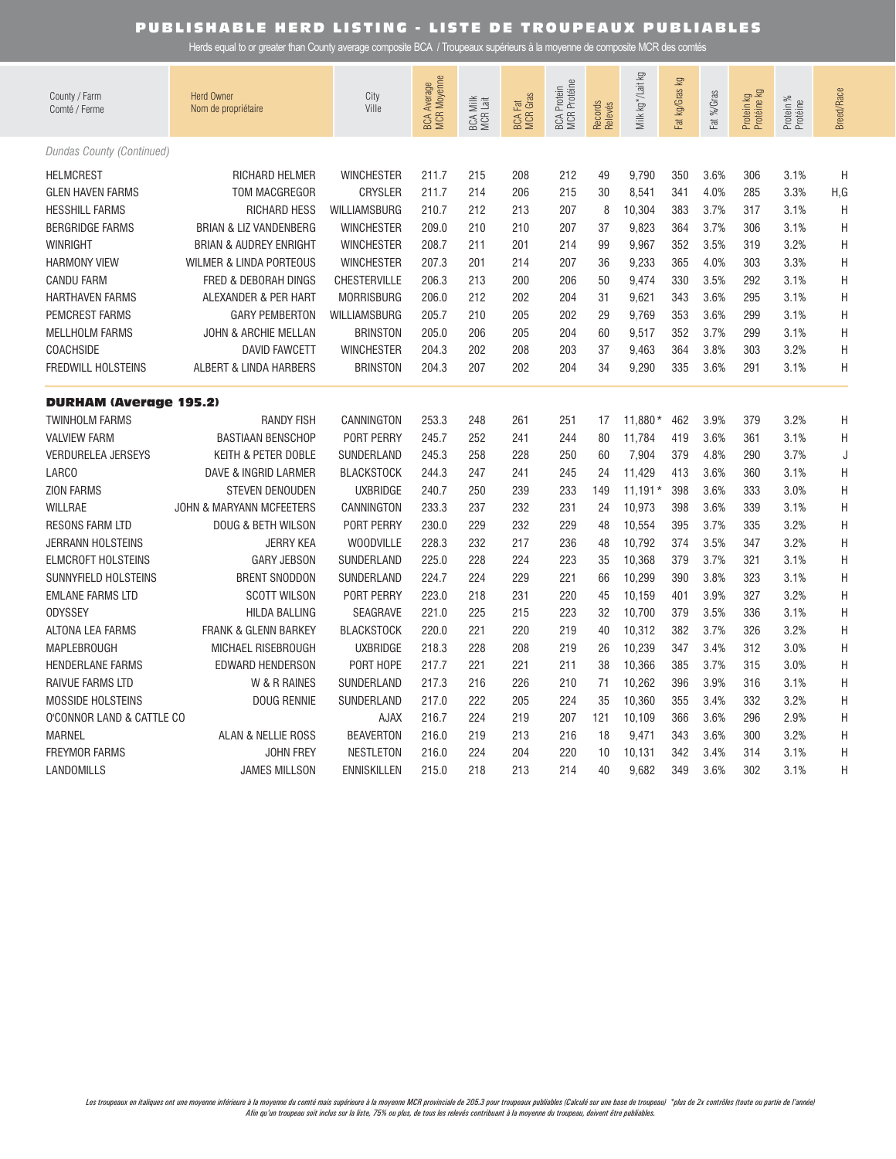| County / Farm<br>Comté / Ferme | <b>Herd Owner</b><br>Nom de propriétaire | City<br>Ville       | <b>BCA Average</b><br>MCR Moyenne | BCA Milk<br>MCR Lait | <b>BCA Fat</b><br>MCR Gras | <b>BCA Protein<br/>MCR Protéine</b> | Records<br>Relevés | Milk kg*/Lait kg | ΔÃ<br>Fat kg/Gras | Fat %/Gras | Protein kg<br>Protéine kg | Protein %<br>Protéine | <b>Breed/Race</b> |
|--------------------------------|------------------------------------------|---------------------|-----------------------------------|----------------------|----------------------------|-------------------------------------|--------------------|------------------|-------------------|------------|---------------------------|-----------------------|-------------------|
| Dundas County (Continued)      |                                          |                     |                                   |                      |                            |                                     |                    |                  |                   |            |                           |                       |                   |
| <b>HELMCREST</b>               | RICHARD HELMER                           | <b>WINCHESTER</b>   | 211.7                             | 215                  | 208                        | 212                                 | 49                 | 9,790            | 350               | 3.6%       | 306                       | 3.1%                  | H                 |
| <b>GLEN HAVEN FARMS</b>        | <b>TOM MACGREGOR</b>                     | <b>CRYSLER</b>      | 211.7                             | 214                  | 206                        | 215                                 | 30                 | 8,541            | 341               | 4.0%       | 285                       | 3.3%                  | H, G              |
| <b>HESSHILL FARMS</b>          | <b>RICHARD HESS</b>                      | WILLIAMSBURG        | 210.7                             | 212                  | 213                        | 207                                 | 8                  | 10,304           | 383               | 3.7%       | 317                       | 3.1%                  | H                 |
| <b>BERGRIDGE FARMS</b>         | <b>BRIAN &amp; LIZ VANDENBERG</b>        | <b>WINCHESTER</b>   | 209.0                             | 210                  | 210                        | 207                                 | 37                 | 9,823            | 364               | 3.7%       | 306                       | 3.1%                  | H                 |
| <b>WINRIGHT</b>                | <b>BRIAN &amp; AUDREY ENRIGHT</b>        | <b>WINCHESTER</b>   | 208.7                             | 211                  | 201                        | 214                                 | 99                 | 9,967            | 352               | 3.5%       | 319                       | 3.2%                  | H                 |
| <b>HARMONY VIEW</b>            | <b>WILMER &amp; LINDA PORTEOUS</b>       | <b>WINCHESTER</b>   | 207.3                             | 201                  | 214                        | 207                                 | 36                 | 9,233            | 365               | 4.0%       | 303                       | 3.3%                  | H                 |
| <b>CANDU FARM</b>              | FRED & DEBORAH DINGS                     | <b>CHESTERVILLE</b> | 206.3                             | 213                  | 200                        | 206                                 | 50                 | 9,474            | 330               | 3.5%       | 292                       | 3.1%                  | H                 |
| <b>HARTHAVEN FARMS</b>         | ALEXANDER & PER HART                     | <b>MORRISBURG</b>   | 206.0                             | 212                  | 202                        | 204                                 | 31                 | 9,621            | 343               | 3.6%       | 295                       | 3.1%                  | H                 |
| <b>PEMCREST FARMS</b>          | <b>GARY PEMBERTON</b>                    | <b>WILLIAMSBURG</b> | 205.7                             | 210                  | 205                        | 202                                 | 29                 | 9,769            | 353               | 3.6%       | 299                       | 3.1%                  | H                 |
| <b>MELLHOLM FARMS</b>          | <b>JOHN &amp; ARCHIE MELLAN</b>          | <b>BRINSTON</b>     | 205.0                             | 206                  | 205                        | 204                                 | 60                 | 9,517            | 352               | 3.7%       | 299                       | 3.1%                  | H                 |
| COACHSIDE                      | <b>DAVID FAWCETT</b>                     | <b>WINCHESTER</b>   | 204.3                             | 202                  | 208                        | 203                                 | 37                 | 9,463            | 364               | 3.8%       | 303                       | 3.2%                  | H                 |
| FREDWILL HOLSTEINS             | ALBERT & LINDA HARBERS                   | <b>BRINSTON</b>     | 204.3                             | 207                  | 202                        | 204                                 | 34                 | 9,290            | 335               | 3.6%       | 291                       | 3.1%                  | Η                 |
| <b>DURHAM (Average 195.2)</b>  |                                          |                     |                                   |                      |                            |                                     |                    |                  |                   |            |                           |                       |                   |
| <b>TWINHOLM FARMS</b>          | <b>RANDY FISH</b>                        | CANNINGTON          | 253.3                             | 248                  | 261                        | 251                                 | 17                 | 11,880*          | 462               | 3.9%       | 379                       | 3.2%                  | Η                 |
| <b>VALVIEW FARM</b>            | <b>BASTIAAN BENSCHOP</b>                 | PORT PERRY          | 245.7                             | 252                  | 241                        | 244                                 | 80                 | 11,784           | 419               | 3.6%       | 361                       | 3.1%                  | H                 |
| <b>VERDURELEA JERSEYS</b>      | KEITH & PETER DOBLE                      | SUNDERLAND          | 245.3                             | 258                  | 228                        | 250                                 | 60                 | 7,904            | 379               | 4.8%       | 290                       | 3.7%                  | J                 |
| LARCO                          | DAVE & INGRID LARMER                     | <b>BLACKSTOCK</b>   | 244.3                             | 247                  | 241                        | 245                                 | 24                 | 11,429           | 413               | 3.6%       | 360                       | 3.1%                  | H                 |
| <b>ZION FARMS</b>              | <b>STEVEN DENOUDEN</b>                   | <b>UXBRIDGE</b>     | 240.7                             | 250                  | 239                        | 233                                 | 149                | $11,191*$        | 398               | 3.6%       | 333                       | 3.0%                  | H                 |
| <b>WILLRAE</b>                 | <b>JOHN &amp; MARYANN MCFEETERS</b>      | CANNINGTON          | 233.3                             | 237                  | 232                        | 231                                 | 24                 | 10,973           | 398               | 3.6%       | 339                       | 3.1%                  | H                 |
| <b>RESONS FARM LTD</b>         | DOUG & BETH WILSON                       | PORT PERRY          | 230.0                             | 229                  | 232                        | 229                                 | 48                 | 10,554           | 395               | 3.7%       | 335                       | 3.2%                  | H                 |
| <b>JERRANN HOLSTEINS</b>       | <b>JERRY KEA</b>                         | <b>WOODVILLE</b>    | 228.3                             | 232                  | 217                        | 236                                 | 48                 | 10,792           | 374               | 3.5%       | 347                       | 3.2%                  | H                 |
| <b>ELMCROFT HOLSTEINS</b>      | <b>GARY JEBSON</b>                       | SUNDERLAND          | 225.0                             | 228                  | 224                        | 223                                 | 35                 | 10,368           | 379               | 3.7%       | 321                       | 3.1%                  | H                 |
| SUNNYFIELD HOLSTEINS           | <b>BRENT SNODDON</b>                     | SUNDERLAND          | 224.7                             | 224                  | 229                        | 221                                 | 66                 | 10,299           | 390               | 3.8%       | 323                       | 3.1%                  | H                 |
| <b>EMLANE FARMS LTD</b>        | <b>SCOTT WILSON</b>                      | PORT PERRY          | 223.0                             | 218                  | 231                        | 220                                 | 45                 | 10,159           | 401               | 3.9%       | 327                       | 3.2%                  | H                 |
| <b>ODYSSEY</b>                 | <b>HILDA BALLING</b>                     | SEAGRAVE            | 221.0                             | 225                  | 215                        | 223                                 | 32                 | 10,700           | 379               | 3.5%       | 336                       | 3.1%                  | H                 |
| <b>ALTONA LEA FARMS</b>        | <b>FRANK &amp; GLENN BARKEY</b>          | <b>BLACKSTOCK</b>   | 220.0                             | 221                  | 220                        | 219                                 | 40                 | 10,312           | 382               | 3.7%       | 326                       | 3.2%                  | Н                 |
| MAPLEBROUGH                    | MICHAEL RISEBROUGH                       | <b>UXBRIDGE</b>     | 218.3                             | 228                  | 208                        | 219                                 | 26                 | 10,239           | 347               | 3.4%       | 312                       | 3.0%                  | H                 |
| HENDERLANE FARMS               | <b>EDWARD HENDERSON</b>                  | PORT HOPE           | 217.7                             | 221                  | 221                        | 211                                 | 38                 | 10,366           | 385               | 3.7%       | 315                       | 3.0%                  | H                 |
| RAIVUE FARMS LTD               | W & R RAINES                             | SUNDERLAND          | 217.3                             | 216                  | 226                        | 210                                 | 71                 | 10,262           | 396               | 3.9%       | 316                       | 3.1%                  | H                 |
| <b>MOSSIDE HOLSTEINS</b>       | <b>DOUG RENNIE</b>                       | SUNDERLAND          | 217.0                             | 222                  | 205                        | 224                                 | 35                 | 10,360           | 355               | 3.4%       | 332                       | 3.2%                  | H                 |
| O'CONNOR LAND & CATTLE CO      |                                          | <b>AJAX</b>         | 216.7                             | 224                  | 219                        | 207                                 | 121                | 10,109           | 366               | 3.6%       | 296                       | 2.9%                  | H                 |
| <b>MARNEL</b>                  | <b>ALAN &amp; NELLIE ROSS</b>            | <b>BEAVERTON</b>    | 216.0                             | 219                  | 213                        | 216                                 | 18                 | 9,471            | 343               | 3.6%       | 300                       | 3.2%                  | H                 |
| <b>FREYMOR FARMS</b>           | JOHN FREY                                | <b>NESTLETON</b>    | 216.0                             | 224                  | 204                        | 220                                 | 10                 | 10,131           | 342               | 3.4%       | 314                       | 3.1%                  | H                 |
| LANDOMILLS                     | <b>JAMES MILLSON</b>                     | <b>ENNISKILLEN</b>  | 215.0                             | 218                  | 213                        | 214                                 | 40                 | 9.682            | 349               | 3.6%       | 302                       | 3.1%                  | Н                 |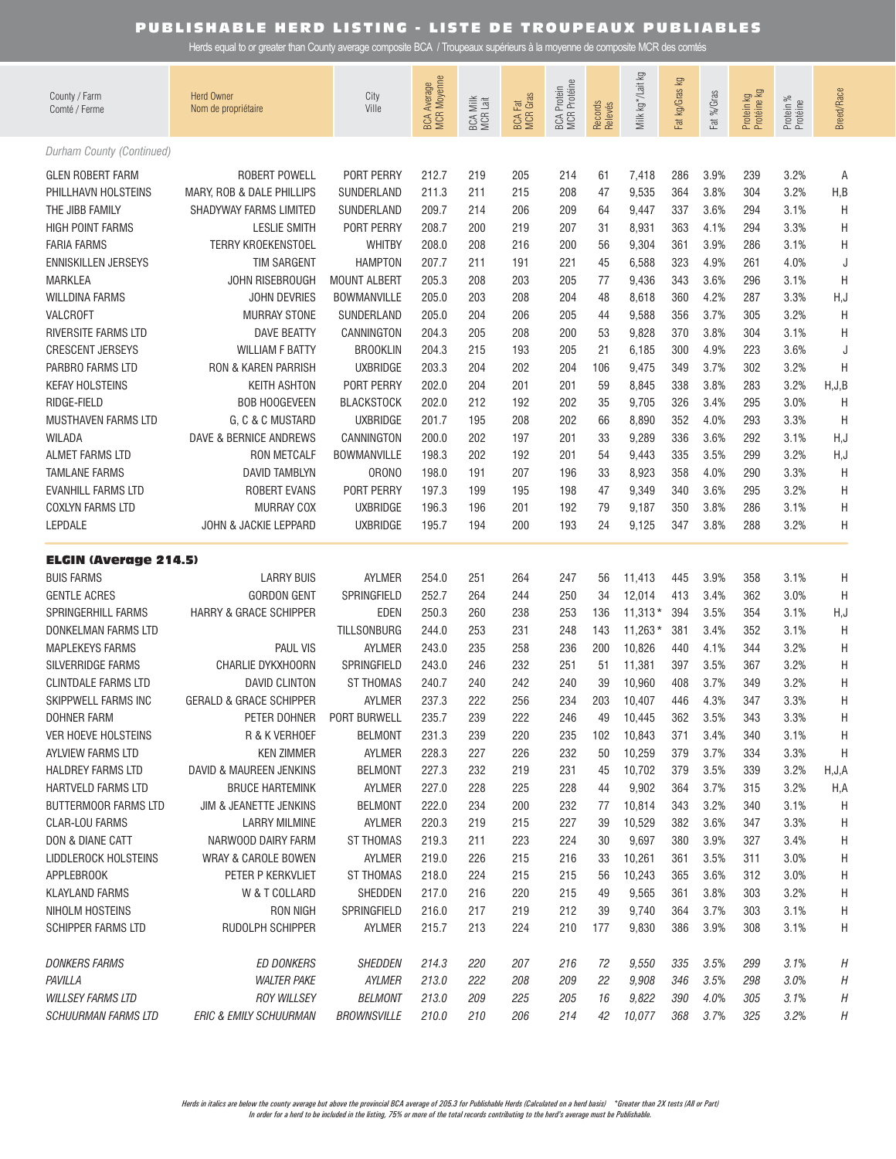| County / Farm<br>Comté / Ferme                   | <b>Herd Owner</b><br>Nom de propriétaire          | City<br>Ville            | BCA Average<br>MCR Moyenne | BCA Milk<br>MCR Lait | <b>BCA Fat</b><br>MCR Gras | BCA Protein<br>MCR Protéine | Records<br>Relevés | Milk kg */Lait kg | Fat kg/Gras kg | Fat %/Gras   | Protein kg<br>Protéine kg | Protein %<br>Protéine | <b>Breed/Race</b> |
|--------------------------------------------------|---------------------------------------------------|--------------------------|----------------------------|----------------------|----------------------------|-----------------------------|--------------------|-------------------|----------------|--------------|---------------------------|-----------------------|-------------------|
| Durham County (Continued)                        |                                                   |                          |                            |                      |                            |                             |                    |                   |                |              |                           |                       |                   |
| <b>GLEN ROBERT FARM</b>                          | <b>ROBERT POWELL</b>                              | PORT PERRY               | 212.7                      | 219                  | 205                        | 214                         | 61                 | 7,418             | 286            | 3.9%         | 239                       | 3.2%                  | Α                 |
| PHILLHAVN HOLSTEINS                              | MARY, ROB & DALE PHILLIPS                         | SUNDERLAND               | 211.3                      | 211                  | 215                        | 208                         | 47                 | 9,535             | 364            | 3.8%         | 304                       | 3.2%                  | H,B               |
| THE JIBB FAMILY                                  | SHADYWAY FARMS LIMITED                            | SUNDERLAND               | 209.7                      | 214                  | 206                        | 209                         | 64                 | 9,447             | 337            | 3.6%         | 294                       | 3.1%                  | H                 |
| <b>HIGH POINT FARMS</b>                          | <b>LESLIE SMITH</b>                               | PORT PERRY               | 208.7                      | 200                  | 219                        | 207                         | 31                 | 8,931             | 363            | 4.1%         | 294                       | 3.3%                  | H                 |
| <b>FARIA FARMS</b>                               | <b>TERRY KROEKENSTOEL</b>                         | <b>WHITBY</b>            | 208.0                      | 208                  | 216                        | 200                         | 56                 | 9,304             | 361            | 3.9%         | 286                       | 3.1%                  | Η                 |
| <b>ENNISKILLEN JERSEYS</b>                       | <b>TIM SARGENT</b>                                | <b>HAMPTON</b>           | 207.7                      | 211                  | 191                        | 221                         | 45                 | 6,588             | 323            | 4.9%         | 261                       | 4.0%                  | J                 |
| <b>MARKLEA</b>                                   | JOHN RISEBROUGH                                   | <b>MOUNT ALBERT</b>      | 205.3                      | 208                  | 203                        | 205                         | 77                 | 9,436             | 343            | 3.6%         | 296                       | 3.1%                  | H                 |
| <b>WILLDINA FARMS</b>                            | <b>JOHN DEVRIES</b>                               | <b>BOWMANVILLE</b>       | 205.0                      | 203                  | 208                        | 204                         | 48                 | 8,618             | 360            | 4.2%         | 287                       | 3.3%                  | H, J              |
| VALCROFT                                         | <b>MURRAY STONE</b>                               | SUNDERLAND               | 205.0                      | 204                  | 206                        | 205                         | 44                 | 9,588             | 356            | 3.7%         | 305                       | 3.2%                  | H                 |
| <b>RIVERSITE FARMS LTD</b>                       | <b>DAVE BEATTY</b>                                | CANNINGTON               | 204.3                      | 205                  | 208                        | 200                         | 53                 | 9,828             | 370            | 3.8%         | 304                       | 3.1%                  | Η                 |
| <b>CRESCENT JERSEYS</b>                          | <b>WILLIAM F BATTY</b>                            | <b>BROOKLIN</b>          | 204.3                      | 215                  | 193                        | 205                         | 21                 | 6,185             | 300            | 4.9%         | 223                       | 3.6%                  | J                 |
| PARBRO FARMS LTD                                 | RON & KAREN PARRISH                               | <b>UXBRIDGE</b>          | 203.3                      | 204                  | 202                        | 204                         | 106                | 9,475             | 349            | 3.7%         | 302                       | 3.2%                  | H                 |
| <b>KEFAY HOLSTEINS</b>                           | KEITH ASHTON                                      | PORT PERRY               | 202.0                      | 204                  | 201                        | 201                         | 59                 | 8,845             | 338            | 3.8%         | 283                       | 3.2%                  | H,J,B             |
| RIDGE-FIELD                                      | <b>BOB HOOGEVEEN</b>                              | <b>BLACKSTOCK</b>        | 202.0                      | 212                  | 192                        | 202                         | 35                 | 9,705             | 326            | 3.4%         | 295                       | 3.0%                  | H                 |
| MUSTHAVEN FARMS LTD                              | G. C & C MUSTARD                                  | <b>UXBRIDGE</b>          | 201.7                      | 195                  | 208                        | 202                         | 66                 | 8,890             | 352            | 4.0%         | 293                       | 3.3%                  | H                 |
| <b>WILADA</b>                                    | DAVE & BERNICE ANDREWS                            | CANNINGTON               | 200.0                      | 202                  | 197                        | 201                         | 33                 | 9,289             | 336            | 3.6%         | 292                       | 3.1%                  | H, J              |
| <b>ALMET FARMS LTD</b>                           | <b>RON METCALF</b>                                | <b>BOWMANVILLE</b>       | 198.3                      | 202                  | 192                        | 201                         | 54                 | 9,443             | 335            | 3.5%         | 299                       | 3.2%                  | H, J              |
| <b>TAMLANE FARMS</b>                             | <b>DAVID TAMBLYN</b>                              | <b>ORONO</b>             | 198.0                      | 191                  | 207                        | 196                         | 33                 | 8,923             | 358            | 4.0%         | 290                       | 3.3%                  | H                 |
| <b>EVANHILL FARMS LTD</b>                        | <b>ROBERT EVANS</b>                               | PORT PERRY               | 197.3                      | 199                  | 195                        | 198                         | 47                 | 9,349             | 340            | 3.6%         | 295                       | 3.2%                  | Η                 |
| <b>COXLYN FARMS LTD</b>                          | <b>MURRAY COX</b>                                 | <b>UXBRIDGE</b>          | 196.3                      | 196                  | 201                        | 192                         | 79                 | 9,187             | 350            | 3.8%         | 286                       | 3.1%                  | Η                 |
| LEPDALE                                          | JOHN & JACKIE LEPPARD                             | <b>UXBRIDGE</b>          | 195.7                      | 194                  | 200                        | 193                         | 24                 | 9,125             | 347            | 3.8%         | 288                       | 3.2%                  | Η                 |
|                                                  |                                                   |                          |                            |                      |                            |                             |                    |                   |                |              |                           |                       |                   |
|                                                  |                                                   |                          |                            |                      |                            |                             |                    |                   |                |              |                           |                       |                   |
| <b>ELGIN (Average 214.5)</b>                     |                                                   |                          |                            |                      |                            |                             |                    |                   |                |              |                           |                       |                   |
| <b>BUIS FARMS</b>                                | <b>LARRY BUIS</b>                                 | AYLMER                   | 254.0                      | 251                  | 264                        | 247                         | 56                 | 11,413            | 445            | 3.9%         | 358                       | 3.1%                  | Η                 |
| <b>GENTLE ACRES</b>                              | <b>GORDON GENT</b>                                | SPRINGFIELD              | 252.7                      | 264                  | 244                        | 250                         | 34                 | 12,014            | 413            | 3.4%         | 362                       | 3.0%                  | H                 |
| SPRINGERHILL FARMS                               | HARRY & GRACE SCHIPPER                            | EDEN                     | 250.3                      | 260                  | 238                        | 253                         | 136                | $11,313*$         | 394            | 3.5%         | 354                       | 3.1%                  | H, J              |
| <b>DONKELMAN FARMS LTD</b>                       |                                                   | <b>TILLSONBURG</b>       | 244.0                      | 253                  | 231                        | 248                         | 143                | $11,263*$         | 381            | 3.4%         | 352                       | 3.1%                  | H                 |
| <b>MAPLEKEYS FARMS</b>                           | <b>PAUL VIS</b>                                   | <b>AYLMER</b>            | 243.0                      | 235                  | 258                        | 236                         | 200                | 10,826            | 440            | 4.1%         | 344                       | 3.2%                  | H                 |
| SILVERRIDGE FARMS                                | CHARLIE DYKXHOORN                                 | SPRINGFIELD              | 243.0                      | 246                  | 232                        | 251                         | 51                 | 11,381            | 397            | 3.5%         | 367                       | 3.2%                  | Η                 |
| <b>CLINTDALE FARMS LTD</b>                       | <b>DAVID CLINTON</b>                              | <b>ST THOMAS</b>         | 240.7                      | 240                  | 242                        | 240                         | 39                 | 10,960            | 408            | 3.7%         | 349                       | 3.2%                  | Η                 |
| SKIPPWELL FARMS INC                              | <b>GERALD &amp; GRACE SCHIPPER</b>                | <b>AYLMER</b>            | 237.3                      | 222                  | 256                        | 234                         | 203                | 10,407            | 446            | 4.3%         | 347                       | 3.3%                  | Η                 |
| <b>DOHNER FARM</b><br><b>VER HOEVE HOLSTEINS</b> | PETER DOHNER                                      | <b>PORT BURWELL</b>      | 235.7                      | 239                  | 222                        | 246                         | 49                 | 10,445            | 362            | 3.5%         | 343                       | 3.3%                  | Н                 |
|                                                  | R & K VERHOEF                                     | <b>BELMONT</b>           | 231.3                      | 239                  | 220                        | 235                         | 102                | 10,843            | 371            | 3.4%         | 340                       | 3.1%                  | Н                 |
| AYLVIEW FARMS LTD<br><b>HALDREY FARMS LTD</b>    | <b>KEN ZIMMER</b>                                 | AYLMER                   | 228.3                      | 227                  | 226                        | 232                         | 50<br>45           | 10,259            | 379            | 3.7%         | 334<br>339                | 3.3%                  | H                 |
| HARTVELD FARMS LTD                               | DAVID & MAUREEN JENKINS<br><b>BRUCE HARTEMINK</b> | <b>BELMONT</b><br>AYLMER | 227.3                      | 232                  | 219                        | 231                         | 44                 | 10,702            | 379<br>364     | 3.5%         | 315                       | 3.2%                  | H,J,A             |
| BUTTERMOOR FARMS LTD                             | <b>JIM &amp; JEANETTE JENKINS</b>                 | <b>BELMONT</b>           | 227.0<br>222.0             | 228<br>234           | 225<br>200                 | 228<br>232                  | 77                 | 9,902<br>10,814   | 343            | 3.7%<br>3.2% | 340                       | 3.2%<br>3.1%          | H,A<br>H          |
| <b>CLAR-LOU FARMS</b>                            | <b>LARRY MILMINE</b>                              | AYLMER                   | 220.3                      | 219                  | 215                        | 227                         | 39                 | 10,529            | 382            | 3.6%         | 347                       | 3.3%                  | Н                 |
| DON & DIANE CATT                                 | NARWOOD DAIRY FARM                                | ST THOMAS                | 219.3                      | 211                  | 223                        | 224                         | 30                 | 9,697             | 380            | 3.9%         | 327                       | 3.4%                  | Н                 |
| LIDDLEROCK HOLSTEINS                             | WRAY & CAROLE BOWEN                               | AYLMER                   | 219.0                      | 226                  | 215                        | 216                         | 33                 | 10,261            | 361            | 3.5%         | 311                       | 3.0%                  | Н                 |
| APPLEBROOK                                       | PETER P KERKVLIET                                 | ST THOMAS                | 218.0                      | 224                  | 215                        | 215                         | 56                 | 10,243            | 365            | 3.6%         | 312                       | 3.0%                  | Н                 |
| <b>KLAYLAND FARMS</b>                            | W & T COLLARD                                     | SHEDDEN                  | 217.0                      | 216                  | 220                        | 215                         | 49                 | 9,565             | 361            | 3.8%         | 303                       | 3.2%                  | Н                 |
| NIHOLM HOSTEINS                                  | <b>RON NIGH</b>                                   | SPRINGFIELD              | 216.0                      | 217                  | 219                        | 212                         | 39                 | 9,740             | 364            | 3.7%         | 303                       | 3.1%                  | Н                 |
| SCHIPPER FARMS LTD                               | RUDOLPH SCHIPPER                                  | AYLMER                   | 215.7                      | 213                  | 224                        | 210                         | 177                | 9,830             | 386            | 3.9%         | 308                       | 3.1%                  | Н                 |
|                                                  |                                                   |                          |                            |                      |                            |                             |                    |                   |                |              |                           |                       |                   |
| <b>DONKERS FARMS</b>                             | <b>ED DONKERS</b>                                 | <b>SHEDDEN</b>           | 214.3                      | 220                  | 207                        | 216                         | 72                 | 9,550             | 335            | 3.5%         | 299                       | 3.1%                  | Η                 |
| PAVILLA<br><b>WILLSEY FARMS LTD</b>              | <b>WALTER PAKE</b><br><b>ROY WILLSEY</b>          | AYLMER<br><b>BELMONT</b> | 213.0<br>213.0             | 222<br>209           | 208<br>225                 | 209<br>205                  | 22<br>16           | 9,908<br>9,822    | 346<br>390     | 3.5%<br>4.0% | 298<br>305                | 3.0%<br>3.1%          | Η<br>Η            |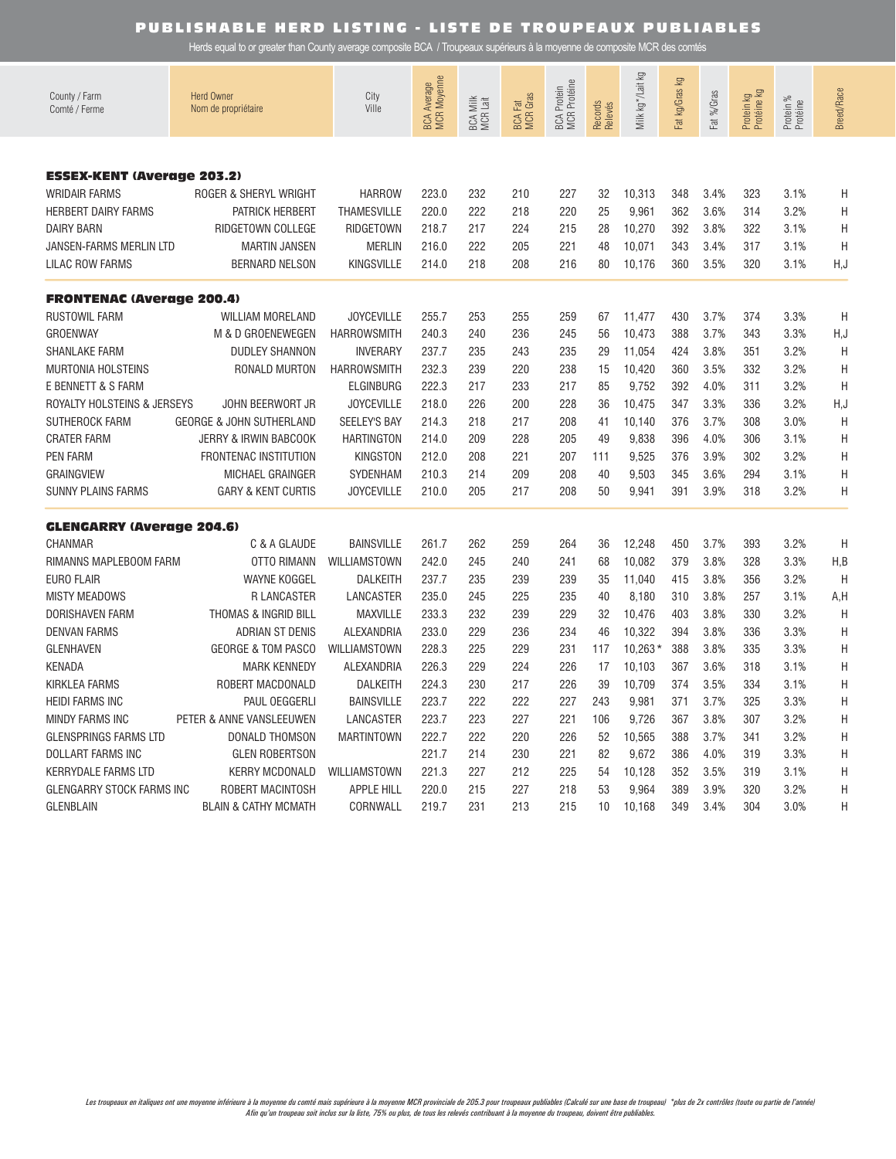| County / Farm<br>Comté / Ferme    | <b>Herd Owner</b><br>Nom de propriétaire | City<br>Ville       | BCA Average<br>MCR Moyenne | BCA Milk<br>MCR Lait | <b>BCA Fat</b><br>MCR Gras | BCA Protein<br>MCR Protéine | Records<br>Relevés | Milk kg * /Lait kg | ΔÃ<br>Fat kg/Gras | Fat %/Gras | Protein kg<br>Protéine kg | Protein %<br>Protéine | <b>Breed/Race</b> |
|-----------------------------------|------------------------------------------|---------------------|----------------------------|----------------------|----------------------------|-----------------------------|--------------------|--------------------|-------------------|------------|---------------------------|-----------------------|-------------------|
|                                   |                                          |                     |                            |                      |                            |                             |                    |                    |                   |            |                           |                       |                   |
| <b>ESSEX-KENT (Average 203.2)</b> |                                          |                     |                            |                      |                            |                             |                    |                    |                   |            |                           |                       |                   |
| <b>WRIDAIR FARMS</b>              | ROGER & SHERYL WRIGHT                    | <b>HARROW</b>       | 223.0                      | 232                  | 210                        | 227                         | 32                 | 10,313             | 348               | 3.4%       | 323                       | 3.1%                  | Η                 |
| <b>HERBERT DAIRY FARMS</b>        | PATRICK HERBERT                          | <b>THAMESVILLE</b>  | 220.0                      | 222                  | 218                        | 220                         | 25                 | 9,961              | 362               | 3.6%       | 314                       | 3.2%                  | Η                 |
| <b>DAIRY BARN</b>                 | RIDGETOWN COLLEGE                        | <b>RIDGETOWN</b>    | 218.7                      | 217                  | 224                        | 215                         | 28                 | 10,270             | 392               | 3.8%       | 322                       | 3.1%                  | Η                 |
| <b>JANSEN-FARMS MERLIN LTD</b>    | <b>MARTIN JANSEN</b>                     | <b>MERLIN</b>       | 216.0                      | 222                  | 205                        | 221                         | 48                 | 10,071             | 343               | 3.4%       | 317                       | 3.1%                  | Η                 |
| <b>LILAC ROW FARMS</b>            | <b>BERNARD NELSON</b>                    | <b>KINGSVILLE</b>   | 214.0                      | 218                  | 208                        | 216                         | 80                 | 10,176             | 360               | 3.5%       | 320                       | 3.1%                  | H, J              |
| <b>FRONTENAC (Average 200.4)</b>  |                                          |                     |                            |                      |                            |                             |                    |                    |                   |            |                           |                       |                   |
| <b>RUSTOWIL FARM</b>              | <b>WILLIAM MORELAND</b>                  | <b>JOYCEVILLE</b>   | 255.7                      | 253                  | 255                        | 259                         | 67                 | 11,477             | 430               | 3.7%       | 374                       | 3.3%                  | Η                 |
| <b>GROENWAY</b>                   | M & D GROENEWEGEN                        | <b>HARROWSMITH</b>  | 240.3                      | 240                  | 236                        | 245                         | 56                 | 10,473             | 388               | 3.7%       | 343                       | 3.3%                  | H, J              |
| <b>SHANLAKE FARM</b>              | <b>DUDLEY SHANNON</b>                    | <b>INVERARY</b>     | 237.7                      | 235                  | 243                        | 235                         | 29                 | 11,054             | 424               | 3.8%       | 351                       | 3.2%                  | Η                 |
| <b>MURTONIA HOLSTEINS</b>         | RONALD MURTON                            | <b>HARROWSMITH</b>  | 232.3                      | 239                  | 220                        | 238                         | 15                 | 10,420             | 360               | 3.5%       | 332                       | 3.2%                  | H                 |
| E BENNETT & S FARM                |                                          | <b>ELGINBURG</b>    | 222.3                      | 217                  | 233                        | 217                         | 85                 | 9,752              | 392               | 4.0%       | 311                       | 3.2%                  | Η                 |
| ROYALTY HOLSTEINS & JERSEYS       | <b>JOHN BEERWORT JR</b>                  | <b>JOYCEVILLE</b>   | 218.0                      | 226                  | 200                        | 228                         | 36                 | 10,475             | 347               | 3.3%       | 336                       | 3.2%                  | H, J              |
| SUTHEROCK FARM                    | <b>GEORGE &amp; JOHN SUTHERLAND</b>      | <b>SEELEY'S BAY</b> | 214.3                      | 218                  | 217                        | 208                         | 41                 | 10,140             | 376               | 3.7%       | 308                       | 3.0%                  | Η                 |
| <b>CRATER FARM</b>                | <b>JERRY &amp; IRWIN BABCOOK</b>         | <b>HARTINGTON</b>   | 214.0                      | 209                  | 228                        | 205                         | 49                 | 9,838              | 396               | 4.0%       | 306                       | 3.1%                  | Η                 |
| <b>PEN FARM</b>                   | <b>FRONTENAC INSTITUTION</b>             | <b>KINGSTON</b>     | 212.0                      | 208                  | 221                        | 207                         | 111                | 9,525              | 376               | 3.9%       | 302                       | 3.2%                  | Η                 |
| <b>GRAINGVIEW</b>                 | MICHAEL GRAINGER                         | SYDENHAM            | 210.3                      | 214                  | 209                        | 208                         | 40                 | 9,503              | 345               | 3.6%       | 294                       | 3.1%                  | Η                 |
| <b>SUNNY PLAINS FARMS</b>         | <b>GARY &amp; KENT CURTIS</b>            | <b>JOYCEVILLE</b>   | 210.0                      | 205                  | 217                        | 208                         | 50                 | 9,941              | 391               | 3.9%       | 318                       | 3.2%                  | Η                 |
| <b>GLENGARRY (Average 204.6)</b>  |                                          |                     |                            |                      |                            |                             |                    |                    |                   |            |                           |                       |                   |
| CHANMAR                           | C & A GLAUDE                             | <b>BAINSVILLE</b>   | 261.7                      | 262                  | 259                        | 264                         | 36                 | 12,248             | 450               | 3.7%       | 393                       | 3.2%                  | H                 |
| RIMANNS MAPLEBOOM FARM            | <b>OTTO RIMANN</b>                       | WILLIAMSTOWN        | 242.0                      | 245                  | 240                        | 241                         | 68                 | 10,082             | 379               | 3.8%       | 328                       | 3.3%                  | H, B              |
| <b>EURO FLAIR</b>                 | <b>WAYNE KOGGEL</b>                      | <b>DALKEITH</b>     | 237.7                      | 235                  | 239                        | 239                         | 35                 | 11,040             | 415               | 3.8%       | 356                       | 3.2%                  | H                 |
| <b>MISTY MEADOWS</b>              | R LANCASTER                              | LANCASTER           | 235.0                      | 245                  | 225                        | 235                         | 40                 | 8,180              | 310               | 3.8%       | 257                       | 3.1%                  | A,H               |
| DORISHAVEN FARM                   | <b>THOMAS &amp; INGRID BILL</b>          | <b>MAXVILLE</b>     | 233.3                      | 232                  | 239                        | 229                         | 32                 | 10,476             | 403               | 3.8%       | 330                       | 3.2%                  | H                 |
| <b>DENVAN FARMS</b>               | <b>ADRIAN ST DENIS</b>                   | ALEXANDRIA          | 233.0                      | 229                  | 236                        | 234                         | 46                 | 10,322             | 394               | 3.8%       | 336                       | 3.3%                  | Η                 |
| <b>GLENHAVEN</b>                  | <b>GEORGE &amp; TOM PASCO</b>            | WILLIAMSTOWN        | 228.3                      | 225                  | 229                        | 231                         | 117                | $10,263*$          | 388               | 3.8%       | 335                       | 3.3%                  | Η                 |
| <b>KENADA</b>                     | <b>MARK KENNEDY</b>                      | ALEXANDRIA          | 226.3                      | 229                  | 224                        | 226                         | 17                 | 10,103             | 367               | 3.6%       | 318                       | 3.1%                  | Η                 |
| <b>KIRKLEA FARMS</b>              | ROBERT MACDONALD                         | <b>DALKEITH</b>     | 224.3                      | 230                  | 217                        | 226                         | 39                 | 10,709             | 374               | 3.5%       | 334                       | 3.1%                  | H                 |
| <b>HEIDI FARMS INC</b>            | PAUL OEGGERLI                            | <b>BAINSVILLE</b>   | 223.7                      | 222                  | 222                        | 227                         | 243                | 9,981              | 371               | 3.7%       | 325                       | 3.3%                  | Η                 |
| <b>MINDY FARMS INC</b>            | PETER & ANNE VANSLEEUWEN                 | LANCASTER           | 223.7                      | 223                  | 227                        | 221                         | 106                | 9,726              | 367               | 3.8%       | 307                       | 3.2%                  | Η                 |
| <b>GLENSPRINGS FARMS LTD</b>      | DONALD THOMSON                           | <b>MARTINTOWN</b>   | 222.7                      | 222                  | 220                        | 226                         | 52                 | 10,565             | 388               | 3.7%       | 341                       | 3.2%                  | Η                 |
| <b>DOLLART FARMS INC</b>          | <b>GLEN ROBERTSON</b>                    |                     | 221.7                      | 214                  | 230                        | 221                         | 82                 | 9,672              | 386               | 4.0%       | 319                       | 3.3%                  | Η                 |
| <b>KERRYDALE FARMS LTD</b>        | <b>KERRY MCDONALD</b>                    | WILLIAMSTOWN        | 221.3                      | 227                  | 212                        | 225                         | 54                 | 10,128             | 352               | 3.5%       | 319                       | 3.1%                  | Η                 |
| <b>GLENGARRY STOCK FARMS INC</b>  | ROBERT MACINTOSH                         | <b>APPLE HILL</b>   | 220.0                      | 215                  | 227                        | 218                         | 53                 | 9,964              | 389               | 3.9%       | 320                       | 3.2%                  | Η                 |
| <b>GLENBLAIN</b>                  | <b>BLAIN &amp; CATHY MCMATH</b>          | CORNWALL            | 219.7                      | 231                  | 213                        | 215                         | 10                 | 10,168             | 349               | 3.4%       | 304                       | 3.0%                  | Н                 |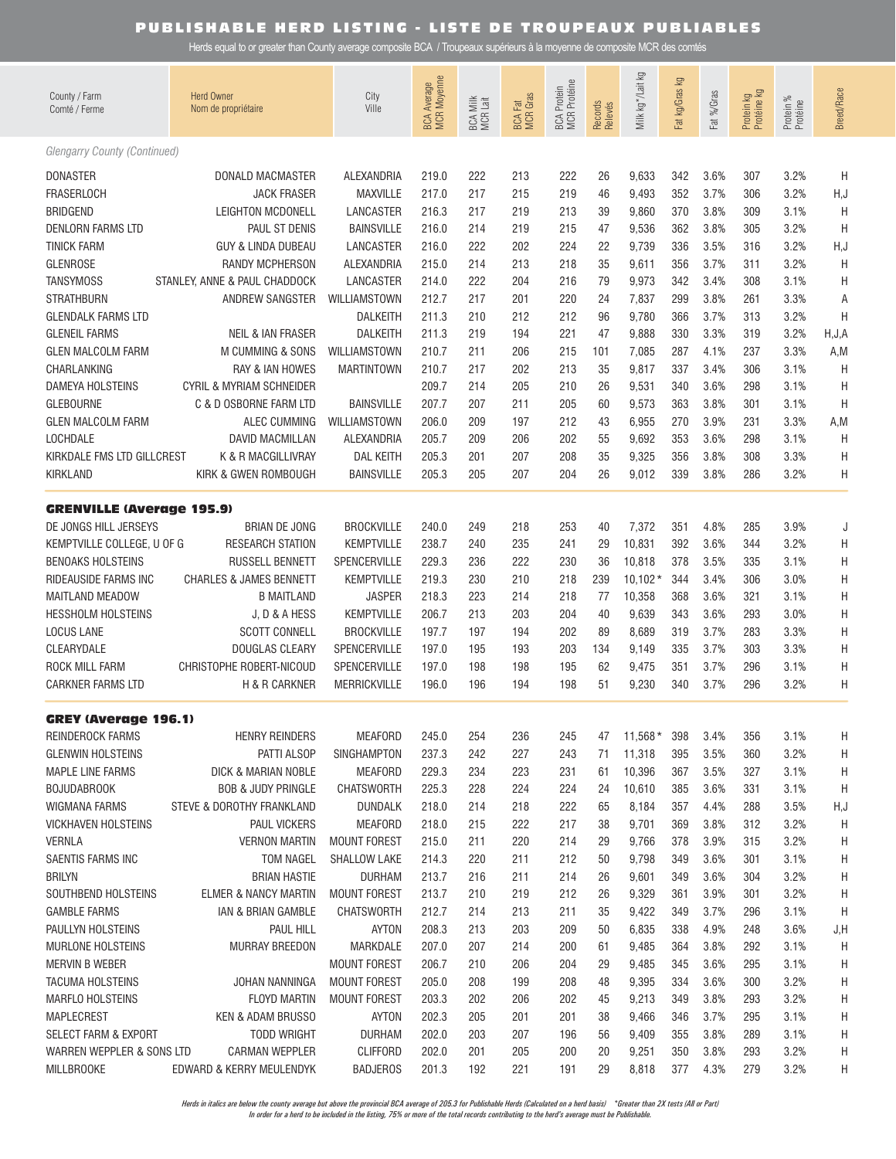Herds equal to or greater than County average composite BCA / Troupeaux supérieurs à la moyenne de composite MCR des comtés

| County / Farm<br>Comté / Ferme      | <b>Herd Owner</b><br>Nom de propriétaire | City<br>Ville       | BCA Average<br>MCR Moyenne | BCA Milk<br>MCR Lait | <b>BCA Fat</b><br>MCR Gras | BCA Protein<br>MCR Protéine | Records<br>Relevés | Milk kg * /Lait kg | Fat kg/Gras kg | Fat %/Gras | Protein kg<br>Protéine kg | Protein %<br>Protéine | <b>Breed/Race</b> |
|-------------------------------------|------------------------------------------|---------------------|----------------------------|----------------------|----------------------------|-----------------------------|--------------------|--------------------|----------------|------------|---------------------------|-----------------------|-------------------|
| <b>Glengarry County (Continued)</b> |                                          |                     |                            |                      |                            |                             |                    |                    |                |            |                           |                       |                   |
| <b>DONASTER</b>                     | DONALD MACMASTER                         | ALEXANDRIA          | 219.0                      | 222                  | 213                        | 222                         | 26                 | 9,633              | 342            | 3.6%       | 307                       | 3.2%                  | H                 |
| <b>FRASERLOCH</b>                   | <b>JACK FRASER</b>                       | <b>MAXVILLE</b>     | 217.0                      | 217                  | 215                        | 219                         | 46                 | 9,493              | 352            | 3.7%       | 306                       | 3.2%                  | H, J              |
| <b>BRIDGEND</b>                     | LEIGHTON MCDONELL                        | LANCASTER           | 216.3                      | 217                  | 219                        | 213                         | 39                 | 9,860              | 370            | 3.8%       | 309                       | 3.1%                  | H                 |
| <b>DENLORN FARMS LTD</b>            | PAUL ST DENIS                            | <b>BAINSVILLE</b>   | 216.0                      | 214                  | 219                        | 215                         | 47                 | 9,536              | 362            | 3.8%       | 305                       | 3.2%                  | H                 |
| <b>TINICK FARM</b>                  | GUY & LINDA DUBEAU                       | LANCASTER           | 216.0                      | 222                  | 202                        | 224                         | 22                 | 9,739              | 336            | 3.5%       | 316                       | 3.2%                  | H, J              |
| <b>GLENROSE</b>                     | <b>RANDY MCPHERSON</b>                   | ALEXANDRIA          | 215.0                      | 214                  | 213                        | 218                         | 35                 | 9,611              | 356            | 3.7%       | 311                       | 3.2%                  | H                 |
| <b>TANSYMOSS</b>                    | STANLEY, ANNE & PAUL CHADDOCK            | LANCASTER           | 214.0                      | 222                  | 204                        | 216                         | 79                 | 9,973              | 342            | 3.4%       | 308                       | 3.1%                  | Η                 |
| <b>STRATHBURN</b>                   | ANDREW SANGSTER                          | WILLIAMSTOWN        | 212.7                      | 217                  | 201                        | 220                         | 24                 | 7,837              | 299            | 3.8%       | 261                       | 3.3%                  | Α                 |
| <b>GLENDALK FARMS LTD</b>           |                                          | <b>DALKEITH</b>     | 211.3                      | 210                  | 212                        | 212                         | 96                 | 9,780              | 366            | 3.7%       | 313                       | 3.2%                  | H                 |
| <b>GLENEIL FARMS</b>                | <b>NEIL &amp; IAN FRASER</b>             | <b>DALKEITH</b>     | 211.3                      | 219                  | 194                        | 221                         | 47                 | 9,888              | 330            | 3.3%       | 319                       | 3.2%                  | H, J, A           |
| <b>GLEN MALCOLM FARM</b>            | M CUMMING & SONS                         | WILLIAMSTOWN        | 210.7                      | 211                  | 206                        | 215                         | 101                | 7,085              | 287            | 4.1%       | 237                       | 3.3%                  | A,M               |
| CHARLANKING                         | <b>RAY &amp; IAN HOWES</b>               | <b>MARTINTOWN</b>   | 210.7                      | 217                  | 202                        | 213                         | 35                 | 9,817              | 337            | 3.4%       | 306                       | 3.1%                  | H                 |
| <b>DAMEYA HOLSTEINS</b>             | <b>CYRIL &amp; MYRIAM SCHNEIDER</b>      |                     | 209.7                      | 214                  | 205                        | 210                         | 26                 | 9,531              | 340            | 3.6%       | 298                       | 3.1%                  | H                 |
| <b>GLEBOURNE</b>                    | C & D OSBORNE FARM LTD                   | <b>BAINSVILLE</b>   | 207.7                      | 207                  | 211                        | 205                         | 60                 | 9,573              | 363            | 3.8%       | 301                       | 3.1%                  | H                 |
| <b>GLEN MALCOLM FARM</b>            | <b>ALEC CUMMING</b>                      | WILLIAMSTOWN        | 206.0                      | 209                  | 197                        | 212                         | 43                 | 6,955              | 270            | 3.9%       | 231                       | 3.3%                  | A,M               |
| LOCHDALE                            | DAVID MACMILLAN                          | ALEXANDRIA          | 205.7                      | 209                  | 206                        | 202                         | 55                 | 9,692              | 353            | 3.6%       | 298                       | 3.1%                  | H                 |
| KIRKDALE FMS LTD GILLCREST          | K & R MACGILLIVRAY                       | <b>DAL KEITH</b>    | 205.3                      | 201                  | 207                        | 208                         | 35                 | 9,325              | 356            | 3.8%       | 308                       | 3.3%                  | H                 |
| <b>KIRKLAND</b>                     | KIRK & GWEN ROMBOUGH                     | <b>BAINSVILLE</b>   | 205.3                      | 205                  | 207                        | 204                         | 26                 | 9,012              | 339            | 3.8%       | 286                       | 3.2%                  | Η                 |
| <b>GRENVILLE (Average 195.9)</b>    |                                          |                     |                            |                      |                            |                             |                    |                    |                |            |                           |                       |                   |
| DE JONGS HILL JERSEYS               | <b>BRIAN DE JONG</b>                     | <b>BROCKVILLE</b>   | 240.0                      | 249                  | 218                        | 253                         | 40                 | 7,372              | 351            | 4.8%       | 285                       | 3.9%                  | J                 |
| KEMPTVILLE COLLEGE, U OF G          | <b>RESEARCH STATION</b>                  | <b>KEMPTVILLE</b>   | 238.7                      | 240                  | 235                        | 241                         | 29                 | 10,831             | 392            | 3.6%       | 344                       | 3.2%                  | Η                 |
| <b>BENOAKS HOLSTEINS</b>            | <b>RUSSELL BENNETT</b>                   | SPENCERVILLE        | 229.3                      | 236                  | 222                        | 230                         | 36                 | 10,818             | 378            | 3.5%       | 335                       | 3.1%                  | Η                 |
| RIDEAUSIDE FARMS INC                | <b>CHARLES &amp; JAMES BENNETT</b>       | <b>KEMPTVILLE</b>   | 219.3                      | 230                  | 210                        | 218                         | 239                | $10,102*$          | 344            | 3.4%       | 306                       | 3.0%                  | Η                 |
| <b>MAITLAND MEADOW</b>              | <b>B MAITLAND</b>                        | <b>JASPER</b>       | 218.3                      | 223                  | 214                        | 218                         | 77                 | 10,358             | 368            | 3.6%       | 321                       | 3.1%                  | Η                 |
| <b>HESSHOLM HOLSTEINS</b>           | J.D & A HESS                             | <b>KEMPTVILLE</b>   | 206.7                      | 213                  | 203                        | 204                         | 40                 | 9,639              | 343            | 3.6%       | 293                       | 3.0%                  | Η                 |
| <b>LOCUS LANE</b>                   | <b>SCOTT CONNELL</b>                     | <b>BROCKVILLE</b>   | 197.7                      | 197                  | 194                        | 202                         | 89                 | 8,689              | 319            | 3.7%       | 283                       | 3.3%                  | H                 |
| CLEARYDALE                          | <b>DOUGLAS CLEARY</b>                    | SPENCERVILLE        | 197.0                      | 195                  | 193                        | 203                         | 134                | 9,149              | 335            | 3.7%       | 303                       | 3.3%                  | Η                 |
| <b>ROCK MILL FARM</b>               | CHRISTOPHE ROBERT-NICOUD                 | SPENCERVILLE        | 197.0                      | 198                  | 198                        | 195                         | 62                 | 9,475              | 351            | 3.7%       | 296                       | 3.1%                  | Η                 |
| <b>CARKNER FARMS LTD</b>            | H & R CARKNER                            | MERRICKVILLE        | 196.0                      | 196                  | 194                        | 198                         | 51                 | 9,230              | 340            | 3.7%       | 296                       | 3.2%                  | Η                 |
| <b>GREY (Average 196.1)</b>         |                                          |                     |                            |                      |                            |                             |                    |                    |                |            |                           |                       |                   |
| REINDEROCK FARMS                    | <b>HENRY REINDERS</b>                    | MEAFORD             | 245.0                      | 254                  | 236                        | 245                         | 47                 | $11,568*$          | 398            | 3.4%       | 356                       | 3.1%                  | Η                 |
| <b>GLENWIN HOLSTEINS</b>            | PATTI ALSOP                              | SINGHAMPTON         | 237.3                      | 242                  | 227                        | 243                         | 71                 | 11,318             | 395            | 3.5%       | 360                       | 3.2%                  | Н                 |
| <b>MAPLE LINE FARMS</b>             | DICK & MARIAN NOBLE                      | MEAFORD             | 229.3                      | 234                  | 223                        | 231                         | 61                 | 10,396             | 367            | 3.5%       | 327                       | 3.1%                  | H                 |
| <b>BOJUDABROOK</b>                  | <b>BOB &amp; JUDY PRINGLE</b>            | <b>CHATSWORTH</b>   | 225.3                      | 228                  | 224                        | 224                         | 24                 | 10,610             | 385            | 3.6%       | 331                       | 3.1%                  | H                 |
| WIGMANA FARMS                       | STEVE & DOROTHY FRANKLAND                | <b>DUNDALK</b>      | 218.0                      | 214                  | 218                        | 222                         | 65                 | 8,184              | 357            | 4.4%       | 288                       | 3.5%                  | H,J               |
| <b>VICKHAVEN HOLSTEINS</b>          | <b>PAUL VICKERS</b>                      | <b>MEAFORD</b>      | 218.0                      | 215                  | 222                        | 217                         | 38                 | 9,701              | 369            | 3.8%       | 312                       | 3.2%                  | H                 |
| <b>VERNLA</b>                       | <b>VERNON MARTIN</b>                     | <b>MOUNT FOREST</b> | 215.0                      | 211                  | 220                        | 214                         | 29                 | 9,766              | 378            | 3.9%       | 315                       | 3.2%                  | Η                 |
| SAENTIS FARMS INC                   | TOM NAGEL                                | <b>SHALLOW LAKE</b> | 214.3                      | 220                  | 211                        | 212                         | 50                 | 9,798              | 349            | 3.6%       | 301                       | 3.1%                  | Η                 |
| <b>BRILYN</b>                       | <b>BRIAN HASTIE</b>                      | <b>DURHAM</b>       | 213.7                      | 216                  | 211                        | 214                         | 26                 | 9,601              | 349            | 3.6%       | 304                       | 3.2%                  | Η                 |
| SOUTHBEND HOLSTEINS                 | <b>ELMER &amp; NANCY MARTIN</b>          | <b>MOUNT FOREST</b> | 213.7                      | 210                  | 219                        | 212                         | 26                 | 9,329              | 361            | 3.9%       | 301                       | 3.2%                  | Η                 |
| <b>GAMBLE FARMS</b>                 | IAN & BRIAN GAMBLE                       | <b>CHATSWORTH</b>   | 212.7                      | 214                  | 213                        | 211                         | 35                 | 9,422              | 349            | 3.7%       | 296                       | 3.1%                  | H                 |
| PAULLYN HOLSTEINS                   | PAUL HILL                                | AYTON               | 208.3                      | 213                  | 203                        | 209                         | 50                 | 6,835              | 338            | 4.9%       | 248                       | 3.6%                  | J,H               |
| <b>MURLONE HOLSTEINS</b>            | <b>MURRAY BREEDON</b>                    | MARKDALE            | 207.0                      | 207                  | 214                        | 200                         | 61                 | 9,485              | 364            | 3.8%       | 292                       | 3.1%                  | H                 |
| MERVIN B WEBER                      |                                          | <b>MOUNT FOREST</b> | 206.7                      | 210                  | 206                        | 204                         | 29                 | 9,485              | 345            | 3.6%       | 295                       | 3.1%                  | Η                 |
| <b>TACUMA HOLSTEINS</b>             | JOHAN NANNINGA                           | <b>MOUNT FOREST</b> | 205.0                      | 208                  | 199                        | 208                         | 48                 | 9,395              | 334            | 3.6%       | 300                       | 3.2%                  | Η                 |
| <b>MARFLO HOLSTEINS</b>             | <b>FLOYD MARTIN</b>                      | <b>MOUNT FOREST</b> | 203.3                      | 202                  | 206                        | 202                         | 45                 | 9,213              | 349            | 3.8%       | 293                       | 3.2%                  | Η                 |
| MAPLECREST                          | KEN & ADAM BRUSSO                        | AYTON               | 202.3                      | 205                  | 201                        | 201                         | 38                 | 9,466              | 346            | 3.7%       | 295                       | 3.1%                  | Η                 |
| SELECT FARM & EXPORT                | TODD WRIGHT                              | <b>DURHAM</b>       | 202.0                      | 203                  | 207                        | 196                         | 56                 | 9,409              | 355            | 3.8%       | 289                       | 3.1%                  | Η                 |
| WARREN WEPPLER & SONS LTD           | CARMAN WEPPLER                           | <b>CLIFFORD</b>     | 202.0                      | 201                  | 205                        | 200                         | 20                 | 9,251              | 350            | 3.8%       | 293                       | 3.2%                  | Н                 |
| <b>MILLBROOKE</b>                   | EDWARD & KERRY MEULENDYK                 | <b>BADJEROS</b>     | 201.3                      | 192                  | 221                        | 191                         | 29                 | 8,818              | 377            | 4.3%       | 279                       | 3.2%                  | H                 |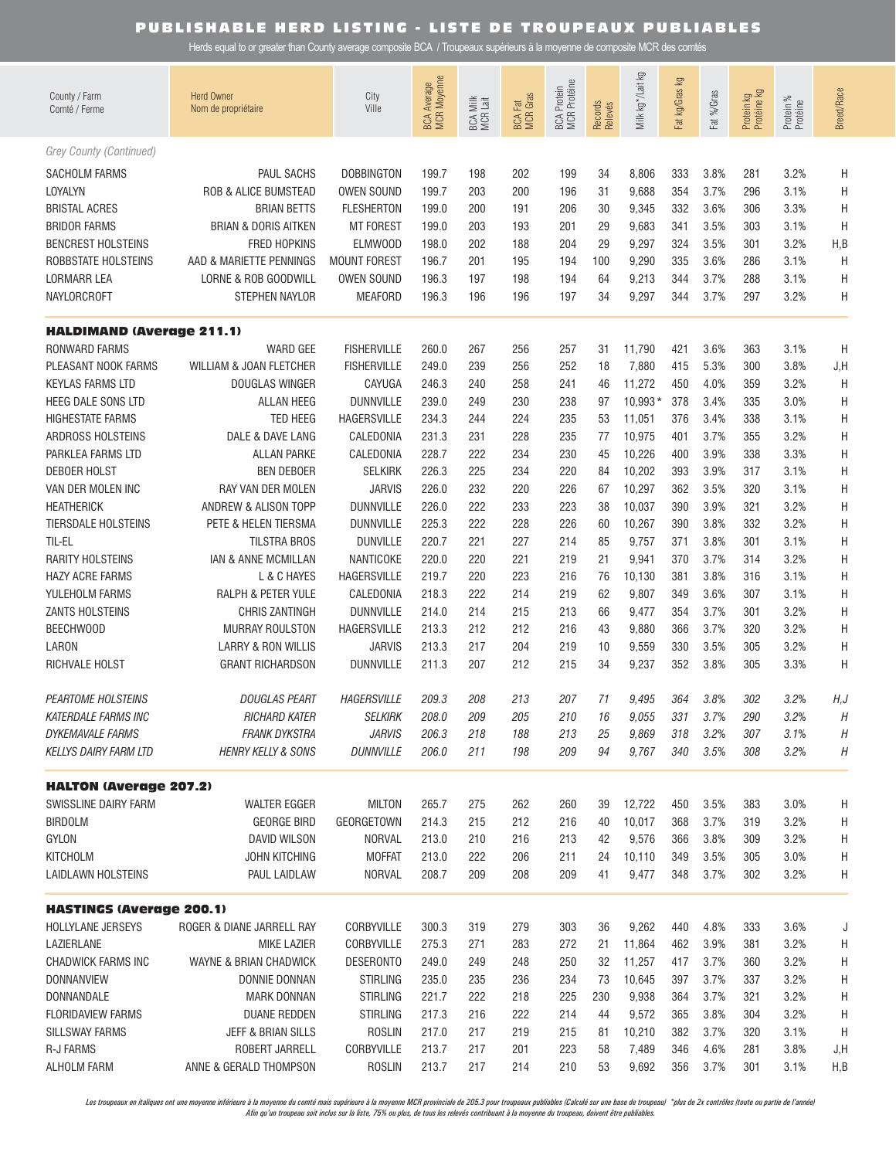Herds equal to or greater than County average composite BCA / Troupeaux supérieurs à la moyenne de composite MCR des comtés

| County / Farm<br>Comté / Ferme   | <b>Herd Owner</b><br>Nom de propriétaire | City<br>Ville       | BCA Average<br>MCR Moyenne | BCA Milk<br>MCR Lait | <b>BCA Fat</b><br>MCR Gras | <b>MCR</b> Protéine<br><b>BCA Protein</b> | Records<br>Relevés | Milk kg*/Lait kg | Fat kg/Gras kg | Fat %/Gras | Protein kg<br>Protéine kg | Protein %<br>Protéine | Breed/Race |
|----------------------------------|------------------------------------------|---------------------|----------------------------|----------------------|----------------------------|-------------------------------------------|--------------------|------------------|----------------|------------|---------------------------|-----------------------|------------|
| Grey County (Continued)          |                                          |                     |                            |                      |                            |                                           |                    |                  |                |            |                           |                       |            |
| SACHOLM FARMS                    | PAUL SACHS                               | <b>DOBBINGTON</b>   | 199.7                      | 198                  | 202                        | 199                                       | 34                 | 8,806            | 333            | 3.8%       | 281                       | 3.2%                  | Η          |
| LOYALYN                          | <b>ROB &amp; ALICE BUMSTEAD</b>          | <b>OWEN SOUND</b>   | 199.7                      | 203                  | 200                        | 196                                       | 31                 | 9,688            | 354            | 3.7%       | 296                       | 3.1%                  | Η          |
| <b>BRISTAL ACRES</b>             | <b>BRIAN BETTS</b>                       | <b>FLESHERTON</b>   | 199.0                      | 200                  | 191                        | 206                                       | 30                 | 9,345            | 332            | 3.6%       | 306                       | 3.3%                  | Η          |
| <b>BRIDOR FARMS</b>              | <b>BRIAN &amp; DORIS AITKEN</b>          | <b>MT FOREST</b>    | 199.0                      | 203                  | 193                        | 201                                       | 29                 | 9,683            | 341            | 3.5%       | 303                       | 3.1%                  | Η          |
| <b>BENCREST HOLSTEINS</b>        | <b>FRED HOPKINS</b>                      | <b>ELMWOOD</b>      | 198.0                      | 202                  | 188                        | 204                                       | 29                 | 9,297            | 324            | 3.5%       | 301                       | 3.2%                  | H, B       |
| ROBBSTATE HOLSTEINS              | AAD & MARIETTE PENNINGS                  | <b>MOUNT FOREST</b> | 196.7                      | 201                  | 195                        | 194                                       | 100                | 9,290            | 335            | 3.6%       | 286                       | 3.1%                  | Η          |
| LORMARR LEA                      | LORNE & ROB GOODWILL                     | <b>OWEN SOUND</b>   | 196.3                      | 197                  | 198                        | 194                                       | 64                 | 9,213            | 344            | 3.7%       | 288                       | 3.1%                  | Η          |
| <b>NAYLORCROFT</b>               | STEPHEN NAYLOR                           | <b>MEAFORD</b>      | 196.3                      | 196                  | 196                        | 197                                       | 34                 | 9,297            | 344            | 3.7%       | 297                       | 3.2%                  | Η          |
| <b>HALDIMAND (Average 211.1)</b> |                                          |                     |                            |                      |                            |                                           |                    |                  |                |            |                           |                       |            |
| RONWARD FARMS                    | <b>WARD GEE</b>                          | <b>FISHERVILLE</b>  | 260.0                      | 267                  | 256                        | 257                                       | 31                 | 11,790           | 421            | 3.6%       | 363                       | 3.1%                  | H          |
| PLEASANT NOOK FARMS              | WILLIAM & JOAN FLETCHER                  | <b>FISHERVILLE</b>  | 249.0                      | 239                  | 256                        | 252                                       | 18                 | 7,880            | 415            | 5.3%       | 300                       | 3.8%                  | J, H       |
| <b>KEYLAS FARMS LTD</b>          | DOUGLAS WINGER                           | CAYUGA              | 246.3                      | 240                  | 258                        | 241                                       | 46                 | 11,272           | 450            | 4.0%       | 359                       | 3.2%                  | H          |
| HEEG DALE SONS LTD               | ALLAN HEEG                               | <b>DUNNVILLE</b>    | 239.0                      | 249                  | 230                        | 238                                       | 97                 | 10.993*          | 378            | 3.4%       | 335                       | 3.0%                  | Η          |
| <b>HIGHESTATE FARMS</b>          | <b>TED HEEG</b>                          | <b>HAGERSVILLE</b>  | 234.3                      | 244                  | 224                        | 235                                       | 53                 | 11,051           | 376            | 3.4%       | 338                       | 3.1%                  | Η          |
| ARDROSS HOLSTEINS                | DALE & DAVE LANG                         | CALEDONIA           | 231.3                      | 231                  | 228                        | 235                                       | 77                 | 10,975           | 401            | 3.7%       | 355                       | 3.2%                  | Η          |
| PARKLEA FARMS LTD                | <b>ALLAN PARKE</b>                       | CALEDONIA           | 228.7                      | 222                  | 234                        | 230                                       | 45                 | 10,226           | 400            | 3.9%       | 338                       | 3.3%                  | Η          |
| <b>DEBOER HOLST</b>              | <b>BEN DEBOER</b>                        | <b>SELKIRK</b>      | 226.3                      | 225                  | 234                        | 220                                       | 84                 | 10,202           | 393            | 3.9%       | 317                       | 3.1%                  | Η          |
| VAN DER MOLEN INC                | RAY VAN DER MOLEN                        | <b>JARVIS</b>       | 226.0                      | 232                  | 220                        | 226                                       | 67                 | 10,297           | 362            | 3.5%       | 320                       | 3.1%                  | Η          |
| <b>HEATHERICK</b>                | ANDREW & ALISON TOPP                     | <b>DUNNVILLE</b>    | 226.0                      | 222                  | 233                        | 223                                       | 38                 | 10,037           | 390            | 3.9%       | 321                       | 3.2%                  | Η          |
| TIERSDALE HOLSTEINS              | PETE & HELEN TIERSMA                     | <b>DUNNVILLE</b>    | 225.3                      | 222                  | 228                        | 226                                       | 60                 | 10,267           | 390            | 3.8%       | 332                       | 3.2%                  | Η          |
| TIL-EL                           | <b>TILSTRA BROS</b>                      | <b>DUNVILLE</b>     | 220.7                      | 221                  | 227                        | 214                                       | 85                 | 9,757            | 371            | 3.8%       | 301                       | 3.1%                  | Η          |
| <b>RARITY HOLSTEINS</b>          | IAN & ANNE MCMILLAN                      | NANTICOKE           | 220.0                      | 220                  | 221                        | 219                                       | 21                 | 9,941            | 370            | 3.7%       | 314                       | 3.2%                  | Η          |
| <b>HAZY ACRE FARMS</b>           | L & C HAYES                              | <b>HAGERSVILLE</b>  | 219.7                      | 220                  | 223                        | 216                                       | 76                 | 10,130           | 381            | 3.8%       | 316                       | 3.1%                  | Η          |
| YULEHOLM FARMS                   | RALPH & PETER YULE                       | CALEDONIA           | 218.3                      | 222                  | 214                        | 219                                       | 62                 | 9,807            | 349            | 3.6%       | 307                       | 3.1%                  | Η          |
| ZANTS HOLSTEINS                  | <b>CHRIS ZANTINGH</b>                    | <b>DUNNVILLE</b>    | 214.0                      | 214                  | 215                        | 213                                       | 66                 | 9,477            | 354            | 3.7%       | 301                       | 3.2%                  | Η          |
| BEECHWOOD                        | <b>MURRAY ROULSTON</b>                   | <b>HAGERSVILLE</b>  | 213.3                      | 212                  | 212                        | 216                                       | 43                 | 9,880            | 366            | 3.7%       | 320                       | 3.2%                  | Η          |
| LARON                            | <b>LARRY &amp; RON WILLIS</b>            | <b>JARVIS</b>       | 213.3                      | 217                  | 204                        | 219                                       | 10                 | 9,559            | 330            | 3.5%       | 305                       | 3.2%                  | Η          |
| RICHVALE HOLST                   | <b>GRANT RICHARDSON</b>                  | <b>DUNNVILLE</b>    | 211.3                      | 207                  | 212                        | 215                                       | 34                 | 9,237            | 352            | 3.8%       | 305                       | 3.3%                  | Η          |
| <b>PEARTOME HOLSTEINS</b>        | <b>DOUGLAS PEART</b>                     | <b>HAGERSVILLE</b>  | 209.3                      | 208                  | 213                        | 207                                       | 71                 | 9,495            | 364            | 3.8%       | 302                       | 3.2%                  | H, J       |
| <b>KATERDALE FARMS INC</b>       | <b>RICHARD KATER</b>                     | <b>SELKIRK</b>      | 208.0                      | 209                  | 205                        | 210                                       | 16                 | 9.055            | 331            | 3.7%       | 290                       | 3.2%                  | Η          |
| DYKEMAVALE FARMS                 | <b>FRANK DYKSTRA</b>                     | <b>JARVIS</b>       | 206.3                      | 218                  | 188                        | 213                                       | 25                 | 9,869            | 318            | 3.2%       | 307                       | 3.1%                  | Η          |
| <b>KELLYS DAIRY FARM LTD</b>     | <b>HENRY KELLY &amp; SONS</b>            | <b>DUNNVILLE</b>    | 206.0                      | 211                  | 198                        | 209                                       | 94                 | 9,767            | 340            | 3.5%       | 308                       | 3.2%                  | Η          |
| <b>HALTON (Average 207.2)</b>    |                                          |                     |                            |                      |                            |                                           |                    |                  |                |            |                           |                       |            |
| SWISSLINE DAIRY FARM             | <b>WALTER EGGER</b>                      | <b>MILTON</b>       | 265.7                      | 275                  | 262                        | 260                                       | 39                 | 12,722           | 450            | 3.5%       | 383                       | 3.0%                  | Н          |
| <b>BIRDOLM</b>                   | <b>GEORGE BIRD</b>                       | <b>GEORGETOWN</b>   | 214.3                      | 215                  | 212                        | 216                                       | 40                 | 10,017           | 368            | 3.7%       | 319                       | 3.2%                  | Н          |
| <b>GYLON</b>                     | DAVID WILSON                             | <b>NORVAL</b>       | 213.0                      | 210                  | 216                        | 213                                       | 42                 | 9,576            | 366            | 3.8%       | 309                       | 3.2%                  | Н          |
| KITCHOLM                         | <b>JOHN KITCHING</b>                     | <b>MOFFAT</b>       | 213.0                      | 222                  | 206                        | 211                                       | 24                 | 10,110           | 349            | 3.5%       | 305                       | 3.0%                  | Н          |
| <b>LAIDLAWN HOLSTEINS</b>        | PAUL LAIDLAW                             | <b>NORVAL</b>       | 208.7                      | 209                  | 208                        | 209                                       | 41                 | 9,477            | 348            | 3.7%       | 302                       | 3.2%                  | H          |
| <b>HASTINGS (Average 200.1)</b>  |                                          |                     |                            |                      |                            |                                           |                    |                  |                |            |                           |                       |            |
| HOLLYLANE JERSEYS                | ROGER & DIANE JARRELL RAY                | CORBYVILLE          | 300.3                      | 319                  | 279                        | 303                                       | 36                 | 9,262            | 440            | 4.8%       | 333                       | 3.6%                  | J          |
| LAZIERLANE                       | <b>MIKE LAZIER</b>                       | CORBYVILLE          | 275.3                      | 271                  | 283                        | 272                                       | 21                 | 11,864           | 462            | 3.9%       | 381                       | 3.2%                  | Н          |
| CHADWICK FARMS INC               | WAYNE & BRIAN CHADWICK                   | <b>DESERONTO</b>    | 249.0                      | 249                  | 248                        | 250                                       | 32                 | 11,257           | 417            | 3.7%       | 360                       | 3.2%                  | Н          |
| DONNANVIEW                       | DONNIE DONNAN                            | <b>STIRLING</b>     | 235.0                      | 235                  | 236                        | 234                                       | 73                 | 10,645           | 397            | 3.7%       | 337                       | 3.2%                  | Н          |
| DONNANDALE                       | <b>MARK DONNAN</b>                       | <b>STIRLING</b>     | 221.7                      | 222                  | 218                        | 225                                       | 230                | 9,938            | 364            | 3.7%       | 321                       | 3.2%                  | Н          |
| <b>FLORIDAVIEW FARMS</b>         | DUANE REDDEN                             | <b>STIRLING</b>     | 217.3                      | 216                  | 222                        | 214                                       | 44                 | 9,572            | 365            | 3.8%       | 304                       | 3.2%                  | Н          |
| <b>SILLSWAY FARMS</b>            | JEFF & BRIAN SILLS                       | <b>ROSLIN</b>       | 217.0                      | 217                  | 219                        | 215                                       | 81                 | 10,210           | 382            | 3.7%       | 320                       | 3.1%                  | H          |
| R-J FARMS                        | ROBERT JARRELL                           | CORBYVILLE          | 213.7                      | 217                  | 201                        | 223                                       | 58                 | 7,489            | 346            | 4.6%       | 281                       | 3.8%                  | J,H        |
| <b>ALHOLM FARM</b>               | ANNE & GERALD THOMPSON                   | <b>ROSLIN</b>       | 213.7                      | 217                  | 214                        | 210                                       | 53                 | 9,692            | 356            | 3.7%       | 301                       | 3.1%                  | H,B        |

Les troupeaux en italiques ont une moyenne inférieure à la moyenne du comté mais supérieure à la moyenne MCR provinciale de 205.3 pour troupeaux publiables (Calculé sur une base de troupeau) \*plus de 2x contrôles (toute ou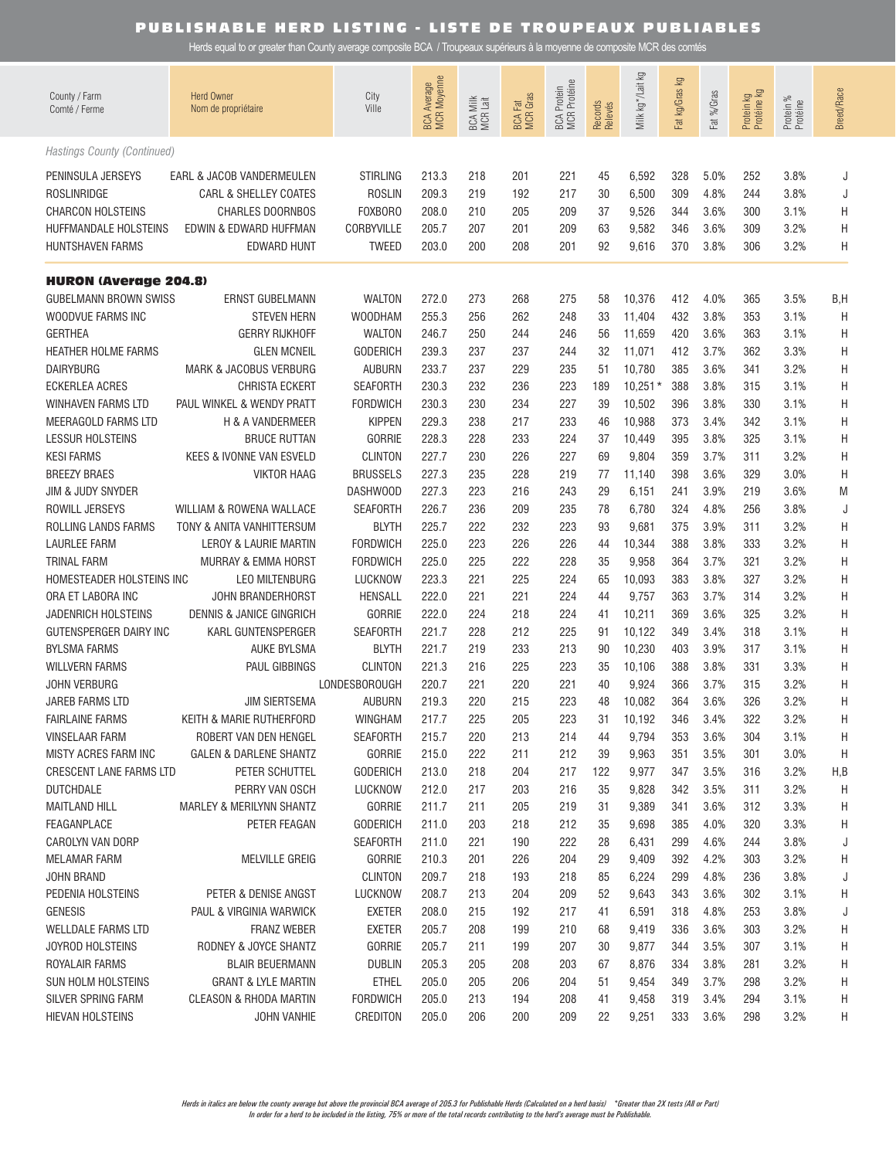| County / Farm<br>Comté / Ferme                                   | <b>Herd Owner</b><br>Nom de propriétaire         | City<br>Ville                                    | <b>BCA Average</b><br>MCR Moyenne | BCA Milk<br>MCR Lait | <b>BCA Fat</b><br>MCR Gras | <b>BCA Protein</b><br>MCR Protéine | Records<br>Relevés | Milk kg */Lait kg         | Fat kg/Gras kg    | Fat %/Gras           | Protein kg<br>Protéine kg | Protein %<br>Protéine | <b>Breed/Race</b> |
|------------------------------------------------------------------|--------------------------------------------------|--------------------------------------------------|-----------------------------------|----------------------|----------------------------|------------------------------------|--------------------|---------------------------|-------------------|----------------------|---------------------------|-----------------------|-------------------|
| Hastings County (Continued)                                      |                                                  |                                                  |                                   |                      |                            |                                    |                    |                           |                   |                      |                           |                       |                   |
| PENINSULA JERSEYS                                                | EARL & JACOB VANDERMEULEN                        | <b>STIRLING</b>                                  | 213.3                             | 218                  | 201                        | 221                                | 45                 | 6,592                     | 328               | 5.0%                 | 252                       | 3.8%                  | J                 |
| ROSLINRIDGE                                                      | <b>CARL &amp; SHELLEY COATES</b>                 | <b>ROSLIN</b>                                    | 209.3                             | 219                  | 192                        | 217                                | 30                 | 6,500                     | 309               | 4.8%                 | 244                       | 3.8%                  | J                 |
| <b>CHARCON HOLSTEINS</b>                                         | <b>CHARLES DOORNBOS</b>                          | FOXBORO                                          | 208.0                             | 210                  | 205                        | 209                                | 37                 | 9,526                     | 344               | 3.6%                 | 300                       | 3.1%                  | H                 |
| HUFFMANDALE HOLSTEINS                                            | EDWIN & EDWARD HUFFMAN                           | CORBYVILLE                                       | 205.7                             | 207                  | 201                        | 209                                | 63                 | 9,582                     | 346               | 3.6%                 | 309                       | 3.2%                  | H                 |
| <b>HUNTSHAVEN FARMS</b>                                          | <b>EDWARD HUNT</b>                               | <b>TWEED</b>                                     | 203.0                             | 200                  | 208                        | 201                                | 92                 | 9,616                     | 370               | 3.8%                 | 306                       | 3.2%                  | Η                 |
| <b>HURON (Average 204.8)</b>                                     |                                                  |                                                  |                                   |                      |                            |                                    |                    |                           |                   |                      |                           |                       |                   |
| <b>GUBELMANN BROWN SWISS</b>                                     | ERNST GUBELMANN                                  | <b>WALTON</b>                                    | 272.0                             | 273                  | 268                        | 275                                | 58                 | 10,376                    | 412               | 4.0%                 | 365                       | 3.5%                  | B,H               |
| WOODVUE FARMS INC                                                | <b>STEVEN HERN</b>                               | <b>WOODHAM</b>                                   | 255.3                             | 256                  | 262                        | 248                                | 33                 | 11,404                    | 432               | 3.8%                 | 353                       | 3.1%                  | H                 |
| <b>GERTHEA</b>                                                   | <b>GERRY RIJKHOFF</b>                            | <b>WALTON</b>                                    | 246.7                             | 250                  | 244                        | 246                                | 56                 | 11,659                    | 420               | 3.6%                 | 363                       | 3.1%                  | H                 |
| <b>HEATHER HOLME FARMS</b>                                       | <b>GLEN MCNEIL</b>                               | <b>GODERICH</b>                                  | 239.3                             | 237                  | 237                        | 244                                | 32                 | 11,071                    | 412               | 3.7%                 | 362                       | 3.3%                  | H                 |
| <b>DAIRYBURG</b>                                                 | MARK & JACOBUS VERBURG                           | <b>AUBURN</b>                                    | 233.7                             | 237                  | 229                        | 235                                | 51                 | 10,780                    | 385               | 3.6%                 | 341                       | 3.2%                  | H                 |
| <b>ECKERLEA ACRES</b>                                            | CHRISTA ECKERT                                   | <b>SEAFORTH</b>                                  | 230.3                             | 232                  | 236                        | 223                                | 189                | $10,251*$                 | 388               | 3.8%                 | 315                       | 3.1%                  | H                 |
| <b>WINHAVEN FARMS LTD</b>                                        | PAUL WINKEL & WENDY PRATT                        | <b>FORDWICH</b>                                  | 230.3                             | 230                  | 234                        | 227                                | 39                 | 10,502                    | 396               | 3.8%                 | 330                       | 3.1%                  | H                 |
| MEERAGOLD FARMS LTD                                              | H & A VANDERMEER                                 | <b>KIPPEN</b>                                    | 229.3                             | 238                  | 217                        | 233                                | 46                 | 10,988                    | 373               | 3.4%                 | 342                       | 3.1%                  | H                 |
| <b>LESSUR HOLSTEINS</b>                                          | <b>BRUCE RUTTAN</b>                              | <b>GORRIE</b>                                    | 228.3                             | 228                  | 233                        | 224                                | 37                 | 10,449                    | 395               | 3.8%                 | 325                       | 3.1%                  | H                 |
| <b>KESI FARMS</b>                                                | KEES & IVONNE VAN ESVELD                         | <b>CLINTON</b>                                   | 227.7                             | 230                  | 226                        | 227                                | 69                 | 9,804                     | 359               | 3.7%                 | 311                       | 3.2%                  | H                 |
| <b>BREEZY BRAES</b>                                              | <b>VIKTOR HAAG</b>                               | <b>BRUSSELS</b>                                  | 227.3                             | 235                  | 228                        | 219                                | 77                 | 11,140                    | 398               | 3.6%                 | 329                       | 3.0%                  | H                 |
| JIM & JUDY SNYDER                                                | WILLIAM & ROWENA WALLACE                         | DASHWOOD                                         | 227.3                             | 223                  | 216                        | 243                                | 29                 | 6,151                     | 241               | 3.9%                 | 219                       | 3.6%                  | M                 |
| ROWILL JERSEYS                                                   |                                                  | <b>SEAFORTH</b>                                  | 226.7                             | 236                  | 209                        | 235                                | 78                 | 6,780                     | 324               | 4.8%                 | 256                       | 3.8%                  | J                 |
| ROLLING LANDS FARMS                                              | TONY & ANITA VANHITTERSUM                        | <b>BLYTH</b>                                     | 225.7                             | 222                  | 232                        | 223                                | 93                 | 9,681                     | 375               | 3.9%                 | 311                       | 3.2%                  | Η                 |
| <b>LAURLEE FARM</b>                                              | LEROY & LAURIE MARTIN                            | <b>FORDWICH</b>                                  | 225.0                             | 223                  | 226                        | 226                                | 44                 | 10,344                    | 388               | 3.8%                 | 333                       | 3.2%                  | Η                 |
| <b>TRINAL FARM</b>                                               | MURRAY & EMMA HORST                              | <b>FORDWICH</b>                                  | 225.0                             | 225                  | 222                        | 228                                | 35                 | 9,958                     | 364               | 3.7%                 | 321                       | 3.2%                  | H                 |
| HOMESTEADER HOLSTEINS INC                                        | <b>LEO MILTENBURG</b>                            | LUCKNOW                                          | 223.3                             | 221                  | 225                        | 224                                | 65                 | 10,093                    | 383               | 3.8%                 | 327                       | 3.2%                  | Η                 |
| ORA ET LABORA INC                                                | JOHN BRANDERHORST                                | <b>HENSALL</b>                                   | 222.0                             | 221                  | 221                        | 224                                | 44                 | 9,757                     | 363               | 3.7%                 | 314                       | 3.2%                  | Η                 |
| JADENRICH HOLSTEINS                                              | <b>DENNIS &amp; JANICE GINGRICH</b>              | <b>GORRIE</b>                                    | 222.0                             | 224                  | 218                        | 224                                | 41                 | 10,211                    | 369               | 3.6%                 | 325                       | 3.2%                  | Η                 |
| GUTENSPERGER DAIRY INC                                           | <b>KARL GUNTENSPERGER</b>                        | <b>SEAFORTH</b>                                  | 221.7                             | 228                  | 212                        | 225                                | 91                 | 10,122                    | 349               | 3.4%                 | 318                       | 3.1%                  | Η                 |
| <b>BYLSMA FARMS</b>                                              | <b>AUKE BYLSMA</b>                               | <b>BLYTH</b>                                     | 221.7                             | 219                  | 233                        | 213                                | 90                 | 10,230                    | 403               | 3.9%                 | 317                       | 3.1%                  | Η                 |
| <b>WILLVERN FARMS</b>                                            | <b>PAUL GIBBINGS</b>                             | <b>CLINTON</b>                                   | 221.3                             | 216                  | 225                        | 223                                | 35                 | 10,106                    | 388               | 3.8%                 | 331                       | 3.3%                  | Η                 |
| <b>JOHN VERBURG</b><br>JAREB FARMS LTD<br><b>FAIRLAINE FARMS</b> | <b>JIM SIERTSEMA</b><br>KEITH & MARIE RUTHERFORD | LONDESBOROUGH<br><b>AUBURN</b><br><b>WINGHAM</b> | 220.7<br>219.3<br>217.7           | 221<br>220<br>225    | 220<br>215<br>205          | 221<br>223<br>223                  | 40<br>48<br>31     | 9,924<br>10,082<br>10,192 | 366<br>364<br>346 | 3.7%<br>3.6%<br>3.4% | 315<br>326<br>322         | 3.2%<br>3.2%<br>3.2%  | H<br>Η<br>Η       |
| <b>VINSELAAR FARM</b>                                            | ROBERT VAN DEN HENGEL                            | <b>SEAFORTH</b>                                  | 215.7                             | 220                  | 213                        | 214                                | 44                 | 9,794                     | 353               | 3.6%                 | 304                       | 3.1%                  | H                 |
| MISTY ACRES FARM INC                                             | <b>GALEN &amp; DARLENE SHANTZ</b>                | <b>GORRIE</b>                                    | 215.0                             | 222                  | 211                        | 212                                | 39                 | 9,963                     | 351               | 3.5%                 | 301                       | 3.0%                  | Η                 |
| <b>CRESCENT LANE FARMS LTD</b>                                   | PETER SCHUTTEL                                   | <b>GODERICH</b>                                  | 213.0                             | 218                  | 204                        | 217                                | 122                | 9,977                     | 347               | 3.5%                 | 316                       | 3.2%                  | H,B               |
| <b>DUTCHDALE</b>                                                 | PERRY VAN OSCH                                   | LUCKNOW                                          | 212.0                             | 217                  | 203                        | 216                                | 35                 | 9,828                     | 342               | 3.5%                 | 311                       | 3.2%                  | H                 |
| <b>MAITLAND HILL</b>                                             | <b>MARLEY &amp; MERILYNN SHANTZ</b>              | <b>GORRIE</b>                                    | 211.7                             | 211                  | 205                        | 219                                | 31                 | 9,389                     | 341               | 3.6%                 | 312                       | 3.3%                  | H                 |
| FEAGANPLACE                                                      | PETER FEAGAN                                     | <b>GODERICH</b>                                  | 211.0                             | 203                  | 218                        | 212                                | 35                 | 9,698                     | 385               | 4.0%                 | 320                       | 3.3%                  | H                 |
| CAROLYN VAN DORP                                                 |                                                  | <b>SEAFORTH</b>                                  | 211.0                             | 221                  | 190                        | 222                                | 28                 | 6,431                     | 299               | 4.6%                 | 244                       | 3.8%                  | J                 |
| MELAMAR FARM<br>JOHN BRAND<br>PEDENIA HOLSTEINS                  | <b>MELVILLE GREIG</b><br>PETER & DENISE ANGST    | <b>GORRIE</b><br><b>CLINTON</b><br>LUCKNOW       | 210.3<br>209.7<br>208.7           | 201<br>218<br>213    | 226<br>193<br>204          | 204<br>218<br>209                  | 29<br>85<br>52     | 9,409<br>6,224<br>9,643   | 392<br>299<br>343 | 4.2%<br>4.8%<br>3.6% | 303<br>236<br>302         | 3.2%<br>3.8%<br>3.1%  | H<br>J<br>H       |
| <b>GENESIS</b>                                                   | PAUL & VIRGINIA WARWICK                          | <b>EXETER</b>                                    | 208.0                             | 215                  | 192                        | 217                                | 41                 | 6,591                     | 318               | 4.8%                 | 253                       | 3.8%                  | J                 |
| <b>WELLDALE FARMS LTD</b>                                        | <b>FRANZ WEBER</b>                               | <b>EXETER</b>                                    | 205.7                             | 208                  | 199                        | 210                                | 68                 | 9,419                     | 336               | 3.6%                 | 303                       | 3.2%                  | H                 |
| <b>JOYROD HOLSTEINS</b>                                          | RODNEY & JOYCE SHANTZ                            | <b>GORRIE</b>                                    | 205.7                             | 211                  | 199                        | 207                                | 30                 | 9,877                     | 344               | 3.5%                 | 307                       | 3.1%                  | H                 |
| ROYALAIR FARMS                                                   | <b>BLAIR BEUERMANN</b>                           | <b>DUBLIN</b>                                    | 205.3                             | 205                  | 208                        | 203                                | 67                 | 8,876                     | 334               | 3.8%                 | 281                       | 3.2%                  | H                 |
| <b>SUN HOLM HOLSTEINS</b>                                        | <b>GRANT &amp; LYLE MARTIN</b>                   | <b>ETHEL</b>                                     | 205.0                             | 205                  | 206                        | 204                                | 51                 | 9,454                     | 349               | 3.7%                 | 298                       | 3.2%                  | H                 |
| SILVER SPRING FARM                                               | <b>CLEASON &amp; RHODA MARTIN</b>                | <b>FORDWICH</b>                                  | 205.0                             | 213                  | 194                        | 208                                | 41                 | 9,458                     | 319               | 3.4%                 | 294                       | 3.1%                  | H                 |
| HIEVAN HOLSTEINS                                                 | JOHN VANHIE                                      | CREDITON                                         | 205.0                             | 206                  | 200                        | 209                                | 22                 | 9,251                     | 333               | 3.6%                 | 298                       | 3.2%                  | H                 |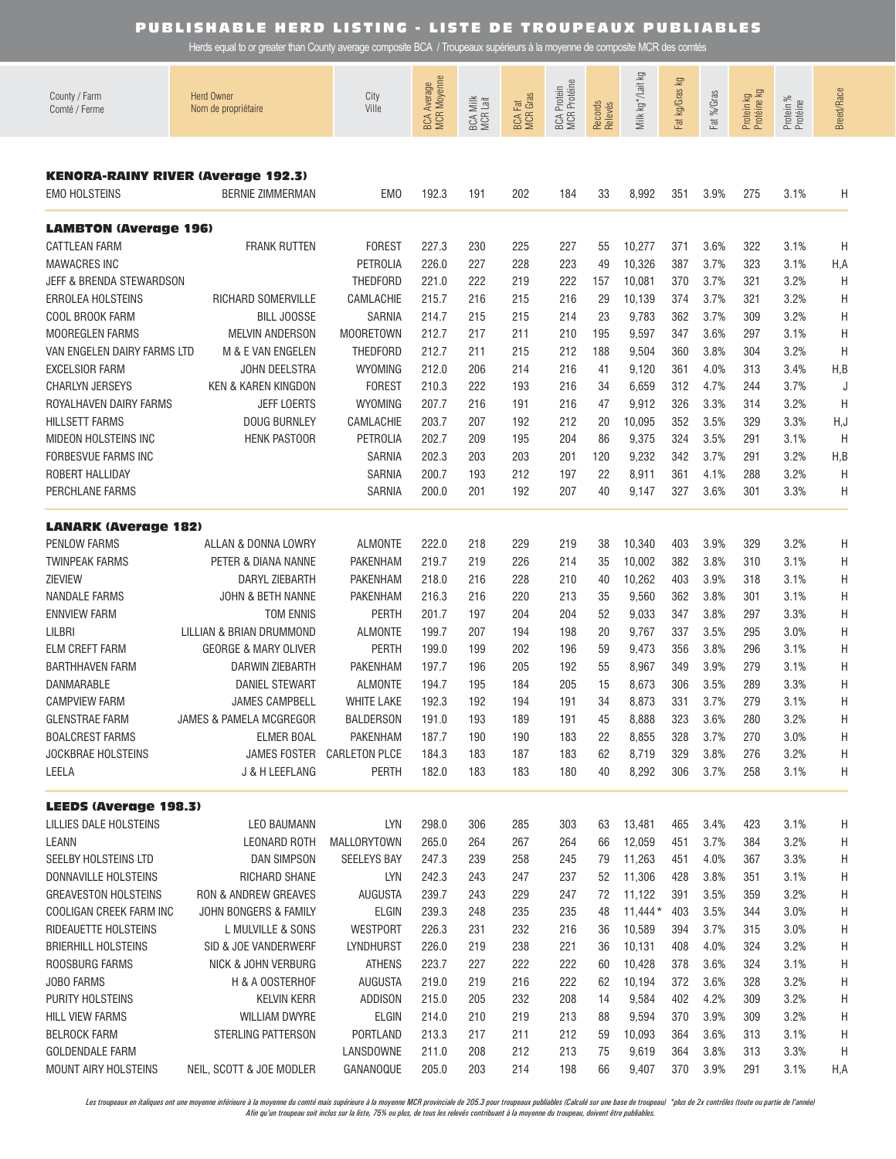Herds equal to or greater than County average composite BCA / Troupeaux supérieurs à la moyenne de composite MCR des comtés

| County / Farm<br>Comté / Ferme | <b>Herd Owner</b><br>Nom de propriétaire                             | City<br>Ville        | <b>MCR Moyenne</b><br><b>BCA Average</b> | BCA Milk<br>MCR Lait | <b>BCA Fat</b><br>MCR Gras | BCA Protein<br>MCR Protéine | Records<br>Relevés | Σò<br>Milk kg */Lait | Fat kg/Gras kg | Fat %/Gras | Protein kg<br>Protéine kg | Protein %<br>Protéine | <b>Breed/Race</b> |
|--------------------------------|----------------------------------------------------------------------|----------------------|------------------------------------------|----------------------|----------------------------|-----------------------------|--------------------|----------------------|----------------|------------|---------------------------|-----------------------|-------------------|
|                                |                                                                      |                      |                                          |                      |                            |                             |                    |                      |                |            |                           |                       |                   |
| <b>EMO HOLSTEINS</b>           | <b>KENORA-RAINY RIVER (Average 192.3)</b><br><b>BERNIE ZIMMERMAN</b> | EM <sub>0</sub>      | 192.3                                    | 191                  | 202                        | 184                         | 33                 | 8,992                | 351            | 3.9%       | 275                       | 3.1%                  | Η                 |
| <b>LAMBTON (Average 196)</b>   |                                                                      |                      |                                          |                      |                            |                             |                    |                      |                |            |                           |                       |                   |
| <b>CATTLEAN FARM</b>           | <b>FRANK RUTTEN</b>                                                  | <b>FOREST</b>        | 227.3                                    | 230                  | 225                        | 227                         | 55                 | 10,277               | 371            | 3.6%       | 322                       | 3.1%                  | H                 |
| <b>MAWACRES INC</b>            |                                                                      | PETROLIA             | 226.0                                    | 227                  | 228                        | 223                         | 49                 | 10,326               | 387            | 3.7%       | 323                       | 3.1%                  | H, A              |
| JEFF & BRENDA STEWARDSON       |                                                                      | <b>THEDFORD</b>      | 221.0                                    | 222                  | 219                        | 222                         | 157                | 10,081               | 370            | 3.7%       | 321                       | 3.2%                  | H                 |
| <b>ERROLEA HOLSTEINS</b>       | RICHARD SOMERVILLE                                                   | CAMLACHIE            | 215.7                                    | 216                  | 215                        | 216                         | 29                 | 10,139               | 374            | 3.7%       | 321                       | 3.2%                  | H                 |
| COOL BROOK FARM                | <b>BILL JOOSSE</b>                                                   | <b>SARNIA</b>        | 214.7                                    | 215                  | 215                        | 214                         | 23                 | 9,783                | 362            | 3.7%       | 309                       | 3.2%                  | Η                 |
| <b>MOOREGLEN FARMS</b>         | <b>MELVIN ANDERSON</b>                                               | <b>MOORETOWN</b>     | 212.7                                    | 217                  | 211                        | 210                         | 195                | 9,597                | 347            | 3.6%       | 297                       | 3.1%                  | H                 |
| VAN ENGELEN DAIRY FARMS LTD    | M & E VAN ENGELEN                                                    | <b>THEDFORD</b>      | 212.7                                    | 211                  | 215                        | 212                         | 188                | 9,504                | 360            | 3.8%       | 304                       | 3.2%                  | H                 |
| <b>EXCELSIOR FARM</b>          | <b>JOHN DEELSTRA</b>                                                 | <b>WYOMING</b>       | 212.0                                    | 206                  | 214                        | 216                         | 41                 | 9,120                | 361            | 4.0%       | 313                       | 3.4%                  | H, B              |
| <b>CHARLYN JERSEYS</b>         | <b>KEN &amp; KAREN KINGDON</b>                                       | FOREST               | 210.3                                    | 222                  | 193                        | 216                         | 34                 | 6,659                | 312            | 4.7%       | 244                       | 3.7%                  | J                 |
| ROYALHAVEN DAIRY FARMS         | <b>JEFF LOERTS</b>                                                   | <b>WYOMING</b>       | 207.7                                    | 216                  | 191                        | 216                         | 47                 | 9,912                | 326            | 3.3%       | 314                       | 3.2%                  | H                 |
| <b>HILLSETT FARMS</b>          | <b>DOUG BURNLEY</b>                                                  | CAMLACHIE            | 203.7                                    | 207                  | 192                        | 212                         | 20                 | 10,095               | 352            | 3.5%       | 329                       | 3.3%                  | H,J               |
| MIDEON HOLSTEINS INC           | <b>HENK PASTOOR</b>                                                  | <b>PETROLIA</b>      | 202.7                                    | 209                  | 195                        | 204                         | 86                 | 9,375                | 324            | 3.5%       | 291                       | 3.1%                  | H                 |
| <b>FORBESVUE FARMS INC</b>     |                                                                      | <b>SARNIA</b>        | 202.3                                    | 203                  | 203                        | 201                         | 120                | 9,232                | 342            | 3.7%       | 291                       | 3.2%                  | H,B               |
| ROBERT HALLIDAY                |                                                                      | <b>SARNIA</b>        | 200.7                                    | 193                  | 212                        | 197                         | 22                 | 8,911                | 361            | 4.1%       | 288                       | 3.2%                  | H                 |
| PERCHLANE FARMS                |                                                                      | <b>SARNIA</b>        | 200.0                                    | 201                  | 192                        | 207                         | 40                 | 9,147                | 327            | 3.6%       | 301                       | 3.3%                  | Η                 |
| <b>LANARK (Average 182)</b>    |                                                                      |                      |                                          |                      |                            |                             |                    |                      |                |            |                           |                       |                   |
| <b>PENLOW FARMS</b>            | ALLAN & DONNA LOWRY                                                  | <b>ALMONTE</b>       | 222.0                                    | 218                  | 229                        | 219                         | 38                 | 10,340               | 403            | 3.9%       | 329                       | 3.2%                  | Η                 |
| <b>TWINPEAK FARMS</b>          | PETER & DIANA NANNE                                                  | <b>PAKENHAM</b>      | 219.7                                    | 219                  | 226                        | 214                         | 35                 | 10,002               | 382            | 3.8%       | 310                       | 3.1%                  | Η                 |
| <b>ZIEVIEW</b>                 | DARYL ZIEBARTH                                                       | <b>PAKENHAM</b>      | 218.0                                    | 216                  | 228                        | 210                         | 40                 | 10,262               | 403            | 3.9%       | 318                       | 3.1%                  | Η                 |
| NANDALE FARMS                  | JOHN & BETH NANNE                                                    | <b>PAKENHAM</b>      | 216.3                                    | 216                  | 220                        | 213                         | 35                 | 9,560                | 362            | 3.8%       | 301                       | 3.1%                  | Η                 |
| <b>ENNVIEW FARM</b>            | <b>TOM ENNIS</b>                                                     | <b>PERTH</b>         | 201.7                                    | 197                  | 204                        | 204                         | 52                 | 9,033                | 347            | 3.8%       | 297                       | 3.3%                  | Η                 |
| <b>LILBRI</b>                  | LILLIAN & BRIAN DRUMMOND                                             | <b>ALMONTE</b>       | 199.7                                    | 207                  | 194                        | 198                         | 20                 | 9,767                | 337            | 3.5%       | 295                       | 3.0%                  | Η                 |
| <b>ELM CREFT FARM</b>          | <b>GEORGE &amp; MARY OLIVER</b>                                      | <b>PERTH</b>         | 199.0                                    | 199                  | 202                        | 196                         | 59                 | 9,473                | 356            | 3.8%       | 296                       | 3.1%                  | Η                 |
| <b>BARTHHAVEN FARM</b>         | <b>DARWIN ZIEBARTH</b>                                               | <b>PAKENHAM</b>      | 197.7                                    | 196                  | 205                        | 192                         | 55                 | 8,967                | 349            | 3.9%       | 279                       | 3.1%                  | Η                 |
| <b>DANMARABLE</b>              | <b>DANIEL STEWART</b>                                                | <b>ALMONTE</b>       | 194.7                                    | 195                  | 184                        | 205                         | 15                 | 8,673                | 306            | 3.5%       | 289                       | 3.3%                  | Η                 |
| <b>CAMPVIEW FARM</b>           | <b>JAMES CAMPBELL</b>                                                | <b>WHITE LAKE</b>    | 192.3                                    | 192                  | 194                        | 191                         | 34                 | 8,873                | 331            | 3.7%       | 279                       | 3.1%                  | Η                 |
| <b>GLENSTRAE FARM</b>          | JAMES & PAMELA MCGREGOR                                              | <b>BALDERSON</b>     | 191.0                                    | 193                  | 189                        | 191                         | 45                 | 8,888                | 323            | 3.6%       | 280                       | 3.2%                  | Η                 |
| <b>BOALCREST FARMS</b>         | <b>ELMER BOAL</b>                                                    | PAKENHAM             | 187.7                                    | 190                  | 190                        | 183                         | 22                 | 8,855                | 328            | 3.7%       | 270                       | 3.0%                  | Н                 |
| <b>JOCKBRAE HOLSTEINS</b>      | JAMES FOSTER                                                         | <b>CARLETON PLCE</b> | 184.3                                    | 183                  | 187                        | 183                         | 62                 | 8,719                | 329            | 3.8%       | 276                       | 3.2%                  | Н                 |
| LEELA                          | J & H LEEFLANG                                                       | <b>PERTH</b>         | 182.0                                    | 183                  | 183                        | 180                         | 40                 | 8,292                | 306            | 3.7%       | 258                       | 3.1%                  | Η                 |
| <b>LEEDS (Average 198.3)</b>   |                                                                      |                      |                                          |                      |                            |                             |                    |                      |                |            |                           |                       |                   |
| LILLIES DALE HOLSTEINS         | <b>LEO BAUMANN</b>                                                   | <b>LYN</b>           | 298.0                                    | 306                  | 285                        | 303                         | 63                 | 13,481               | 465            | 3.4%       | 423                       | 3.1%                  | Η                 |
| LEANN                          | <b>LEONARD ROTH</b>                                                  | <b>MALLORYTOWN</b>   | 265.0                                    | 264                  | 267                        | 264                         | 66                 | 12,059               | 451            | 3.7%       | 384                       | 3.2%                  | Η                 |
| SEELBY HOLSTEINS LTD           | <b>DAN SIMPSON</b>                                                   | <b>SEELEYS BAY</b>   | 247.3                                    | 239                  | 258                        | 245                         | 79                 | 11,263               | 451            | 4.0%       | 367                       | 3.3%                  | Н                 |
| DONNAVILLE HOLSTEINS           | RICHARD SHANE                                                        | LYN                  | 242.3                                    | 243                  | 247                        | 237                         | 52                 | 11,306               | 428            | 3.8%       | 351                       | 3.1%                  | Н                 |
| <b>GREAVESTON HOLSTEINS</b>    | RON & ANDREW GREAVES                                                 | AUGUSTA              | 239.7                                    | 243                  | 229                        | 247                         | 72                 | 11,122               | 391            | 3.5%       | 359                       | 3.2%                  | Н                 |
| COOLIGAN CREEK FARM INC        | JOHN BONGERS & FAMILY                                                | ELGIN                | 239.3                                    | 248                  | 235                        | 235                         | 48                 | $11,444*$            | 403            | 3.5%       | 344                       | 3.0%                  | Н                 |
| RIDEAUETTE HOLSTEINS           | L MULVILLE & SONS                                                    | <b>WESTPORT</b>      | 226.3                                    | 231                  | 232                        | 216                         | 36                 | 10,589               | 394            | 3.7%       | 315                       | 3.0%                  | Н                 |
| <b>BRIERHILL HOLSTEINS</b>     | SID & JOE VANDERWERF                                                 | LYNDHURST            | 226.0                                    | 219                  | 238                        | 221                         | 36                 | 10,131               | 408            | 4.0%       | 324                       | 3.2%                  | Н                 |
| ROOSBURG FARMS                 | NICK & JOHN VERBURG                                                  | <b>ATHENS</b>        | 223.7                                    | 227                  | 222                        | 222                         | 60                 | 10,428               | 378            | 3.6%       | 324                       | 3.1%                  | Н                 |
| <b>JOBO FARMS</b>              | H & A OOSTERHOF                                                      | AUGUSTA              | 219.0                                    | 219                  | 216                        | 222                         | 62                 | 10,194               | 372            | 3.6%       | 328                       | 3.2%                  | Н                 |
| PURITY HOLSTEINS               | <b>KELVIN KERR</b>                                                   | ADDISON              | 215.0                                    | 205                  | 232                        | 208                         | 14                 | 9,584                | 402            | 4.2%       | 309                       | 3.2%                  | Н                 |
| HILL VIEW FARMS                | WILLIAM DWYRE                                                        | ELGIN                | 214.0                                    | 210                  | 219                        | 213                         | 88                 | 9,594                | 370            | 3.9%       | 309                       | 3.2%                  | Н                 |
| <b>BELROCK FARM</b>            | STERLING PATTERSON                                                   | PORTLAND             | 213.3                                    | 217                  | 211                        | 212                         | 59                 | 10,093               | 364            | 3.6%       | 313                       | 3.1%                  | Н                 |
| <b>GOLDENDALE FARM</b>         |                                                                      | LANSDOWNE            | 211.0                                    | 208                  | 212                        | 213                         | 75                 | 9,619                | 364            | 3.8%       | 313                       | 3.3%                  | Η                 |
| MOUNT AIRY HOLSTEINS           | NEIL, SCOTT & JOE MODLER                                             | GANANOQUE            | 205.0                                    | 203                  | 214                        | 198                         | 66                 | 9,407                | 370            | 3.9%       | 291                       | 3.1%                  | H,A               |

Les troupeaux en italiques ont une moyenne inférieure à la moyenne du comté mais supérieure à la moyenne MCR provinciale de 205.3 pour troupeaux publiables (Calculé sur une base de troupeau) \*plus de 2x contrôles (toute ou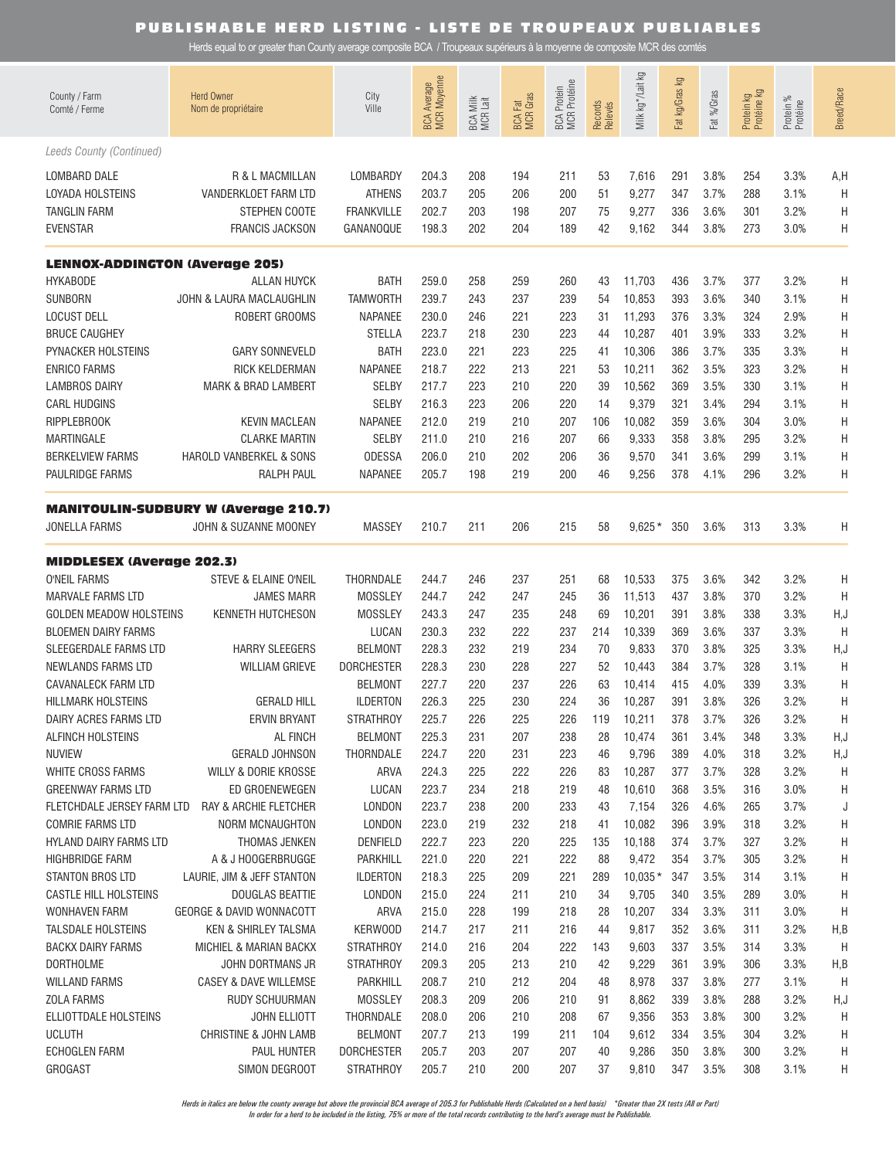Herds equal to or greater than County average composite BCA / Troupeaux supérieurs à la moyenne de composite MCR des comtés

| County / Farm<br>Comté / Ferme                                                    | <b>Herd Owner</b><br>Nom de propriétaire                                  | City<br>Ville                                                     | <b>BCA Average</b><br>MCR Moyenne | BCA Milk<br>MCR Lait     | <b>BCA Fat</b><br>MCR Gras | BCA Protein<br>MCR Protéine | Records<br>Relevés   | Γð<br>Milk kg*/Lait                  | Fat kg/Gras kg           | Fat %/Gras                   | Protein kg<br>Protéine kg | Protein %<br>Protéine        | <b>Breed/Race</b> |
|-----------------------------------------------------------------------------------|---------------------------------------------------------------------------|-------------------------------------------------------------------|-----------------------------------|--------------------------|----------------------------|-----------------------------|----------------------|--------------------------------------|--------------------------|------------------------------|---------------------------|------------------------------|-------------------|
| Leeds County (Continued)                                                          |                                                                           |                                                                   |                                   |                          |                            |                             |                      |                                      |                          |                              |                           |                              |                   |
| LOMBARD DALE                                                                      | R & L MACMILLAN                                                           | LOMBARDY                                                          | 204.3                             | 208                      | 194                        | 211                         | 53                   | 7,616                                | 291                      | 3.8%                         | 254                       | 3.3%                         | A,H               |
| LOYADA HOLSTEINS                                                                  | VANDERKLOET FARM LTD                                                      | <b>ATHENS</b>                                                     | 203.7                             | 205                      | 206                        | 200                         | 51                   | 9,277                                | 347                      | 3.7%                         | 288                       | 3.1%                         | H                 |
| <b>TANGLIN FARM</b>                                                               | STEPHEN COOTE                                                             | <b>FRANKVILLE</b>                                                 | 202.7                             | 203                      | 198                        | 207                         | 75                   | 9,277                                | 336                      | 3.6%                         | 301                       | 3.2%                         | H                 |
| <b>EVENSTAR</b>                                                                   | FRANCIS JACKSON                                                           | GANANOQUE                                                         | 198.3                             | 202                      | 204                        | 189                         | 42                   | 9,162                                | 344                      | 3.8%                         | 273                       | 3.0%                         | Η                 |
| <b>LENNOX-ADDINGTON (Average 205)</b>                                             |                                                                           |                                                                   |                                   |                          |                            |                             |                      |                                      |                          |                              |                           |                              |                   |
| <b>HYKABODE</b><br>SUNBORN<br><b>LOCUST DELL</b><br><b>BRUCE CAUGHEY</b>          | ALLAN HUYCK<br>JOHN & LAURA MACLAUGHLIN<br>ROBERT GROOMS                  | <b>BATH</b><br><b>TAMWORTH</b><br><b>NAPANEE</b><br><b>STELLA</b> | 259.0<br>239.7<br>230.0<br>223.7  | 258<br>243<br>246<br>218 | 259<br>237<br>221<br>230   | 260<br>239<br>223<br>223    | 43<br>54<br>31<br>44 | 11,703<br>10,853<br>11,293<br>10,287 | 436<br>393<br>376<br>401 | 3.7%<br>3.6%<br>3.3%<br>3.9% | 377<br>340<br>324<br>333  | 3.2%<br>3.1%<br>2.9%<br>3.2% | Η<br>Η<br>H<br>H  |
| PYNACKER HOLSTEINS<br><b>ENRICO FARMS</b><br>LAMBROS DAIRY<br><b>CARL HUDGINS</b> | <b>GARY SONNEVELD</b><br>RICK KELDERMAN<br><b>MARK &amp; BRAD LAMBERT</b> | <b>BATH</b><br><b>NAPANEE</b><br><b>SELBY</b><br><b>SELBY</b>     | 223.0<br>218.7<br>217.7<br>216.3  | 221<br>222<br>223<br>223 | 223<br>213<br>210<br>206   | 225<br>221<br>220<br>220    | 41<br>53<br>39<br>14 | 10,306<br>10,211<br>10,562<br>9,379  | 386<br>362<br>369<br>321 | 3.7%<br>3.5%<br>3.5%<br>3.4% | 335<br>323<br>330<br>294  | 3.3%<br>3.2%<br>3.1%<br>3.1% | Η<br>Η<br>Η<br>H  |
| <b>RIPPLEBROOK</b>                                                                | <b>KEVIN MACLEAN</b>                                                      | <b>NAPANEE</b>                                                    | 212.0                             | 219                      | 210                        | 207                         | 106                  | 10,082                               | 359                      | 3.6%                         | 304                       | 3.0%                         | Η                 |
| <b>MARTINGALE</b>                                                                 | <b>CLARKE MARTIN</b>                                                      | <b>SELBY</b>                                                      | 211.0                             | 210                      | 216                        | 207                         | 66                   | 9,333                                | 358                      | 3.8%                         | 295                       | 3.2%                         | Η                 |
| <b>BERKELVIEW FARMS</b>                                                           | HAROLD VANBERKEL & SONS                                                   | <b>ODESSA</b>                                                     | 206.0                             | 210                      | 202                        | 206                         | 36                   | 9,570                                | 341                      | 3.6%                         | 299                       | 3.1%                         | Η                 |
| PAULRIDGE FARMS                                                                   | RALPH PAUL                                                                | <b>NAPANEE</b>                                                    | 205.7                             | 198                      | 219                        | 200                         | 46                   | 9,256                                | 378                      | 4.1%                         | 296                       | 3.2%                         | Η                 |
| JONELLA FARMS                                                                     | <b>MANITOULIN-SUDBURY W (Average 210.7)</b><br>JOHN & SUZANNE MOONEY      | <b>MASSEY</b>                                                     | 210.7                             | 211                      | 206                        | 215                         | 58                   | $9,625*$                             | 350                      | 3.6%                         | 313                       | 3.3%                         | Η                 |
| <b>MIDDLESEX (Average 202.3)</b>                                                  |                                                                           |                                                                   |                                   |                          |                            |                             |                      |                                      |                          |                              |                           |                              |                   |
| <b>O'NEIL FARMS</b>                                                               | STEVE & ELAINE O'NEIL                                                     | THORNDALE                                                         | 244.7                             | 246                      | 237                        | 251                         | 68                   | 10,533                               | 375                      | 3.6%                         | 342                       | 3.2%                         | H                 |
| <b>MARVALE FARMS LTD</b>                                                          | <b>JAMES MARR</b>                                                         | <b>MOSSLEY</b>                                                    | 244.7                             | 242                      | 247                        | 245                         | 36                   | 11,513                               | 437                      | 3.8%                         | 370                       | 3.2%                         | H                 |
| <b>GOLDEN MEADOW HOLSTEINS</b>                                                    | KENNETH HUTCHESON                                                         | <b>MOSSLEY</b>                                                    | 243.3                             | 247                      | 235                        | 248                         | 69                   | 10,201                               | 391                      | 3.8%                         | 338                       | 3.3%                         | H, J              |
| <b>BLOEMEN DAIRY FARMS</b>                                                        | <b>HARRY SLEEGERS</b>                                                     | LUCAN                                                             | 230.3                             | 232                      | 222                        | 237                         | 214                  | 10,339                               | 369                      | 3.6%                         | 337                       | 3.3%                         | $\mathsf{H}$      |
| SLEEGERDALE FARMS LTD                                                             |                                                                           | <b>BELMONT</b>                                                    | 228.3                             | 232                      | 219                        | 234                         | 70                   | 9,833                                | 370                      | 3.8%                         | 325                       | 3.3%                         | H,J               |
| <b>NEWLANDS FARMS LTD</b><br>CAVANALECK FARM LTD<br><b>HILLMARK HOLSTEINS</b>     | <b>WILLIAM GRIEVE</b><br><b>GERALD HILL</b>                               | <b>DORCHESTER</b><br><b>BELMONT</b><br><b>ILDERTON</b>            | 228.3<br>227.7<br>226.3           | 230<br>220<br>225        | 228<br>237<br>230          | 227<br>226<br>224           | 52<br>63<br>36       | 10,443<br>10,414<br>10,287           | 384<br>415<br>391        | 3.7%<br>4.0%<br>3.8%         | 328<br>339<br>326         | 3.1%<br>3.3%<br>3.2%         | H<br>Η<br>Η       |
| DAIRY ACRES FARMS LTD                                                             | ERVIN BRYANT                                                              | <b>STRATHROY</b>                                                  | 225.7                             | 226                      | 225                        | 226                         | 119                  | 10,211                               | 378                      | 3.7%                         | 326                       | 3.2%                         | Η                 |
| ALFINCH HOLSTEINS                                                                 | AL FINCH                                                                  | <b>BELMONT</b>                                                    | 225.3                             | 231                      | 207                        | 238                         | 28                   | 10,474                               | 361                      | 3.4%                         | 348                       | 3.3%                         | H,J               |
| <b>NUVIEW</b>                                                                     | <b>GERALD JOHNSON</b>                                                     | THORNDALE                                                         | 224.7                             | 220                      | 231                        | 223                         | 46                   | 9,796                                | 389                      | 4.0%                         | 318                       | 3.2%                         | H, J              |
| WHITE CROSS FARMS                                                                 | WILLY & DORIE KROSSE                                                      | ARVA                                                              | 224.3                             | 225                      | 222                        | 226                         | 83                   | 10,287                               | 377                      | 3.7%                         | 328                       | 3.2%                         | Η                 |
| <b>GREENWAY FARMS LTD</b>                                                         | ED GROENEWEGEN                                                            | LUCAN                                                             | 223.7                             | 234                      | 218                        | 219                         | 48                   | 10,610                               | 368                      | 3.5%                         | 316                       | 3.0%                         | H                 |
| FLETCHDALE JERSEY FARM LTD                                                        | RAY & ARCHIE FLETCHER                                                     | LONDON                                                            | 223.7                             | 238                      | 200                        | 233                         | 43                   | 7,154                                | 326                      | 4.6%                         | 265                       | 3.7%                         | J                 |
| <b>COMRIE FARMS LTD</b>                                                           | <b>NORM MCNAUGHTON</b>                                                    | LONDON                                                            | 223.0                             | 219                      | 232                        | 218                         | 41                   | 10,082                               | 396                      | 3.9%                         | 318                       | 3.2%                         | H                 |
| <b>HYLAND DAIRY FARMS LTD</b>                                                     | THOMAS JENKEN                                                             | <b>DENFIELD</b>                                                   | 222.7                             | 223                      | 220                        | 225                         | 135                  | 10,188                               | 374                      | 3.7%                         | 327                       | 3.2%                         | H                 |
| HIGHBRIDGE FARM                                                                   | A & J HOOGERBRUGGE                                                        | PARKHILL                                                          | 221.0                             | 220                      | 221                        | 222                         | 88                   | 9,472                                | 354                      | 3.7%                         | 305                       | 3.2%                         | H                 |
| STANTON BROS LTD                                                                  | LAURIE, JIM & JEFF STANTON                                                | <b>ILDERTON</b>                                                   | 218.3                             | 225                      | 209                        | 221                         | 289                  | $10,035*$                            | 347                      | 3.5%                         | 314                       | 3.1%                         | H                 |
| CASTLE HILL HOLSTEINS                                                             | <b>DOUGLAS BEATTIE</b>                                                    | LONDON                                                            | 215.0                             | 224                      | 211                        | 210                         | 34                   | 9,705                                | 340                      | 3.5%                         | 289                       | 3.0%                         | H                 |
| WONHAVEN FARM                                                                     | <b>GEORGE &amp; DAVID WONNACOTT</b>                                       | ARVA                                                              | 215.0                             | 228                      | 199                        | 218                         | 28                   | 10,207                               | 334                      | 3.3%                         | 311                       | 3.0%                         | H                 |
| TALSDALE HOLSTEINS                                                                | <b>KEN &amp; SHIRLEY TALSMA</b>                                           | KERWOOD                                                           | 214.7                             | 217                      | 211                        | 216                         | 44                   | 9,817                                | 352                      | 3.6%                         | 311                       | 3.2%                         | H,B               |
| BACKX DAIRY FARMS                                                                 | MICHIEL & MARIAN BACKX                                                    | <b>STRATHROY</b>                                                  | 214.0                             | 216                      | 204                        | 222                         | 143                  | 9,603                                | 337                      | 3.5%                         | 314                       | 3.3%                         | H                 |
| <b>DORTHOLME</b>                                                                  | JOHN DORTMANS JR                                                          | <b>STRATHROY</b>                                                  | 209.3                             | 205                      | 213                        | 210                         | 42                   | 9,229                                | 361                      | 3.9%                         | 306                       | 3.3%                         | H,B               |
| <b>WILLAND FARMS</b>                                                              | CASEY & DAVE WILLEMSE                                                     | PARKHILL                                                          | 208.7                             | 210                      | 212                        | 204                         | 48                   | 8,978                                | 337                      | 3.8%                         | 277                       | 3.1%                         | H                 |
| <b>ZOLA FARMS</b>                                                                 | RUDY SCHUURMAN                                                            | <b>MOSSLEY</b>                                                    | 208.3                             | 209                      | 206                        | 210                         | 91                   | 8,862                                | 339                      | 3.8%                         | 288                       | 3.2%                         | H,J               |
| ELLIOTTDALE HOLSTEINS                                                             | JOHN ELLIOTT                                                              | THORNDALE                                                         | 208.0                             | 206                      | 210                        | 208                         | 67                   | 9,356                                | 353                      | 3.8%                         | 300                       | 3.2%                         | Η                 |
| <b>UCLUTH</b>                                                                     | CHRISTINE & JOHN LAMB                                                     | <b>BELMONT</b>                                                    | 207.7                             | 213                      | 199                        | 211                         | 104                  | 9,612                                | 334                      | 3.5%                         | 304                       | 3.2%                         | H                 |
| <b>ECHOGLEN FARM</b>                                                              | PAUL HUNTER                                                               | <b>DORCHESTER</b>                                                 | 205.7                             | 203                      | 207                        | 207                         | 40                   | 9,286                                | 350                      | 3.8%                         | 300                       | 3.2%                         | H                 |
| <b>GROGAST</b>                                                                    | SIMON DEGROOT                                                             | <b>STRATHROY</b>                                                  | 205.7                             | 210                      | 200                        | 207                         | 37                   | 9,810                                | 347                      | 3.5%                         | 308                       | 3.1%                         | H                 |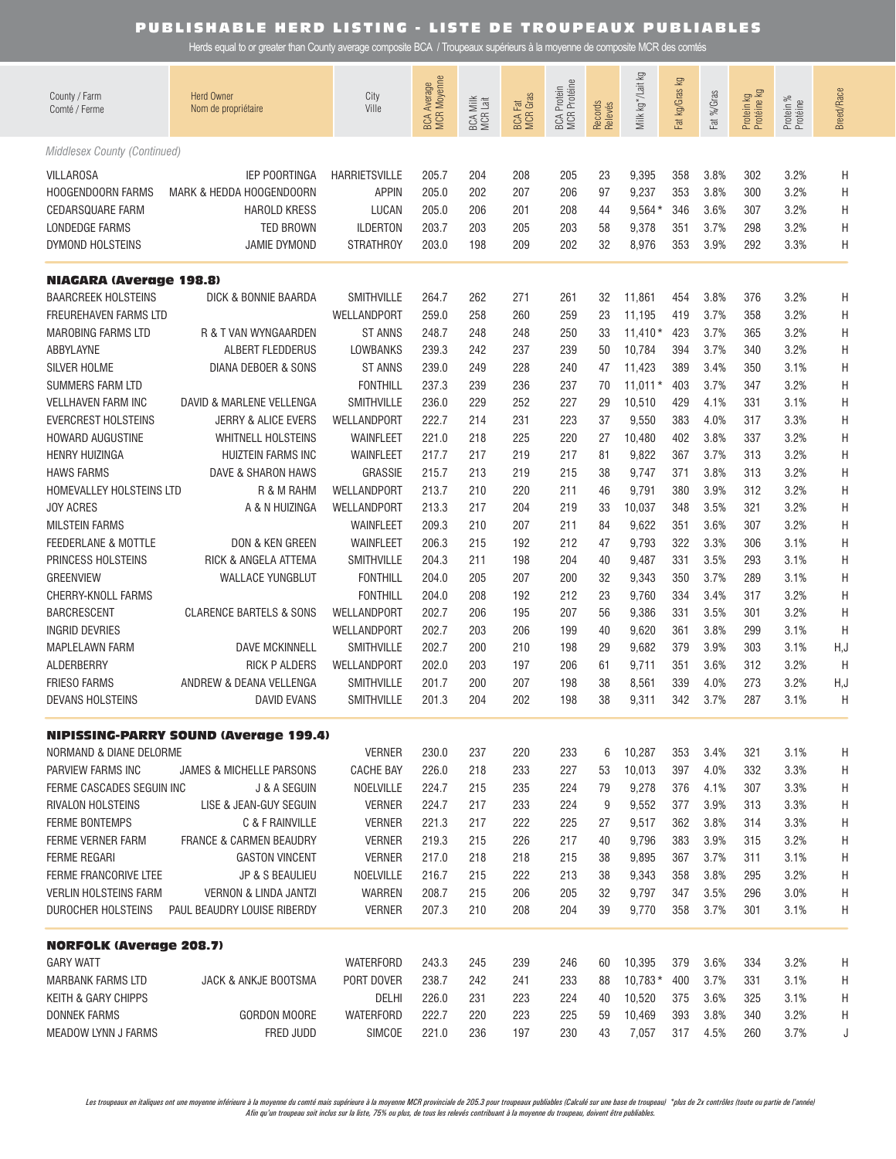Herds equal to or greater than County average composite BCA / Troupeaux supérieurs à la moyenne de composite MCR des comtés

| County / Farm<br>Comté / Ferme                                                                                | <b>Herd Owner</b><br>Nom de propriétaire                                                                           | City<br>Ville                                                                        | <b>BCA Average</b><br>MCR Moyenne         | BCA Milk<br>MCR Lait            | <b>BCA Fat</b><br>MCR Gras      | BCA Protein<br>MCR Protéine     | Records<br>Relevés         | Milk kg */Lait kg                            | ΔÃ<br>Fat kg/Gras               | Fat %/Gras                           | Protein kg<br>Protéine kg       | Protein %<br>Protéine                | <b>Breed/Race</b>     |
|---------------------------------------------------------------------------------------------------------------|--------------------------------------------------------------------------------------------------------------------|--------------------------------------------------------------------------------------|-------------------------------------------|---------------------------------|---------------------------------|---------------------------------|----------------------------|----------------------------------------------|---------------------------------|--------------------------------------|---------------------------------|--------------------------------------|-----------------------|
| Middlesex County (Continued)                                                                                  |                                                                                                                    |                                                                                      |                                           |                                 |                                 |                                 |                            |                                              |                                 |                                      |                                 |                                      |                       |
| <b>VILLAROSA</b><br><b>HOOGENDOORN FARMS</b><br><b>CEDARSQUARE FARM</b><br>LONDEDGE FARMS<br>DYMOND HOLSTEINS | <b>IEP POORTINGA</b><br>MARK & HEDDA HOOGENDOORN<br><b>HAROLD KRESS</b><br><b>TED BROWN</b><br><b>JAMIE DYMOND</b> | <b>HARRIETSVILLE</b><br><b>APPIN</b><br>LUCAN<br><b>ILDERTON</b><br><b>STRATHROY</b> | 205.7<br>205.0<br>205.0<br>203.7<br>203.0 | 204<br>202<br>206<br>203<br>198 | 208<br>207<br>201<br>205<br>209 | 205<br>206<br>208<br>203<br>202 | 23<br>97<br>44<br>58<br>32 | 9,395<br>9,237<br>$9,564*$<br>9,378<br>8,976 | 358<br>353<br>346<br>351<br>353 | 3.8%<br>3.8%<br>3.6%<br>3.7%<br>3.9% | 302<br>300<br>307<br>298<br>292 | 3.2%<br>3.2%<br>3.2%<br>3.2%<br>3.3% | Η<br>H<br>Η<br>Η<br>Η |
|                                                                                                               |                                                                                                                    |                                                                                      |                                           |                                 |                                 |                                 |                            |                                              |                                 |                                      |                                 |                                      |                       |
| <b>NIAGARA (Average 198.8)</b><br><b>BAARCREEK HOLSTEINS</b>                                                  | DICK & BONNIE BAARDA                                                                                               | <b>SMITHVILLE</b>                                                                    | 264.7                                     | 262                             | 271                             | 261                             | 32                         | 11,861                                       | 454                             | 3.8%                                 | 376                             | 3.2%                                 | Η                     |
| FREUREHAVEN FARMS LTD                                                                                         |                                                                                                                    | WELLANDPORT                                                                          | 259.0                                     | 258                             | 260                             | 259                             | 23                         | 11,195                                       | 419                             | 3.7%                                 | 358                             | 3.2%                                 | Η                     |
| <b>MAROBING FARMS LTD</b>                                                                                     | R & T VAN WYNGAARDEN                                                                                               | <b>ST ANNS</b>                                                                       | 248.7                                     | 248                             | 248                             | 250                             | 33                         | $11,410*$                                    | 423                             | 3.7%                                 | 365                             | 3.2%                                 | Н                     |
| ABBYLAYNE                                                                                                     | ALBERT FLEDDERUS                                                                                                   | LOWBANKS                                                                             | 239.3                                     | 242                             | 237                             | 239                             | 50                         | 10,784                                       | 394                             | 3.7%                                 | 340                             | 3.2%                                 | Н                     |
| SILVER HOLME                                                                                                  | DIANA DEBOER & SONS                                                                                                | <b>ST ANNS</b>                                                                       | 239.0                                     | 249                             | 228                             | 240                             | 47                         | 11,423                                       | 389                             | 3.4%                                 | 350                             | 3.1%                                 | Н                     |
| SUMMERS FARM LTD                                                                                              |                                                                                                                    | <b>FONTHILL</b>                                                                      | 237.3                                     | 239                             | 236                             | 237                             | 70                         | $11,011*$                                    | 403                             | 3.7%                                 | 347                             | 3.2%                                 | Н                     |
| <b>VELLHAVEN FARM INC</b>                                                                                     | DAVID & MARLENE VELLENGA                                                                                           | <b>SMITHVILLE</b>                                                                    | 236.0                                     | 229                             | 252                             | 227                             | 29                         | 10,510                                       | 429                             | 4.1%                                 | 331                             | 3.1%                                 | Η                     |
| <b>EVERCREST HOLSTEINS</b>                                                                                    | JERRY & ALICE EVERS                                                                                                | WELLANDPORT                                                                          | 222.7                                     | 214                             | 231                             | 223                             | 37                         | 9,550                                        | 383                             | 4.0%                                 | 317                             | 3.3%                                 | Η                     |
| <b>HOWARD AUGUSTINE</b>                                                                                       | <b>WHITNELL HOLSTEINS</b>                                                                                          | WAINFLEET                                                                            | 221.0                                     | 218                             | 225                             | 220                             | 27                         | 10,480                                       | 402                             | 3.8%                                 | 337                             | 3.2%                                 | Η                     |
| <b>HENRY HUIZINGA</b>                                                                                         | <b>HUIZTEIN FARMS INC</b>                                                                                          | <b>WAINFLEET</b>                                                                     | 217.7                                     | 217                             | 219                             | 217                             | 81                         | 9,822                                        | 367                             | 3.7%                                 | 313                             | 3.2%                                 | Η                     |
| <b>HAWS FARMS</b>                                                                                             | DAVE & SHARON HAWS                                                                                                 | GRASSIE                                                                              | 215.7                                     | 213                             | 219                             | 215                             | 38                         | 9,747                                        | 371                             | 3.8%                                 | 313                             | 3.2%                                 | Η                     |
| HOMEVALLEY HOLSTEINS LTD                                                                                      | R & M RAHM                                                                                                         | WELLANDPORT                                                                          | 213.7                                     | 210                             | 220                             | 211                             | 46                         | 9,791                                        | 380                             | 3.9%                                 | 312                             | 3.2%                                 | Η                     |
| <b>JOY ACRES</b>                                                                                              | A & N HUIZINGA                                                                                                     | WELLANDPORT                                                                          | 213.3                                     | 217                             | 204                             | 219                             | 33                         | 10,037                                       | 348                             | 3.5%                                 | 321                             | 3.2%                                 | Η                     |
| <b>MILSTEIN FARMS</b>                                                                                         |                                                                                                                    | WAINFLEET                                                                            | 209.3                                     | 210                             | 207                             | 211                             | 84                         | 9,622                                        | 351                             | 3.6%                                 | 307                             | 3.2%                                 | Η                     |
| FEEDERLANE & MOTTLE                                                                                           | DON & KEN GREEN                                                                                                    | WAINFLEET                                                                            | 206.3                                     | 215                             | 192                             | 212                             | 47                         | 9,793                                        | 322                             | 3.3%                                 | 306                             | 3.1%                                 | Η                     |
| PRINCESS HOLSTEINS                                                                                            | RICK & ANGELA ATTEMA                                                                                               | SMITHVILLE                                                                           | 204.3                                     | 211                             | 198                             | 204                             | 40                         | 9,487                                        | 331                             | 3.5%                                 | 293                             | 3.1%                                 | Η                     |
| <b>GREENVIEW</b>                                                                                              | <b>WALLACE YUNGBLUT</b>                                                                                            | <b>FONTHILL</b>                                                                      | 204.0                                     | 205                             | 207                             | 200                             | 32                         | 9,343                                        | 350                             | 3.7%                                 | 289                             | 3.1%                                 | Η                     |
| CHERRY-KNOLL FARMS<br><b>BARCRESCENT</b>                                                                      | <b>CLARENCE BARTELS &amp; SONS</b>                                                                                 | <b>FONTHILL</b><br>WELLANDPORT                                                       | 204.0<br>202.7                            | 208<br>206                      | 192<br>195                      | 212<br>207                      | 23<br>56                   | 9,760<br>9,386                               | 334<br>331                      | 3.4%<br>3.5%                         | 317<br>301                      | 3.2%<br>3.2%                         | Η<br>H                |
| <b>INGRID DEVRIES</b>                                                                                         |                                                                                                                    | WELLANDPORT                                                                          | 202.7                                     | 203                             | 206                             | 199                             | 40                         | 9,620                                        | 361                             | 3.8%                                 | 299                             | 3.1%                                 | H                     |
| <b>MAPLELAWN FARM</b>                                                                                         | <b>DAVE MCKINNELL</b>                                                                                              | SMITHVILLE                                                                           | 202.7                                     | 200                             | 210                             | 198                             | 29                         | 9,682                                        | 379                             | 3.9%                                 | 303                             | 3.1%                                 | H,J                   |
| ALDERBERRY                                                                                                    | <b>RICK P ALDERS</b>                                                                                               | WELLANDPORT                                                                          | 202.0                                     | 203                             | 197                             | 206                             | 61                         | 9,711                                        | 351                             | 3.6%                                 | 312                             | 3.2%                                 | H                     |
| <b>FRIESO FARMS</b>                                                                                           | ANDREW & DEANA VELLENGA                                                                                            | SMITHVILLE                                                                           | 201.7                                     | 200                             | 207                             | 198                             | 38                         | 8,561                                        | 339                             | 4.0%                                 | 273                             | 3.2%                                 | H,J                   |
| <b>DEVANS HOLSTEINS</b>                                                                                       | <b>DAVID EVANS</b>                                                                                                 | SMITHVILLE                                                                           | 201.3                                     | 204                             | 202                             | 198                             | 38                         | 9,311                                        | 342                             | 3.7%                                 | 287                             | 3.1%                                 | H                     |
|                                                                                                               | <b>NIPISSING-PARRY SOUND (Average 199.4)</b>                                                                       |                                                                                      |                                           |                                 |                                 |                                 |                            |                                              |                                 |                                      |                                 |                                      |                       |
| NORMAND & DIANE DELORME                                                                                       |                                                                                                                    | <b>VERNER</b>                                                                        | 230.0                                     | 237                             | 220                             | 233                             | 6                          | 10,287                                       | 353                             | 3.4%                                 | 321                             | 3.1%                                 | Η                     |
| PARVIEW FARMS INC                                                                                             | <b>JAMES &amp; MICHELLE PARSONS</b>                                                                                | <b>CACHE BAY</b>                                                                     | 226.0                                     | 218                             | 233                             | 227                             | 53                         | 10,013                                       | 397                             | 4.0%                                 | 332                             | 3.3%                                 | Н                     |
| FERME CASCADES SEGUIN INC                                                                                     | J & A SEGUIN                                                                                                       | NOELVILLE                                                                            | 224.7                                     | 215                             | 235                             | 224                             | 79                         | 9,278                                        | 376                             | 4.1%                                 | 307                             | 3.3%                                 | H                     |
| RIVALON HOLSTEINS                                                                                             | LISE & JEAN-GUY SEGUIN                                                                                             | <b>VERNER</b>                                                                        | 224.7                                     | 217                             | 233                             | 224                             | 9                          | 9,552                                        | 377                             | 3.9%                                 | 313                             | 3.3%                                 | Н                     |
| <b>FERME BONTEMPS</b>                                                                                         | C & F RAINVILLE                                                                                                    | <b>VERNER</b>                                                                        | 221.3                                     | 217                             | 222                             | 225                             | 27                         | 9,517                                        | 362                             | 3.8%                                 | 314                             | 3.3%                                 | Н                     |
| FERME VERNER FARM                                                                                             | <b>FRANCE &amp; CARMEN BEAUDRY</b>                                                                                 | <b>VERNER</b>                                                                        | 219.3                                     | 215                             | 226                             | 217                             | 40                         | 9,796                                        | 383                             | 3.9%                                 | 315                             | 3.2%                                 | Н                     |
| <b>FERME REGARI</b>                                                                                           | <b>GASTON VINCENT</b>                                                                                              | <b>VERNER</b>                                                                        | 217.0                                     | 218                             | 218                             | 215                             | 38                         | 9,895                                        | 367                             | 3.7%                                 | 311                             | 3.1%                                 | Н                     |
| FERME FRANCORIVE LTEE                                                                                         | <b>JP &amp; S BEAULIEU</b>                                                                                         | NOELVILLE                                                                            | 216.7                                     | 215                             | 222                             | 213                             | 38                         | 9,343                                        | 358                             | 3.8%                                 | 295                             | 3.2%                                 | H                     |
| <b>VERLIN HOLSTEINS FARM</b>                                                                                  | <b>VERNON &amp; LINDA JANTZI</b>                                                                                   | WARREN                                                                               | 208.7                                     | 215                             | 206                             | 205                             | 32                         | 9,797                                        | 347                             | 3.5%                                 | 296                             | 3.0%                                 | H                     |
| DUROCHER HOLSTEINS                                                                                            | PAUL BEAUDRY LOUISE RIBERDY                                                                                        | <b>VERNER</b>                                                                        | 207.3                                     | 210                             | 208                             | 204                             | 39                         | 9,770                                        | 358                             | 3.7%                                 | 301                             | 3.1%                                 | H                     |
| <b>NORFOLK (Average 208.7)</b>                                                                                |                                                                                                                    |                                                                                      |                                           |                                 |                                 |                                 |                            |                                              |                                 |                                      |                                 |                                      |                       |
| <b>GARY WATT</b>                                                                                              |                                                                                                                    | <b>WATERFORD</b>                                                                     | 243.3                                     | 245                             | 239                             | 246                             | 60                         | 10,395                                       | 379                             | 3.6%                                 | 334                             | 3.2%                                 | H                     |
| <b>MARBANK FARMS LTD</b>                                                                                      | JACK & ANKJE BOOTSMA                                                                                               | PORT DOVER                                                                           | 238.7                                     | 242                             | 241                             | 233                             | 88                         | $10,783*$                                    | 400                             | 3.7%                                 | 331                             | 3.1%                                 | Н                     |
| KEITH & GARY CHIPPS                                                                                           |                                                                                                                    | DELHI                                                                                | 226.0                                     | 231                             | 223                             | 224                             | 40                         | 10,520                                       | 375                             | 3.6%                                 | 325                             | 3.1%                                 | H                     |
| DONNEK FARMS                                                                                                  | <b>GORDON MOORE</b>                                                                                                | <b>WATERFORD</b>                                                                     | 222.7                                     | 220                             | 223                             | 225                             | 59                         | 10,469                                       | 393                             | 3.8%                                 | 340                             | 3.2%                                 | H.                    |
| MEADOW LYNN J FARMS                                                                                           | FRED JUDD                                                                                                          | SIMCOE                                                                               | 221.0                                     | 236                             | 197                             | 230                             | 43                         | 7,057                                        | 317                             | 4.5%                                 | 260                             | 3.7%                                 | J                     |

Les troupeaux en italiques ont une moyenne inférieure à la moyenne du comté mais supérieure à la moyenne MCR provinciale de 205.3 pour troupeaux publiables (Calculé sur une base de troupeau) \*plus de 2x contrôles (toute ou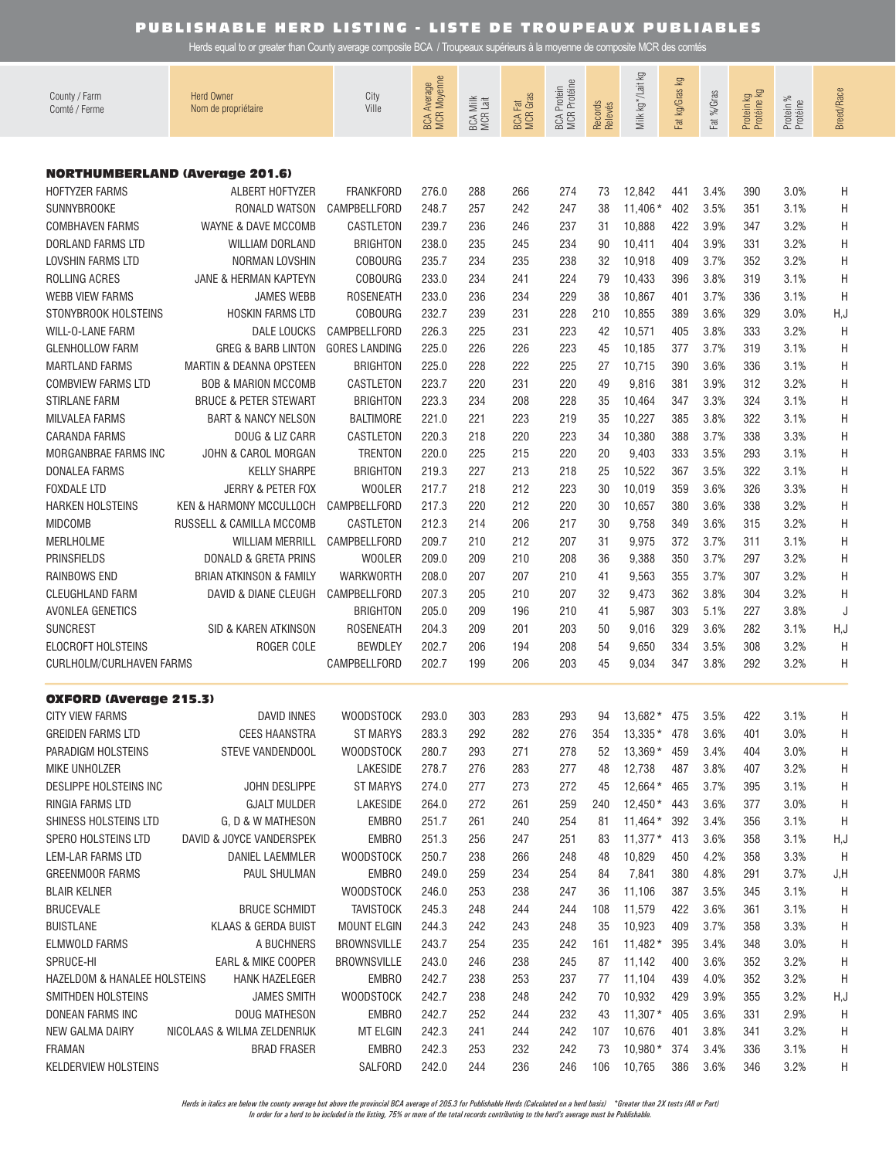Herds equal to or greater than County average composite BCA / Troupeaux supérieurs à la moyenne de composite MCR des comtés

| County / Farm<br>Comté / Ferme        | <b>Herd Owner</b><br>Nom de propriétaire | City<br>Ville        | BCA Average<br>MCR Moyenne | BCA Milk<br>MCR Lait | <b>BCA Fat</b><br>MCR Gras | <b>MCR</b> Protéine<br><b>BCA</b> Protein | Records<br>Relevés | Milk kg */Lait kg | Γð<br>Fat kg/Gras | Fat %/Gras | Protein kg<br>Protéine kg | Protein %<br>Protéine | <b>Breed/Race</b> |
|---------------------------------------|------------------------------------------|----------------------|----------------------------|----------------------|----------------------------|-------------------------------------------|--------------------|-------------------|-------------------|------------|---------------------------|-----------------------|-------------------|
|                                       |                                          |                      |                            |                      |                            |                                           |                    |                   |                   |            |                           |                       |                   |
| <b>NORTHUMBERLAND (Average 201.6)</b> |                                          |                      |                            |                      |                            |                                           |                    |                   |                   |            |                           |                       |                   |
| <b>HOFTYZER FARMS</b>                 | ALBERT HOFTYZER                          | <b>FRANKFORD</b>     | 276.0                      | 288                  | 266                        | 274                                       | 73                 | 12,842            | 441               | 3.4%       | 390                       | 3.0%                  | Η                 |
| <b>SUNNYBROOKE</b>                    | RONALD WATSON                            | CAMPBELLFORD         | 248.7                      | 257                  | 242                        | 247                                       | 38                 | $11,406*$         | 402               | 3.5%       | 351                       | 3.1%                  | Η                 |
| <b>COMBHAVEN FARMS</b>                | WAYNE & DAVE MCCOMB                      | CASTLETON            | 239.7                      | 236                  | 246                        | 237                                       | 31                 | 10,888            | 422               | 3.9%       | 347                       | 3.2%                  | Η                 |
| DORLAND FARMS LTD                     | WILLIAM DORLAND                          | <b>BRIGHTON</b>      | 238.0                      | 235                  | 245                        | 234                                       | 90                 | 10,411            | 404               | 3.9%       | 331                       | 3.2%                  | Η                 |
| <b>LOVSHIN FARMS LTD</b>              | NORMAN LOVSHIN                           | <b>COBOURG</b>       | 235.7                      | 234                  | 235                        | 238                                       | 32                 | 10,918            | 409               | 3.7%       | 352                       | 3.2%                  | Η                 |
| ROLLING ACRES                         | JANE & HERMAN KAPTEYN                    | <b>COBOURG</b>       | 233.0                      | 234                  | 241                        | 224                                       | 79                 | 10,433            | 396               | 3.8%       | 319                       | 3.1%                  | Η                 |
| <b>WEBB VIEW FARMS</b>                | <b>JAMES WEBB</b>                        | <b>ROSENEATH</b>     | 233.0                      | 236                  | 234                        | 229                                       | 38                 | 10,867            | 401               | 3.7%       | 336                       | 3.1%                  | H                 |
| STONYBROOK HOLSTEINS                  | HOSKIN FARMS LTD                         | <b>COBOURG</b>       | 232.7                      | 239                  | 231                        | 228                                       | 210                | 10,855            | 389               | 3.6%       | 329                       | 3.0%                  | H, J              |
| WILL-O-LANE FARM                      | <b>DALE LOUCKS</b>                       | CAMPBELLFORD         | 226.3                      | 225                  | 231                        | 223                                       | 42                 | 10,571            | 405               | 3.8%       | 333                       | 3.2%                  | H                 |
| <b>GLENHOLLOW FARM</b>                | <b>GREG &amp; BARB LINTON</b>            | <b>GORES LANDING</b> | 225.0                      | 226                  | 226                        | 223                                       | 45                 | 10,185            | 377               | 3.7%       | 319                       | 3.1%                  | Η                 |
| <b>MARTLAND FARMS</b>                 | <b>MARTIN &amp; DEANNA OPSTEEN</b>       | <b>BRIGHTON</b>      | 225.0                      | 228                  | 222                        | 225                                       | 27                 | 10,715            | 390               | 3.6%       | 336                       | 3.1%                  | Η                 |
| <b>COMBVIEW FARMS LTD</b>             | <b>BOB &amp; MARION MCCOMB</b>           | CASTLETON            | 223.7                      | 220                  | 231                        | 220                                       | 49                 | 9,816             | 381               | 3.9%       | 312                       | 3.2%                  | Η                 |
| <b>STIRLANE FARM</b>                  | <b>BRUCE &amp; PETER STEWART</b>         | <b>BRIGHTON</b>      | 223.3                      | 234                  | 208                        | 228                                       | 35                 | 10,464            | 347               | 3.3%       | 324                       | 3.1%                  | Η                 |
| <b>MILVALEA FARMS</b>                 | <b>BART &amp; NANCY NELSON</b>           | <b>BALTIMORE</b>     | 221.0                      | 221                  | 223                        | 219                                       | 35                 | 10,227            | 385               | 3.8%       | 322                       | 3.1%                  | Η                 |
| <b>CARANDA FARMS</b>                  | DOUG & LIZ CARR                          | CASTLETON            | 220.3                      | 218                  | 220                        | 223                                       | 34                 | 10,380            | 388               | 3.7%       | 338                       | 3.3%                  | Η                 |
| MORGANBRAE FARMS INC                  | <b>JOHN &amp; CAROL MORGAN</b>           | <b>TRENTON</b>       | 220.0                      | 225                  | 215                        | 220                                       | 20                 | 9,403             | 333               | 3.5%       | 293                       | 3.1%                  | Η                 |
| <b>DONALEA FARMS</b>                  | <b>KELLY SHARPE</b>                      | <b>BRIGHTON</b>      | 219.3                      | 227                  | 213                        | 218                                       | 25                 | 10,522            | 367               | 3.5%       | 322                       | 3.1%                  | Η                 |
| <b>FOXDALE LTD</b>                    | JERRY & PETER FOX                        | <b>WOOLER</b>        | 217.7                      | 218                  | 212                        | 223                                       | 30                 | 10,019            | 359               | 3.6%       | 326                       | 3.3%                  | Η                 |
| <b>HARKEN HOLSTEINS</b>               | <b>KEN &amp; HARMONY MCCULLOCH</b>       | CAMPBELLFORD         | 217.3                      | 220                  | 212                        | 220                                       | 30                 | 10,657            | 380               | 3.6%       | 338                       | 3.2%                  | Η                 |
| <b>MIDCOMB</b>                        | RUSSELL & CAMILLA MCCOMB                 | CASTLETON            | 212.3                      | 214                  | 206                        | 217                                       | 30                 | 9,758             | 349               | 3.6%       | 315                       | 3.2%                  | Η                 |
| <b>MERLHOLME</b>                      | <b>WILLIAM MERRILL</b>                   | CAMPBELLFORD         | 209.7                      | 210                  | 212                        | 207                                       | 31                 | 9,975             | 372               | 3.7%       | 311                       | 3.1%                  | Η                 |
| <b>PRINSFIELDS</b>                    | DONALD & GRETA PRINS                     | <b>WOOLER</b>        | 209.0                      | 209                  | 210                        | 208                                       | 36                 | 9,388             | 350               | 3.7%       | 297                       | 3.2%                  | Η                 |
| <b>RAINBOWS END</b>                   | <b>BRIAN ATKINSON &amp; FAMILY</b>       | <b>WARKWORTH</b>     | 208.0                      | 207                  | 207                        | 210                                       | 41                 | 9,563             | 355               | 3.7%       | 307                       | 3.2%                  | Η                 |
| <b>CLEUGHLAND FARM</b>                | DAVID & DIANE CLEUGH                     | CAMPBELLFORD         | 207.3                      | 205                  | 210                        | 207                                       | 32                 | 9,473             | 362               | 3.8%       | 304                       | 3.2%                  | Η                 |
| AVONLEA GENETICS                      |                                          | <b>BRIGHTON</b>      | 205.0                      | 209                  | 196                        | 210                                       | 41                 | 5,987             | 303               | 5.1%       | 227                       | 3.8%                  | J                 |
| <b>SUNCREST</b>                       | SID & KAREN ATKINSON                     | <b>ROSENEATH</b>     | 204.3                      | 209                  | 201                        | 203                                       | 50                 | 9,016             | 329               | 3.6%       | 282                       | 3.1%                  | H, J              |
| <b>ELOCROFT HOLSTEINS</b>             | ROGER COLE                               | <b>BEWDLEY</b>       | 202.7                      | 206                  | 194                        | 208                                       | 54                 | 9,650             | 334               | 3.5%       | 308                       | 3.2%                  | Η                 |
| CURLHOLM/CURLHAVEN FARMS              |                                          | CAMPBELLFORD         | 202.7                      | 199                  | 206                        | 203                                       | 45                 | 9,034             | 347               | 3.8%       | 292                       | 3.2%                  | Η                 |
| <b>OXFORD (Average 215.3)</b>         |                                          |                      |                            |                      |                            |                                           |                    |                   |                   |            |                           |                       |                   |
| <b>CITY VIEW FARMS</b>                | <b>DAVID INNES</b>                       | <b>WOODSTOCK</b>     | 293.0                      | 303                  | 283                        | 293                                       | 94                 | 13,682 * 475      |                   | 3.5%       | 422                       | 3.1%                  | Η                 |
| <b>GREIDEN FARMS LTD</b>              | <b>CEES HAANSTRA</b>                     | <b>ST MARYS</b>      | 283.3                      | 292                  | 282                        | 276                                       | 354                | $13,335* 478$     |                   | 3.6%       | 401                       | 3.0%                  | H                 |
| PARADIGM HOLSTEINS                    | STEVE VANDENDOOL                         | <b>WOODSTOCK</b>     | 280.7                      | 293                  | 271                        | 278                                       | 52                 | 13,369 * 459      |                   | 3.4%       | 404                       | 3.0%                  | Η                 |
| MIKE UNHOLZER                         |                                          | LAKESIDE             | 278.7                      | 276                  | 283                        | 277                                       | 48                 | 12,738            | 487               | 3.8%       | 407                       | 3.2%                  | Η                 |
| <b>DESLIPPE HOLSTEINS INC</b>         | <b>JOHN DESLIPPE</b>                     | <b>ST MARYS</b>      | 274.0                      | 277                  | 273                        | 272                                       | 45                 | 12,664 * 465      |                   | 3.7%       | 395                       | 3.1%                  | Η                 |
| RINGIA FARMS LTD                      | <b>GJALT MULDER</b>                      | LAKESIDE             | 264.0                      | 272                  | 261                        | 259                                       | 240                | $12,450*$ 443     |                   | 3.6%       | 377                       | 3.0%                  | Η                 |
| SHINESS HOLSTEINS LTD                 | G, D & W MATHESON                        | EMBRO                | 251.7                      | 261                  | 240                        | 254                                       | 81                 | $11,464*$         | 392               | 3.4%       | 356                       | 3.1%                  | Η                 |
| <b>SPERO HOLSTEINS LTD</b>            | DAVID & JOYCE VANDERSPEK                 | <b>EMBRO</b>         | 251.3                      | 256                  | 247                        | 251                                       | 83                 | $11,377*$         | 413               | 3.6%       | 358                       | 3.1%                  | H,J               |
| LEM-LAR FARMS LTD                     | DANIEL LAEMMLER                          | <b>WOODSTOCK</b>     | 250.7                      | 238                  | 266                        | 248                                       | 48                 | 10,829            | 450               | 4.2%       | 358                       | 3.3%                  | H                 |
| <b>GREENMOOR FARMS</b>                | PAUL SHULMAN                             | EMBRO                | 249.0                      | 259                  | 234                        | 254                                       | 84                 | 7,841             | 380               | 4.8%       | 291                       | 3.7%                  | J,H               |
| <b>BLAIR KELNER</b>                   |                                          | <b>WOODSTOCK</b>     | 246.0                      | 253                  | 238                        | 247                                       | 36                 | 11,106            | 387               | 3.5%       | 345                       | 3.1%                  | Η                 |
| <b>BRUCEVALE</b>                      | <b>BRUCE SCHMIDT</b>                     | <b>TAVISTOCK</b>     | 245.3                      | 248                  | 244                        | 244                                       | 108                | 11,579            | 422               | 3.6%       | 361                       | 3.1%                  | Η                 |
| <b>BUISTLANE</b>                      | <b>KLAAS &amp; GERDA BUIST</b>           | <b>MOUNT ELGIN</b>   | 244.3                      | 242                  | 243                        | 248                                       | 35                 | 10,923            | 409               | 3.7%       | 358                       | 3.3%                  | Η                 |
| <b>ELMWOLD FARMS</b>                  | A BUCHNERS                               | <b>BROWNSVILLE</b>   | 243.7                      | 254                  | 235                        | 242                                       | 161                | $11,482*$         | 395               | 3.4%       | 348                       | 3.0%                  | Н                 |
| SPRUCE-HI                             | EARL & MIKE COOPER                       | <b>BROWNSVILLE</b>   | 243.0                      | 246                  | 238                        | 245                                       | 87                 | 11,142            | 400               | 3.6%       | 352                       | 3.2%                  | Н                 |
| HAZELDOM & HANALEE HOLSTEINS          | <b>HANK HAZELEGER</b>                    | <b>EMBRO</b>         | 242.7                      | 238                  | 253                        | 237                                       | 77                 | 11,104            | 439               | 4.0%       | 352                       | 3.2%                  | H                 |
| SMITHDEN HOLSTEINS                    | <b>JAMES SMITH</b>                       | <b>WOODSTOCK</b>     | 242.7                      | 238                  | 248                        | 242                                       | 70                 | 10,932            | 429               | 3.9%       | 355                       | 3.2%                  | H,J               |
| DONEAN FARMS INC                      | DOUG MATHESON                            | <b>EMBRO</b>         | 242.7                      | 252                  | 244                        | 232                                       | 43                 | $11,307*$         | 405               | 3.6%       | 331                       | 2.9%                  | H                 |
| NEW GALMA DAIRY                       | NICOLAAS & WILMA ZELDENRIJK              | MT ELGIN             | 242.3                      | 241                  | 244                        | 242                                       | 107                | 10,676            | 401               | 3.8%       | 341                       | 3.2%                  | H                 |
| <b>FRAMAN</b>                         | <b>BRAD FRASER</b>                       | <b>EMBRO</b>         | 242.3                      | 253                  | 232                        | 242                                       | 73                 | $10,980*$         | 374               | 3.4%       | 336                       | 3.1%                  | Н                 |
| <b>KELDERVIEW HOLSTEINS</b>           |                                          | SALFORD              | 242.0                      | 244                  | 236                        | 246                                       | 106                | 10,765            | 386               | 3.6%       | 346                       | 3.2%                  | H                 |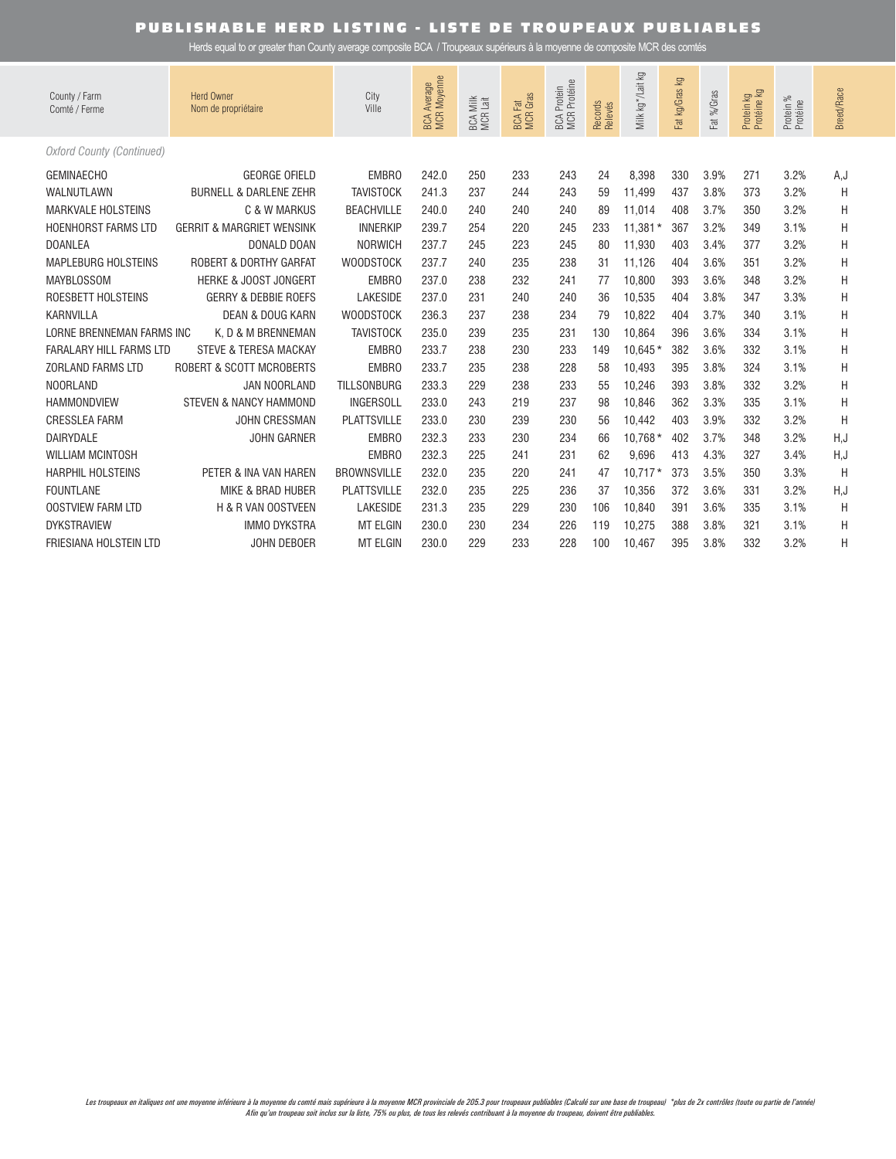| County / Farm<br>Comté / Ferme   | <b>Herd Owner</b><br>Nom de propriétaire | City<br>Ville      | BCA Average<br>MCR Moyenne | <b>BCA Milk</b><br>$\frac{1}{161}$<br><b>MCR</b> | <b>BCA Fat</b><br>MCR Gras | BCA Protein<br>MCR Protéine | Records<br>Relevés | Milk kg */Lait kg | ΔÃ<br>Fat kg/Gras | Fat %/Gras | Protein kg<br>Protéine kg | Protein %<br>Protéine | <b>Breed/Race</b> |
|----------------------------------|------------------------------------------|--------------------|----------------------------|--------------------------------------------------|----------------------------|-----------------------------|--------------------|-------------------|-------------------|------------|---------------------------|-----------------------|-------------------|
| <b>Oxford County (Continued)</b> |                                          |                    |                            |                                                  |                            |                             |                    |                   |                   |            |                           |                       |                   |
| <b>GEMINAECHO</b>                | <b>GEORGE OFIELD</b>                     | EMBRO              | 242.0                      | 250                                              | 233                        | 243                         | 24                 | 8.398             | 330               | 3.9%       | 271                       | 3.2%                  | A,J               |
| WALNUTLAWN                       | <b>BURNELL &amp; DARLENE ZEHR</b>        | <b>TAVISTOCK</b>   | 241.3                      | 237                                              | 244                        | 243                         | 59                 | 11,499            | 437               | 3.8%       | 373                       | 3.2%                  | H                 |
| <b>MARKVALE HOLSTEINS</b>        | C & W MARKUS                             | <b>BEACHVILLE</b>  | 240.0                      | 240                                              | 240                        | 240                         | 89                 | 11,014            | 408               | 3.7%       | 350                       | 3.2%                  | H                 |
| <b>HOENHORST FARMS LTD</b>       | <b>GERRIT &amp; MARGRIET WENSINK</b>     | <b>INNERKIP</b>    | 239.7                      | 254                                              | 220                        | 245                         | 233                | $11,381*$         | 367               | 3.2%       | 349                       | 3.1%                  | Η                 |
| <b>DOANLEA</b>                   | DONALD DOAN                              | <b>NORWICH</b>     | 237.7                      | 245                                              | 223                        | 245                         | 80                 | 11,930            | 403               | 3.4%       | 377                       | 3.2%                  | Η                 |
| <b>MAPLEBURG HOLSTEINS</b>       | <b>ROBERT &amp; DORTHY GARFAT</b>        | <b>WOODSTOCK</b>   | 237.7                      | 240                                              | 235                        | 238                         | 31                 | 11.126            | 404               | 3.6%       | 351                       | 3.2%                  | Η                 |
| <b>MAYBLOSSOM</b>                | <b>HERKE &amp; JOOST JONGERT</b>         | <b>EMBRO</b>       | 237.0                      | 238                                              | 232                        | 241                         | 77                 | 10,800            | 393               | 3.6%       | 348                       | 3.2%                  | Η                 |
| ROESBETT HOLSTEINS               | <b>GERRY &amp; DEBBIE ROEFS</b>          | <b>LAKESIDE</b>    | 237.0                      | 231                                              | 240                        | 240                         | 36                 | 10,535            | 404               | 3.8%       | 347                       | 3.3%                  | Η                 |
| <b>KARNVILLA</b>                 | <b>DEAN &amp; DOUG KARN</b>              | <b>WOODSTOCK</b>   | 236.3                      | 237                                              | 238                        | 234                         | 79                 | 10.822            | 404               | 3.7%       | 340                       | 3.1%                  | H                 |
| LORNE BRENNEMAN FARMS INC        | K. D & M BRENNEMAN                       | <b>TAVISTOCK</b>   | 235.0                      | 239                                              | 235                        | 231                         | 130                | 10,864            | 396               | 3.6%       | 334                       | 3.1%                  | Η                 |
| <b>FARALARY HILL FARMS LTD</b>   | <b>STEVE &amp; TERESA MACKAY</b>         | EMBRO              | 233.7                      | 238                                              | 230                        | 233                         | 149                | $10,645*$         | 382               | 3.6%       | 332                       | 3.1%                  | Η                 |
| <b>ZORLAND FARMS LTD</b>         | ROBERT & SCOTT MCROBERTS                 | EMBRO              | 233.7                      | 235                                              | 238                        | 228                         | 58                 | 10,493            | 395               | 3.8%       | 324                       | 3.1%                  | Η                 |
| <b>NOORLAND</b>                  | <b>JAN NOORLAND</b>                      | <b>TILLSONBURG</b> | 233.3                      | 229                                              | 238                        | 233                         | 55                 | 10.246            | 393               | 3.8%       | 332                       | 3.2%                  | Н                 |
| <b>HAMMONDVIEW</b>               | <b>STEVEN &amp; NANCY HAMMOND</b>        | <b>INGERSOLL</b>   | 233.0                      | 243                                              | 219                        | 237                         | 98                 | 10.846            | 362               | 3.3%       | 335                       | 3.1%                  | H                 |
| <b>CRESSLEA FARM</b>             | <b>JOHN CRESSMAN</b>                     | <b>PLATTSVILLE</b> | 233.0                      | 230                                              | 239                        | 230                         | 56                 | 10,442            | 403               | 3.9%       | 332                       | 3.2%                  | H                 |
| DAIRYDALE                        | <b>JOHN GARNER</b>                       | <b>EMBRO</b>       | 232.3                      | 233                                              | 230                        | 234                         | 66                 | 10,768 *          | 402               | 3.7%       | 348                       | 3.2%                  | H, J              |
| <b>WILLIAM MCINTOSH</b>          |                                          | EMBRO              | 232.3                      | 225                                              | 241                        | 231                         | 62                 | 9,696             | 413               | 4.3%       | 327                       | 3.4%                  | H,J               |
| <b>HARPHIL HOLSTEINS</b>         | PETER & INA VAN HAREN                    | <b>BROWNSVILLE</b> | 232.0                      | 235                                              | 220                        | 241                         | 47                 | $10,717*$         | 373               | 3.5%       | 350                       | 3.3%                  | H                 |
| <b>FOUNTLANE</b>                 | <b>MIKE &amp; BRAD HUBER</b>             | <b>PLATTSVILLE</b> | 232.0                      | 235                                              | 225                        | 236                         | 37                 | 10,356            | 372               | 3.6%       | 331                       | 3.2%                  | H,J               |
| <b>OOSTVIEW FARM LTD</b>         | H & R VAN OOSTVEEN                       | <b>LAKESIDE</b>    | 231.3                      | 235                                              | 229                        | 230                         | 106                | 10,840            | 391               | 3.6%       | 335                       | 3.1%                  | H                 |
| <b>DYKSTRAVIEW</b>               | <b>IMMO DYKSTRA</b>                      | <b>MT ELGIN</b>    | 230.0                      | 230                                              | 234                        | 226                         | 119                | 10,275            | 388               | 3.8%       | 321                       | 3.1%                  | Н                 |
| FRIESIANA HOLSTEIN LTD           | <b>JOHN DEBOER</b>                       | <b>MT ELGIN</b>    | 230.0                      | 229                                              | 233                        | 228                         | 100                | 10.467            | 395               | 3.8%       | 332                       | 3.2%                  | Η                 |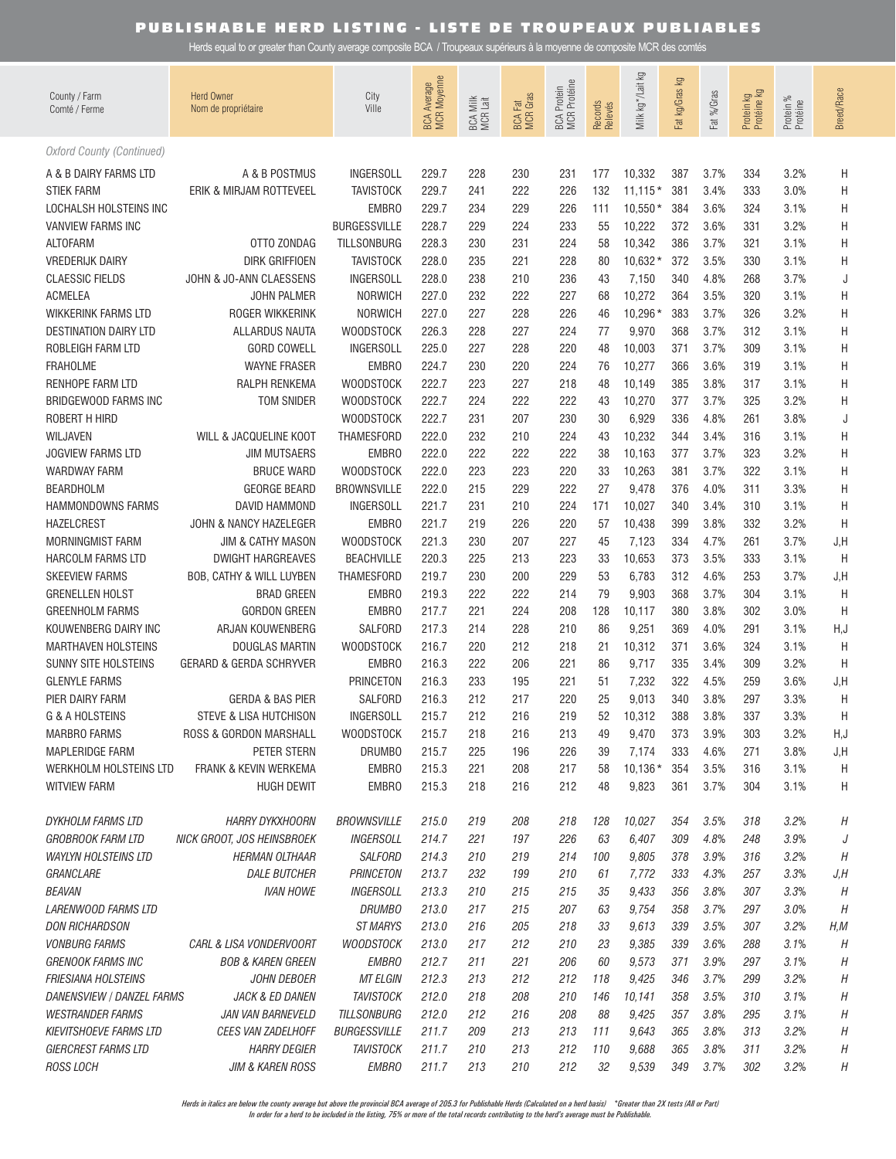Herds equal to or greater than County average composite BCA / Troupeaux supérieurs à la moyenne de composite MCR des comtés

| County / Farm<br>Comté / Ferme                 | <b>Herd Owner</b><br>Nom de propriétaire | City<br>Ville           | BCA Average<br>MCR Moyenne | BCA Milk<br>MCR Lait | <b>BCA Fat</b><br>MCR Gras | <b>MCR</b> Protéine<br><b>BCA Protein</b> | Records<br>Relevés | Milk kg */Lait kg | $\mathbb{S}$<br>Fat kg/Gras | Fat %/Gras   | Protein kg<br>Protéine kg | Protein %<br>Protéine | Breed/Race |
|------------------------------------------------|------------------------------------------|-------------------------|----------------------------|----------------------|----------------------------|-------------------------------------------|--------------------|-------------------|-----------------------------|--------------|---------------------------|-----------------------|------------|
| <b>Oxford County (Continued)</b>               |                                          |                         |                            |                      |                            |                                           |                    |                   |                             |              |                           |                       |            |
| A & B DAIRY FARMS LTD                          | A & B POSTMUS                            | <b>INGERSOLL</b>        | 229.7                      | 228                  | 230                        | 231                                       | 177                | 10,332            | 387                         | 3.7%         | 334                       | 3.2%                  | Н          |
| <b>STIEK FARM</b>                              | ERIK & MIRJAM ROTTEVEEL                  | <b>TAVISTOCK</b>        | 229.7                      | 241                  | 222                        | 226                                       | 132                | $11,115*$         | 381                         | 3.4%         | 333                       | 3.0%                  | Н          |
| LOCHALSH HOLSTEINS INC                         |                                          | <b>EMBRO</b>            | 229.7                      | 234                  | 229                        | 226                                       | 111                | $10,550*$         | 384                         | 3.6%         | 324                       | 3.1%                  | Η          |
| <b>VANVIEW FARMS INC</b>                       |                                          | <b>BURGESSVILLE</b>     | 228.7                      | 229                  | 224                        | 233                                       | 55                 | 10,222            | 372                         | 3.6%         | 331                       | 3.2%                  | Η          |
| <b>ALTOFARM</b>                                | OTTO ZONDAG                              | <b>TILLSONBURG</b>      | 228.3                      | 230                  | 231                        | 224                                       | 58                 | 10,342            | 386                         | 3.7%         | 321                       | 3.1%                  | Η          |
| <b>VREDERIJK DAIRY</b>                         | <b>DIRK GRIFFIOEN</b>                    | <b>TAVISTOCK</b>        | 228.0                      | 235                  | 221                        | 228                                       | 80                 | $10,632*$         | 372                         | 3.5%         | 330                       | 3.1%                  | Η          |
| <b>CLAESSIC FIELDS</b>                         | JOHN & JO-ANN CLAESSENS                  | <b>INGERSOLL</b>        | 228.0                      | 238                  | 210                        | 236                                       | 43                 | 7,150             | 340                         | 4.8%         | 268                       | 3.7%                  | J          |
| <b>ACMELEA</b>                                 | JOHN PALMER                              | <b>NORWICH</b>          | 227.0                      | 232                  | 222                        | 227                                       | 68                 | 10,272            | 364                         | 3.5%         | 320                       | 3.1%                  | Η          |
| <b>WIKKERINK FARMS LTD</b>                     | ROGER WIKKERINK                          | <b>NORWICH</b>          | 227.0                      | 227                  | 228                        | 226                                       | 46                 | 10,296 *          | 383                         | 3.7%         | 326                       | 3.2%                  | Η          |
| <b>DESTINATION DAIRY LTD</b>                   | ALLARDUS NAUTA                           | <b>WOODSTOCK</b>        | 226.3                      | 228                  | 227                        | 224                                       | 77                 | 9,970             | 368                         | 3.7%         | 312                       | 3.1%                  | Η          |
| ROBLEIGH FARM LTD                              | <b>GORD COWELL</b>                       | <b>INGERSOLL</b>        | 225.0                      | 227                  | 228                        | 220                                       | 48                 | 10,003            | 371                         | 3.7%         | 309                       | 3.1%                  | Η          |
| <b>FRAHOLME</b>                                | <b>WAYNE FRASER</b>                      | <b>EMBRO</b>            | 224.7                      | 230                  | 220                        | 224                                       | 76                 | 10,277            | 366                         | 3.6%         | 319                       | 3.1%                  | Η          |
| RENHOPE FARM LTD                               | RALPH RENKEMA                            | <b>WOODSTOCK</b>        | 222.7                      | 223                  | 227                        | 218                                       | 48                 | 10,149            | 385                         | 3.8%         | 317                       | 3.1%                  | Η          |
| BRIDGEWOOD FARMS INC                           | <b>TOM SNIDER</b>                        | <b>WOODSTOCK</b>        | 222.7                      | 224                  | 222                        | 222                                       | 43                 | 10,270            | 377                         | 3.7%         | 325                       | 3.2%                  | Η          |
| ROBERT H HIRD                                  |                                          | <b>WOODSTOCK</b>        | 222.7                      | 231                  | 207                        | 230                                       | 30                 | 6,929             | 336                         | 4.8%         | 261                       | 3.8%                  | J          |
| WILJAVEN                                       | WILL & JACQUELINE KOOT                   | <b>THAMESFORD</b>       | 222.0                      | 232                  | 210                        | 224                                       | 43                 | 10,232            | 344                         | 3.4%         | 316                       | 3.1%                  | Η          |
| <b>JOGVIEW FARMS LTD</b>                       | <b>JIM MUTSAERS</b>                      | <b>EMBRO</b>            | 222.0                      | 222                  | 222                        | 222                                       | 38                 | 10,163            | 377                         | 3.7%         | 323                       | 3.2%                  | Η          |
| <b>WARDWAY FARM</b>                            | <b>BRUCE WARD</b>                        | <b>WOODSTOCK</b>        | 222.0                      | 223                  | 223                        | 220                                       | 33                 | 10,263            | 381                         | 3.7%         | 322                       | 3.1%                  | Η          |
| <b>BEARDHOLM</b>                               | <b>GEORGE BEARD</b>                      | <b>BROWNSVILLE</b>      | 222.0                      | 215                  | 229                        | 222                                       | 27                 | 9,478             | 376                         | 4.0%         | 311                       | 3.3%                  | Η          |
| HAMMONDOWNS FARMS                              | DAVID HAMMOND                            | <b>INGERSOLL</b>        | 221.7                      | 231                  | 210                        | 224                                       | 171                | 10,027            | 340                         | 3.4%         | 310                       | 3.1%                  | Η          |
| <b>HAZELCREST</b>                              | JOHN & NANCY HAZELEGER                   | <b>EMBRO</b>            | 221.7                      | 219                  | 226                        | 220                                       | 57                 | 10,438            | 399                         | 3.8%         | 332                       | 3.2%                  | Η          |
| MORNINGMIST FARM                               | <b>JIM &amp; CATHY MASON</b>             | <b>WOODSTOCK</b>        | 221.3                      | 230                  | 207                        | 227                                       | 45                 | 7,123             | 334                         | 4.7%         | 261                       | 3.7%                  | J, H       |
| HARCOLM FARMS LTD                              | <b>DWIGHT HARGREAVES</b>                 | <b>BEACHVILLE</b>       | 220.3                      | 225                  | 213                        | 223                                       | 33                 | 10,653            | 373                         | 3.5%         | 333                       | 3.1%                  | H          |
| <b>SKEEVIEW FARMS</b>                          | BOB, CATHY & WILL LUYBEN                 | <b>THAMESFORD</b>       | 219.7                      | 230                  | 200                        | 229                                       | 53                 | 6,783             | 312                         | 4.6%         | 253                       | 3.7%                  | J, H       |
| <b>GRENELLEN HOLST</b>                         | <b>BRAD GREEN</b>                        | <b>EMBRO</b>            | 219.3                      | 222                  | 222                        | 214                                       | 79                 | 9,903             | 368                         | 3.7%         | 304                       | 3.1%                  | H          |
| <b>GREENHOLM FARMS</b><br>KOUWENBERG DAIRY INC | <b>GORDON GREEN</b><br>ARJAN KOUWENBERG  | <b>EMBRO</b><br>SALFORD | 217.7<br>217.3             | 221<br>214           | 224<br>228                 | 208<br>210                                | 128<br>86          | 10,117            | 380<br>369                  | 3.8%<br>4.0% | 302<br>291                | 3.0%<br>3.1%          | Η          |
| <b>MARTHAVEN HOLSTEINS</b>                     | <b>DOUGLAS MARTIN</b>                    | <b>WOODSTOCK</b>        | 216.7                      | 220                  | 212                        | 218                                       | 21                 | 9,251<br>10,312   | 371                         | 3.6%         | 324                       | 3.1%                  | H, J<br>H  |
| <b>SUNNY SITE HOLSTEINS</b>                    | <b>GERARD &amp; GERDA SCHRYVER</b>       | <b>EMBRO</b>            | 216.3                      | 222                  | 206                        | 221                                       | 86                 | 9,717             | 335                         | 3.4%         | 309                       | 3.2%                  | H          |
| <b>GLENYLE FARMS</b>                           |                                          | <b>PRINCETON</b>        | 216.3                      | 233                  | 195                        | 221                                       | 51                 | 7,232             | 322                         | 4.5%         | 259                       | 3.6%                  | J, H       |
| PIER DAIRY FARM                                | <b>GERDA &amp; BAS PIER</b>              | SALFORD                 | 216.3                      | 212                  | 217                        | 220                                       | 25                 | 9,013             | 340                         | 3.8%         | 297                       | 3.3%                  | H          |
| G & A HOLSTEINS                                | STEVE & LISA HUTCHISON                   | INGERSOLL               | 215.7                      | 212                  | 216                        | 219                                       | 52                 | 10,312            | 388                         | 3.8%         | 337                       | 3.3%                  | H          |
| <b>MARBRO FARMS</b>                            | ROSS & GORDON MARSHALL                   | <b>WOODSTOCK</b>        | 215.7                      | 218                  | 216                        | 213                                       | 49                 | 9,470             | 373                         | 3.9%         | 303                       | 3.2%                  | H, J       |
| MAPLERIDGE FARM                                | PETER STERN                              | <b>DRUMBO</b>           | 215.7                      | 225                  | 196                        | 226                                       | 39                 | 7,174             | 333                         | 4.6%         | 271                       | 3.8%                  | J,H        |
| WERKHOLM HOLSTEINS LTD                         | FRANK & KEVIN WERKEMA                    | EMBR0                   | 215.3                      | 221                  | 208                        | 217                                       | 58                 | $10,136*$         | 354                         | 3.5%         | 316                       | 3.1%                  | H          |
| <b>WITVIEW FARM</b>                            | <b>HUGH DEWIT</b>                        | EMBR0                   | 215.3                      | 218                  | 216                        | 212                                       | 48                 | 9,823             | 361                         | 3.7%         | 304                       | 3.1%                  | H          |
|                                                |                                          |                         |                            |                      |                            |                                           |                    |                   |                             |              |                           |                       |            |
| <b>DYKHOLM FARMS LTD</b>                       | <b>HARRY DYKXHOORN</b>                   | <b>BROWNSVILLE</b>      | 215.0                      | 219                  | 208                        | 218                                       | 128                | 10,027            | 354                         | 3.5%         | 318                       | 3.2%                  | Η          |
| <b>GROBROOK FARM LTD</b>                       | NICK GROOT, JOS HEINSBROEK               | <b>INGERSOLL</b>        | 214.7                      | 221                  | 197                        | 226                                       | 63                 | 6,407             | 309                         | 4.8%         | 248                       | 3.9%                  | J          |
| <b>WAYLYN HOLSTEINS LTD</b>                    | <b>HERMAN OLTHAAR</b>                    | <b>SALFORD</b>          | 214.3                      | 210                  | 219                        | 214                                       | 100                | 9,805             | 378                         | 3.9%         | 316                       | 3.2%                  | Н          |
| GRANCLARE                                      | <b>DALE BUTCHER</b>                      | <b>PRINCETON</b>        | 213.7                      | 232                  | 199                        | 210                                       | 61                 | 7,772             | 333                         | 4.3%         | 257                       | 3.3%                  | J, H       |
| <i>BEAVAN</i>                                  | <b>IVAN HOWE</b>                         | <b>INGERSOLL</b>        | 213.3                      | 210                  | 215                        | 215                                       | 35                 | 9,433             | 356                         | 3.8%         | 307                       | 3.3%                  | Н          |
| <i>LARENWOOD FARMS LTD</i>                     |                                          | <b>DRUMBO</b>           | 213.0                      | 217                  | 215                        | 207                                       | 63                 | 9,754             | 358                         | 3.7%         | 297                       | 3.0%                  | Н          |
| <b>DON RICHARDSON</b>                          |                                          | <b>ST MARYS</b>         | 213.0                      | 216                  | 205                        | 218                                       | 33                 | 9,613             | 339                         | 3.5%         | 307                       | 3.2%                  | H, M       |
| <b>VONBURG FARMS</b>                           | CARL & LISA VONDERVOORT                  | <b>WOODSTOCK</b>        | 213.0                      | 217                  | 212                        | 210                                       | 23                 | 9,385             | 339                         | 3.6%         | 288                       | 3.1%                  | Н          |
| <b>GRENOOK FARMS INC</b>                       | <b>BOB &amp; KAREN GREEN</b>             | <b>EMBRO</b>            | 212.7                      | 211                  | 221                        | 206                                       | 60                 | 9,573             | 371                         | 3.9%         | 297                       | 3.1%                  | Н          |
| <b>FRIESIANA HOLSTEINS</b>                     | JOHN DEBOER                              | <b>MT ELGIN</b>         | 212.3                      | 213                  | 212                        | 212                                       | 118                | 9,425             | 346                         | 3.7%         | 299                       | 3.2%                  | Η          |
| DANENSVIEW / DANZEL FARMS                      | JACK & ED DANEN                          | <b>TAVISTOCK</b>        | 212.0                      | 218                  | 208                        | 210                                       | 146                | 10,141            | 358                         | 3.5%         | 310                       | 3.1%                  | Η          |
| <b>WESTRANDER FARMS</b>                        | JAN VAN BARNEVELD                        | TILLSONBURG             | 212.0                      | 212                  | 216                        | 208                                       | 88                 | 9,425             | 357                         | 3.8%         | 295                       | 3.1%                  | Η          |
| <b>KIEVITSHOEVE FARMS LTD</b>                  | <b>CEES VAN ZADELHOFF</b>                | <b>BURGESSVILLE</b>     | 211.7                      | 209                  | 213                        | 213                                       | 111                | 9,643             | 365                         | 3.8%         | 313                       | 3.2%                  | Η          |
| <b>GIERCREST FARMS LTD</b>                     | <b>HARRY DEGIER</b>                      | <b>TAVISTOCK</b>        | 211.7                      | 210                  | 213                        | 212                                       | 110                | 9,688             | 365                         | 3.8%         | 311                       | 3.2%                  | Η          |
| ROSS LOCH                                      | <b>JIM &amp; KAREN ROSS</b>              | <b>EMBRO</b>            | 211.7                      | 213                  | 210                        | 212                                       | 32                 | 9,539             | 349                         | 3.7%         | 302                       | 3.2%                  | Η          |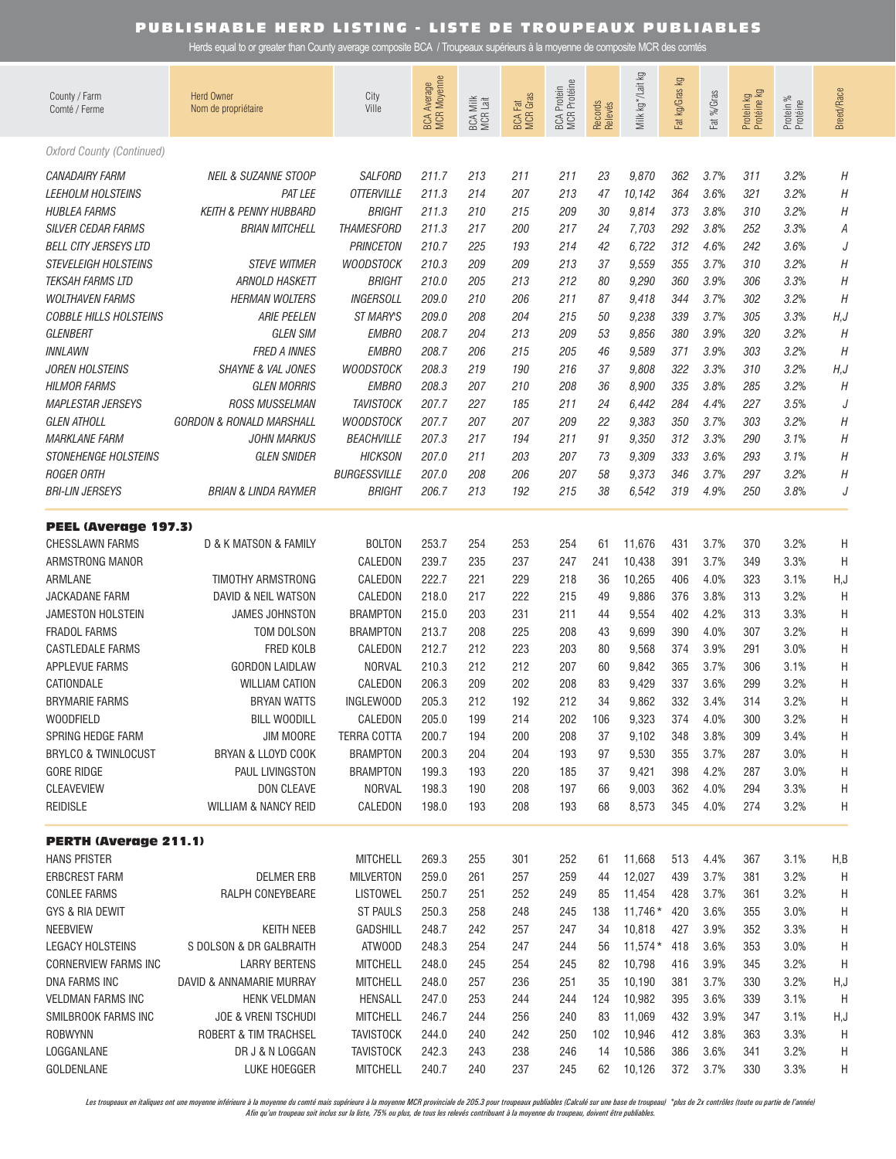Herds equal to or greater than County average composite BCA / Troupeaux supérieurs à la moyenne de composite MCR des comtés

| County / Farm<br>Comté / Ferme                                                   | <b>Herd Owner</b><br>Nom de propriétaire                  | City<br>Ville                                          | BCA Average<br>MCR Moyenne | Milk<br>R<br>Lait<br>BCA N<br>MCR | <b>BCA Fat</b><br>MCR Gras | BCA Protein<br>MCR Protéine | Records<br>Relevés | Milk kg */Lait kg          | ΔÃ<br>Fat kg/Gras | %Gras<br><b>Fat</b>  | Protein kg<br>Protéine kg | Protein %<br>Protéine | <b>Breed/Race</b> |
|----------------------------------------------------------------------------------|-----------------------------------------------------------|--------------------------------------------------------|----------------------------|-----------------------------------|----------------------------|-----------------------------|--------------------|----------------------------|-------------------|----------------------|---------------------------|-----------------------|-------------------|
| <b>Oxford County (Continued)</b>                                                 |                                                           |                                                        |                            |                                   |                            |                             |                    |                            |                   |                      |                           |                       |                   |
| <b>CANADAIRY FARM</b>                                                            | <b>NEIL &amp; SUZANNE STOOP</b>                           | <b>SALFORD</b>                                         | 211.7                      | 213                               | 211                        | 211                         | 23                 | 9,870                      | 362               | 3.7%                 | 311                       | 3.2%                  | Η                 |
| <b>LEEHOLM HOLSTEINS</b>                                                         | <b>PAT LEE</b>                                            | <b>OTTERVILLE</b>                                      | 211.3                      | 214                               | 207                        | 213                         | 47                 | 10,142                     | 364               | 3.6%                 | 321                       | 3.2%                  | Η                 |
| <b>HUBLEA FARMS</b><br><b>SILVER CEDAR FARMS</b><br><b>BELL CITY JERSEYS LTD</b> | <b>KEITH &amp; PENNY HUBBARD</b><br><b>BRIAN MITCHELL</b> | <b>BRIGHT</b><br><b>THAMESFORD</b><br><b>PRINCETON</b> | 211.3<br>211.3<br>210.7    | 210<br>217<br>225                 | 215<br>200<br>193          | 209<br>217<br>214           | 30<br>24<br>42     | 9,814<br>7,703<br>6,722    | 373<br>292<br>312 | 3.8%<br>3.8%<br>4.6% | 310<br>252<br>242         | 3.2%<br>3.3%<br>3.6%  | Η<br>А<br>J       |
| STEVELEIGH HOLSTEINS                                                             | <b>STEVE WITMER</b>                                       | <b>WOODSTOCK</b>                                       | 210.3                      | 209                               | 209                        | 213                         | 37                 | 9,559                      | 355               | 3.7%                 | 310                       | 3.2%                  | Η                 |
| <b>TEKSAH FARMS LTD</b>                                                          | <b>ARNOLD HASKETT</b>                                     | <b>BRIGHT</b>                                          | 210.0                      | 205                               | 213                        | 212                         | 80                 | 9,290                      | 360               | 3.9%                 | 306                       | 3.3%                  | Η                 |
| <b>WOLTHAVEN FARMS</b>                                                           | <b>HERMAN WOLTERS</b>                                     | <b>INGERSOLL</b>                                       | 209.0                      | 210                               | 206                        | 211                         | 87                 | 9,418                      | 344               | 3.7%                 | 302                       | 3.2%                  | H                 |
| <b>COBBLE HILLS HOLSTEINS</b>                                                    | <b>ARIE PEELEN</b>                                        | ST MARYS                                               | 209.0                      | 208                               | 204                        | 215                         | 50                 | 9,238                      | 339               | 3.7%                 | 305                       | 3.3%                  | H, J              |
| GLENBERT                                                                         | <b>GLEN SIM</b>                                           | <b>EMBRO</b>                                           | 208.7                      | 204                               | 213                        | 209                         | 53                 | 9,856                      | 380               | 3.9%                 | 320                       | 3.2%                  | H                 |
| INNLAWN                                                                          | <b>FRED A INNES</b>                                       | <b>EMBRO</b>                                           | 208.7                      | 206                               | 215                        | 205                         | 46                 | 9,589                      | 371               | 3.9%                 | 303                       | 3.2%                  | Η                 |
| <b>JOREN HOLSTEINS</b>                                                           | <b>SHAYNE &amp; VAL JONES</b>                             | <b>WOODSTOCK</b>                                       | 208.3                      | 219                               | 190                        | 216                         | 37                 | 9,808                      | 322               | 3.3%                 | 310                       | 3.2%                  | H, J              |
| <b>HILMOR FARMS</b>                                                              | <b>GLEN MORRIS</b>                                        | <b>EMBRO</b>                                           | 208.3                      | 207                               | 210                        | 208                         | 36                 | 8,900                      | 335               | 3.8%                 | 285                       | 3.2%                  | Η                 |
| <b>MAPLESTAR JERSEYS</b>                                                         | <b>ROSS MUSSELMAN</b>                                     | <b>TAVISTOCK</b>                                       | 207.7                      | 227                               | 185                        | 211                         | 24                 | 6,442                      | 284               | 4.4%                 | 227                       | 3.5%                  | J                 |
| <b>GLEN ATHOLL</b>                                                               | <b>GORDON &amp; RONALD MARSHALL</b>                       | <b>WOODSTOCK</b>                                       | 207.7                      | 207                               | 207                        | 209                         | 22                 | 9,383                      | 350               | 3.7%                 | 303                       | 3.2%                  | Η                 |
| <b>MARKLANE FARM</b>                                                             | <b>JOHN MARKUS</b>                                        | <b>BEACHVILLE</b>                                      | 207.3                      | 217                               | 194                        | 211                         | 91                 | 9,350                      | 312               | 3.3%                 | 290                       | 3.1%                  | Η                 |
| <b>STONEHENGE HOLSTEINS</b>                                                      | <b>GLEN SNIDER</b>                                        | <b>HICKSON</b>                                         | 207.0                      | 211                               | 203                        | 207                         | 73                 | 9,309                      | 333               | 3.6%                 | 293                       | 3.1%                  | Η                 |
| <b>ROGER ORTH</b>                                                                | BRIAN & LINDA RAYMER                                      | <b>BURGESSVILLE</b>                                    | 207.0                      | 208                               | 206                        | 207                         | 58                 | 9,373                      | 346               | 3.7%                 | 297                       | 3.2%                  | Η                 |
| <b>BRI-LIN JERSEYS</b>                                                           |                                                           | <b>BRIGHT</b>                                          | 206.7                      | 213                               | 192                        | 215                         | 38                 | 6,542                      | 319               | 4.9%                 | 250                       | 3.8%                  | J                 |
| <b>PEEL (Average 197.3)</b>                                                      |                                                           |                                                        |                            |                                   |                            |                             |                    |                            |                   |                      |                           |                       |                   |
| <b>CHESSLAWN FARMS</b>                                                           | D & K MATSON & FAMILY                                     | <b>BOLTON</b>                                          | 253.7                      | 254                               | 253                        | 254                         | 61                 | 11,676                     | 431               | 3.7%                 | 370                       | 3.2%                  | Η                 |
| ARMSTRONG MANOR                                                                  |                                                           | CALEDON                                                | 239.7                      | 235                               | 237                        | 247                         | 241                | 10,438                     | 391               | 3.7%                 | 349                       | 3.3%                  | H                 |
| ARMLANE                                                                          | TIMOTHY ARMSTRONG                                         | CALEDON                                                | 222.7                      | 221                               | 229                        | 218                         | 36                 | 10,265                     | 406               | 4.0%                 | 323                       | 3.1%                  | H, J              |
| JACKADANE FARM                                                                   | DAVID & NEIL WATSON                                       | CALEDON                                                | 218.0                      | 217                               | 222                        | 215                         | 49                 | 9,886                      | 376               | 3.8%                 | 313                       | 3.2%                  | H                 |
| <b>JAMESTON HOLSTEIN</b>                                                         | <b>JAMES JOHNSTON</b>                                     | <b>BRAMPTON</b>                                        | 215.0                      | 203                               | 231                        | 211                         | 44                 | 9,554                      | 402               | 4.2%                 | 313                       | 3.3%                  | Η                 |
| <b>FRADOL FARMS</b>                                                              | TOM DOLSON                                                | <b>BRAMPTON</b>                                        | 213.7                      | 208                               | 225                        | 208                         | 43                 | 9,699                      | 390               | 4.0%                 | 307                       | 3.2%                  | Η                 |
| <b>CASTLEDALE FARMS</b>                                                          | <b>FRED KOLB</b>                                          | CALEDON                                                | 212.7                      | 212                               | 223                        | 203                         | 80                 | 9,568                      | 374               | 3.9%                 | 291                       | 3.0%                  | Η                 |
| <b>APPLEVUE FARMS</b>                                                            | <b>GORDON LAIDLAW</b>                                     | <b>NORVAL</b>                                          | 210.3                      | 212                               | 212                        | 207                         | 60                 | 9,842                      | 365               | 3.7%                 | 306                       | 3.1%                  | Η                 |
| CATIONDALE                                                                       | <b>WILLIAM CATION</b>                                     | CALEDON                                                | 206.3                      | 209                               | 202                        | 208                         | 83                 | 9,429                      | 337               | 3.6%                 | 299                       | 3.2%                  | Η                 |
| <b>BRYMARIE FARMS</b>                                                            | <b>BRYAN WATTS</b>                                        | INGLEWOOD                                              | 205.3                      | 212                               | 192                        | 212                         | 34                 | 9,862                      | 332               | 3.4%                 | 314                       | 3.2%                  | Η                 |
| <b>WOODFIELD</b>                                                                 | <b>BILL WOODILL</b>                                       | CALEDON                                                | 205.0                      | 199                               | 214                        | 202                         | 106                | 9,323                      | 374               | 4.0%                 | 300                       | 3.2%                  | Η                 |
| SPRING HEDGE FARM                                                                | JIM MOORE                                                 | <b>TERRA COTTA</b>                                     | 200.7                      | 194                               | 200                        | 208                         | 37                 | 9,102                      | 348               | 3.8%                 | 309                       | 3.4%                  | Η                 |
| <b>BRYLCO &amp; TWINLOCUST</b>                                                   | BRYAN & LLOYD COOK                                        | <b>BRAMPTON</b>                                        | 200.3                      | 204                               | 204                        | 193                         | 97                 | 9,530                      | 355               | 3.7%                 | 287                       | 3.0%                  | Η                 |
| <b>GORE RIDGE</b>                                                                | PAUL LIVINGSTON                                           | <b>BRAMPTON</b>                                        | 199.3                      | 193                               | 220                        | 185                         | 37                 | 9,421                      | 398               | 4.2%                 | 287                       | 3.0%                  | Η                 |
| <b>CLEAVEVIEW</b>                                                                | DON CLEAVE                                                | <b>NORVAL</b>                                          | 198.3                      | 190                               | 208                        | 197                         | 66                 | 9,003                      | 362               | 4.0%                 | 294                       | 3.3%                  | Η                 |
| <b>REIDISLE</b>                                                                  | <b>WILLIAM &amp; NANCY REID</b>                           | CALEDON                                                | 198.0                      | 193                               | 208                        | 193                         | 68                 | 8,573                      | 345               | 4.0%                 | 274                       | 3.2%                  | Η                 |
| <b>PERTH (Average 211.1)</b>                                                     |                                                           |                                                        |                            |                                   |                            |                             |                    |                            |                   |                      |                           |                       |                   |
| <b>HANS PFISTER</b><br><b>ERBCREST FARM</b><br><b>CONLEE FARMS</b>               | <b>DELMER ERB</b><br>RALPH CONEYBEARE                     | <b>MITCHELL</b><br><b>MILVERTON</b><br><b>LISTOWEL</b> | 269.3<br>259.0<br>250.7    | 255<br>261<br>251                 | 301<br>257<br>252          | 252<br>259<br>249           | 61<br>44<br>85     | 11,668<br>12,027<br>11,454 | 513<br>439<br>428 | 4.4%<br>3.7%<br>3.7% | 367<br>381<br>361         | 3.1%<br>3.2%<br>3.2%  | H,B<br>H<br>H     |
| GYS & RIA DEWIT                                                                  | <b>KEITH NEEB</b>                                         | <b>ST PAULS</b>                                        | 250.3                      | 258                               | 248                        | 245                         | 138                | $11,746*$                  | 420               | 3.6%                 | 355                       | 3.0%                  | Η                 |
| <b>NEEBVIEW</b>                                                                  |                                                           | <b>GADSHILL</b>                                        | 248.7                      | 242                               | 257                        | 247                         | 34                 | 10,818                     | 427               | 3.9%                 | 352                       | 3.3%                  | Η                 |
| <b>LEGACY HOLSTEINS</b>                                                          | S DOLSON & DR GALBRAITH                                   | ATWOOD                                                 | 248.3                      | 254                               | 247                        | 244                         | 56                 | $11,574*$                  | 418               | 3.6%                 | 353                       | 3.0%                  | H                 |
| <b>CORNERVIEW FARMS INC</b>                                                      | <b>LARRY BERTENS</b>                                      | <b>MITCHELL</b>                                        | 248.0                      | 245                               | 254                        | 245                         | 82                 | 10,798                     | 416               | 3.9%                 | 345                       | 3.2%                  | H                 |
| DNA FARMS INC                                                                    | DAVID & ANNAMARIE MURRAY                                  | <b>MITCHELL</b>                                        | 248.0                      | 257                               | 236                        | 251                         | 35                 | 10,190                     | 381               | 3.7%                 | 330                       | 3.2%                  | H, J              |
| <b>VELDMAN FARMS INC</b>                                                         | <b>HENK VELDMAN</b>                                       | HENSALL                                                | 247.0                      | 253                               | 244                        | 244                         | 124                | 10,982                     | 395               | 3.6%                 | 339                       | 3.1%                  | H                 |
| SMILBROOK FARMS INC                                                              | <b>JOE &amp; VRENI TSCHUDI</b>                            | <b>MITCHELL</b>                                        | 246.7                      | 244                               | 256                        | 240                         | 83                 | 11,069                     | 432               | 3.9%                 | 347                       | 3.1%                  | H, J              |
| <b>ROBWYNN</b>                                                                   | ROBERT & TIM TRACHSEL                                     | <b>TAVISTOCK</b>                                       | 244.0                      | 240                               | 242                        | 250                         | 102                | 10,946                     | 412               | 3.8%                 | 363                       | 3.3%                  | H                 |
| LOGGANLANE                                                                       | DR J & N LOGGAN                                           | <b>TAVISTOCK</b>                                       | 242.3                      | 243                               | 238                        | 246                         | 14                 | 10,586                     | 386               | 3.6%                 | 341                       | 3.2%                  | H                 |
| GOLDENLANE                                                                       | LUKE HOEGGER                                              | <b>MITCHELL</b>                                        | 240.7                      | 240                               | 237                        | 245                         | 62                 | 10,126                     | 372               | 3.7%                 | 330                       | 3.3%                  | Н                 |

Les troupeaux en italiques ont une moyenne inférieure à la moyenne du comté mais supérieure à la moyenne MCR provinciale de 205.3 pour troupeaux publiables (Calculé sur une base de troupeau) \*plus de 2x contrôles (toute ou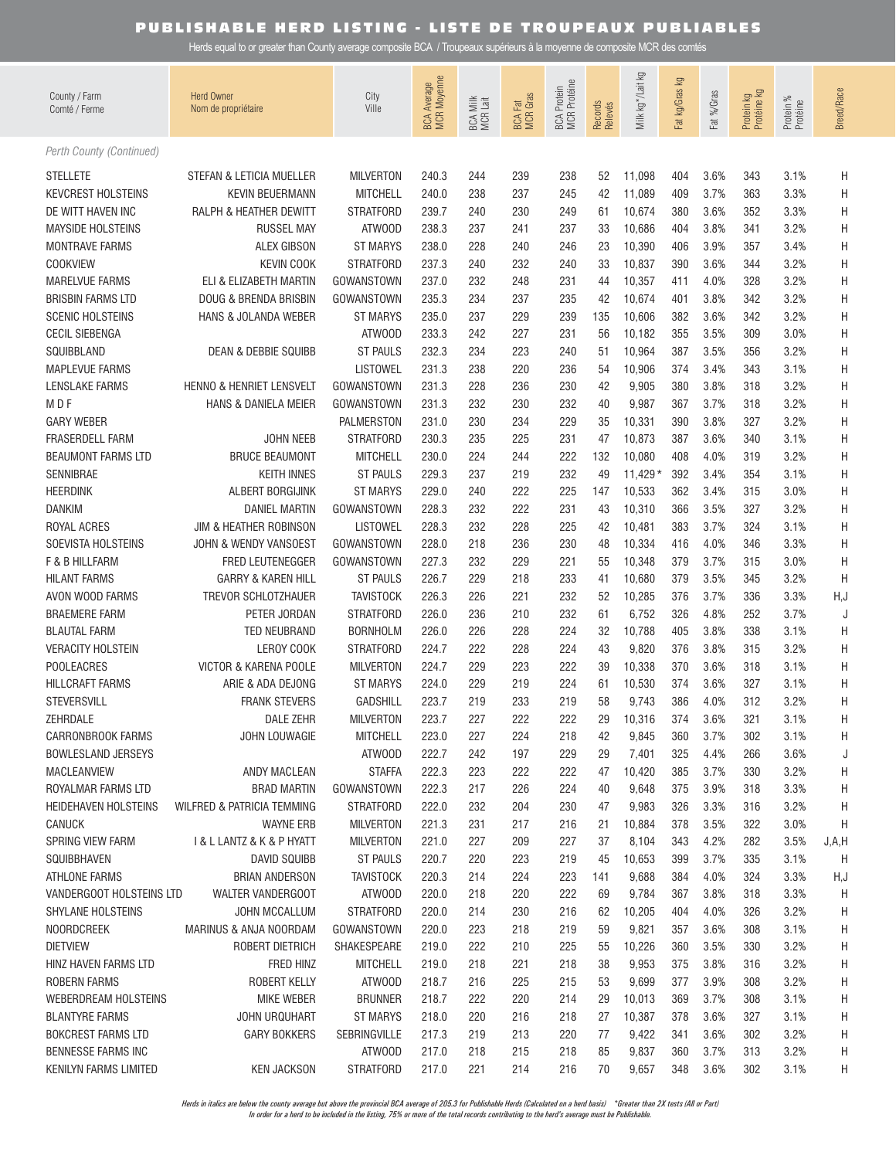Herds equal to or greater than County average composite BCA / Troupeaux supérieurs à la moyenne de composite MCR des comtés

| County / Farm<br>Comté / Ferme            | <b>Herd Owner</b><br>Nom de propriétaire     | City<br>Ville                      | <b>BCA Average</b><br>MCR Moyenne | BCA Milk<br>MCR Lait | <b>BCA Fat</b><br>MCR Gras | <b>MCR</b> Protéine<br><b>BCA Protein</b> | Records<br>Relevés | Milk kg */Lait kg   | Ιğ<br>Fat kg/Gras | Fat %/Gras   | Protein kg<br>Protéine kg | Protein %<br>Protéine | Breed/Race |
|-------------------------------------------|----------------------------------------------|------------------------------------|-----------------------------------|----------------------|----------------------------|-------------------------------------------|--------------------|---------------------|-------------------|--------------|---------------------------|-----------------------|------------|
| Perth County (Continued)                  |                                              |                                    |                                   |                      |                            |                                           |                    |                     |                   |              |                           |                       |            |
| <b>STELLETE</b>                           | STEFAN & LETICIA MUELLER                     | <b>MILVERTON</b>                   | 240.3                             | 244                  | 239                        | 238                                       | 52                 | 11,098              | 404               | 3.6%         | 343                       | 3.1%                  | Η          |
| <b>KEVCREST HOLSTEINS</b>                 | <b>KEVIN BEUERMANN</b>                       | <b>MITCHELL</b>                    | 240.0                             | 238                  | 237                        | 245                                       | 42                 | 11,089              | 409               | 3.7%         | 363                       | 3.3%                  | Η          |
| DE WITT HAVEN INC                         | RALPH & HEATHER DEWITT                       | <b>STRATFORD</b>                   | 239.7                             | 240                  | 230                        | 249                                       | 61                 | 10,674              | 380               | 3.6%         | 352                       | 3.3%                  | Η          |
| <b>MAYSIDE HOLSTEINS</b>                  | <b>RUSSEL MAY</b>                            | ATWOOD                             | 238.3                             | 237                  | 241                        | 237                                       | 33                 | 10,686              | 404               | 3.8%         | 341                       | 3.2%                  | Η          |
| <b>MONTRAVE FARMS</b>                     | <b>ALEX GIBSON</b>                           | <b>ST MARYS</b>                    | 238.0                             | 228                  | 240                        | 246                                       | 23                 | 10,390              | 406               | 3.9%         | 357                       | 3.4%                  | Η          |
| <b>COOKVIEW</b>                           | <b>KEVIN COOK</b>                            | <b>STRATFORD</b>                   | 237.3                             | 240                  | 232                        | 240                                       | 33                 | 10,837              | 390               | 3.6%         | 344                       | 3.2%                  | Η          |
| <b>MARELVUE FARMS</b>                     | ELI & ELIZABETH MARTIN                       | GOWANSTOWN                         | 237.0                             | 232                  | 248                        | 231                                       | 44                 | 10,357              | 411               | 4.0%         | 328                       | 3.2%                  | Η          |
| <b>BRISBIN FARMS LTD</b>                  | DOUG & BRENDA BRISBIN                        | GOWANSTOWN                         | 235.3                             | 234                  | 237                        | 235                                       | 42                 | 10,674              | 401               | 3.8%         | 342                       | 3.2%                  | Η          |
| <b>SCENIC HOLSTEINS</b>                   | HANS & JOLANDA WEBER                         | ST MARYS                           | 235.0                             | 237                  | 229                        | 239                                       | 135                | 10,606              | 382               | 3.6%         | 342                       | 3.2%                  | Η          |
| <b>CECIL SIEBENGA</b>                     |                                              | ATWOOD                             | 233.3                             | 242                  | 227                        | 231                                       | 56                 | 10,182              | 355               | 3.5%         | 309                       | 3.0%                  | Η          |
| SQUIBBLAND                                | <b>DEAN &amp; DEBBIE SQUIBB</b>              | <b>ST PAULS</b>                    | 232.3                             | 234                  | 223                        | 240                                       | 51                 | 10,964              | 387               | 3.5%         | 356                       | 3.2%                  | Η          |
| <b>MAPLEVUE FARMS</b>                     |                                              | LISTOWEL                           | 231.3                             | 238                  | 220                        | 236                                       | 54                 | 10,906              | 374               | 3.4%         | 343                       | 3.1%                  | Η          |
| LENSLAKE FARMS                            | HENNO & HENRIET LENSVELT                     | GOWANSTOWN                         | 231.3                             | 228                  | 236                        | 230                                       | 42                 | 9,905               | 380               | 3.8%         | 318                       | 3.2%                  | Η          |
| M D F                                     | <b>HANS &amp; DANIELA MEIER</b>              | GOWANSTOWN                         | 231.3                             | 232                  | 230                        | 232                                       | 40                 | 9,987               | 367               | 3.7%         | 318                       | 3.2%                  | Η          |
| <b>GARY WEBER</b>                         |                                              | <b>PALMERSTON</b>                  | 231.0                             | 230                  | 234                        | 229                                       | 35                 | 10,331              | 390               | 3.8%         | 327                       | 3.2%                  | Η          |
| <b>FRASERDELL FARM</b>                    | JOHN NEEB                                    | <b>STRATFORD</b>                   | 230.3                             | 235                  | 225                        | 231                                       | 47                 | 10,873              | 387               | 3.6%         | 340                       | 3.1%                  | Η          |
| <b>BEAUMONT FARMS LTD</b>                 | <b>BRUCE BEAUMONT</b>                        | <b>MITCHELL</b>                    | 230.0                             | 224                  | 244                        | 222                                       | 132                | 10,080              | 408               | 4.0%         | 319<br>354                | 3.2%                  | Η          |
| SENNIBRAE<br><b>HEERDINK</b>              | <b>KEITH INNES</b><br>ALBERT BORGIJINK       | <b>ST PAULS</b><br><b>ST MARYS</b> | 229.3<br>229.0                    | 237<br>240           | 219<br>222                 | 232<br>225                                | 49<br>147          | $11,429*$<br>10,533 | 392<br>362        | 3.4%<br>3.4% | 315                       | 3.1%<br>3.0%          | Η<br>Η     |
| <b>DANKIM</b>                             | <b>DANIEL MARTIN</b>                         | GOWANSTOWN                         | 228.3                             | 232                  | 222                        | 231                                       | 43                 | 10,310              | 366               | 3.5%         | 327                       | 3.2%                  | Η          |
| ROYAL ACRES                               | JIM & HEATHER ROBINSON                       | <b>LISTOWEL</b>                    | 228.3                             | 232                  | 228                        | 225                                       | 42                 | 10,481              | 383               | 3.7%         | 324                       | 3.1%                  | Η          |
| SOEVISTA HOLSTEINS                        | JOHN & WENDY VANSOEST                        | GOWANSTOWN                         | 228.0                             | 218                  | 236                        | 230                                       | 48                 | 10,334              | 416               | 4.0%         | 346                       | 3.3%                  | Η          |
| F & B HILLFARM                            | FRED LEUTENEGGER                             | GOWANSTOWN                         | 227.3                             | 232                  | 229                        | 221                                       | 55                 | 10,348              | 379               | 3.7%         | 315                       | 3.0%                  | Η          |
| <b>HILANT FARMS</b>                       | <b>GARRY &amp; KAREN HILL</b>                | <b>ST PAULS</b>                    | 226.7                             | 229                  | 218                        | 233                                       | 41                 | 10,680              | 379               | 3.5%         | 345                       | 3.2%                  | Η          |
| AVON WOOD FARMS                           | TREVOR SCHLOTZHAUER                          | <b>TAVISTOCK</b>                   | 226.3                             | 226                  | 221                        | 232                                       | 52                 | 10,285              | 376               | 3.7%         | 336                       | 3.3%                  | H, J       |
| <b>BRAEMERE FARM</b>                      | PETER JORDAN                                 | <b>STRATFORD</b>                   | 226.0                             | 236                  | 210                        | 232                                       | 61                 | 6,752               | 326               | 4.8%         | 252                       | 3.7%                  | J          |
| <b>BLAUTAL FARM</b>                       | TED NEUBRAND                                 | <b>BORNHOLM</b>                    | 226.0                             | 226                  | 228                        | 224                                       | 32                 | 10,788              | 405               | 3.8%         | 338                       | 3.1%                  | Η          |
| <b>VERACITY HOLSTEIN</b>                  | LEROY COOK                                   | <b>STRATFORD</b>                   | 224.7                             | 222                  | 228                        | 224                                       | 43                 | 9,820               | 376               | 3.8%         | 315                       | 3.2%                  | Η          |
| <b>POOLEACRES</b>                         | VICTOR & KARENA POOLE                        | <b>MILVERTON</b>                   | 224.7                             | 229                  | 223                        | 222                                       | 39                 | 10,338              | 370               | 3.6%         | 318                       | 3.1%                  | Η          |
| <b>HILLCRAFT FARMS</b>                    | ARIE & ADA DEJONG                            | <b>ST MARYS</b>                    | 224.0                             | 229                  | 219                        | 224                                       | 61                 | 10,530              | 374               | 3.6%         | 327                       | 3.1%                  | Η          |
| <b>STEVERSVILL</b>                        | <b>FRANK STEVERS</b>                         | <b>GADSHILL</b>                    | 223.7                             | 219                  | 233                        | 219                                       | 58                 | 9,743               | 386               | 4.0%         | 312                       | 3.2%                  | Η          |
| ZEHRDALE                                  | <b>DALE ZEHR</b>                             | <b>MILVERTON</b>                   | 223.7                             | 227                  | 222                        | 222                                       | 29                 | 10,316              | 374               | 3.6%         | 321                       | 3.1%                  | Η          |
| <b>CARRONBROOK FARMS</b>                  | <b>JOHN LOUWAGIE</b>                         | <b>MITCHELL</b>                    | 223.0                             | 227                  | 224                        | 218                                       | 42                 | 9,845               | 360               | 3.7%         | 302                       | 3.1%                  | H          |
| <b>BOWLESLAND JERSEYS</b>                 |                                              | ATWOOD                             | 222.7                             | 242                  | 197                        | 229                                       | 29                 | 7,401               | 325               | 4.4%         | 266                       | 3.6%                  | J          |
| MACLEANVIEW                               | ANDY MACLEAN                                 | <b>STAFFA</b>                      | 222.3                             | 223                  | 222                        | 222                                       | 47                 | 10,420              | 385               | 3.7%         | 330                       | 3.2%                  | Н          |
| ROYALMAR FARMS LTD                        | <b>BRAD MARTIN</b>                           | GOWANSTOWN                         | 222.3                             | 217                  | 226                        | 224                                       | 40                 | 9,648               | 375               | 3.9%         | 318                       | 3.3%                  | Н          |
| <b>HEIDEHAVEN HOLSTEINS</b>               | WILFRED & PATRICIA TEMMING                   | <b>STRATFORD</b>                   | 222.0                             | 232                  | 204                        | 230                                       | 47                 | 9,983               | 326               | 3.3%         | 316                       | 3.2%                  | H          |
| <b>CANUCK</b>                             | <b>WAYNE ERB</b>                             | <b>MILVERTON</b>                   | 221.3                             | 231                  | 217                        | 216                                       | 21                 | 10,884              | 378               | 3.5%         | 322                       | 3.0%                  | H          |
| SPRING VIEW FARM                          | <b>I &amp; L LANTZ &amp; K &amp; P HYATT</b> | <b>MILVERTON</b>                   | 221.0                             | 227                  | 209                        | 227                                       | 37                 | 8,104               | 343               | 4.2%         | 282                       | 3.5%                  | J, A, H    |
| SQUIBBHAVEN                               | <b>DAVID SQUIBB</b>                          | <b>ST PAULS</b>                    | 220.7                             | 220                  | 223                        | 219                                       | 45                 | 10,653              | 399               | 3.7%         | 335                       | 3.1%                  | H          |
| ATHLONE FARMS<br>VANDERGOOT HOLSTEINS LTD | <b>BRIAN ANDERSON</b><br>WALTER VANDERGOOT   | <b>TAVISTOCK</b><br>ATWOOD         | 220.3<br>220.0                    | 214<br>218           | 224<br>220                 | 223<br>222                                | 141<br>69          | 9,688<br>9,784      | 384<br>367        | 4.0%<br>3.8% | 324<br>318                | 3.3%<br>3.3%          | H,J        |
| SHYLANE HOLSTEINS                         | JOHN MCCALLUM                                | <b>STRATFORD</b>                   | 220.0                             | 214                  | 230                        | 216                                       | 62                 | 10,205              | 404               | 4.0%         | 326                       | 3.2%                  | H<br>H     |
| <b>NOORDCREEK</b>                         | MARINUS & ANJA NOORDAM                       | GOWANSTOWN                         | 220.0                             | 223                  | 218                        | 219                                       | 59                 | 9,821               | 357               | 3.6%         | 308                       | 3.1%                  | H          |
| <b>DIETVIEW</b>                           | ROBERT DIETRICH                              | SHAKESPEARE                        | 219.0                             | 222                  | 210                        | 225                                       | 55                 | 10,226              | 360               | 3.5%         | 330                       | 3.2%                  | H          |
| HINZ HAVEN FARMS LTD                      | FRED HINZ                                    | <b>MITCHELL</b>                    | 219.0                             | 218                  | 221                        | 218                                       | 38                 | 9,953               | 375               | 3.8%         | 316                       | 3.2%                  | H          |
| ROBERN FARMS                              | ROBERT KELLY                                 | ATWOOD                             | 218.7                             | 216                  | 225                        | 215                                       | 53                 | 9,699               | 377               | 3.9%         | 308                       | 3.2%                  | Н          |
| <b>WEBERDREAM HOLSTEINS</b>               | MIKE WEBER                                   | <b>BRUNNER</b>                     | 218.7                             | 222                  | 220                        | 214                                       | 29                 | 10,013              | 369               | 3.7%         | 308                       | 3.1%                  | Н          |
| <b>BLANTYRE FARMS</b>                     | <b>JOHN URQUHART</b>                         | <b>ST MARYS</b>                    | 218.0                             | 220                  | 216                        | 218                                       | 27                 | 10,387              | 378               | 3.6%         | 327                       | 3.1%                  | H          |
| <b>BOKCREST FARMS LTD</b>                 | <b>GARY BOKKERS</b>                          | SEBRINGVILLE                       | 217.3                             | 219                  | 213                        | 220                                       | 77                 | 9,422               | 341               | 3.6%         | 302                       | 3.2%                  | H          |
| <b>BENNESSE FARMS INC</b>                 |                                              | ATWOOD                             | 217.0                             | 218                  | 215                        | 218                                       | 85                 | 9,837               | 360               | 3.7%         | 313                       | 3.2%                  | H          |
| KENILYN FARMS LIMITED                     | <b>KEN JACKSON</b>                           | <b>STRATFORD</b>                   | 217.0                             | 221                  | 214                        | 216                                       | 70                 | 9,657               | 348               | 3.6%         | 302                       | 3.1%                  | H          |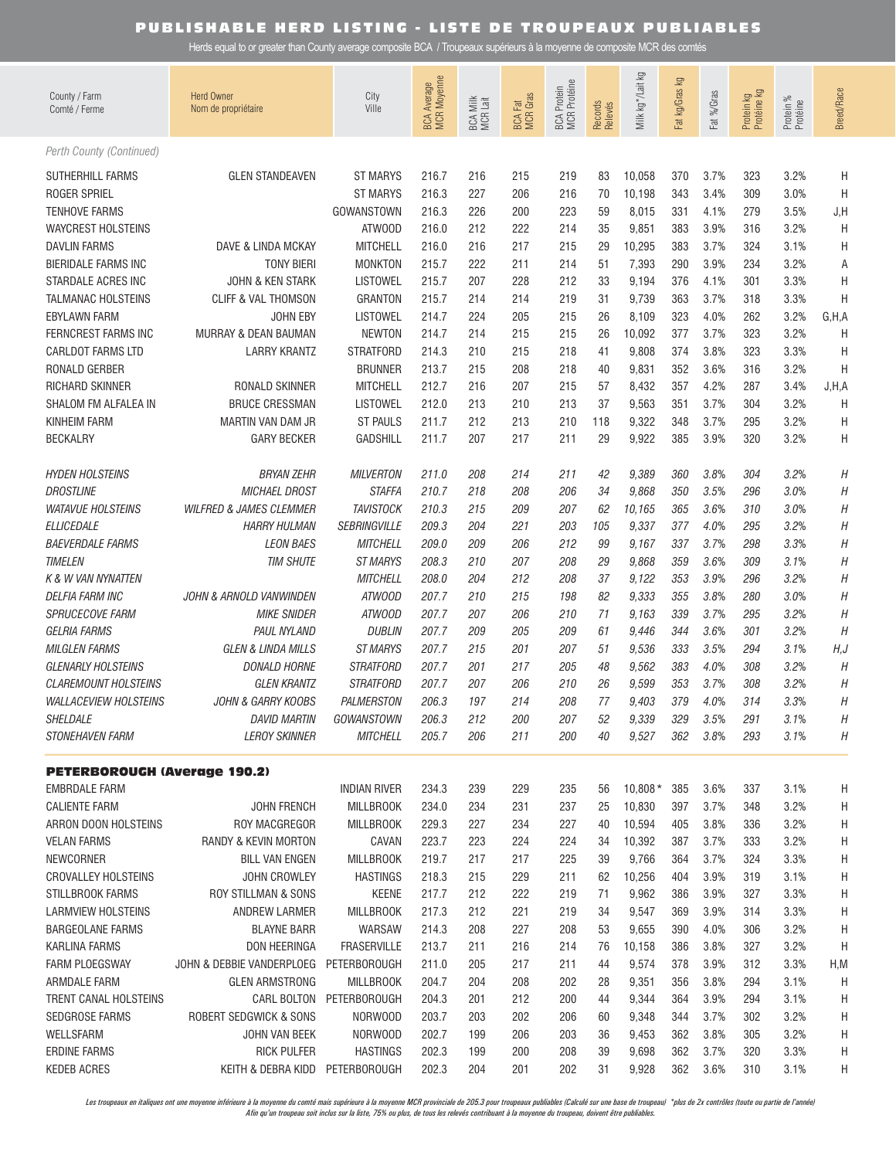Herds equal to or greater than County average composite BCA / Troupeaux supérieurs à la moyenne de composite MCR des comtés

| County / Farm<br>Comté / Ferme                                                                      | <b>Herd Owner</b><br>Nom de propriétaire    | City<br>Ville                                              | BCA Average<br>MCR Moyenne       | BCA Milk<br>MCR Lait     | <b>BCA Fat</b><br>MCR Gras | <b>MCR</b> Protéine<br><b>BCA</b> Protein | Records<br>Relevés   | Milk kg * /Lait kg                 | Fat kg/Gras kg           | Fat %/Gras                   | Protein kg<br>Protéine kg | Protein %<br>Protéine        | Breed/Race          |
|-----------------------------------------------------------------------------------------------------|---------------------------------------------|------------------------------------------------------------|----------------------------------|--------------------------|----------------------------|-------------------------------------------|----------------------|------------------------------------|--------------------------|------------------------------|---------------------------|------------------------------|---------------------|
| Perth County (Continued)                                                                            |                                             |                                                            |                                  |                          |                            |                                           |                      |                                    |                          |                              |                           |                              |                     |
| <b>SUTHERHILL FARMS</b><br><b>ROGER SPRIEL</b><br><b>TENHOVE FARMS</b><br><b>WAYCREST HOLSTEINS</b> | <b>GLEN STANDEAVEN</b>                      | <b>ST MARYS</b><br><b>ST MARYS</b><br>GOWANSTOWN<br>ATWOOD | 216.7<br>216.3<br>216.3<br>216.0 | 216<br>227<br>226<br>212 | 215<br>206<br>200<br>222   | 219<br>216<br>223<br>214                  | 83<br>70<br>59<br>35 | 10,058<br>10,198<br>8,015<br>9,851 | 370<br>343<br>331<br>383 | 3.7%<br>3.4%<br>4.1%<br>3.9% | 323<br>309<br>279<br>316  | 3.2%<br>3.0%<br>3.5%<br>3.2% | Η<br>H<br>J, H<br>H |
| <b>DAVLIN FARMS</b>                                                                                 | DAVE & LINDA MCKAY                          | <b>MITCHELL</b>                                            | 216.0                            | 216                      | 217                        | 215                                       | 29                   | 10,295                             | 383                      | 3.7%                         | 324                       | 3.1%                         | Η                   |
| <b>BIERIDALE FARMS INC</b>                                                                          | <b>TONY BIERI</b>                           | <b>MONKTON</b>                                             | 215.7                            | 222                      | 211                        | 214                                       | 51                   | 7,393                              | 290                      | 3.9%                         | 234                       | 3.2%                         | Α                   |
| STARDALE ACRES INC                                                                                  | <b>JOHN &amp; KEN STARK</b>                 | <b>LISTOWEL</b>                                            | 215.7                            | 207                      | 228                        | 212                                       | 33                   | 9,194                              | 376                      | 4.1%                         | 301                       | 3.3%                         | H                   |
| <b>TALMANAC HOLSTEINS</b>                                                                           | <b>CLIFF &amp; VAL THOMSON</b>              | <b>GRANTON</b>                                             | 215.7                            | 214                      | 214                        | 219                                       | 31                   | 9,739                              | 363                      | 3.7%                         | 318                       | 3.3%                         | Η                   |
| <b>EBYLAWN FARM</b>                                                                                 | <b>JOHN EBY</b>                             | <b>LISTOWEL</b>                                            | 214.7                            | 224                      | 205                        | 215                                       | 26                   | 8,109                              | 323                      | 4.0%                         | 262                       | 3.2%                         | G, H, A             |
| FERNCREST FARMS INC                                                                                 | MURRAY & DEAN BAUMAN                        | <b>NEWTON</b>                                              | 214.7                            | 214                      | 215                        | 215                                       | 26                   | 10,092                             | 377                      | 3.7%                         | 323                       | 3.2%                         | H                   |
| <b>CARLDOT FARMS LTD</b>                                                                            | <b>LARRY KRANTZ</b>                         | <b>STRATFORD</b>                                           | 214.3                            | 210                      | 215                        | 218                                       | 41                   | 9,808                              | 374                      | 3.8%                         | 323                       | 3.3%                         | H                   |
| RONALD GERBER                                                                                       |                                             | <b>BRUNNER</b>                                             | 213.7                            | 215                      | 208                        | 218                                       | 40                   | 9,831                              | 352                      | 3.6%                         | 316                       | 3.2%                         | H                   |
| RICHARD SKINNER                                                                                     | RONALD SKINNER                              | <b>MITCHELL</b>                                            | 212.7                            | 216                      | 207                        | 215                                       | 57                   | 8,432                              | 357                      | 4.2%                         | 287                       | 3.4%                         | J, H, A             |
| SHALOM FM ALFALEA IN                                                                                | <b>BRUCE CRESSMAN</b>                       | <b>LISTOWEL</b>                                            | 212.0                            | 213                      | 210                        | 213                                       | 37                   | 9,563                              | 351                      | 3.7%                         | 304                       | 3.2%                         | H                   |
| <b>KINHEIM FARM</b>                                                                                 | MARTIN VAN DAM JR                           | <b>ST PAULS</b>                                            | 211.7                            | 212                      | 213                        | 210                                       | 118                  | 9,322                              | 348                      | 3.7%                         | 295                       | 3.2%                         | H                   |
| <b>BECKALRY</b>                                                                                     | <b>GARY BECKER</b>                          | <b>GADSHILL</b>                                            | 211.7                            | 207                      | 217                        | 211                                       | 29                   | 9,922                              | 385                      | 3.9%                         | 320                       | 3.2%                         | Η                   |
| <b>HYDEN HOLSTEINS</b>                                                                              | <b>BRYAN ZEHR</b>                           | <b>MILVERTON</b>                                           | 211.0                            | 208                      | 214                        | 211                                       | 42                   | 9,389                              | 360                      | 3.8%                         | 304                       | 3.2%                         | Η                   |
| <b>DROSTLINE</b>                                                                                    | <b>MICHAEL DROST</b>                        | <b>STAFFA</b>                                              | 210.7                            | 218                      | 208                        | 206                                       | 34                   | 9,868                              | 350                      | 3.5%                         | 296                       | 3.0%                         | Η                   |
| <b>WATAVUE HOLSTEINS</b>                                                                            | <b>WILFRED &amp; JAMES CLEMMER</b>          | <b>TAVISTOCK</b>                                           | 210.3                            | 215                      | 209                        | 207                                       | 62                   | 10,165                             | 365                      | 3.6%                         | 310                       | 3.0%                         | Η                   |
| <b>ELLICEDALE</b>                                                                                   | <b>HARRY HULMAN</b>                         | <b>SEBRINGVILLE</b>                                        | 209.3                            | 204                      | 221                        | 203                                       | 105                  | 9,337                              | 377                      | 4.0%                         | 295                       | 3.2%                         | Η                   |
| <b>BAEVERDALE FARMS</b>                                                                             | <b>LEON BAES</b>                            | <b>MITCHELL</b>                                            | 209.0                            | 209                      | 206                        | 212                                       | 99                   | 9,167                              | 337                      | 3.7%                         | 298                       | 3.3%                         | Η                   |
| <b>TIMELEN</b>                                                                                      | <b>TIM SHUTE</b>                            | ST MARYS                                                   | 208.3                            | 210                      | 207                        | 208                                       | 29                   | 9,868                              | 359                      | 3.6%                         | 309                       | 3.1%                         | Η                   |
| <b>K &amp; W VAN NYNATTEN</b>                                                                       |                                             | <b>MITCHELL</b>                                            | 208.0                            | 204                      | 212                        | 208                                       | 37                   | 9,122                              | 353                      | 3.9%                         | 296                       | 3.2%                         | Η                   |
| <b>DELFIA FARM INC</b>                                                                              | JOHN & ARNOLD VANWINDEN                     | ATWOOD                                                     | 207.7                            | 210                      | 215                        | 198                                       | 82                   | 9,333                              | 355                      | 3.8%                         | 280                       | 3.0%                         | Н                   |
| SPRUCECOVE FARM                                                                                     | <b>MIKE SNIDER</b>                          | ATWOOD                                                     | 207.7                            | 207                      | 206                        | 210                                       | 71                   | 9,163                              | 339                      | 3.7%                         | 295                       | 3.2%                         | Η                   |
| <b>GELRIA FARMS</b>                                                                                 | <b>PAUL NYLAND</b>                          | <b>DUBLIN</b>                                              | 207.7                            | 209                      | 205                        | 209                                       | 61                   | 9,446                              | 344                      | 3.6%                         | 301                       | 3.2%                         | Η                   |
| <b>MILGLEN FARMS</b>                                                                                | <b>GLEN &amp; LINDA MILLS</b>               | <b>ST MARYS</b>                                            | 207.7                            | 215                      | 201                        | 207                                       | 51                   | 9,536                              | 333                      | 3.5%                         | 294                       | 3.1%                         | H, J                |
| <b>GLENARLY HOLSTEINS</b>                                                                           | <b>DONALD HORNE</b>                         | <b>STRATFORD</b>                                           | 207.7                            | 201                      | 217                        | 205                                       | 48                   | 9,562                              | 383                      | 4.0%                         | 308                       | 3.2%                         | Н                   |
| <b>CLAREMOUNT HOLSTEINS</b>                                                                         | <b>GLEN KRANTZ</b>                          | <b>STRATFORD</b>                                           | 207.7                            | 207                      | 206                        | 210                                       | 26                   | 9,599                              | 353                      | 3.7%                         | 308                       | 3.2%                         | Η                   |
| <b>WALLACEVIEW HOLSTEINS</b>                                                                        | <b>JOHN &amp; GARRY KOOBS</b>               | <b>PALMERSTON</b>                                          | 206.3                            | 197                      | 214                        | 208                                       | 77                   | 9,403                              | 379                      | 4.0%                         | 314                       | 3.3%                         | Η                   |
| SHELDALE<br><b>STONEHAVEN FARM</b>                                                                  | <b>DAVID MARTIN</b><br><b>LEROY SKINNER</b> | GOWANSTOWN<br><b>MITCHELL</b>                              | 206.3<br>205.7                   | 212<br>206               | 200<br>211                 | 207<br>200                                | 52<br>40             | 9,339<br>9,527                     | 329<br>362               | 3.5%<br>3.8%                 | 291<br>293                | 3.1%<br>3.1%                 | H<br>Η              |
|                                                                                                     |                                             |                                                            |                                  |                          |                            |                                           |                      |                                    |                          |                              |                           |                              |                     |
| <b>PETERBOROUGH (Average 190.2)</b>                                                                 |                                             |                                                            |                                  |                          |                            |                                           |                      |                                    |                          |                              |                           |                              |                     |
| <b>EMBRDALE FARM</b>                                                                                |                                             | <b>INDIAN RIVER</b>                                        | 234.3                            | 239                      | 229                        | 235                                       | 56                   | $10,808*$                          | 385                      | 3.6%                         | 337                       | 3.1%                         | Η                   |
| <b>CALIENTE FARM</b>                                                                                | <b>JOHN FRENCH</b>                          | <b>MILLBROOK</b>                                           | 234.0                            | 234                      | 231                        | 237                                       | 25                   | 10,830                             | 397                      | 3.7%                         | 348                       | 3.2%                         | Η                   |
| ARRON DOON HOLSTEINS                                                                                | ROY MACGREGOR                               | <b>MILLBROOK</b>                                           | 229.3                            | 227                      | 234                        | 227                                       | 40                   | 10,594                             | 405                      | 3.8%                         | 336                       | 3.2%                         | Η                   |
| <b>VELAN FARMS</b>                                                                                  | RANDY & KEVIN MORTON                        | CAVAN                                                      | 223.7                            | 223                      | 224                        | 224                                       | 34                   | 10,392                             | 387                      | 3.7%                         | 333                       | 3.2%                         | Η                   |
| NEWCORNER                                                                                           | <b>BILL VAN ENGEN</b>                       | <b>MILLBROOK</b>                                           | 219.7                            | 217                      | 217                        | 225                                       | 39                   | 9,766                              | 364                      | 3.7%                         | 324                       | 3.3%                         | Η                   |
| <b>CROVALLEY HOLSTEINS</b>                                                                          | JOHN CROWLEY                                | <b>HASTINGS</b>                                            | 218.3                            | 215                      | 229                        | 211                                       | 62                   | 10,256                             | 404                      | 3.9%                         | 319                       | 3.1%                         | Η                   |
| STILLBROOK FARMS                                                                                    | ROY STILLMAN & SONS                         | KEENE                                                      | 217.7                            | 212                      | 222                        | 219                                       | 71                   | 9,962                              | 386                      | 3.9%                         | 327                       | 3.3%                         | Η                   |
| LARMVIEW HOLSTEINS                                                                                  | ANDREW LARMER                               | <b>MILLBROOK</b>                                           | 217.3                            | 212                      | 221<br>227                 | 219<br>208                                | 34<br>53             | 9,547                              | 369<br>390               | 3.9%<br>4.0%                 | 314<br>306                | 3.3%                         | Η                   |
| <b>BARGEOLANE FARMS</b><br><b>KARLINA FARMS</b>                                                     | <b>BLAYNE BARR</b><br>DON HEERINGA          | WARSAW<br><b>FRASERVILLE</b>                               | 214.3<br>213.7                   | 208<br>211               | 216                        | 214                                       | 76                   | 9,655<br>10,158                    | 386                      | 3.8%                         | 327                       | 3.2%<br>3.2%                 | Η<br>Η              |
| <b>FARM PLOEGSWAY</b>                                                                               | JOHN & DEBBIE VANDERPLOEG PETERBOROUGH      |                                                            | 211.0                            | 205                      | 217                        | 211                                       | 44                   | 9,574                              | 378                      | 3.9%                         | 312                       | 3.3%                         | H, M                |
| ARMDALE FARM                                                                                        | <b>GLEN ARMSTRONG</b>                       | <b>MILLBROOK</b>                                           | 204.7                            | 204                      | 208                        | 202                                       | 28                   | 9,351                              | 356                      | 3.8%                         | 294                       | 3.1%                         | H                   |
| TRENT CANAL HOLSTEINS                                                                               |                                             | CARL BOLTON PETERBOROUGH                                   | 204.3                            | 201                      | 212                        | 200                                       | 44                   | 9,344                              | 364                      | 3.9%                         | 294                       | 3.1%                         | H                   |
| SEDGROSE FARMS                                                                                      | ROBERT SEDGWICK & SONS                      | NORWOOD                                                    | 203.7                            | 203                      | 202                        | 206                                       | 60                   | 9,348                              | 344                      | 3.7%                         | 302                       | 3.2%                         | Η                   |
| WELLSFARM                                                                                           | JOHN VAN BEEK                               | NORWOOD                                                    | 202.7                            | 199                      | 206                        | 203                                       | 36                   | 9,453                              | 362                      | 3.8%                         | 305                       | 3.2%                         | Η                   |
| ERDINE FARMS                                                                                        | <b>RICK PULFER</b>                          | <b>HASTINGS</b>                                            | 202.3                            | 199                      | 200                        | 208                                       | 39                   | 9,698                              | 362                      | 3.7%                         | 320                       | 3.3%                         | Н                   |
| <b>KEDEB ACRES</b>                                                                                  | KEITH & DEBRA KIDD PETERBOROUGH             |                                                            | 202.3                            | 204                      | 201                        | 202                                       | 31                   | 9,928                              | 362                      | 3.6%                         | 310                       | 3.1%                         | H                   |

Les troupeaux en italiques ont une moyenne inférieure à la moyenne du comté mais supérieure à la moyenne MCR provinciale de 205.3 pour troupeaux publiables (Calculé sur une base de troupeau) \*plus de 2x contrôles (toute ou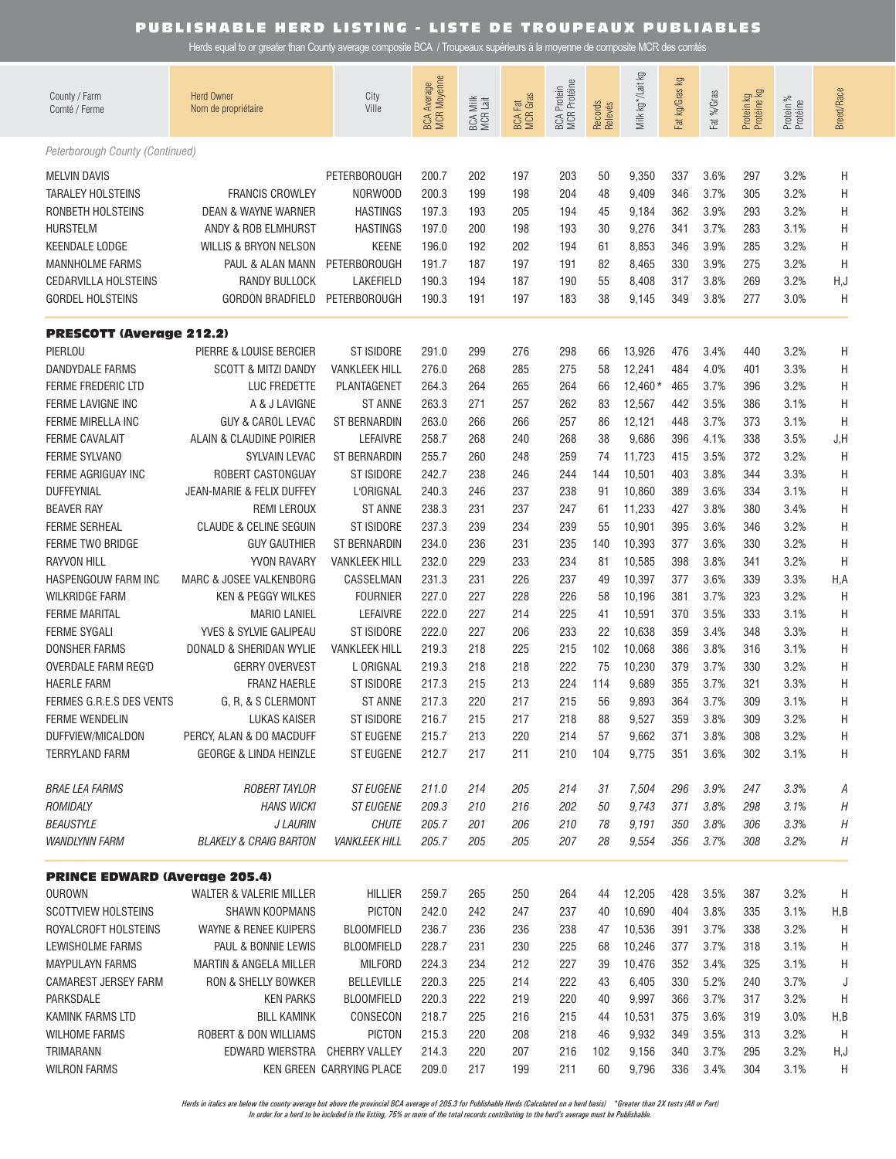Herds equal to or greater than County average composite BCA / Troupeaux supérieurs à la moyenne de composite MCR des comtés

| County / Farm<br>Comté / Ferme                                                                                                                                                                                                                                                                                                                                                                                                                                                                                                           | <b>Herd Owner</b><br>Nom de propriétaire                                                                                                                                                                                                                                                                                                                                                                                                                                                                                                                                                    | City<br>Ville                                                                                                                                                                                                                                                                                                                                                                                                          | <b>BCA Average</b><br>MCR Moyenne                                                                                                                                                                           | BCA Milk<br>MCR Lait                                                                                                                                          | <b>BCA Fat</b><br>MCR Gras                                                                                                                                    | <b>MCR</b> Protéine<br><b>BCA</b> Protein                                                                                                                     | Records<br>Relevés                                                                                                                         | Milk kg */Lait kg                                                                                                                                                                                                                | Fat kg/Gras kg                                                                                                                                                | Fat %/Gras                                                                                                                                                                           | Protein kg<br>Protéine kg                                                                                                                                     | Protein %<br>Protéine                                                                                                                                                                | <b>Breed/Race</b>                                                                                                |
|------------------------------------------------------------------------------------------------------------------------------------------------------------------------------------------------------------------------------------------------------------------------------------------------------------------------------------------------------------------------------------------------------------------------------------------------------------------------------------------------------------------------------------------|---------------------------------------------------------------------------------------------------------------------------------------------------------------------------------------------------------------------------------------------------------------------------------------------------------------------------------------------------------------------------------------------------------------------------------------------------------------------------------------------------------------------------------------------------------------------------------------------|------------------------------------------------------------------------------------------------------------------------------------------------------------------------------------------------------------------------------------------------------------------------------------------------------------------------------------------------------------------------------------------------------------------------|-------------------------------------------------------------------------------------------------------------------------------------------------------------------------------------------------------------|---------------------------------------------------------------------------------------------------------------------------------------------------------------|---------------------------------------------------------------------------------------------------------------------------------------------------------------|---------------------------------------------------------------------------------------------------------------------------------------------------------------|--------------------------------------------------------------------------------------------------------------------------------------------|----------------------------------------------------------------------------------------------------------------------------------------------------------------------------------------------------------------------------------|---------------------------------------------------------------------------------------------------------------------------------------------------------------|--------------------------------------------------------------------------------------------------------------------------------------------------------------------------------------|---------------------------------------------------------------------------------------------------------------------------------------------------------------|--------------------------------------------------------------------------------------------------------------------------------------------------------------------------------------|------------------------------------------------------------------------------------------------------------------|
| Peterborough County (Continued)                                                                                                                                                                                                                                                                                                                                                                                                                                                                                                          |                                                                                                                                                                                                                                                                                                                                                                                                                                                                                                                                                                                             |                                                                                                                                                                                                                                                                                                                                                                                                                        |                                                                                                                                                                                                             |                                                                                                                                                               |                                                                                                                                                               |                                                                                                                                                               |                                                                                                                                            |                                                                                                                                                                                                                                  |                                                                                                                                                               |                                                                                                                                                                                      |                                                                                                                                                               |                                                                                                                                                                                      |                                                                                                                  |
| <b>MELVIN DAVIS</b><br><b>TARALEY HOLSTEINS</b><br>RONBETH HOLSTEINS<br><b>HURSTELM</b><br><b>KEENDALE LODGE</b><br><b>MANNHOLME FARMS</b><br><b>CEDARVILLA HOLSTEINS</b><br><b>GORDEL HOLSTEINS</b>                                                                                                                                                                                                                                                                                                                                     | <b>FRANCIS CROWLEY</b><br><b>DEAN &amp; WAYNE WARNER</b><br>ANDY & ROB ELMHURST<br>WILLIS & BRYON NELSON<br>PAUL & ALAN MANN<br><b>RANDY BULLOCK</b><br><b>GORDON BRADFIELD</b>                                                                                                                                                                                                                                                                                                                                                                                                             | <b>PETERBOROUGH</b><br>NORWOOD<br><b>HASTINGS</b><br><b>HASTINGS</b><br><b>KEENE</b><br><b>PETERBOROUGH</b><br>LAKEFIELD<br><b>PETERBOROUGH</b>                                                                                                                                                                                                                                                                        | 200.7<br>200.3<br>197.3<br>197.0<br>196.0<br>191.7<br>190.3<br>190.3                                                                                                                                        | 202<br>199<br>193<br>200<br>192<br>187<br>194<br>191                                                                                                          | 197<br>198<br>205<br>198<br>202<br>197<br>187<br>197                                                                                                          | 203<br>204<br>194<br>193<br>194<br>191<br>190<br>183                                                                                                          | 50<br>48<br>45<br>30<br>61<br>82<br>55<br>38                                                                                               | 9,350<br>9,409<br>9,184<br>9,276<br>8,853<br>8,465<br>8,408<br>9,145                                                                                                                                                             | 337<br>346<br>362<br>341<br>346<br>330<br>317<br>349                                                                                                          | 3.6%<br>3.7%<br>3.9%<br>3.7%<br>3.9%<br>3.9%<br>3.8%<br>3.8%                                                                                                                         | 297<br>305<br>293<br>283<br>285<br>275<br>269<br>277                                                                                                          | 3.2%<br>3.2%<br>3.2%<br>3.1%<br>3.2%<br>3.2%<br>3.2%<br>3.0%                                                                                                                         | Η<br>Η<br>Η<br>Η<br>Η<br>Η<br>H, J<br>H                                                                          |
| <b>PRESCOTT (Average 212.2)</b>                                                                                                                                                                                                                                                                                                                                                                                                                                                                                                          |                                                                                                                                                                                                                                                                                                                                                                                                                                                                                                                                                                                             |                                                                                                                                                                                                                                                                                                                                                                                                                        |                                                                                                                                                                                                             |                                                                                                                                                               |                                                                                                                                                               |                                                                                                                                                               |                                                                                                                                            |                                                                                                                                                                                                                                  |                                                                                                                                                               |                                                                                                                                                                                      |                                                                                                                                                               |                                                                                                                                                                                      |                                                                                                                  |
| PIERLOU<br><b>DANDYDALE FARMS</b><br>FERME FREDERIC LTD<br>FERME LAVIGNE INC<br>FERME MIRELLA INC<br><b>FERME CAVALAIT</b><br><b>FERME SYLVANO</b><br>FERME AGRIGUAY INC<br><b>DUFFEYNIAL</b><br><b>BEAVER RAY</b><br><b>FERME SERHEAL</b><br>FERME TWO BRIDGE<br><b>RAYVON HILL</b><br>HASPENGOUW FARM INC<br><b>WILKRIDGE FARM</b><br><b>FERME MARITAL</b><br><b>FERME SYGAL</b><br><b>DONSHER FARMS</b><br><b>OVERDALE FARM REG'D</b><br><b>HAERLE FARM</b><br>FERMES G.R.E.S DES VENTS<br><b>FERME WENDELIN</b><br>DUFFVIEW/MICALDON | PIERRE & LOUISE BERCIER<br><b>SCOTT &amp; MITZI DANDY</b><br>LUC FREDETTE<br>A & J LAVIGNE<br><b>GUY &amp; CAROL LEVAC</b><br>ALAIN & CLAUDINE POIRIER<br>SYLVAIN LEVAC<br>ROBERT CASTONGUAY<br>JEAN-MARIE & FELIX DUFFEY<br><b>REMI LEROUX</b><br><b>CLAUDE &amp; CELINE SEGUIN</b><br><b>GUY GAUTHIER</b><br>YVON RAVARY<br>MARC & JOSEE VALKENBORG<br><b>KEN &amp; PEGGY WILKES</b><br><b>MARIO LANIEL</b><br>YVES & SYLVIE GALIPEAU<br>DONALD & SHERIDAN WYLIE<br><b>GERRY OVERVEST</b><br><b>FRANZ HAERLE</b><br>G, R, & S CLERMONT<br><b>LUKAS KAISER</b><br>PERCY, ALAN & DO MACDUFF | ST ISIDORE<br><b>VANKLEEK HILL</b><br>PLANTAGENET<br><b>ST ANNE</b><br><b>ST BERNARDIN</b><br><b>LEFAIVRE</b><br><b>ST BERNARDIN</b><br>ST ISIDORE<br>L'ORIGNAL<br><b>ST ANNE</b><br>ST ISIDORE<br><b>ST BERNARDIN</b><br><b>VANKLEEK HILL</b><br>CASSELMAN<br><b>FOURNIER</b><br><b>LEFAIVRE</b><br>ST ISIDORE<br><b>VANKLEEK HILL</b><br>L ORIGNAL<br>ST ISIDORE<br><b>ST ANNE</b><br>ST ISIDORE<br><b>ST EUGENE</b> | 291.0<br>276.0<br>264.3<br>263.3<br>263.0<br>258.7<br>255.7<br>242.7<br>240.3<br>238.3<br>237.3<br>234.0<br>232.0<br>231.3<br>227.0<br>222.0<br>222.0<br>219.3<br>219.3<br>217.3<br>217.3<br>216.7<br>215.7 | 299<br>268<br>264<br>271<br>266<br>268<br>260<br>238<br>246<br>231<br>239<br>236<br>229<br>231<br>227<br>227<br>227<br>218<br>218<br>215<br>220<br>215<br>213 | 276<br>285<br>265<br>257<br>266<br>240<br>248<br>246<br>237<br>237<br>234<br>231<br>233<br>226<br>228<br>214<br>206<br>225<br>218<br>213<br>217<br>217<br>220 | 298<br>275<br>264<br>262<br>257<br>268<br>259<br>244<br>238<br>247<br>239<br>235<br>234<br>237<br>226<br>225<br>233<br>215<br>222<br>224<br>215<br>218<br>214 | 66<br>58<br>66<br>83<br>86<br>38<br>74<br>144<br>91<br>61<br>55<br>140<br>81<br>49<br>58<br>41<br>22<br>102<br>75<br>114<br>56<br>88<br>57 | 13,926<br>12,241<br>$12,460*$<br>12,567<br>12,121<br>9,686<br>11,723<br>10,501<br>10,860<br>11,233<br>10,901<br>10,393<br>10,585<br>10,397<br>10,196<br>10,591<br>10,638<br>10,068<br>10,230<br>9,689<br>9,893<br>9,527<br>9,662 | 476<br>484<br>465<br>442<br>448<br>396<br>415<br>403<br>389<br>427<br>395<br>377<br>398<br>377<br>381<br>370<br>359<br>386<br>379<br>355<br>364<br>359<br>371 | 3.4%<br>4.0%<br>3.7%<br>3.5%<br>3.7%<br>4.1%<br>3.5%<br>3.8%<br>3.6%<br>3.8%<br>3.6%<br>3.6%<br>3.8%<br>3.6%<br>3.7%<br>3.5%<br>3.4%<br>3.8%<br>3.7%<br>3.7%<br>3.7%<br>3.8%<br>3.8% | 440<br>401<br>396<br>386<br>373<br>338<br>372<br>344<br>334<br>380<br>346<br>330<br>341<br>339<br>323<br>333<br>348<br>316<br>330<br>321<br>309<br>309<br>308 | 3.2%<br>3.3%<br>3.2%<br>3.1%<br>3.1%<br>3.5%<br>3.2%<br>3.3%<br>3.1%<br>3.4%<br>3.2%<br>3.2%<br>3.2%<br>3.3%<br>3.2%<br>3.1%<br>3.3%<br>3.1%<br>3.2%<br>3.3%<br>3.1%<br>3.2%<br>3.2% | Η<br>Η<br>Η<br>Η<br>Η<br>J, H<br>Η<br>Η<br>Η<br>Η<br>Η<br>Η<br>H<br>H, A<br>H<br>Η<br>Η<br>Η<br>Η<br>Η<br>Η<br>Η |
| <b>TERRYLAND FARM</b>                                                                                                                                                                                                                                                                                                                                                                                                                                                                                                                    | <b>GEORGE &amp; LINDA HEINZLE</b>                                                                                                                                                                                                                                                                                                                                                                                                                                                                                                                                                           | ST EUGENE                                                                                                                                                                                                                                                                                                                                                                                                              | 212.7                                                                                                                                                                                                       | 217                                                                                                                                                           | 211                                                                                                                                                           | 210                                                                                                                                                           | 104                                                                                                                                        | 9,775                                                                                                                                                                                                                            | 351                                                                                                                                                           | 3.6%                                                                                                                                                                                 | 302                                                                                                                                                           | 3.1%                                                                                                                                                                                 | H<br>H                                                                                                           |
| <b>BRAE LEA FARMS</b><br>ROMIDALY<br><b>BEAUSTYLE</b><br><b>WANDLYNN FARM</b>                                                                                                                                                                                                                                                                                                                                                                                                                                                            | <b>ROBERT TAYLOR</b><br><b>HANS WICKI</b><br><b>J LAURIN</b><br><b>BLAKELY &amp; CRAIG BARTON</b>                                                                                                                                                                                                                                                                                                                                                                                                                                                                                           | <b>ST EUGENE</b><br><b>ST EUGENE</b><br><b>CHUTE</b><br><b>VANKLEEK HILL</b>                                                                                                                                                                                                                                                                                                                                           | 211.0<br>209.3<br>205.7<br>205.7                                                                                                                                                                            | 214<br>210<br>201<br>205                                                                                                                                      | 205<br>216<br>206<br>205                                                                                                                                      | 214<br>202<br>210<br>207                                                                                                                                      | 31<br>50<br>78<br>28                                                                                                                       | 7,504<br>9,743<br>9,191<br>9,554                                                                                                                                                                                                 | 296<br>371<br>350<br>356                                                                                                                                      | 3.9%<br>3.8%<br>3.8%<br>3.7%                                                                                                                                                         | 247<br>298<br>306<br>308                                                                                                                                      | 3.3%<br>3.1%<br>3.3%<br>3.2%                                                                                                                                                         | А<br>Η<br>Η<br>Η                                                                                                 |
| <b>PRINCE EDWARD (Average 205.4)</b>                                                                                                                                                                                                                                                                                                                                                                                                                                                                                                     |                                                                                                                                                                                                                                                                                                                                                                                                                                                                                                                                                                                             |                                                                                                                                                                                                                                                                                                                                                                                                                        |                                                                                                                                                                                                             |                                                                                                                                                               |                                                                                                                                                               |                                                                                                                                                               |                                                                                                                                            |                                                                                                                                                                                                                                  |                                                                                                                                                               |                                                                                                                                                                                      |                                                                                                                                                               |                                                                                                                                                                                      |                                                                                                                  |
| <b>OUROWN</b><br><b>SCOTTVIEW HOLSTEINS</b><br>ROYALCROFT HOLSTEINS<br>LEWISHOLME FARMS<br><b>MAYPULAYN FARMS</b><br><b>CAMAREST JERSEY FARM</b><br>PARKSDALE<br>KAMINK FARMS LTD                                                                                                                                                                                                                                                                                                                                                        | WALTER & VALERIE MILLER<br><b>SHAWN KOOPMANS</b><br>WAYNE & RENEE KUIPERS<br>PAUL & BONNIE LEWIS<br><b>MARTIN &amp; ANGELA MILLER</b><br>RON & SHELLY BOWKER<br><b>KEN PARKS</b><br><b>BILL KAMINK</b>                                                                                                                                                                                                                                                                                                                                                                                      | <b>HILLIER</b><br><b>PICTON</b><br><b>BLOOMFIELD</b><br><b>BLOOMFIELD</b><br><b>MILFORD</b><br><b>BELLEVILLE</b><br><b>BLOOMFIELD</b><br>CONSECON                                                                                                                                                                                                                                                                      | 259.7<br>242.0<br>236.7<br>228.7<br>224.3<br>220.3<br>220.3<br>218.7                                                                                                                                        | 265<br>242<br>236<br>231<br>234<br>225<br>222<br>225                                                                                                          | 250<br>247<br>236<br>230<br>212<br>214<br>219<br>216                                                                                                          | 264<br>237<br>238<br>225<br>227<br>222<br>220<br>215                                                                                                          | 44<br>40<br>47<br>68<br>39<br>43<br>40<br>44                                                                                               | 12,205<br>10,690<br>10,536<br>10,246<br>10,476<br>6,405<br>9,997<br>10,531                                                                                                                                                       | 428<br>404<br>391<br>377<br>352<br>330<br>366<br>375                                                                                                          | 3.5%<br>3.8%<br>3.7%<br>3.7%<br>3.4%<br>5.2%<br>3.7%<br>3.6%                                                                                                                         | 387<br>335<br>338<br>318<br>325<br>240<br>317<br>319                                                                                                          | 3.2%<br>3.1%<br>3.2%<br>3.1%<br>3.1%<br>3.7%<br>3.2%<br>3.0%                                                                                                                         | H<br>H,B<br>H<br>H<br>H<br>J<br>H<br>H,B                                                                         |
| <b>WILHOME FARMS</b><br>TRIMARANN                                                                                                                                                                                                                                                                                                                                                                                                                                                                                                        | ROBERT & DON WILLIAMS<br>EDWARD WIERSTRA CHERRY VALLEY                                                                                                                                                                                                                                                                                                                                                                                                                                                                                                                                      | <b>PICTON</b>                                                                                                                                                                                                                                                                                                                                                                                                          | 215.3<br>214.3                                                                                                                                                                                              | 220<br>220                                                                                                                                                    | 208<br>207                                                                                                                                                    | 218<br>216                                                                                                                                                    | 46<br>102                                                                                                                                  | 9,932<br>9,156                                                                                                                                                                                                                   | 349<br>340                                                                                                                                                    | 3.5%<br>3.7%                                                                                                                                                                         | 313<br>295                                                                                                                                                    | 3.2%<br>3.2%                                                                                                                                                                         | H<br>H,J                                                                                                         |
| <b>WILRON FARMS</b>                                                                                                                                                                                                                                                                                                                                                                                                                                                                                                                      |                                                                                                                                                                                                                                                                                                                                                                                                                                                                                                                                                                                             | KEN GREEN CARRYING PLACE                                                                                                                                                                                                                                                                                                                                                                                               | 209.0                                                                                                                                                                                                       | 217                                                                                                                                                           | 199                                                                                                                                                           | 211                                                                                                                                                           | 60                                                                                                                                         | 9,796                                                                                                                                                                                                                            | 336                                                                                                                                                           | 3.4%                                                                                                                                                                                 | 304                                                                                                                                                           | 3.1%                                                                                                                                                                                 | H                                                                                                                |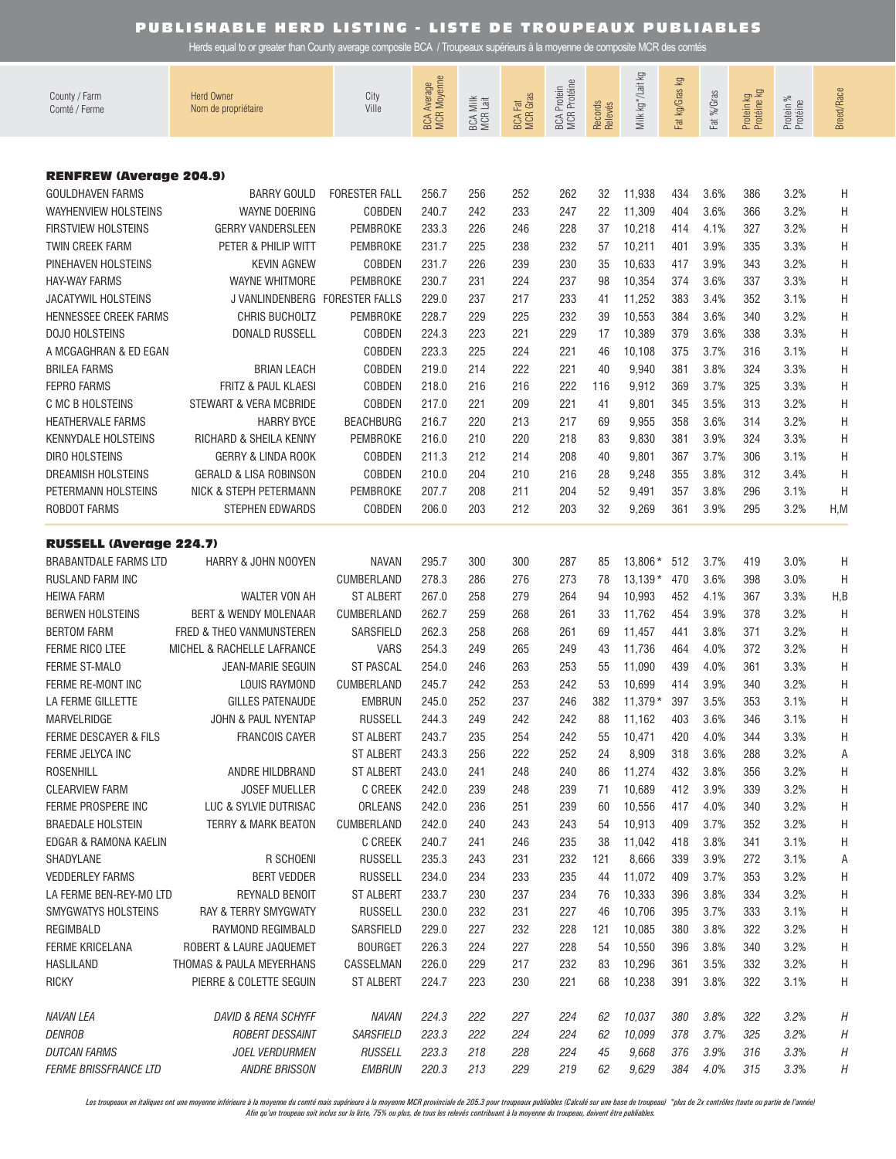Herds equal to or greater than County average composite BCA / Troupeaux supérieurs à la moyenne de composite MCR des comtés

| County / Farm<br>Comté / Ferme                    | <b>Herd Owner</b><br>Nom de propriétaire | City<br>Ville                      | <b>BCA Average</b><br>MCR Moyenne | Milk<br>k Lait<br>BCA N<br>MCR | <b>BCA Fat</b><br>MCR Gras | BCA Protein<br>MCR Protéine | Records<br>Relevés | Milk kg * /Lait kg | ΔÃ<br>Fat kg/Gras | Fat %/Gras   | Protein kg<br>Protéine kg | Protein %<br>Protéine | <b>Breed/Race</b> |
|---------------------------------------------------|------------------------------------------|------------------------------------|-----------------------------------|--------------------------------|----------------------------|-----------------------------|--------------------|--------------------|-------------------|--------------|---------------------------|-----------------------|-------------------|
|                                                   |                                          |                                    |                                   |                                |                            |                             |                    |                    |                   |              |                           |                       |                   |
| <b>RENFREW (Average 204.9)</b>                    |                                          |                                    |                                   |                                |                            |                             |                    |                    |                   |              |                           |                       |                   |
| <b>GOULDHAVEN FARMS</b>                           | <b>BARRY GOULD</b>                       | <b>FORESTER FALL</b>               | 256.7                             | 256                            | 252                        | 262                         | 32                 | 11,938             | 434               | 3.6%         | 386                       | 3.2%                  | H                 |
| <b>WAYHENVIEW HOLSTEINS</b>                       | <b>WAYNE DOERING</b>                     | COBDEN                             | 240.7                             | 242                            | 233                        | 247                         | 22                 | 11,309             | 404               | 3.6%         | 366                       | 3.2%                  | Η                 |
| <b>FIRSTVIEW HOLSTEINS</b>                        | <b>GERRY VANDERSLEEN</b>                 | PEMBROKE                           | 233.3                             | 226                            | 246                        | 228                         | 37                 | 10,218             | 414               | 4.1%         | 327                       | 3.2%                  | Η                 |
| <b>TWIN CREEK FARM</b>                            | PETER & PHILIP WITT                      | PEMBROKE                           | 231.7                             | 225                            | 238                        | 232                         | 57                 | 10,211             | 401               | 3.9%         | 335                       | 3.3%                  | Η                 |
| PINEHAVEN HOLSTEINS                               | <b>KEVIN AGNEW</b>                       | COBDEN                             | 231.7                             | 226                            | 239                        | 230                         | 35                 | 10,633             | 417               | 3.9%         | 343                       | 3.2%                  | Η                 |
| <b>HAY-WAY FARMS</b>                              | <b>WAYNE WHITMORE</b>                    | <b>PEMBROKE</b>                    | 230.7                             | 231                            | 224                        | 237                         | 98                 | 10,354             | 374               | 3.6%         | 337                       | 3.3%                  | Η                 |
| <b>JACATYWIL HOLSTEINS</b>                        | J VANLINDENBERG FORESTER FALLS           |                                    | 229.0                             | 237                            | 217                        | 233                         | 41                 | 11,252             | 383               | 3.4%         | 352                       | 3.1%                  | Η                 |
| HENNESSEE CREEK FARMS<br><b>DOJO HOLSTEINS</b>    | CHRIS BUCHOLTZ<br><b>DONALD RUSSELL</b>  | PEMBROKE<br>COBDEN                 | 228.7<br>224.3                    | 229<br>223                     | 225<br>221                 | 232<br>229                  | 39<br>17           | 10,553             | 384<br>379        | 3.6%<br>3.6% | 340<br>338                | 3.2%<br>3.3%          | Η                 |
| A MCGAGHRAN & ED EGAN                             |                                          | COBDEN                             | 223.3                             | 225                            | 224                        | 221                         | 46                 | 10,389<br>10,108   | 375               | 3.7%         | 316                       | 3.1%                  | Η<br>Η            |
| <b>BRILEA FARMS</b>                               | <b>BRIAN LEACH</b>                       | COBDEN                             | 219.0                             | 214                            | 222                        | 221                         | 40                 | 9,940              | 381               | 3.8%         | 324                       | 3.3%                  | Η                 |
| <b>FEPRO FARMS</b>                                | FRITZ & PAUL KLAESI                      | COBDEN                             | 218.0                             | 216                            | 216                        | 222                         | 116                | 9,912              | 369               | 3.7%         | 325                       | 3.3%                  | Η                 |
| C MC B HOLSTEINS                                  | STEWART & VERA MCBRIDE                   | COBDEN                             | 217.0                             | 221                            | 209                        | 221                         | 41                 | 9,801              | 345               | 3.5%         | 313                       | 3.2%                  | Η                 |
| <b>HEATHERVALE FARMS</b>                          | <b>HARRY BYCE</b>                        | <b>BEACHBURG</b>                   | 216.7                             | 220                            | 213                        | 217                         | 69                 | 9,955              | 358               | 3.6%         | 314                       | 3.2%                  | Η                 |
| <b>KENNYDALE HOLSTEINS</b>                        | RICHARD & SHEILA KENNY                   | PEMBROKE                           | 216.0                             | 210                            | 220                        | 218                         | 83                 | 9,830              | 381               | 3.9%         | 324                       | 3.3%                  | Η                 |
| <b>DIRO HOLSTEINS</b>                             | GERRY & LINDA ROOK                       | COBDEN                             | 211.3                             | 212                            | 214                        | 208                         | 40                 | 9,801              | 367               | 3.7%         | 306                       | 3.1%                  | Η                 |
| <b>DREAMISH HOLSTEINS</b>                         | <b>GERALD &amp; LISA ROBINSON</b>        | <b>COBDEN</b>                      | 210.0                             | 204                            | 210                        | 216                         | 28                 | 9,248              | 355               | 3.8%         | 312                       | 3.4%                  | Η                 |
| PETERMANN HOLSTEINS                               | NICK & STEPH PETERMANN                   | <b>PEMBROKE</b>                    | 207.7                             | 208                            | 211                        | 204                         | 52                 | 9,491              | 357               | 3.8%         | 296                       | 3.1%                  | Η                 |
| ROBDOT FARMS                                      | STEPHEN EDWARDS                          | <b>COBDEN</b>                      | 206.0                             | 203                            | 212                        | 203                         | 32                 | 9,269              | 361               | 3.9%         | 295                       | 3.2%                  | H, M              |
| <b>RUSSELL (Average 224.7)</b>                    |                                          |                                    |                                   |                                |                            |                             |                    |                    |                   |              |                           |                       |                   |
| <b>BRABANTDALE FARMS LTD</b>                      | HARRY & JOHN NOOYEN                      | <b>NAVAN</b>                       | 295.7                             | 300                            | 300                        | 287                         | 85                 | $13,806*$          | 512               | 3.7%         | 419                       | 3.0%                  | H                 |
| <b>RUSLAND FARM INC</b>                           |                                          | CUMBERLAND                         | 278.3                             | 286                            | 276                        | 273                         | 78                 | $13.139*$          | 470               | 3.6%         | 398                       | 3.0%                  | H                 |
| <b>HEIWA FARM</b>                                 | WALTER VON AH                            | <b>ST ALBERT</b>                   | 267.0                             | 258                            | 279                        | 264                         | 94                 | 10,993             | 452               | 4.1%         | 367                       | 3.3%                  | H,B               |
| <b>BERWEN HOLSTEINS</b>                           | <b>BERT &amp; WENDY MOLENAAR</b>         | CUMBERLAND                         | 262.7                             | 259                            | 268                        | 261                         | 33                 | 11,762             | 454               | 3.9%         | 378                       | 3.2%                  | H                 |
| <b>BERTOM FARM</b>                                | FRED & THEO VANMUNSTEREN                 | SARSFIELD                          | 262.3                             | 258                            | 268                        | 261                         | 69                 | 11,457             | 441               | 3.8%         | 371                       | 3.2%                  | Η                 |
| <b>FERME RICO LTEE</b>                            | MICHEL & RACHELLE LAFRANCE               | <b>VARS</b>                        | 254.3                             | 249                            | 265                        | 249                         | 43                 | 11,736             | 464               | 4.0%         | 372                       | 3.2%                  | Η                 |
| <b>FERME ST-MALO</b>                              | <b>JEAN-MARIE SEGUIN</b>                 | <b>ST PASCAL</b>                   | 254.0                             | 246                            | 263                        | 253                         | 55                 | 11,090             | 439               | 4.0%         | 361                       | 3.3%                  | Η                 |
| FERME RE-MONT INC                                 | LOUIS RAYMOND                            | CUMBERLAND                         | 245.7                             | 242                            | 253                        | 242                         | 53                 | 10,699             | 414               | 3.9%         | 340                       | 3.2%                  | Η                 |
| LA FERME GILLETTE                                 | GILLES PATENAUDE                         | <b>EMBRUN</b>                      | 245.0                             | 252                            | 237                        | 246                         | 382                | $11.379*$          | 397               | 3.5%         | 353                       | 3.1%                  | Η                 |
| MARVELRIDGE                                       | JOHN & PAUL NYENTAP                      | <b>RUSSELL</b>                     | 244.3                             | 249                            | 242                        | 242                         | 88                 | 11,162             | 403               | 3.6%         | 346                       | 3.1%                  | H                 |
| FERME DESCAYER & FILS                             | <b>FRANCOIS CAYER</b>                    | <b>ST ALBERT</b>                   | 243.7                             | 235                            | 254                        | 242                         | 55                 | 10,471             | 420               | 4.0%         | 344                       | 3.3%                  | Η                 |
| FERME JELYCA INC                                  |                                          | <b>ST ALBERT</b>                   | 243.3                             | 256                            | 222                        | 252                         | 24                 | 8,909              | 318               | 3.6%         | 288                       | 3.2%                  | Α                 |
| ROSENHILL                                         | ANDRE HILDBRAND                          | <b>ST ALBERT</b>                   | 243.0                             | 241                            | 248                        | 240                         | 86                 | 11,274             | 432               | 3.8%         | 356                       | 3.2%                  | Η                 |
| <b>CLEARVIEW FARM</b>                             | <b>JOSEF MUELLER</b>                     | <b>C CREEK</b>                     | 242.0                             | 239                            | 248                        | 239                         | 71                 | 10,689             | 412               | 3.9%         | 339                       | 3.2%                  | Η                 |
| FERME PROSPERE INC                                | LUC & SYLVIE DUTRISAC                    | ORLEANS                            | 242.0                             | 236                            | 251                        | 239                         | 60                 | 10,556             | 417               | 4.0%         | 340                       | 3.2%                  | Η                 |
| <b>BRAEDALE HOLSTEIN</b>                          | <b>TERRY &amp; MARK BEATON</b>           | CUMBERLAND                         | 242.0                             | 240                            | 243                        | 243                         | 54                 | 10,913             | 409               | 3.7%         | 352                       | 3.2%                  | Η                 |
| EDGAR & RAMONA KAELIN                             |                                          | <b>C CREEK</b>                     | 240.7                             | 241                            | 246                        | 235                         | 38                 | 11,042             | 418               | 3.8%         | 341                       | 3.1%                  | Η                 |
| SHADYLANE                                         | R SCHOENI<br><b>BERT VEDDER</b>          | <b>RUSSELL</b>                     | 235.3<br>234.0                    | 243<br>234                     | 231                        | 232                         | 121<br>44          | 8,666              | 339<br>409        | 3.9%<br>3.7% | 272<br>353                | 3.1%                  | Α                 |
| <b>VEDDERLEY FARMS</b><br>LA FERME BEN-REY-MO LTD | REYNALD BENOIT                           | <b>RUSSELL</b><br><b>ST ALBERT</b> | 233.7                             | 230                            | 233<br>237                 | 235<br>234                  | 76                 | 11,072<br>10,333   | 396               | 3.8%         | 334                       | 3.2%<br>3.2%          | Η<br>Η            |
| SMYGWATYS HOLSTEINS                               | RAY & TERRY SMYGWATY                     | <b>RUSSELL</b>                     | 230.0                             | 232                            | 231                        | 227                         | 46                 | 10,706             | 395               | 3.7%         | 333                       | 3.1%                  | Η                 |
| REGIMBALD                                         | RAYMOND REGIMBALD                        | SARSFIELD                          | 229.0                             | 227                            | 232                        | 228                         | 121                | 10,085             | 380               | 3.8%         | 322                       | 3.2%                  | Η                 |
| <b>FERME KRICELANA</b>                            | ROBERT & LAURE JAQUEMET                  | <b>BOURGET</b>                     | 226.3                             | 224                            | 227                        | 228                         | 54                 | 10,550             | 396               | 3.8%         | 340                       | 3.2%                  | Η                 |
| <b>HASLILAND</b>                                  | THOMAS & PAULA MEYERHANS                 | CASSELMAN                          | 226.0                             | 229                            | 217                        | 232                         | 83                 | 10,296             | 361               | 3.5%         | 332                       | 3.2%                  | Η                 |
| <b>RICKY</b>                                      | PIERRE & COLETTE SEGUIN                  | <b>ST ALBERT</b>                   | 224.7                             | 223                            | 230                        | 221                         | 68                 | 10,238             | 391               | 3.8%         | 322                       | 3.1%                  | Η                 |
| <b>NAVAN LEA</b>                                  | <b>DAVID &amp; RENA SCHYFF</b>           | NAVAN                              | 224.3                             | 222                            | 227                        | 224                         | 62                 | 10,037             | 380               | 3.8%         | 322                       | 3.2%                  | Н                 |
| <b>DENROB</b>                                     | ROBERT DESSAINT                          | <b>SARSFIELD</b>                   | 223.3                             | 222                            | 224                        | 224                         | 62                 | 10,099             | 378               | 3.7%         | 325                       | 3.2%                  | Н                 |
| <b>DUTCAN FARMS</b>                               | JOEL VERDURMEN                           | <b>RUSSELL</b>                     | 223.3                             | 218                            | 228                        | 224                         | 45                 | 9,668              | 376               | 3.9%         | 316                       | 3.3%                  | Н                 |
| <b>FERME BRISSFRANCE LTD</b>                      | <b>ANDRE BRISSON</b>                     | <b>EMBRUN</b>                      | 220.3                             | 213                            | 229                        | 219                         | 62                 | 9,629              | 384               | 4.0%         | 315                       | 3.3%                  | Η                 |

Les troupeaux en italiques ont une moyenne inférieure à la moyenne du comté mais supérieure à la moyenne MCR provinciale de 205.3 pour troupeaux publiables (Calculé sur une base de troupeau) \*plus de 2x contrôles (toute ou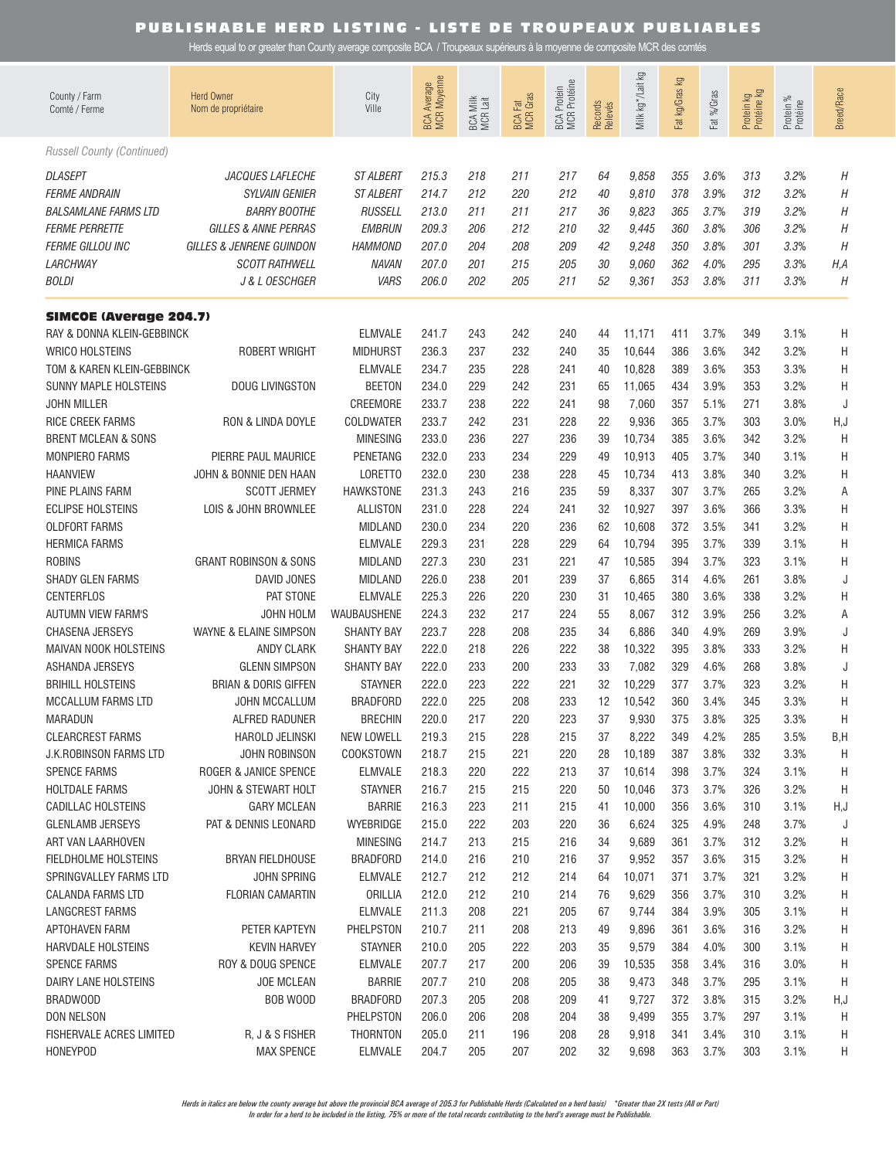Herds equal to or greater than County average composite BCA / Troupeaux supérieurs à la moyenne de composite MCR des comtés

| County / Farm<br>Comté / Ferme         | <b>Herd Owner</b><br>Nom de propriétaire | City<br>Ville                        | BCA Average<br>MCR Moyenne | BCA Milk<br>MCR Lait | <b>BCA Fat</b><br>MCR Gras | <b>MCR</b> Protéine<br><b>BCA</b> Protein | Records<br>Relevés | Milk kg * /Lait kg | <b>l</b><br>Fat kg/Gras | Fat %/Gras   | Protein kg<br>Protéine kg | Protein %<br>Protéine | Breed/Race |
|----------------------------------------|------------------------------------------|--------------------------------------|----------------------------|----------------------|----------------------------|-------------------------------------------|--------------------|--------------------|-------------------------|--------------|---------------------------|-----------------------|------------|
| <b>Russell County (Continued)</b>      |                                          |                                      |                            |                      |                            |                                           |                    |                    |                         |              |                           |                       |            |
| <b>DLASEPT</b><br><b>FERME ANDRAIN</b> | JACQUES LAFLECHE<br>SYLVAIN GENIER       | <b>ST ALBERT</b><br><b>ST ALBERT</b> | 215.3<br>214.7             | 218<br>212           | 211<br>220                 | 217<br>212                                | 64<br>40           | 9,858<br>9,810     | 355<br>378              | 3.6%<br>3.9% | 313<br>312                | 3.2%<br>3.2%          | Η<br>Η     |
| <b>BALSAMLANE FARMS LTD</b>            | <b>BARRY BOOTHE</b>                      | <b>RUSSELL</b>                       | 213.0                      | 211                  | 211                        | 217                                       | 36                 | 9,823              | 365                     | 3.7%         | 319                       | 3.2%                  | Η          |
| <b>FERME PERRETTE</b>                  | GILLES & ANNE PERRAS                     | <b>EMBRUN</b>                        | 209.3                      | 206                  | 212                        | 210                                       | 32                 | 9,445              | 360                     | 3.8%         | 306                       | 3.2%                  | Н          |
|                                        | GILLES & JENRENE GUINDON                 | <b>HAMMOND</b>                       | 207.0                      | 204                  | 208                        | 209                                       | 42                 |                    | 350                     | 3.8%         | 301                       |                       | Н          |
| <b>FERME GILLOU INC</b><br>LARCHWAY    | <b>SCOTT RATHWELL</b>                    | <b>NAVAN</b>                         | 207.0                      | 201                  | 215                        | 205                                       | 30                 | 9,248              | 362                     | 4.0%         | 295                       | 3.3%                  |            |
| <i>BOLDI</i>                           | J & L OESCHGER                           | <b>VARS</b>                          | 206.0                      | 202                  | 205                        | 211                                       | 52                 | 9,060<br>9,361     | 353                     | 3.8%         | 311                       | 3.3%<br>3.3%          | H, A<br>Н  |
|                                        |                                          |                                      |                            |                      |                            |                                           |                    |                    |                         |              |                           |                       |            |
| <b>SIMCOE (Average 204.7)</b>          |                                          |                                      |                            |                      |                            |                                           |                    |                    |                         |              |                           |                       |            |
| RAY & DONNA KLEIN-GEBBINCK             |                                          | <b>ELMVALE</b>                       | 241.7                      | 243                  | 242                        | 240                                       | 44                 | 11,171             | 411                     | 3.7%         | 349                       | 3.1%                  | Η          |
| <b>WRICO HOLSTEINS</b>                 | ROBERT WRIGHT                            | <b>MIDHURST</b>                      | 236.3                      | 237                  | 232                        | 240                                       | 35                 | 10,644             | 386                     | 3.6%         | 342                       | 3.2%                  | Η          |
| TOM & KAREN KLEIN-GEBBINCK             |                                          | <b>ELMVALE</b>                       | 234.7                      | 235                  | 228                        | 241                                       | 40                 | 10,828             | 389                     | 3.6%         | 353                       | 3.3%                  | Η          |
| <b>SUNNY MAPLE HOLSTEINS</b>           | <b>DOUG LIVINGSTON</b>                   | <b>BEETON</b>                        | 234.0                      | 229                  | 242                        | 231                                       | 65                 | 11,065             | 434                     | 3.9%         | 353                       | 3.2%                  | Η          |
| <b>JOHN MILLER</b>                     |                                          | CREEMORE                             | 233.7                      | 238                  | 222                        | 241                                       | 98                 | 7,060              | 357                     | 5.1%         | 271                       | 3.8%                  | J          |
| <b>RICE CREEK FARMS</b>                | RON & LINDA DOYLE                        | <b>COLDWATER</b>                     | 233.7                      | 242                  | 231                        | 228                                       | 22                 | 9,936              | 365                     | 3.7%         | 303                       | 3.0%                  | H,J        |
| <b>BRENT MCLEAN &amp; SONS</b>         |                                          | <b>MINESING</b>                      | 233.0                      | 236                  | 227                        | 236                                       | 39                 | 10,734             | 385                     | 3.6%         | 342                       | 3.2%                  | Η          |
| <b>MONPIERO FARMS</b>                  | PIERRE PAUL MAURICE                      | PENETANG                             | 232.0                      | 233                  | 234                        | 229                                       | 49                 | 10,913             | 405                     | 3.7%         | 340                       | 3.1%                  | Η          |
| <b>HAANVIEW</b>                        | JOHN & BONNIE DEN HAAN                   | <b>LORETTO</b>                       | 232.0                      | 230                  | 238                        | 228                                       | 45                 | 10,734             | 413                     | 3.8%         | 340                       | 3.2%                  | Η          |
| PINE PLAINS FARM                       | <b>SCOTT JERMEY</b>                      | <b>HAWKSTONE</b>                     | 231.3                      | 243                  | 216                        | 235                                       | 59                 | 8,337              | 307                     | 3.7%         | 265                       | 3.2%                  | Α          |
| <b>ECLIPSE HOLSTEINS</b>               | LOIS & JOHN BROWNLEE                     | <b>ALLISTON</b>                      | 231.0                      | 228                  | 224                        | 241                                       | 32                 | 10,927             | 397                     | 3.6%         | 366                       | 3.3%                  | Η          |
| <b>OLDFORT FARMS</b>                   |                                          | <b>MIDLAND</b>                       | 230.0                      | 234                  | 220                        | 236                                       | 62                 | 10,608             | 372                     | 3.5%         | 341                       | 3.2%                  | Η          |
| <b>HERMICA FARMS</b>                   |                                          | <b>ELMVALE</b>                       | 229.3                      | 231                  | 228                        | 229                                       | 64                 | 10,794             | 395                     | 3.7%         | 339                       | 3.1%                  | Η          |
| <b>ROBINS</b>                          | <b>GRANT ROBINSON &amp; SONS</b>         | <b>MIDLAND</b>                       | 227.3                      | 230                  | 231                        | 221                                       | 47                 | 10,585             | 394                     | 3.7%         | 323                       | 3.1%                  | Η          |
| <b>SHADY GLEN FARMS</b>                | DAVID JONES                              | <b>MIDLAND</b>                       | 226.0                      | 238                  | 201                        | 239                                       | 37                 | 6,865              | 314                     | 4.6%         | 261                       | 3.8%                  | J          |
| <b>CENTERFLOS</b>                      | PAT STONE                                | <b>ELMVALE</b>                       | 225.3                      | 226                  | 220                        | 230                                       | 31                 | 10,465             | 380                     | 3.6%         | 338                       | 3.2%                  | Η          |
| <b>AUTUMN VIEW FARM'S</b>              | JOHN HOLM                                | WAUBAUSHENE                          | 224.3                      | 232                  | 217                        | 224                                       | 55                 | 8,067              | 312                     | 3.9%         | 256                       | 3.2%                  | Α          |
| <b>CHASENA JERSEYS</b>                 | WAYNE & ELAINE SIMPSON                   | <b>SHANTY BAY</b>                    | 223.7                      | 228                  | 208                        | 235                                       | 34                 | 6,886              | 340                     | 4.9%         | 269                       | 3.9%                  | J          |
| MAIVAN NOOK HOLSTEINS                  | ANDY CLARK                               | <b>SHANTY BAY</b>                    | 222.0                      | 218                  | 226                        | 222                                       | 38                 | 10,322             | 395                     | 3.8%         | 333                       | 3.2%                  | Η          |
| ASHANDA JERSEYS                        | <b>GLENN SIMPSON</b>                     | <b>SHANTY BAY</b>                    | 222.0                      | 233                  | 200                        | 233                                       | 33                 | 7,082              | 329                     | 4.6%         | 268                       | 3.8%                  | J          |
| <b>BRIHILL HOLSTEINS</b>               | <b>BRIAN &amp; DORIS GIFFEN</b>          | <b>STAYNER</b>                       | 222.0                      | 223                  | 222                        | 221                                       | 32                 | 10,229             | 377                     | 3.7%         | 323                       | 3.2%                  | Η          |
| MCCALLUM FARMS LTD                     | <b>JOHN MCCALLUM</b>                     | <b>BRADFORD</b>                      | 222.0                      | 225                  | 208                        | 233                                       | 12                 | 10,542             | 360                     | 3.4%         | 345                       | 3.3%                  | Η          |
| <b>MARADUN</b>                         | <b>ALFRED RADUNER</b>                    | <b>BRECHIN</b>                       | 220.0                      | 217                  | 220                        | 223                                       | 37                 | 9,930              | 375                     | 3.8%         | 325                       | 3.3%                  | Η          |
| <b>CLEARCREST FARMS</b>                | <b>HAROLD JELINSKI</b>                   | <b>NEW LOWELL</b>                    | 219.3                      | 215                  | 228                        | 215                                       | 37                 | 8,222              | 349                     | 4.2%         | 285                       | 3.5%                  | B,H        |
| <b>J.K. ROBINSON FARMS LTD</b>         | JOHN ROBINSON                            | COOKSTOWN                            | 218.7                      | 215                  | 221                        | 220                                       | 28                 | 10,189             | 387                     | 3.8%         | 332                       | 3.3%                  | H          |
| <b>SPENCE FARMS</b>                    | ROGER & JANICE SPENCE                    | <b>ELMVALE</b>                       | 218.3                      | 220                  | 222                        | 213                                       | 37                 | 10,614             | 398                     | 3.7%         | 324                       | 3.1%                  | H          |
| <b>HOLTDALE FARMS</b>                  | JOHN & STEWART HOLT                      | <b>STAYNER</b>                       | 216.7                      | 215                  | 215                        | 220                                       | 50                 | 10,046             | 373                     | 3.7%         | 326                       | 3.2%                  | H          |
| <b>CADILLAC HOLSTEINS</b>              | <b>GARY MCLEAN</b>                       | <b>BARRIE</b>                        | 216.3                      | 223                  | 211                        | 215                                       | 41                 | 10,000             | 356                     | 3.6%         | 310                       | 3.1%                  | H,J        |
| <b>GLENLAMB JERSEYS</b>                | PAT & DENNIS LEONARD                     | WYEBRIDGE                            | 215.0                      | 222                  | 203                        | 220                                       | 36                 | 6,624              | 325                     | 4.9%         | 248                       | 3.7%                  | J          |
| ART VAN LAARHOVEN                      |                                          | <b>MINESING</b>                      | 214.7                      | 213                  | 215                        | 216                                       | 34                 | 9,689              | 361                     | 3.7%         | 312                       | 3.2%                  | H          |
| FIELDHOLME HOLSTEINS                   | <b>BRYAN FIELDHOUSE</b>                  | <b>BRADFORD</b>                      | 214.0                      | 216                  | 210                        | 216                                       | 37                 | 9,952              | 357                     | 3.6%         | 315                       | 3.2%                  | Н          |
| SPRINGVALLEY FARMS LTD                 | JOHN SPRING                              | <b>ELMVALE</b>                       | 212.7                      | 212                  | 212                        | 214                                       | 64                 | 10,071             | 371                     | 3.7%         | 321                       | 3.2%                  | Н          |
| <b>CALANDA FARMS LTD</b>               | <b>FLORIAN CAMARTIN</b>                  | ORILLIA                              | 212.0                      | 212                  | 210                        | 214                                       | 76                 | 9,629              | 356                     | 3.7%         | 310                       | 3.2%                  | Н          |
| <b>LANGCREST FARMS</b>                 |                                          | <b>ELMVALE</b>                       | 211.3                      | 208                  | 221                        | 205                                       | 67                 | 9,744              | 384                     | 3.9%         | 305                       | 3.1%                  | Н          |
| APTOHAVEN FARM                         | PETER KAPTEYN                            | PHELPSTON                            | 210.7                      | 211                  | 208                        | 213                                       | 49                 | 9,896              | 361                     | 3.6%         | 316                       | 3.2%                  | Н          |
| HARVDALE HOLSTEINS                     | <b>KEVIN HARVEY</b>                      | <b>STAYNER</b>                       | 210.0                      | 205                  | 222                        | 203                                       | 35                 | 9,579              | 384                     | 4.0%         | 300                       | 3.1%                  | Н          |
| <b>SPENCE FARMS</b>                    | ROY & DOUG SPENCE                        | <b>ELMVALE</b>                       | 207.7                      | 217                  | 200                        | 206                                       | 39                 | 10,535             | 358                     | 3.4%         | 316                       | 3.0%                  | Н          |
| DAIRY LANE HOLSTEINS                   | <b>JOE MCLEAN</b>                        | <b>BARRIE</b>                        | 207.7                      | 210                  | 208                        | 205                                       | 38                 | 9,473              | 348                     | 3.7%         | 295                       | 3.1%                  | H          |
| BRADWOOD                               | BOB WOOD                                 | <b>BRADFORD</b>                      | 207.3                      | 205                  | 208                        | 209                                       | 41                 | 9,727              | 372                     | 3.8%         | 315                       | 3.2%                  | H,J        |
| <b>DON NELSON</b>                      |                                          | PHELPSTON                            | 206.0                      | 206                  | 208                        | 204                                       | 38                 | 9,499              | 355                     | 3.7%         | 297                       | 3.1%                  | H          |
| <b>FISHERVALE ACRES LIMITED</b>        | R, J & S FISHER                          | <b>THORNTON</b>                      | 205.0                      | 211                  | 196                        | 208                                       | 28                 | 9,918              | 341                     | 3.4%         | 310                       | 3.1%                  | H          |
| <b>HONEYPOD</b>                        | <b>MAX SPENCE</b>                        | <b>ELMVALE</b>                       | 204.7                      | 205                  | 207                        | 202                                       | 32                 | 9,698              | 363                     | 3.7%         | 303                       | 3.1%                  | H          |
|                                        |                                          |                                      |                            |                      |                            |                                           |                    |                    |                         |              |                           |                       |            |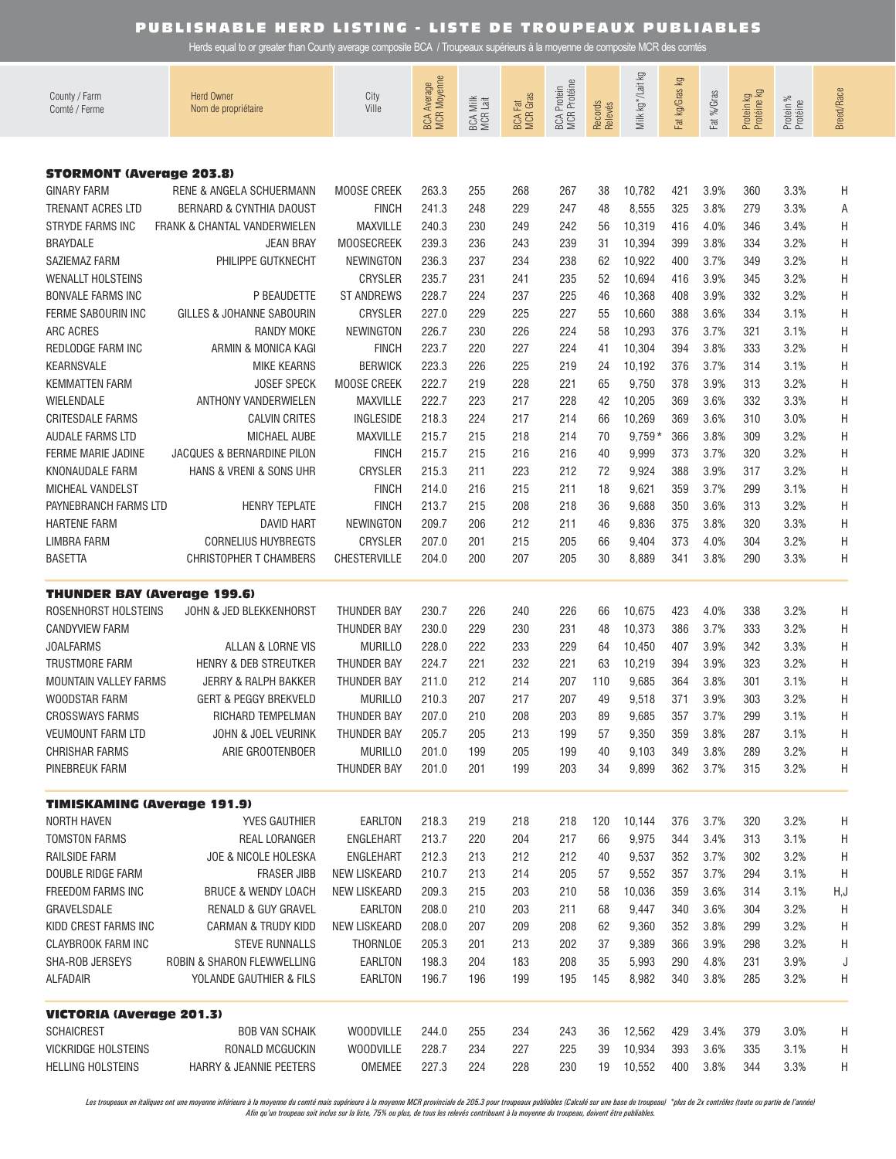Herds equal to or greater than County average composite BCA / Troupeaux supérieurs à la moyenne de composite MCR des comtés

| County / Farm<br>Comté / Ferme     | <b>Herd Owner</b><br>Nom de propriétaire | City<br>Ville       | BCA Average<br>MCR Moyenne | BCA Milk<br>MCR Lait | <b>BCA Fat</b><br>MCR Gras | BCA Protein<br>MCR Protéine | Records<br>Relevés | Milk kg*/Lait kg | Fat kg/Gras kg | Fat %/Gras | Protein kg<br>Protéine kg | Protein %<br>Protéine | <b>Breed/Race</b> |
|------------------------------------|------------------------------------------|---------------------|----------------------------|----------------------|----------------------------|-----------------------------|--------------------|------------------|----------------|------------|---------------------------|-----------------------|-------------------|
|                                    |                                          |                     |                            |                      |                            |                             |                    |                  |                |            |                           |                       |                   |
| <b>STORMONT (Average 203.8)</b>    |                                          |                     |                            |                      |                            |                             |                    |                  |                |            |                           |                       |                   |
| <b>GINARY FARM</b>                 | RENE & ANGELA SCHUERMANN                 | MOOSE CREEK         | 263.3                      | 255                  | 268                        | 267                         | 38                 | 10,782           | 421            | 3.9%       | 360                       | 3.3%                  | H                 |
| TRENANT ACRES LTD                  | <b>BERNARD &amp; CYNTHIA DAOUST</b>      | <b>FINCH</b>        | 241.3                      | 248                  | 229                        | 247                         | 48                 | 8,555            | 325            | 3.8%       | 279                       | 3.3%                  | Α                 |
| <b>STRYDE FARMS INC</b>            | FRANK & CHANTAL VANDERWIELEN             | <b>MAXVILLE</b>     | 240.3                      | 230                  | 249                        | 242                         | 56                 | 10,319           | 416            | 4.0%       | 346                       | 3.4%                  | H                 |
| <b>BRAYDALE</b>                    | <b>JEAN BRAY</b>                         | <b>MOOSECREEK</b>   | 239.3                      | 236                  | 243                        | 239                         | 31                 | 10,394           | 399            | 3.8%       | 334                       | 3.2%                  | H                 |
| SAZIEMAZ FARM                      | PHILIPPE GUTKNECHT                       | <b>NEWINGTON</b>    | 236.3                      | 237                  | 234                        | 238                         | 62                 | 10,922           | 400            | 3.7%       | 349                       | 3.2%                  | H                 |
| <b>WENALLT HOLSTEINS</b>           |                                          | CRYSLER             | 235.7                      | 231                  | 241                        | 235                         | 52                 | 10,694           | 416            | 3.9%       | 345                       | 3.2%                  | H                 |
| <b>BONVALE FARMS INC</b>           | P BEAUDETTE                              | <b>ST ANDREWS</b>   | 228.7                      | 224                  | 237                        | 225                         | 46                 | 10,368           | 408            | 3.9%       | 332                       | 3.2%                  | H                 |
| FERME SABOURIN INC                 | GILLES & JOHANNE SABOURIN                | CRYSLER             | 227.0                      | 229                  | 225                        | 227                         | 55                 | 10,660           | 388            | 3.6%       | 334                       | 3.1%                  | H                 |
| ARC ACRES                          | <b>RANDY MOKE</b>                        | <b>NEWINGTON</b>    | 226.7                      | 230                  | 226                        | 224                         | 58                 | 10,293           | 376            | 3.7%       | 321                       | 3.1%                  | H                 |
| REDLODGE FARM INC                  | ARMIN & MONICA KAGI                      | <b>FINCH</b>        | 223.7                      | 220                  | 227                        | 224                         | 41                 | 10,304           | 394            | 3.8%       | 333                       | 3.2%                  | Η                 |
| KEARNSVALE                         | <b>MIKE KEARNS</b>                       | <b>BERWICK</b>      | 223.3                      | 226                  | 225                        | 219                         | 24                 | 10,192           | 376            | 3.7%       | 314                       | 3.1%                  | Η                 |
| <b>KEMMATTEN FARM</b>              | <b>JOSEF SPECK</b>                       | MOOSE CREEK         | 222.7                      | 219                  | 228                        | 221                         | 65                 | 9,750            | 378            | 3.9%       | 313                       | 3.2%                  | Η                 |
| WIELENDALE                         | ANTHONY VANDERWIELEN                     | <b>MAXVILLE</b>     | 222.7                      | 223                  | 217                        | 228                         | 42                 | 10,205           | 369            | 3.6%       | 332                       | 3.3%                  | Η                 |
| <b>CRITESDALE FARMS</b>            | <b>CALVIN CRITES</b>                     | <b>INGLESIDE</b>    | 218.3                      | 224                  | 217                        | 214                         | 66                 | 10,269           | 369            | 3.6%       | 310                       | 3.0%                  | Η                 |
| AUDALE FARMS LTD                   | MICHAEL AUBE                             | <b>MAXVILLE</b>     | 215.7                      | 215                  | 218                        | 214                         | 70                 | $9,759*$         | 366            | 3.8%       | 309                       | 3.2%                  | Η                 |
| FERME MARIE JADINE                 | JACQUES & BERNARDINE PILON               | <b>FINCH</b>        | 215.7                      | 215                  | 216                        | 216                         | 40                 | 9,999            | 373            | 3.7%       | 320                       | 3.2%                  | Η                 |
| KNONAUDALE FARM                    | HANS & VRENI & SONS UHR                  | CRYSLER             | 215.3                      | 211                  | 223                        | 212                         | 72                 | 9,924            | 388            | 3.9%       | 317                       | 3.2%                  | Η                 |
| MICHEAL VANDELST                   |                                          | <b>FINCH</b>        | 214.0                      | 216                  | 215                        | 211                         | 18                 | 9,621            | 359            | 3.7%       | 299                       | 3.1%                  | Η                 |
| PAYNEBRANCH FARMS LTD              | <b>HENRY TEPLATE</b>                     | <b>FINCH</b>        | 213.7                      | 215                  | 208                        | 218                         | 36                 | 9,688            | 350            | 3.6%       | 313                       | 3.2%                  | Η                 |
| <b>HARTENE FARM</b>                | <b>DAVID HART</b>                        | <b>NEWINGTON</b>    | 209.7                      | 206                  | 212                        | 211                         | 46                 | 9,836            | 375            | 3.8%       | 320                       | 3.3%                  | Η                 |
| <b>LIMBRA FARM</b>                 | <b>CORNELIUS HUYBREGTS</b>               | <b>CRYSLER</b>      | 207.0                      | 201                  | 215                        | 205                         | 66                 | 9,404            | 373            | 4.0%       | 304                       | 3.2%                  | Η                 |
| <b>BASETTA</b>                     | <b>CHRISTOPHER T CHAMBERS</b>            | CHESTERVILLE        | 204.0                      | 200                  | 207                        | 205                         | 30                 | 8,889            | 341            | 3.8%       | 290                       | 3.3%                  | Η                 |
| <b>THUNDER BAY (Average 199.6)</b> |                                          |                     |                            |                      |                            |                             |                    |                  |                |            |                           |                       |                   |
| ROSENHORST HOLSTEINS               | JOHN & JED BLEKKENHORST                  | THUNDER BAY         | 230.7                      | 226                  | 240                        | 226                         | 66                 | 10,675           | 423            | 4.0%       | 338                       | 3.2%                  | Н                 |
| <b>CANDYVIEW FARM</b>              |                                          | THUNDER BAY         | 230.0                      | 229                  | 230                        | 231                         | 48                 | 10,373           | 386            | 3.7%       | 333                       | 3.2%                  | Η                 |
| <b>JOALFARMS</b>                   | ALLAN & LORNE VIS                        | <b>MURILLO</b>      | 228.0                      | 222                  | 233                        | 229                         | 64                 | 10,450           | 407            | 3.9%       | 342                       | 3.3%                  | Η                 |
| <b>TRUSTMORE FARM</b>              | HENRY & DEB STREUTKER                    | <b>THUNDER BAY</b>  | 224.7                      | 221                  | 232                        | 221                         | 63                 | 10,219           | 394            | 3.9%       | 323                       | 3.2%                  | Η                 |
| <b>MOUNTAIN VALLEY FARMS</b>       | <b>JERRY &amp; RALPH BAKKER</b>          | THUNDER BAY         | 211.0                      | 212                  | 214                        | 207                         | 110                | 9,685            | 364            | 3.8%       | 301                       | 3.1%                  | Η                 |
| WOODSTAR FARM                      | <b>GERT &amp; PEGGY BREKVELD</b>         | <b>MURILLO</b>      | 210.3                      | 207                  | 217                        | 207                         | 49                 | 9,518            | 371            | 3.9%       | 303                       | 3.2%                  | Η                 |
| <b>CROSSWAYS FARMS</b>             | RICHARD TEMPELMAN                        | THUNDER BAY         | 207.0                      | 210                  | 208                        | 203                         | 89                 | 9,685            | 357            | 3.7%       | 299                       | 3.1%                  | H                 |
| <b>VEUMOUNT FARM LTD</b>           | JOHN & JOEL VEURINK                      | THUNDER BAY         | 205.7                      | 205                  | 213                        | 199                         | 57                 | 9,350            | 359            | 3.8%       | 287                       | 3.1%                  | H                 |
| <b>CHRISHAR FARMS</b>              | ARIE GROOTENBOER                         | <b>MURILLO</b>      | 201.0                      | 199                  | 205                        | 199                         | 40                 | 9,103            | 349            | 3.8%       | 289                       | 3.2%                  | H                 |
| PINEBREUK FARM                     |                                          | <b>THUNDER BAY</b>  | 201.0                      | 201                  | 199                        | 203                         | 34                 | 9,899            | 362            | 3.7%       | 315                       | 3.2%                  | H                 |
| <b>TIMISKAMING (Average 191.9)</b> |                                          |                     |                            |                      |                            |                             |                    |                  |                |            |                           |                       |                   |
| NORTH HAVEN                        | <b>YVES GAUTHIER</b>                     | EARLTON             | 218.3                      | 219                  | 218                        | 218                         | 120                | 10,144           | 376            | 3.7%       | 320                       | 3.2%                  | H                 |
| <b>TOMSTON FARMS</b>               | REAL LORANGER                            | ENGLEHART           | 213.7                      | 220                  | 204                        | 217                         | 66                 | 9,975            | 344            | 3.4%       | 313                       | 3.1%                  | H                 |
| RAILSIDE FARM                      | JOE & NICOLE HOLESKA                     | ENGLEHART           | 212.3                      | 213                  | 212                        | 212                         | 40                 | 9,537            | 352            | 3.7%       | 302                       | 3.2%                  | H                 |
| DOUBLE RIDGE FARM                  | <b>FRASER JIBB</b>                       | <b>NEW LISKEARD</b> | 210.7                      | 213                  | 214                        | 205                         | 57                 | 9,552            | 357            | 3.7%       | 294                       | 3.1%                  | Η                 |
| <b>FREEDOM FARMS INC</b>           | <b>BRUCE &amp; WENDY LOACH</b>           | <b>NEW LISKEARD</b> | 209.3                      | 215                  | 203                        | 210                         | 58                 | 10,036           | 359            | 3.6%       | 314                       | 3.1%                  | H,J               |
| GRAVELSDALE                        | RENALD & GUY GRAVEL                      | EARLTON             | 208.0                      | 210                  | 203                        | 211                         | 68                 | 9,447            | 340            | 3.6%       | 304                       | 3.2%                  | H                 |
| KIDD CREST FARMS INC               | <b>CARMAN &amp; TRUDY KIDD</b>           | <b>NEW LISKEARD</b> | 208.0                      | 207                  | 209                        | 208                         | 62                 | 9,360            | 352            | 3.8%       | 299                       | 3.2%                  | H                 |
| CLAYBROOK FARM INC                 | <b>STEVE RUNNALLS</b>                    | THORNLOE            | 205.3                      | 201                  | 213                        | 202                         | 37                 | 9,389            | 366            | 3.9%       | 298                       | 3.2%                  | Н                 |
| SHA-ROB JERSEYS                    | ROBIN & SHARON FLEWWELLING               | EARLTON             | 198.3                      | 204                  | 183                        | 208                         | 35                 | 5,993            | 290            | 4.8%       | 231                       | 3.9%                  | J                 |
| <b>ALFADAIR</b>                    | YOLANDE GAUTHIER & FILS                  | <b>EARLTON</b>      | 196.7                      | 196                  | 199                        | 195                         | 145                | 8,982            | 340            | 3.8%       | 285                       | 3.2%                  | H                 |
| <b>VICTORIA (Average 201.3)</b>    |                                          |                     |                            |                      |                            |                             |                    |                  |                |            |                           |                       |                   |
| <b>SCHAICREST</b>                  | <b>BOB VAN SCHAIK</b>                    | <b>WOODVILLE</b>    | 244.0                      | 255                  | 234                        | 243                         | 36                 | 12,562           | 429            | 3.4%       | 379                       | 3.0%                  | H                 |
| <b>VICKRIDGE HOLSTEINS</b>         | RONALD MCGUCKIN                          | <b>WOODVILLE</b>    | 228.7                      | 234                  | 227                        | 225                         | 39                 | 10,934           | 393            | 3.6%       | 335                       | 3.1%                  | H                 |
| <b>HELLING HOLSTEINS</b>           | HARRY & JEANNIE PEETERS                  | OMEMEE              | 227.3                      | 224                  | 228                        | 230                         | 19                 | 10,552           | 400            | 3.8%       | 344                       | 3.3%                  | H                 |

Les troupeaux en italiques ont une moyenne inférieure à la moyenne du comté mais supérieure à la moyenne MCR provinciale de 205.3 pour troupeaux publiables (Calculé sur une base de troupeau) \*plus de 2x contrôles (toute ou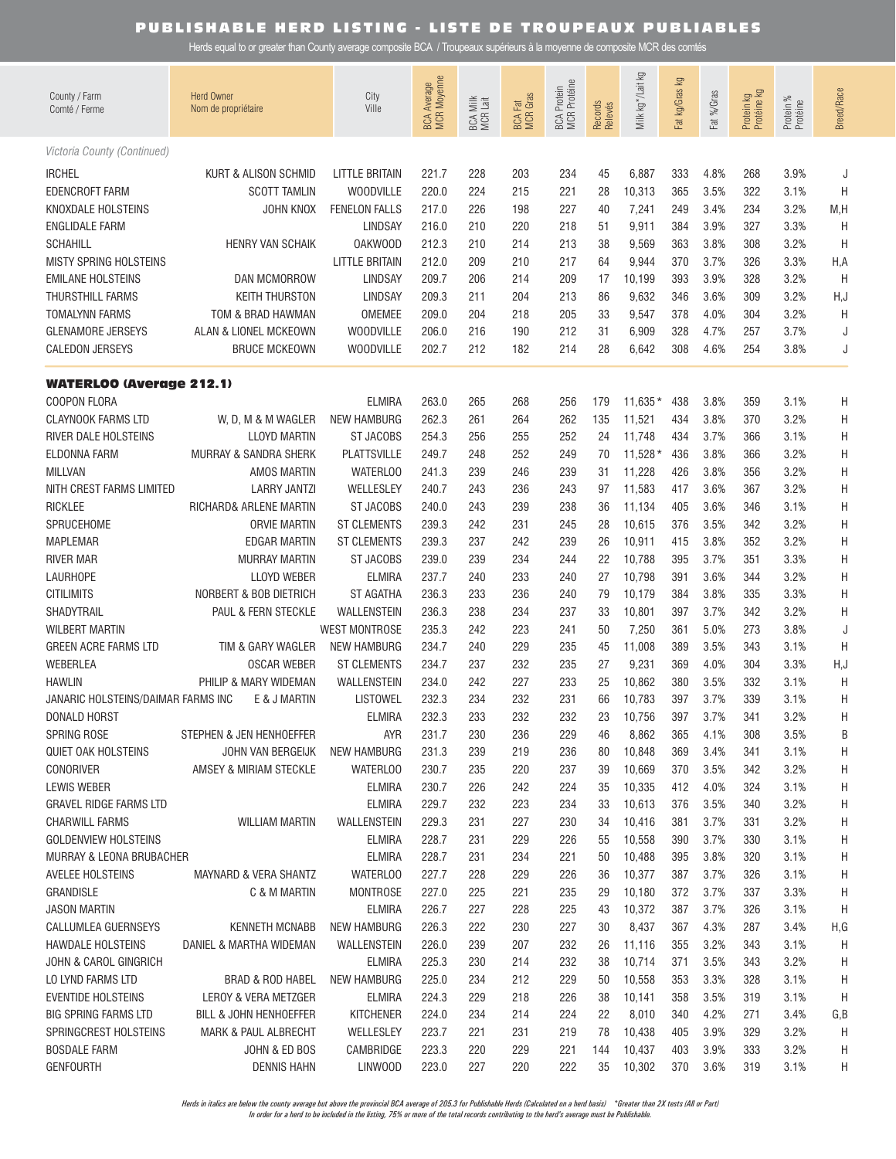Herds equal to or greater than County average composite BCA / Troupeaux supérieurs à la moyenne de composite MCR des comtés

| County / Farm<br>Comté / Ferme                 | <b>Herd Owner</b><br>Nom de propriétaire    | City<br>Ville           | BCA Average<br>MCR Moyenne | BCA Milk<br>MCR Lait | <b>BCA Fat</b><br>MCR Gras | BCA Protein<br>MCR Protéine | Records<br>Relevés | Milk kg */Lait kg | Fat kg/Gras kg | Fat %/Gras   | Protein kg<br>Protéine kg | Protein %<br>Protéine | <b>Breed/Race</b> |
|------------------------------------------------|---------------------------------------------|-------------------------|----------------------------|----------------------|----------------------------|-----------------------------|--------------------|-------------------|----------------|--------------|---------------------------|-----------------------|-------------------|
| Victoria County (Continued)                    |                                             |                         |                            |                      |                            |                             |                    |                   |                |              |                           |                       |                   |
| <b>IRCHEL</b>                                  | <b>KURT &amp; ALISON SCHMID</b>             | <b>LITTLE BRITAIN</b>   | 221.7                      | 228                  | 203                        | 234                         | 45                 | 6,887             | 333            | 4.8%         | 268                       | 3.9%                  | J                 |
| <b>EDENCROFT FARM</b>                          | <b>SCOTT TAMLIN</b>                         | <b>WOODVILLE</b>        | 220.0                      | 224                  | 215                        | 221                         | 28                 | 10,313            | 365            | 3.5%         | 322                       | 3.1%                  | H                 |
| KNOXDALE HOLSTEINS                             | JOHN KNOX                                   | <b>FENELON FALLS</b>    | 217.0                      | 226                  | 198                        | 227                         | 40                 | 7,241             | 249            | 3.4%         | 234                       | 3.2%                  | M,H               |
| <b>ENGLIDALE FARM</b>                          |                                             | <b>LINDSAY</b>          | 216.0                      | 210                  | 220                        | 218                         | 51                 | 9,911             | 384            | 3.9%         | 327                       | 3.3%                  | H                 |
| <b>SCHAHILL</b>                                | <b>HENRY VAN SCHAIK</b>                     | <b>OAKWOOD</b>          | 212.3                      | 210                  | 214                        | 213                         | 38                 | 9,569             | 363            | 3.8%         | 308                       | 3.2%                  | H                 |
| <b>MISTY SPRING HOLSTEINS</b>                  |                                             | <b>LITTLE BRITAIN</b>   | 212.0                      | 209                  | 210                        | 217                         | 64                 | 9,944             | 370            | 3.7%         | 326                       | 3.3%                  | H, A              |
| <b>EMILANE HOLSTEINS</b>                       | <b>DAN MCMORROW</b>                         | <b>LINDSAY</b>          | 209.7                      | 206                  | 214                        | 209                         | 17                 | 10,199            | 393            | 3.9%         | 328                       | 3.2%                  | H                 |
| THURSTHILL FARMS                               | <b>KEITH THURSTON</b>                       | <b>LINDSAY</b>          | 209.3                      | 211                  | 204                        | 213                         | 86                 | 9,632             | 346            | 3.6%         | 309                       | 3.2%                  | H,J               |
| <b>TOMALYNN FARMS</b>                          | TOM & BRAD HAWMAN                           | OMEMEE                  | 209.0                      | 204                  | 218                        | 205                         | 33                 | 9,547             | 378            | 4.0%         | 304                       | 3.2%                  | H                 |
| <b>GLENAMORE JERSEYS</b>                       | ALAN & LIONEL MCKEOWN                       | <b>WOODVILLE</b>        | 206.0                      | 216                  | 190                        | 212                         | 31                 | 6,909             | 328            | 4.7%         | 257                       | 3.7%                  | J                 |
| <b>CALEDON JERSEYS</b>                         | <b>BRUCE MCKEOWN</b>                        | <b>WOODVILLE</b>        | 202.7                      | 212                  | 182                        | 214                         | 28                 | 6,642             | 308            | 4.6%         | 254                       | 3.8%                  | J                 |
| <b>WATERLOO (Average 212.1)</b>                |                                             |                         |                            |                      |                            |                             |                    |                   |                |              |                           |                       |                   |
| <b>COOPON FLORA</b>                            |                                             | <b>ELMIRA</b>           | 263.0                      | 265                  | 268                        | 256                         | 179                | $11.635*$         | 438            | 3.8%         | 359                       | 3.1%                  | H                 |
| <b>CLAYNOOK FARMS LTD</b>                      | W, D, M & M WAGLER                          | <b>NEW HAMBURG</b>      | 262.3                      | 261                  | 264                        | 262                         | 135                | 11,521            | 434            | 3.8%         | 370                       | 3.2%                  | Η                 |
| RIVER DALE HOLSTEINS                           | <b>LLOYD MARTIN</b>                         | <b>ST JACOBS</b>        | 254.3                      | 256                  | 255                        | 252                         | 24                 | 11,748            | 434            | 3.7%         | 366                       | 3.1%                  | Η                 |
| ELDONNA FARM                                   | MURRAY & SANDRA SHERK                       | <b>PLATTSVILLE</b>      | 249.7                      | 248                  | 252                        | 249                         | 70                 | $11,528*$         | 436            | 3.8%         | 366                       | 3.2%                  | Η                 |
| <b>MILLVAN</b>                                 | <b>AMOS MARTIN</b>                          | <b>WATERLOO</b>         | 241.3                      | 239                  | 246                        | 239                         | 31                 | 11,228            | 426            | 3.8%         | 356                       | 3.2%                  | Η                 |
| NITH CREST FARMS LIMITED                       | <b>LARRY JANTZI</b>                         | WELLESLEY               | 240.7                      | 243                  | 236                        | 243                         | 97                 | 11.583            | 417            | 3.6%         | 367                       | 3.2%                  | Н                 |
| <b>RICKLEE</b>                                 | RICHARD& ARLENE MARTIN                      | <b>ST JACOBS</b>        | 240.0                      | 243                  | 239                        | 238                         | 36                 | 11,134            | 405            | 3.6%         | 346                       | 3.1%                  | Н                 |
| SPRUCEHOME                                     | <b>ORVIE MARTIN</b>                         | <b>ST CLEMENTS</b>      | 239.3                      | 242                  | 231                        | 245                         | 28                 | 10,615            | 376            | 3.5%         | 342                       | 3.2%                  | Η                 |
| <b>MAPLEMAR</b>                                | <b>EDGAR MARTIN</b>                         | <b>ST CLEMENTS</b>      | 239.3                      | 237                  | 242                        | 239                         | 26                 | 10,911            | 415            | 3.8%         | 352                       | 3.2%                  | Η                 |
| <b>RIVER MAR</b>                               | <b>MURRAY MARTIN</b>                        | <b>ST JACOBS</b>        | 239.0                      | 239                  | 234                        | 244                         | 22                 | 10,788            | 395            | 3.7%         | 351                       | 3.3%                  | Η                 |
| <b>LAURHOPE</b>                                | <b>LLOYD WEBER</b>                          | <b>ELMIRA</b>           | 237.7                      | 240                  | 233                        | 240                         | 27                 | 10,798            | 391            | 3.6%         | 344                       | 3.2%                  | Η                 |
| <b>CITILIMITS</b>                              | NORBERT & BOB DIETRICH                      | <b>ST AGATHA</b>        | 236.3                      | 233                  | 236                        | 240                         | 79                 | 10,179            | 384            | 3.8%         | 335                       | 3.3%                  | Н                 |
| SHADYTRAIL                                     | PAUL & FERN STECKLE                         | WALLENSTEIN             | 236.3                      | 238                  | 234                        | 237                         | 33                 | 10,801            | 397            | 3.7%         | 342                       | 3.2%                  | Н                 |
| <b>WILBERT MARTIN</b>                          |                                             | <b>WEST MONTROSE</b>    | 235.3                      | 242                  | 223                        | 241                         | 50                 | 7,250             | 361            | 5.0%         | 273                       | 3.8%                  | J                 |
| GREEN ACRE FARMS LTD                           | TIM & GARY WAGLER                           | <b>NEW HAMBURG</b>      | 234.7                      | 240                  | 229                        | 235                         | 45                 | 11,008            | 389            | 3.5%         | 343                       | 3.1%                  | H                 |
| WEBERLEA                                       | <b>OSCAR WEBER</b>                          | <b>ST CLEMENTS</b>      | 234.7                      | 237                  | 232                        | 235                         | 27                 | 9,231             | 369            | 4.0%         | 304                       | 3.3%                  | H, J              |
| <b>HAWLIN</b>                                  | PHILIP & MARY WIDEMAN                       | WALLENSTEIN             | 234.0                      | 242                  | 227                        | 233                         | 25                 | 10,862            | 380            | 3.5%         | 332                       | 3.1%                  | H                 |
| JANARIC HOLSTEINS/DAIMAR FARMS INC             | E & J MARTIN                                | <b>LISTOWEL</b>         | 232.3                      | 234                  | 232                        | 231                         | 66                 | 10,783            | 397            | 3.7%         | 339                       | 3.1%                  | Η                 |
| DONALD HORST                                   |                                             | <b>ELMIRA</b>           | 232.3                      | 233                  | 232                        | 232                         | 23                 | 10,756            | 397            | 3.7%         | 341                       | 3.2%                  | Н                 |
| <b>SPRING ROSE</b>                             | STEPHEN & JEN HENHOEFFER                    | AYR                     | 231.7                      | 230                  | 236                        | 229                         | 46                 | 8,862             | 365            | 4.1%         | 308                       | 3.5%                  | Β                 |
| <b>QUIET OAK HOLSTEINS</b><br><b>CONORIVER</b> | JOHN VAN BERGEIJK<br>AMSEY & MIRIAM STECKLE | NEW HAMBURG<br>WATERLOO | 231.3<br>230.7             | 239<br>235           | 219<br>220                 | 236<br>237                  | 80<br>39           | 10,848<br>10,669  | 369<br>370     | 3.4%<br>3.5% | 341<br>342                | 3.1%<br>3.2%          | H                 |
| LEWIS WEBER                                    |                                             | <b>ELMIRA</b>           | 230.7                      | 226                  | 242                        | 224                         | 35                 | 10,335            | 412            | 4.0%         | 324                       | 3.1%                  | H                 |
| GRAVEL RIDGE FARMS LTD                         |                                             | <b>ELMIRA</b>           | 229.7                      | 232                  | 223                        | 234                         | 33                 | 10,613            | 376            | 3.5%         | 340                       | 3.2%                  | H<br>H            |
| <b>CHARWILL FARMS</b>                          | <b>WILLIAM MARTIN</b>                       | WALLENSTEIN             | 229.3                      | 231                  | 227                        | 230                         | 34                 | 10,416            | 381            | 3.7%         | 331                       | 3.2%                  | H                 |
| <b>GOLDENVIEW HOLSTEINS</b>                    |                                             | <b>ELMIRA</b>           | 228.7                      | 231                  | 229                        | 226                         | 55                 | 10,558            | 390            | 3.7%         | 330                       | 3.1%                  | H                 |
| MURRAY & LEONA BRUBACHER                       |                                             | ELMIRA                  | 228.7                      | 231                  | 234                        | 221                         | 50                 | 10,488            | 395            | 3.8%         | 320                       | 3.1%                  | H                 |
| AVELEE HOLSTEINS                               | MAYNARD & VERA SHANTZ                       | WATERLOO                | 227.7                      | 228                  | 229                        | 226                         | 36                 | 10,377            | 387            | 3.7%         | 326                       | 3.1%                  | H                 |
| GRANDISLE                                      | C & M MARTIN                                | <b>MONTROSE</b>         | 227.0                      | 225                  | 221                        | 235                         | 29                 | 10,180            | 372            | 3.7%         | 337                       | 3.3%                  | Н                 |
| <b>JASON MARTIN</b>                            |                                             | <b>ELMIRA</b>           | 226.7                      | 227                  | 228                        | 225                         | 43                 | 10,372            | 387            | 3.7%         | 326                       | 3.1%                  | Н                 |
| CALLUMLEA GUERNSEYS                            | <b>KENNETH MCNABB</b>                       | <b>NEW HAMBURG</b>      | 226.3                      | 222                  | 230                        | 227                         | 30                 | 8,437             | 367            | 4.3%         | 287                       | 3.4%                  | H,G               |
| <b>HAWDALE HOLSTEINS</b>                       | DANIEL & MARTHA WIDEMAN                     | WALLENSTEIN             | 226.0                      | 239                  | 207                        | 232                         | 26                 | 11,116            | 355            | 3.2%         | 343                       | 3.1%                  | Η                 |
| JOHN & CAROL GINGRICH                          |                                             | <b>ELMIRA</b>           | 225.3                      | 230                  | 214                        | 232                         | 38                 | 10,714            | 371            | 3.5%         | 343                       | 3.2%                  | H                 |
| LO LYND FARMS LTD                              | BRAD & ROD HABEL                            | <b>NEW HAMBURG</b>      | 225.0                      | 234                  | 212                        | 229                         | 50                 | 10,558            | 353            | 3.3%         | 328                       | 3.1%                  | H                 |
| <b>EVENTIDE HOLSTEINS</b>                      | LEROY & VERA METZGER                        | <b>ELMIRA</b>           | 224.3                      | 229                  | 218                        | 226                         | 38                 | 10,141            | 358            | 3.5%         | 319                       | 3.1%                  | Н                 |
| BIG SPRING FARMS LTD                           | BILL & JOHN HENHOEFFER                      | <b>KITCHENER</b>        | 224.0                      | 234                  | 214                        | 224                         | 22                 | 8,010             | 340            | 4.2%         | 271                       | 3.4%                  | G, B              |
| SPRINGCREST HOLSTEINS                          | <b>MARK &amp; PAUL ALBRECHT</b>             | WELLESLEY               | 223.7                      | 221                  | 231                        | 219                         | 78                 | 10,438            | 405            | 3.9%         | 329                       | 3.2%                  | Н                 |
| <b>BOSDALE FARM</b>                            | JOHN & ED BOS                               | CAMBRIDGE               | 223.3                      | 220                  | 229                        | 221                         | 144                | 10,437            | 403            | 3.9%         | 333                       | 3.2%                  | H                 |
| <b>GENFOURTH</b>                               | <b>DENNIS HAHN</b>                          | LINWOOD                 | 223.0                      | 227                  | 220                        | 222                         | 35                 | 10,302            |                | 370 3.6%     | 319                       | 3.1%                  | H                 |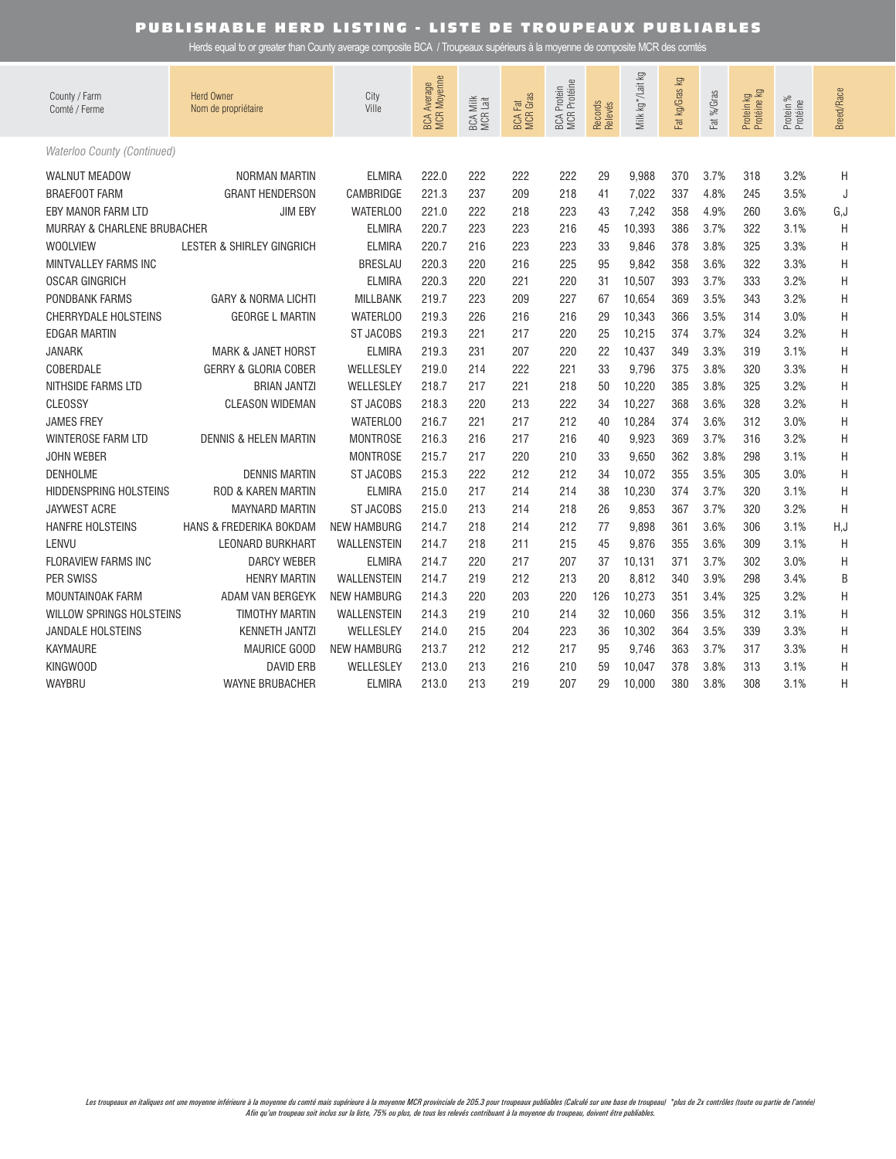| County / Farm<br>Comté / Ferme         | <b>Herd Owner</b><br>Nom de propriétaire | City<br>Ville      | BCA Average<br>MCR Moyenne | BCA Milk<br>MCR Lait | <b>BCA Fat</b><br>MCR Gras | <b>BCA Protein<br/>MCR Protéine</b> | Records<br>Relevés | ΣŐ<br>Milk kg*/Lait | Γğ<br>Fat kg/Gras | Fat %/Gras | Protein kg<br>Protéine kg | Protein %<br>Protéine | Breed/Race |
|----------------------------------------|------------------------------------------|--------------------|----------------------------|----------------------|----------------------------|-------------------------------------|--------------------|---------------------|-------------------|------------|---------------------------|-----------------------|------------|
| Waterloo County (Continued)            |                                          |                    |                            |                      |                            |                                     |                    |                     |                   |            |                           |                       |            |
| <b>WALNUT MEADOW</b>                   | NORMAN MARTIN                            | <b>ELMIRA</b>      | 222.0                      | 222                  | 222                        | 222                                 | 29                 | 9.988               | 370               | 3.7%       | 318                       | 3.2%                  | Η          |
| <b>BRAEFOOT FARM</b>                   | <b>GRANT HENDERSON</b>                   | CAMBRIDGE          | 221.3                      | 237                  | 209                        | 218                                 | 41                 | 7,022               | 337               | 4.8%       | 245                       | 3.5%                  | J          |
| EBY MANOR FARM LTD                     | <b>JIM EBY</b>                           | WATERLOO           | 221.0                      | 222                  | 218                        | 223                                 | 43                 | 7,242               | 358               | 4.9%       | 260                       | 3.6%                  | G,J        |
| <b>MURRAY &amp; CHARLENE BRUBACHER</b> |                                          | <b>ELMIRA</b>      | 220.7                      | 223                  | 223                        | 216                                 | 45                 | 10,393              | 386               | 3.7%       | 322                       | 3.1%                  | Η          |
| <b>WOOLVIEW</b>                        | <b>LESTER &amp; SHIRLEY GINGRICH</b>     | <b>ELMIRA</b>      | 220.7                      | 216                  | 223                        | 223                                 | 33                 | 9,846               | 378               | 3.8%       | 325                       | 3.3%                  | H          |
| MINTVALLEY FARMS INC                   |                                          | <b>BRESLAU</b>     | 220.3                      | 220                  | 216                        | 225                                 | 95                 | 9,842               | 358               | 3.6%       | 322                       | 3.3%                  | H          |
| <b>OSCAR GINGRICH</b>                  |                                          | <b>ELMIRA</b>      | 220.3                      | 220                  | 221                        | 220                                 | 31                 | 10,507              | 393               | 3.7%       | 333                       | 3.2%                  | H          |
| <b>PONDBANK FARMS</b>                  | <b>GARY &amp; NORMA LICHTI</b>           | <b>MILLBANK</b>    | 219.7                      | 223                  | 209                        | 227                                 | 67                 | 10,654              | 369               | 3.5%       | 343                       | 3.2%                  | H          |
| <b>CHERRYDALE HOLSTEINS</b>            | <b>GEORGE L MARTIN</b>                   | WATERLOO           | 219.3                      | 226                  | 216                        | 216                                 | 29                 | 10,343              | 366               | 3.5%       | 314                       | 3.0%                  | Η          |
| <b>EDGAR MARTIN</b>                    |                                          | ST JACOBS          | 219.3                      | 221                  | 217                        | 220                                 | 25                 | 10,215              | 374               | 3.7%       | 324                       | 3.2%                  | Η          |
| <b>JANARK</b>                          | <b>MARK &amp; JANET HORST</b>            | <b>ELMIRA</b>      | 219.3                      | 231                  | 207                        | 220                                 | 22                 | 10,437              | 349               | 3.3%       | 319                       | 3.1%                  | Η          |
| COBERDALE                              | GERRY & GLORIA COBER                     | WELLESLEY          | 219.0                      | 214                  | 222                        | 221                                 | 33                 | 9,796               | 375               | 3.8%       | 320                       | 3.3%                  | Η          |
| NITHSIDE FARMS LTD                     | <b>BRIAN JANTZI</b>                      | WELLESLEY          | 218.7                      | 217                  | 221                        | 218                                 | 50                 | 10.220              | 385               | 3.8%       | 325                       | 3.2%                  | Η          |
| CLEOSSY                                | <b>CLEASON WIDEMAN</b>                   | <b>ST JACOBS</b>   | 218.3                      | 220                  | 213                        | 222                                 | 34                 | 10,227              | 368               | 3.6%       | 328                       | 3.2%                  | Η          |
| <b>JAMES FREY</b>                      |                                          | <b>WATERLOO</b>    | 216.7                      | 221                  | 217                        | 212                                 | 40                 | 10,284              | 374               | 3.6%       | 312                       | 3.0%                  | H          |
| <b>WINTEROSE FARM LTD</b>              | <b>DENNIS &amp; HELEN MARTIN</b>         | <b>MONTROSE</b>    | 216.3                      | 216                  | 217                        | 216                                 | 40                 | 9,923               | 369               | 3.7%       | 316                       | 3.2%                  | H          |
| <b>JOHN WEBER</b>                      |                                          | <b>MONTROSE</b>    | 215.7                      | 217                  | 220                        | 210                                 | 33                 | 9,650               | 362               | 3.8%       | 298                       | 3.1%                  | Η          |
| <b>DENHOLME</b>                        | <b>DENNIS MARTIN</b>                     | <b>ST JACOBS</b>   | 215.3                      | 222                  | 212                        | 212                                 | 34                 | 10,072              | 355               | 3.5%       | 305                       | 3.0%                  | H          |
| <b>HIDDENSPRING HOLSTEINS</b>          | <b>ROD &amp; KAREN MARTIN</b>            | <b>ELMIRA</b>      | 215.0                      | 217                  | 214                        | 214                                 | 38                 | 10,230              | 374               | 3.7%       | 320                       | 3.1%                  | H          |
| <b>JAYWEST ACRE</b>                    | <b>MAYNARD MARTIN</b>                    | <b>ST JACOBS</b>   | 215.0                      | 213                  | 214                        | 218                                 | 26                 | 9,853               | 367               | 3.7%       | 320                       | 3.2%                  | H          |
| <b>HANFRE HOLSTEINS</b>                | HANS & FREDERIKA BOKDAM                  | <b>NEW HAMBURG</b> | 214.7                      | 218                  | 214                        | 212                                 | 77                 | 9,898               | 361               | 3.6%       | 306                       | 3.1%                  | H, J       |
| LENVU                                  | <b>LEONARD BURKHART</b>                  | <b>WALLENSTEIN</b> | 214.7                      | 218                  | 211                        | 215                                 | 45                 | 9,876               | 355               | 3.6%       | 309                       | 3.1%                  | Η          |
| <b>FLORAVIEW FARMS INC</b>             | <b>DARCY WEBER</b>                       | <b>ELMIRA</b>      | 214.7                      | 220                  | 217                        | 207                                 | 37                 | 10,131              | 371               | 3.7%       | 302                       | 3.0%                  | H          |
| <b>PER SWISS</b>                       | <b>HENRY MARTIN</b>                      | <b>WALLENSTEIN</b> | 214.7                      | 219                  | 212                        | 213                                 | 20                 | 8,812               | 340               | 3.9%       | 298                       | 3.4%                  | B          |
| <b>MOUNTAINOAK FARM</b>                | ADAM VAN BERGEYK                         | <b>NEW HAMBURG</b> | 214.3                      | 220                  | 203                        | 220                                 | 126                | 10,273              | 351               | 3.4%       | 325                       | 3.2%                  | Η          |
| WILLOW SPRINGS HOLSTEINS               | <b>TIMOTHY MARTIN</b>                    | <b>WALLENSTEIN</b> | 214.3                      | 219                  | 210                        | 214                                 | 32                 | 10.060              | 356               | 3.5%       | 312                       | 3.1%                  | Η          |
| <b>JANDALE HOLSTEINS</b>               | <b>KENNETH JANTZI</b>                    | WELLESLEY          | 214.0                      | 215                  | 204                        | 223                                 | 36                 | 10,302              | 364               | 3.5%       | 339                       | 3.3%                  | Η          |
| <b>KAYMAURE</b>                        | MAURICE GOOD                             | <b>NEW HAMBURG</b> | 213.7                      | 212                  | 212                        | 217                                 | 95                 | 9,746               | 363               | 3.7%       | 317                       | 3.3%                  | H          |
| <b>KINGWOOD</b>                        | <b>DAVID ERB</b>                         | WELLESLEY          | 213.0                      | 213                  | 216                        | 210                                 | 59                 | 10,047              | 378               | 3.8%       | 313                       | 3.1%                  | H          |
| WAYBRU                                 | <b>WAYNE BRUBACHER</b>                   | <b>ELMIRA</b>      | 213.0                      | 213                  | 219                        | 207                                 | 29                 | 10,000              | 380               | 3.8%       | 308                       | 3.1%                  | Η          |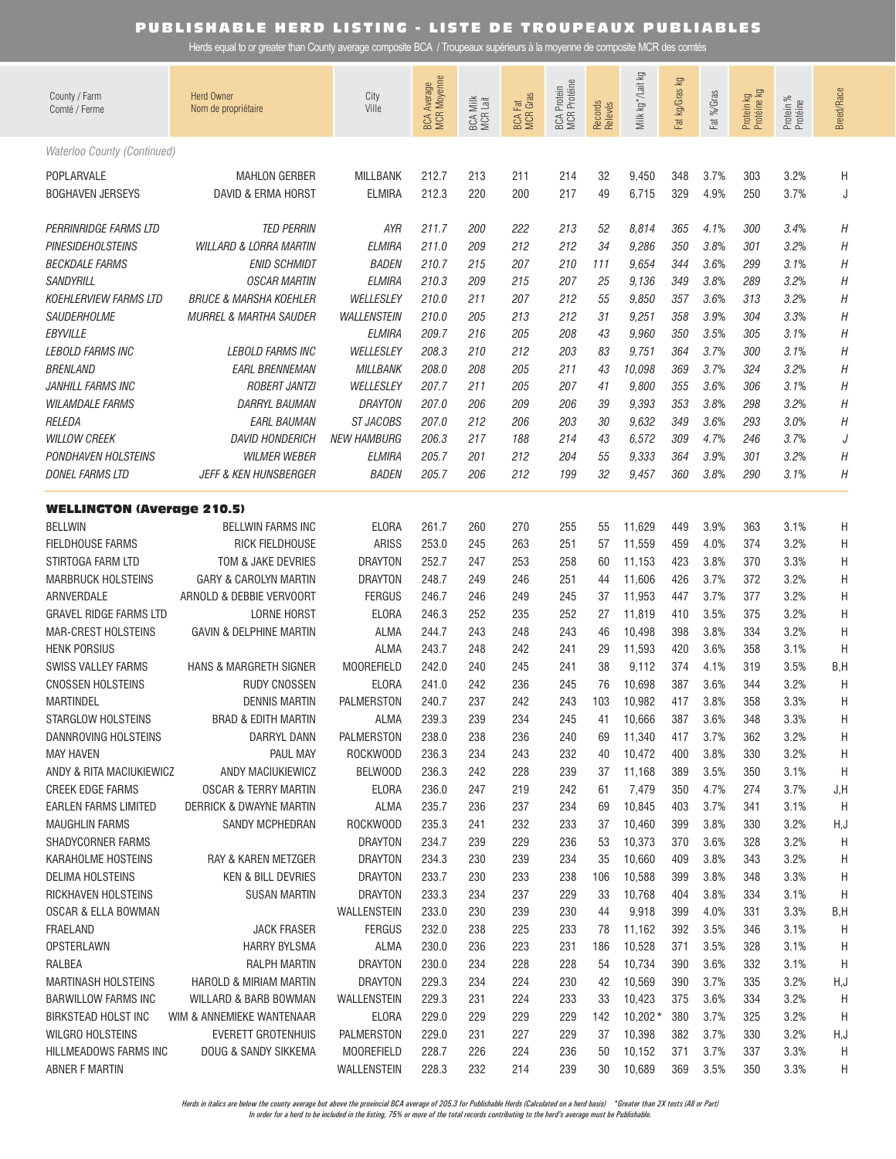Herds equal to or greater than County average composite BCA / Troupeaux supérieurs à la moyenne de composite MCR des comtés

| County / Farm<br>Comté / Ferme           | <b>Herd Owner</b><br>Nom de propriétaire   | City<br>Ville                    | <b>BCA Average</b><br>MCR Moyenne | BCA Milk<br>MCR Lait | <b>BCA Fat</b><br>MCR Gras | <b>MCR Protéine</b><br><b>BCA</b> Protein | Records<br>Relevés | Milk kg * /Lait kg | ΔÃ<br>Fat kg/Gras | %/Gras<br>h <sub>31</sub> | Protein kg<br>Protéine kg | Protein %<br>Protéine | Breed/Race |
|------------------------------------------|--------------------------------------------|----------------------------------|-----------------------------------|----------------------|----------------------------|-------------------------------------------|--------------------|--------------------|-------------------|---------------------------|---------------------------|-----------------------|------------|
| Waterloo County (Continued)              |                                            |                                  |                                   |                      |                            |                                           |                    |                    |                   |                           |                           |                       |            |
| POPLARVALE<br><b>BOGHAVEN JERSEYS</b>    | <b>MAHLON GERBER</b><br>DAVID & ERMA HORST | <b>MILLBANK</b><br><b>ELMIRA</b> | 212.7<br>212.3                    | 213<br>220           | 211<br>200                 | 214<br>217                                | 32<br>49           | 9,450<br>6,715     | 348<br>329        | 3.7%<br>4.9%              | 303<br>250                | 3.2%<br>3.7%          | Η<br>J     |
| PERRINRIDGE FARMS LTD                    | <b>TED PERRIN</b>                          | AYR                              | 211.7                             | 200                  | 222                        | 213                                       | 52                 | 8,814              | 365               | 4.1%                      | 300                       | 3.4%                  | Η          |
| PINESIDEHOLSTEINS                        | <b>WILLARD &amp; LORRA MARTIN</b>          | <b>ELMIRA</b>                    | 211.0                             | 209                  | 212                        | 212                                       | 34                 | 9,286              | 350               | 3.8%                      | 301                       | 3.2%                  | Η          |
| <b>BECKDALE FARMS</b>                    | <b>ENID SCHMIDT</b>                        | <b>BADEN</b>                     | 210.7                             | 215                  | 207                        | 210                                       | 111                | 9,654              | 344               | 3.6%                      | 299                       | 3.1%                  | Η          |
| SANDYRILL                                | <b>OSCAR MARTIN</b>                        | <b>ELMIRA</b>                    | 210.3                             | 209                  | 215                        | 207                                       | 25                 | 9,136              | 349               | 3.8%                      | 289                       | 3.2%                  | Η          |
| <b>KOEHLERVIEW FARMS LTD</b>             | <b>BRUCE &amp; MARSHA KOEHLER</b>          | WELLESLEY                        | 210.0                             | 211                  | 207                        | 212                                       | 55                 | 9,850              | 357               | 3.6%                      | 313                       | 3.2%                  | Η          |
| SAUDERHOLME                              | <b>MURREL &amp; MARTHA SAUDER</b>          | <b>WALLENSTEIN</b>               | 210.0                             | 205                  | 213                        | 212                                       | 31                 | 9,251              | 358               | 3.9%                      | 304                       | 3.3%                  | Η          |
| <b>EBYVILLE</b>                          |                                            | <b>ELMIRA</b>                    | 209.7                             | 216                  | 205                        | 208                                       | 43                 | 9,960              | 350               | 3.5%                      | 305                       | 3.1%                  | Η          |
| <b>LEBOLD FARMS INC</b>                  | <b>LEBOLD FARMS INC</b>                    | WELLESLEY                        | 208.3                             | 210                  | 212                        | 203                                       | 83                 | 9,751              | 364               | 3.7%                      | 300                       | 3.1%                  | Η          |
| <i><b>BRENLAND</b></i>                   | <b>EARL BRENNEMAN</b>                      | <b>MILLBANK</b>                  | 208.0                             | 208                  | 205                        | 211                                       | 43                 | 10,098             | 369               | 3.7%                      | 324                       | 3.2%                  | Η          |
| JANHILL FARMS INC                        | <b>ROBERT JANTZI</b>                       | WELLESLEY                        | 207.7                             | 211                  | 205                        | 207                                       | 41                 | 9,800              | 355               | 3.6%                      | 306                       | 3.1%                  | Η          |
| <b>WILAMDALE FARMS</b>                   | <b>DARRYL BAUMAN</b>                       | <b>DRAYTON</b>                   | 207.0                             | 206                  | 209                        | 206                                       | 39                 | 9,393              | 353               | 3.8%                      | 298                       | 3.2%                  | Η          |
| RELEDA                                   | <i>EARL BAUMAN</i>                         | ST JACOBS                        | 207.0                             | 212                  | 206                        | 203                                       | 30                 | 9,632              | 349               | 3.6%                      | 293                       | 3.0%                  | Η          |
| <b>WILLOW CREEK</b>                      | <b>DAVID HONDERICH</b>                     | <i>NEW HAMBURG</i>               | 206.3                             | 217                  | 188                        | 214                                       | 43                 | 6,572              | 309               | 4.7%                      | 246                       | 3.7%                  | J          |
| <b>PONDHAVEN HOLSTEINS</b>               | <b>WILMER WEBER</b>                        | <b>ELMIRA</b>                    | 205.7                             | 201                  | 212                        | 204                                       | 55                 | 9,333              | 364               | 3.9%                      | 301                       | 3.2%                  | Η          |
| DONEL FARMS LTD                          | <b>JEFF &amp; KEN HUNSBERGER</b>           | <b>BADEN</b>                     | 205.7                             | 206                  | 212                        | 199                                       | 32                 | 9,457              | 360               | 3.8%                      | 290                       | 3.1%                  | Η          |
| <b>WELLINGTON (Average 210.5)</b>        |                                            |                                  |                                   |                      |                            |                                           |                    |                    |                   |                           |                           |                       |            |
| <b>BELLWIN</b>                           | <b>BELLWIN FARMS INC</b>                   | <b>ELORA</b>                     | 261.7                             | 260                  | 270                        | 255                                       | 55                 | 11,629             | 449               | 3.9%                      | 363                       | 3.1%                  | Н          |
| <b>FIELDHOUSE FARMS</b>                  | RICK FIELDHOUSE                            | <b>ARISS</b>                     | 253.0                             | 245                  | 263                        | 251                                       | 57                 | 11,559             | 459               | 4.0%                      | 374                       | 3.2%                  | Η          |
| STIRTOGA FARM LTD                        | TOM & JAKE DEVRIES                         | <b>DRAYTON</b>                   | 252.7                             | 247                  | 253                        | 258                                       | 60                 | 11,153             | 423               | 3.8%                      | 370                       | 3.3%                  | Η          |
| <b>MARBRUCK HOLSTEINS</b>                | <b>GARY &amp; CAROLYN MARTIN</b>           | <b>DRAYTON</b>                   | 248.7                             | 249                  | 246                        | 251                                       | 44                 | 11,606             | 426               | 3.7%                      | 372                       | 3.2%                  | Η          |
| ARNVERDALE                               | ARNOLD & DEBBIE VERVOORT                   | <b>FERGUS</b>                    | 246.7                             | 246                  | 249                        | 245                                       | 37                 | 11,953             | 447               | 3.7%                      | 377                       | 3.2%                  | Η          |
| <b>GRAVEL RIDGE FARMS LTD</b>            | <b>LORNE HORST</b>                         | <b>ELORA</b>                     | 246.3                             | 252                  | 235                        | 252                                       | 27                 | 11,819             | 410               | 3.5%                      | 375                       | 3.2%                  | Η          |
| <b>MAR-CREST HOLSTEINS</b>               | <b>GAVIN &amp; DELPHINE MARTIN</b>         | <b>ALMA</b>                      | 244.7                             | 243                  | 248                        | 243                                       | 46                 | 10,498             | 398               | 3.8%                      | 334                       | 3.2%                  | Η          |
| <b>HENK PORSIUS</b>                      |                                            | <b>ALMA</b>                      | 243.7                             | 248                  | 242                        | 241                                       | 29                 | 11,593             | 420               | 3.6%                      | 358                       | 3.1%                  | Η          |
| SWISS VALLEY FARMS                       | HANS & MARGRETH SIGNER                     | <b>MOOREFIELD</b>                | 242.0                             | 240                  | 245                        | 241                                       | 38                 | 9,112              | 374               | 4.1%                      | 319                       | 3.5%                  | B, H       |
| <b>CNOSSEN HOLSTEINS</b>                 | <b>RUDY CNOSSEN</b>                        | <b>ELORA</b>                     | 241.0                             | 242                  | 236                        | 245                                       | 76                 | 10,698             | 387               | 3.6%                      | 344                       | 3.2%                  | Η          |
| <b>MARTINDEL</b>                         | <b>DENNIS MARTIN</b>                       | <b>PALMERSTON</b>                | 240.7                             | 237                  | 242                        | 243                                       | 103                | 10,982             | 417               | 3.8%                      | 358                       | 3.3%                  | Η          |
| STARGLOW HOLSTEINS                       | BRAD & EDITH MARTIN                        | ALMA<br>PALMERSTON               | 239.3<br>238.0                    | 239<br>238           | 234<br>236                 | 245                                       | 41                 | 10,666             | 387               | 3.6%                      | 348                       | 3.3%<br>3.2%          | Н          |
| DANNROVING HOLSTEINS<br><b>MAY HAVEN</b> | DARRYL DANN<br>PAUL MAY                    | ROCKWOOD                         | 236.3                             | 234                  | 243                        | 240<br>232                                | 69<br>40           | 11,340<br>10,472   | 417<br>400        | 3.7%<br>3.8%              | 362<br>330                | 3.2%                  | H<br>H     |
| ANDY & RITA MACIUKIEWICZ                 | ANDY MACIUKIEWICZ                          | BELWOOD                          | 236.3                             | 242                  | 228                        | 239                                       | 37                 | 11,168             | 389               | 3.5%                      | 350                       | 3.1%                  | H          |
| <b>CREEK EDGE FARMS</b>                  | OSCAR & TERRY MARTIN                       | <b>ELORA</b>                     | 236.0                             | 247                  | 219                        | 242                                       | 61                 | 7,479              | 350               | 4.7%                      | 274                       | 3.7%                  | J,H        |
| EARLEN FARMS LIMITED                     | DERRICK & DWAYNE MARTIN                    | ALMA                             | 235.7                             | 236                  | 237                        | 234                                       | 69                 | 10,845             | 403               | 3.7%                      | 341                       | 3.1%                  | H          |
| <b>MAUGHLIN FARMS</b>                    | <b>SANDY MCPHEDRAN</b>                     | ROCKWOOD                         | 235.3                             | 241                  | 232                        | 233                                       | 37                 | 10,460             | 399               | 3.8%                      | 330                       | 3.2%                  | H,J        |
| SHADYCORNER FARMS                        |                                            | <b>DRAYTON</b>                   | 234.7                             | 239                  | 229                        | 236                                       | 53                 | 10,373             | 370               | 3.6%                      | 328                       | 3.2%                  | H          |
| KARAHOLME HOSTEINS                       | <b>RAY &amp; KAREN METZGER</b>             | <b>DRAYTON</b>                   | 234.3                             | 230                  | 239                        | 234                                       | 35                 | 10,660             | 409               | 3.8%                      | 343                       | 3.2%                  | H          |
| <b>DELIMA HOLSTEINS</b>                  | <b>KEN &amp; BILL DEVRIES</b>              | <b>DRAYTON</b>                   | 233.7                             | 230                  | 233                        | 238                                       | 106                | 10,588             | 399               | 3.8%                      | 348                       | 3.3%                  | H          |
| RICKHAVEN HOLSTEINS                      | <b>SUSAN MARTIN</b>                        | <b>DRAYTON</b>                   | 233.3                             | 234                  | 237                        | 229                                       | 33                 | 10,768             | 404               | 3.8%                      | 334                       | 3.1%                  | H          |
| OSCAR & ELLA BOWMAN                      |                                            | WALLENSTEIN                      | 233.0                             | 230                  | 239                        | 230                                       | 44                 | 9,918              | 399               | 4.0%                      | 331                       | 3.3%                  | B,H        |
| FRAELAND                                 | <b>JACK FRASER</b>                         | <b>FERGUS</b>                    | 232.0                             | 238                  | 225                        | 233                                       | 78                 | 11,162             | 392               | 3.5%                      | 346                       | 3.1%                  | H          |
| <b>OPSTERLAWN</b>                        | <b>HARRY BYLSMA</b>                        | <b>ALMA</b>                      | 230.0                             | 236                  | 223                        | 231                                       | 186                | 10,528             | 371               | 3.5%                      | 328                       | 3.1%                  | H          |
| RALBEA                                   | RALPH MARTIN                               | <b>DRAYTON</b>                   | 230.0                             | 234                  | 228                        | 228                                       | 54                 | 10,734             | 390               | 3.6%                      | 332                       | 3.1%                  | H          |
| <b>MARTINASH HOLSTEINS</b>               | HAROLD & MIRIAM MARTIN                     | <b>DRAYTON</b>                   | 229.3                             | 234                  | 224                        | 230                                       | 42                 | 10,569             | 390               | 3.7%                      | 335                       | 3.2%                  | H,J        |
| <b>BARWILLOW FARMS INC</b>               | WILLARD & BARB BOWMAN                      | WALLENSTEIN                      | 229.3                             | 231                  | 224                        | 233                                       | 33                 | 10,423             | 375               | 3.6%                      | 334                       | 3.2%                  | H          |
| <b>BIRKSTEAD HOLST INC</b>               | WIM & ANNEMIEKE WANTENAAR                  | <b>ELORA</b>                     | 229.0                             | 229                  | 229                        | 229                                       | 142                | $10,202*$          | 380               | 3.7%                      | 325                       | 3.2%                  | H          |
| WILGRO HOLSTEINS                         | EVERETT GROTENHUIS                         | PALMERSTON                       | 229.0                             | 231                  | 227                        | 229                                       | 37                 | 10,398             | 382               | 3.7%                      | 330                       | 3.2%                  | H,J        |
| HILLMEADOWS FARMS INC                    | DOUG & SANDY SIKKEMA                       | <b>MOOREFIELD</b>                | 228.7                             | 226                  | 224                        | 236                                       | 50                 | 10,152             | 371               | 3.7%                      | 337                       | 3.3%                  | H          |
| <b>ABNER F MARTIN</b>                    |                                            | WALLENSTEIN                      | 228.3                             | 232                  | 214                        | 239                                       | 30                 | 10,689             | 369               | 3.5%                      | 350                       | 3.3%                  | H          |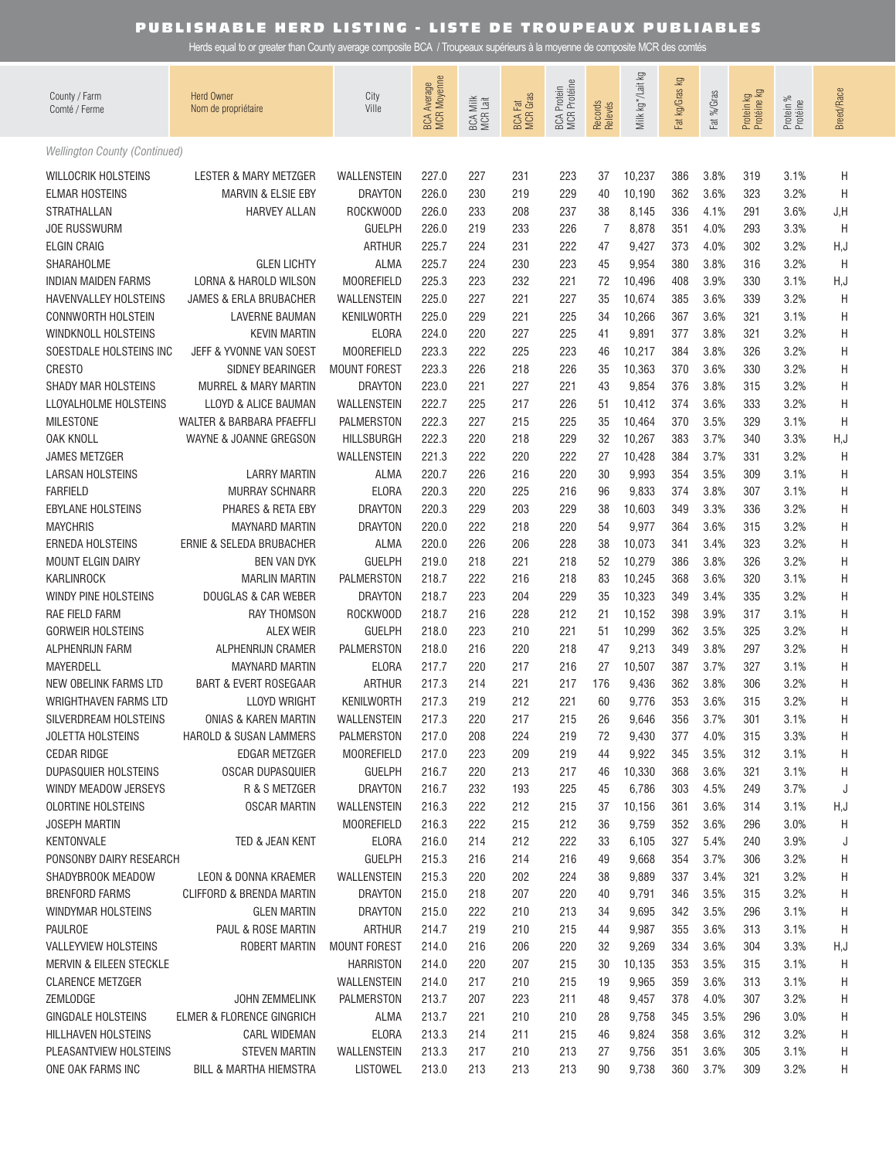| County / Farm<br>Comté / Ferme             | <b>Herd Owner</b><br>Nom de propriétaire | City<br>Ville                    | BCA Average<br>MCR Moyenne | BCA Milk<br>MCR Lait | <b>BCA Fat</b><br>MCR Gras | <b>BCA Protein</b><br>MCR Protéine | Records<br>Relevés | Σò<br>Milk kg */Lait | ΔÃ<br>Fat kg/Gras | Fat %/Gras   | Protein kg<br>Protéine kg | Protein %<br>Protéine | <b>Breed/Race</b> |
|--------------------------------------------|------------------------------------------|----------------------------------|----------------------------|----------------------|----------------------------|------------------------------------|--------------------|----------------------|-------------------|--------------|---------------------------|-----------------------|-------------------|
| Wellington County (Continued)              |                                          |                                  |                            |                      |                            |                                    |                    |                      |                   |              |                           |                       |                   |
| <b>WILLOCRIK HOLSTEINS</b>                 | LESTER & MARY METZGER                    | WALLENSTEIN                      | 227.0                      | 227                  | 231                        | 223                                | 37                 | 10,237               | 386               | 3.8%         | 319                       | 3.1%                  | H                 |
| <b>ELMAR HOSTEINS</b>                      | MARVIN & ELSIE EBY                       | <b>DRAYTON</b>                   | 226.0                      | 230                  | 219                        | 229                                | 40                 | 10,190               | 362               | 3.6%         | 323                       | 3.2%                  | H                 |
| STRATHALLAN                                | <b>HARVEY ALLAN</b>                      | ROCKWOOD                         | 226.0                      | 233                  | 208                        | 237                                | 38                 | 8,145                | 336               | 4.1%         | 291                       | 3.6%                  | J,H               |
| <b>JOE RUSSWURM</b>                        |                                          | <b>GUELPH</b>                    | 226.0                      | 219                  | 233                        | 226                                | $\overline{7}$     | 8,878                | 351               | 4.0%         | 293                       | 3.3%                  | H                 |
| <b>ELGIN CRAIG</b>                         |                                          | <b>ARTHUR</b>                    | 225.7                      | 224                  | 231                        | 222                                | 47                 | 9,427                | 373               | 4.0%         | 302                       | 3.2%                  | H, J              |
| SHARAHOLME                                 | <b>GLEN LICHTY</b>                       | <b>ALMA</b>                      | 225.7                      | 224                  | 230                        | 223                                | 45                 | 9,954                | 380               | 3.8%         | 316                       | 3.2%                  | H                 |
| <b>INDIAN MAIDEN FARMS</b>                 | LORNA & HAROLD WILSON                    | <b>MOOREFIELD</b>                | 225.3                      | 223                  | 232                        | 221                                | 72                 | 10,496               | 408               | 3.9%         | 330                       | 3.1%                  | H, J              |
| <b>HAVENVALLEY HOLSTEINS</b>               | JAMES & ERLA BRUBACHER                   | WALLENSTEIN                      | 225.0                      | 227                  | 221                        | 227                                | 35                 | 10,674               | 385               | 3.6%         | 339                       | 3.2%                  | H                 |
| <b>CONNWORTH HOLSTEIN</b>                  | <b>LAVERNE BAUMAN</b>                    | <b>KENILWORTH</b>                | 225.0                      | 229                  | 221                        | 225                                | 34                 | 10,266               | 367               | 3.6%         | 321                       | 3.1%                  | H                 |
| <b>WINDKNOLL HOLSTEINS</b>                 | <b>KEVIN MARTIN</b>                      | <b>ELORA</b>                     | 224.0                      | 220                  | 227                        | 225                                | 41                 | 9,891                | 377               | 3.8%         | 321                       | 3.2%                  | Η                 |
| SOESTDALE HOLSTEINS INC                    | JEFF & YVONNE VAN SOEST                  | <b>MOOREFIELD</b>                | 223.3                      | 222                  | 225                        | 223                                | 46                 | 10,217               | 384               | 3.8%         | 326                       | 3.2%                  | Η                 |
| <b>CRESTO</b>                              | SIDNEY BEARINGER                         | <b>MOUNT FOREST</b>              | 223.3                      | 226                  | 218                        | 226                                | 35                 | 10,363               | 370               | 3.6%         | 330                       | 3.2%                  | Η                 |
| SHADY MAR HOLSTEINS                        | <b>MURREL &amp; MARY MARTIN</b>          | <b>DRAYTON</b>                   | 223.0                      | 221                  | 227                        | 221                                | 43                 | 9,854                | 376               | 3.8%         | 315                       | 3.2%                  | Η                 |
| LLOYALHOLME HOLSTEINS                      | LLOYD & ALICE BAUMAN                     | WALLENSTEIN                      | 222.7                      | 225                  | 217                        | 226                                | 51                 | 10,412               | 374               | 3.6%<br>3.5% | 333                       | 3.2%                  | Η                 |
| <b>MILESTONE</b>                           | WALTER & BARBARA PFAEFFLI                | PALMERSTON                       | 222.3                      | 227                  | 215                        | 225                                | 35                 | 10,464               | 370               | 3.7%         | 329                       | 3.1%                  | H                 |
| <b>OAK KNOLL</b>                           | WAYNE & JOANNE GREGSON                   | <b>HILLSBURGH</b><br>WALLENSTEIN | 222.3<br>221.3             | 220<br>222           | 218<br>220                 | 229<br>222                         | 32<br>27           | 10,267               | 383<br>384        | 3.7%         | 340<br>331                | 3.3%<br>3.2%          | H, J              |
| <b>JAMES METZGER</b>                       | <b>LARRY MARTIN</b>                      | <b>ALMA</b>                      | 220.7                      | 226                  | 216                        | 220                                | 30                 | 10,428               | 354               | 3.5%         | 309                       | 3.1%                  | H<br>Η            |
| <b>LARSAN HOLSTEINS</b><br><b>FARFIELD</b> | <b>MURRAY SCHNARR</b>                    | <b>ELORA</b>                     | 220.3                      | 220                  | 225                        | 216                                | 96                 | 9,993<br>9,833       | 374               | 3.8%         | 307                       | 3.1%                  | Η                 |
| <b>EBYLANE HOLSTEINS</b>                   | PHARES & RETA EBY                        | <b>DRAYTON</b>                   | 220.3                      | 229                  | 203                        | 229                                | 38                 | 10,603               | 349               | 3.3%         | 336                       | 3.2%                  | Η                 |
| <b>MAYCHRIS</b>                            | <b>MAYNARD MARTIN</b>                    | <b>DRAYTON</b>                   | 220.0                      | 222                  | 218                        | 220                                | 54                 | 9,977                | 364               | 3.6%         | 315                       | 3.2%                  | Η                 |
| ERNEDA HOLSTEINS                           | ERNIE & SELEDA BRUBACHER                 | <b>ALMA</b>                      | 220.0                      | 226                  | 206                        | 228                                | 38                 | 10,073               | 341               | 3.4%         | 323                       | 3.2%                  | H                 |
| MOUNT ELGIN DAIRY                          | <b>BEN VAN DYK</b>                       | <b>GUELPH</b>                    | 219.0                      | 218                  | 221                        | 218                                | 52                 | 10,279               | 386               | 3.8%         | 326                       | 3.2%                  | H                 |
| <b>KARLINROCK</b>                          | <b>MARLIN MARTIN</b>                     | <b>PALMERSTON</b>                | 218.7                      | 222                  | 216                        | 218                                | 83                 | 10,245               | 368               | 3.6%         | 320                       | 3.1%                  | Η                 |
| WINDY PINE HOLSTEINS                       | DOUGLAS & CAR WEBER                      | <b>DRAYTON</b>                   | 218.7                      | 223                  | 204                        | 229                                | 35                 | 10,323               | 349               | 3.4%         | 335                       | 3.2%                  | H                 |
| RAE FIELD FARM                             | <b>RAY THOMSON</b>                       | ROCKWOOD                         | 218.7                      | 216                  | 228                        | 212                                | 21                 | 10,152               | 398               | 3.9%         | 317                       | 3.1%                  | Η                 |
| <b>GORWEIR HOLSTEINS</b>                   | <b>ALEX WEIR</b>                         | <b>GUELPH</b>                    | 218.0                      | 223                  | 210                        | 221                                | 51                 | 10,299               | 362               | 3.5%         | 325                       | 3.2%                  | H                 |
| <b>ALPHENRIJN FARM</b>                     | ALPHENRIJN CRAMER                        | <b>PALMERSTON</b>                | 218.0                      | 216                  | 220                        | 218                                | 47                 | 9,213                | 349               | 3.8%         | 297                       | 3.2%                  | Η                 |
| <b>MAYERDELL</b>                           | <b>MAYNARD MARTIN</b>                    | <b>ELORA</b>                     | 217.7                      | 220                  | 217                        | 216                                | 27                 | 10,507               | 387               | 3.7%         | 327                       | 3.1%                  | Η                 |
| NEW OBELINK FARMS LTD                      | <b>BART &amp; EVERT ROSEGAAR</b>         | <b>ARTHUR</b>                    | 217.3                      | 214                  | 221                        | 217                                | 176                | 9,436                | 362               | 3.8%         | 306                       | 3.2%                  | Η                 |
| <b>WRIGHTHAVEN FARMS LTD</b>               | <b>LLOYD WRIGHT</b>                      | <b>KENILWORTH</b>                | 217.3                      | 219                  | 212                        | 221                                | 60                 | 9,776                | 353               | 3.6%         | 315                       | 3.2%                  | Η                 |
| SILVERDREAM HOLSTEINS                      | <b>ONIAS &amp; KAREN MARTIN</b>          | WALLENSTEIN                      | 217.3                      | 220                  | 217                        | 215                                | 26                 | 9,646                | 356               | 3.7%         | 301                       | 3.1%                  | Η                 |
| JOLETTA HOLSTEINS                          | HAROLD & SUSAN LAMMERS                   | <b>PALMERSTON</b>                | 217.0                      | 208                  | 224                        | 219                                | 72                 | 9,430                | 377               | 4.0%         | 315                       | 3.3%                  | Н                 |
| <b>CEDAR RIDGE</b>                         | EDGAR METZGER                            | <b>MOOREFIELD</b>                | 217.0                      | 223                  | 209                        | 219                                | 44                 | 9,922                | 345               | 3.5%         | 312                       | 3.1%                  | Н                 |
| DUPASQUIER HOLSTEINS                       | <b>OSCAR DUPASQUIER</b>                  | <b>GUELPH</b>                    | 216.7                      | 220                  | 213                        | 217                                | 46                 | 10,330               | 368               | 3.6%         | 321                       | 3.1%                  | Н                 |
| WINDY MEADOW JERSEYS                       | R & S METZGER                            | <b>DRAYTON</b>                   | 216.7                      | 232                  | 193                        | 225                                | 45                 | 6,786                | 303               | 4.5%         | 249                       | 3.7%                  | J                 |
| <b>OLORTINE HOLSTEINS</b>                  | <b>OSCAR MARTIN</b>                      | WALLENSTEIN                      | 216.3                      | 222                  | 212                        | 215                                | 37                 | 10,156               | 361               | 3.6%         | 314                       | 3.1%                  | H,J               |
| <b>JOSEPH MARTIN</b>                       |                                          | <b>MOOREFIELD</b>                | 216.3                      | 222                  | 215                        | 212                                | 36                 | 9,759                | 352               | 3.6%         | 296                       | 3.0%                  | Η                 |
| KENTONVALE                                 | TED & JEAN KENT                          | <b>ELORA</b>                     | 216.0                      | 214                  | 212                        | 222                                | 33                 | 6,105                | 327               | 5.4%         | 240                       | 3.9%                  | J                 |
| PONSONBY DAIRY RESEARCH                    |                                          | <b>GUELPH</b>                    | 215.3                      | 216                  | 214                        | 216                                | 49                 | 9,668                | 354               | 3.7%         | 306                       | 3.2%                  | H                 |
| SHADYBROOK MEADOW                          | LEON & DONNA KRAEMER                     | WALLENSTEIN                      | 215.3                      | 220                  | 202                        | 224                                | 38                 | 9,889                | 337               | 3.4%         | 321                       | 3.2%                  | H                 |
| <b>BRENFORD FARMS</b>                      | CLIFFORD & BRENDA MARTIN                 | <b>DRAYTON</b>                   | 215.0                      | 218                  | 207                        | 220                                | 40                 | 9,791                | 346               | 3.5%         | 315                       | 3.2%                  | Н                 |
| WINDYMAR HOLSTEINS                         | <b>GLEN MARTIN</b>                       | <b>DRAYTON</b>                   | 215.0                      | 222                  | 210                        | 213                                | 34                 | 9,695                | 342               | 3.5%         | 296                       | 3.1%                  | Н                 |
| PAULROE                                    | PAUL & ROSE MARTIN                       | <b>ARTHUR</b>                    | 214.7                      | 219                  | 210                        | 215                                | 44                 | 9,987                | 355               | 3.6%         | 313                       | 3.1%                  | Н                 |
| <b>VALLEYVIEW HOLSTEINS</b>                | <b>ROBERT MARTIN</b>                     | <b>MOUNT FOREST</b>              | 214.0                      | 216                  | 206                        | 220                                | 32                 | 9,269                | 334               | 3.6%         | 304                       | 3.3%                  | H,J               |
| MERVIN & EILEEN STECKLE                    |                                          | <b>HARRISTON</b>                 | 214.0                      | 220                  | 207                        | 215                                | 30                 | 10,135               | 353               | 3.5%         | 315                       | 3.1%                  | H                 |
| <b>CLARENCE METZGER</b>                    |                                          | WALLENSTEIN                      | 214.0                      | 217                  | 210                        | 215                                | 19                 | 9,965                | 359               | 3.6%         | 313                       | 3.1%                  | Н                 |
| ZEMLODGE                                   | JOHN ZEMMELINK                           | <b>PALMERSTON</b>                | 213.7                      | 207                  | 223                        | 211                                | 48                 | 9,457                | 378               | 4.0%         | 307                       | 3.2%                  | Н                 |
| <b>GINGDALE HOLSTEINS</b>                  | ELMER & FLORENCE GINGRICH                | ALMA                             | 213.7                      | 221                  | 210                        | 210                                | 28                 | 9,758                | 345               | 3.5%         | 296                       | 3.0%                  | Н                 |
| HILLHAVEN HOLSTEINS                        | <b>CARL WIDEMAN</b>                      | <b>ELORA</b>                     | 213.3                      | 214                  | 211                        | 215                                | 46                 | 9,824                | 358               | 3.6%         | 312                       | 3.2%                  | H                 |
| PLEASANTVIEW HOLSTEINS                     | <b>STEVEN MARTIN</b>                     | WALLENSTEIN                      | 213.3                      | 217                  | 210                        | 213                                | 27                 | 9,756                | 351               | 3.6%         | 305                       | 3.1%                  | H                 |
| ONE OAK FARMS INC                          | BILL & MARTHA HIEMSTRA                   | LISTOWEL                         | 213.0                      | 213                  | 213                        | 213                                | 90                 | 9,738                | 360               | 3.7%         | 309                       | 3.2%                  | H                 |